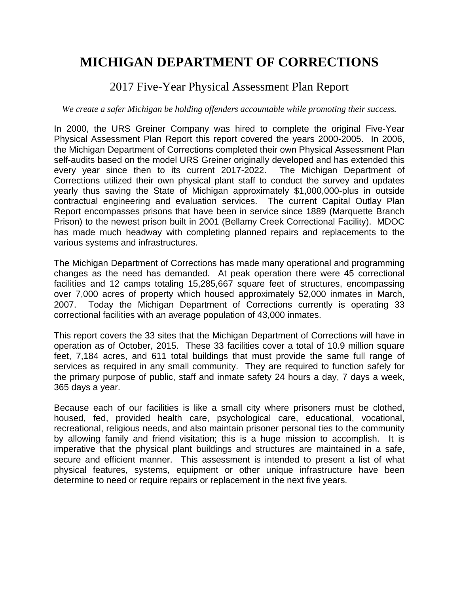# 2017 Five-Year Physical Assessment Plan Report

### *We create a safer Michigan be holding offenders accountable while promoting their success.*

In 2000, the URS Greiner Company was hired to complete the original Five-Year Physical Assessment Plan Report this report covered the years 2000-2005. In 2006, the Michigan Department of Corrections completed their own Physical Assessment Plan self-audits based on the model URS Greiner originally developed and has extended this every year since then to its current 2017-2022. The Michigan Department of Corrections utilized their own physical plant staff to conduct the survey and updates yearly thus saving the State of Michigan approximately \$1,000,000-plus in outside contractual engineering and evaluation services. The current Capital Outlay Plan Report encompasses prisons that have been in service since 1889 (Marquette Branch Prison) to the newest prison built in 2001 (Bellamy Creek Correctional Facility). MDOC has made much headway with completing planned repairs and replacements to the various systems and infrastructures.

The Michigan Department of Corrections has made many operational and programming changes as the need has demanded. At peak operation there were 45 correctional facilities and 12 camps totaling 15,285,667 square feet of structures, encompassing over 7,000 acres of property which housed approximately 52,000 inmates in March, 2007. Today the Michigan Department of Corrections currently is operating 33 correctional facilities with an average population of 43,000 inmates.

This report covers the 33 sites that the Michigan Department of Corrections will have in operation as of October, 2015. These 33 facilities cover a total of 10.9 million square feet, 7,184 acres, and 611 total buildings that must provide the same full range of services as required in any small community. They are required to function safely for the primary purpose of public, staff and inmate safety 24 hours a day, 7 days a week, 365 days a year.

Because each of our facilities is like a small city where prisoners must be clothed, housed, fed, provided health care, psychological care, educational, vocational, recreational, religious needs, and also maintain prisoner personal ties to the community by allowing family and friend visitation; this is a huge mission to accomplish. It is imperative that the physical plant buildings and structures are maintained in a safe, secure and efficient manner. This assessment is intended to present a list of what physical features, systems, equipment or other unique infrastructure have been determine to need or require repairs or replacement in the next five years.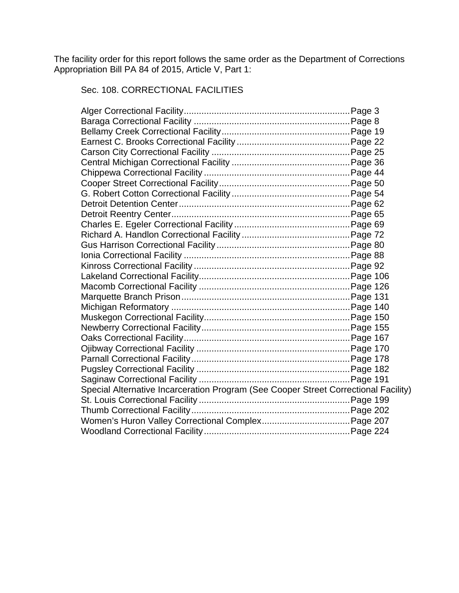The facility order for this report follows the same order as the Department of Corrections Appropriation Bill PA 84 of 2015, Article V, Part 1:

## Sec. 108. CORRECTIONAL FACILITIES

| Special Alternative Incarceration Program (See Cooper Street Correctional Facility) |  |
|-------------------------------------------------------------------------------------|--|
|                                                                                     |  |
|                                                                                     |  |
|                                                                                     |  |
|                                                                                     |  |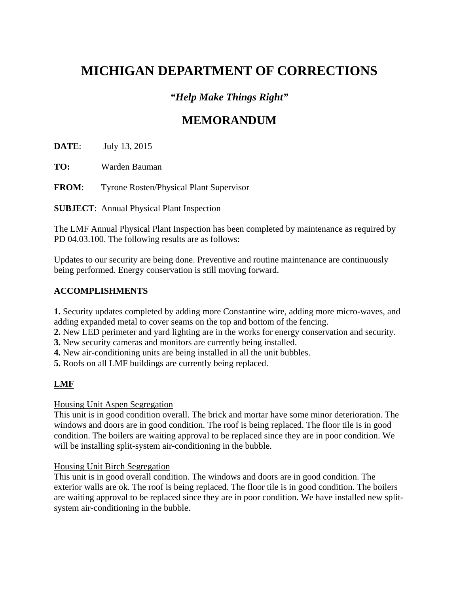# *"Help Make Things Right"*

# **MEMORANDUM**

**DATE**: July 13, 2015

**TO:** Warden Bauman

**FROM**: Tyrone Rosten/Physical Plant Supervisor

**SUBJECT**: Annual Physical Plant Inspection

The LMF Annual Physical Plant Inspection has been completed by maintenance as required by PD 04.03.100. The following results are as follows:

Updates to our security are being done. Preventive and routine maintenance are continuously being performed. Energy conservation is still moving forward.

### **ACCOMPLISHMENTS**

**1.** Security updates completed by adding more Constantine wire, adding more micro-waves, and adding expanded metal to cover seams on the top and bottom of the fencing.

**2.** New LED perimeter and yard lighting are in the works for energy conservation and security.

**3.** New security cameras and monitors are currently being installed.

**4.** New air-conditioning units are being installed in all the unit bubbles.

**5.** Roofs on all LMF buildings are currently being replaced.

### **LMF**

Housing Unit Aspen Segregation

This unit is in good condition overall. The brick and mortar have some minor deterioration. The windows and doors are in good condition. The roof is being replaced. The floor tile is in good condition. The boilers are waiting approval to be replaced since they are in poor condition. We will be installing split-system air-conditioning in the bubble.

### Housing Unit Birch Segregation

This unit is in good overall condition. The windows and doors are in good condition. The exterior walls are ok. The roof is being replaced. The floor tile is in good condition. The boilers are waiting approval to be replaced since they are in poor condition. We have installed new splitsystem air-conditioning in the bubble.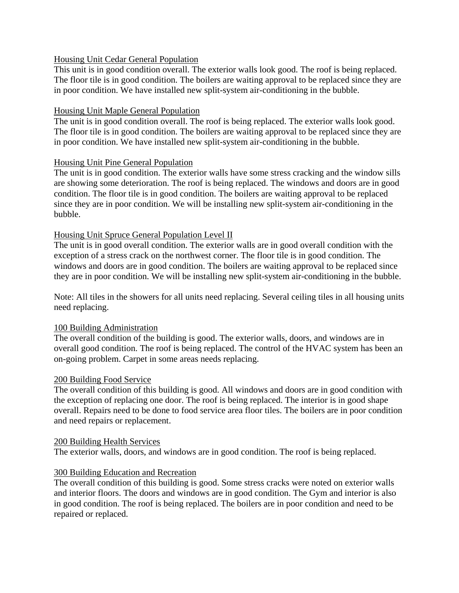### Housing Unit Cedar General Population

This unit is in good condition overall. The exterior walls look good. The roof is being replaced. The floor tile is in good condition. The boilers are waiting approval to be replaced since they are in poor condition. We have installed new split-system air-conditioning in the bubble.

### Housing Unit Maple General Population

The unit is in good condition overall. The roof is being replaced. The exterior walls look good. The floor tile is in good condition. The boilers are waiting approval to be replaced since they are in poor condition. We have installed new split-system air-conditioning in the bubble.

### Housing Unit Pine General Population

The unit is in good condition. The exterior walls have some stress cracking and the window sills are showing some deterioration. The roof is being replaced. The windows and doors are in good condition. The floor tile is in good condition. The boilers are waiting approval to be replaced since they are in poor condition. We will be installing new split-system air-conditioning in the bubble.

### Housing Unit Spruce General Population Level II

The unit is in good overall condition. The exterior walls are in good overall condition with the exception of a stress crack on the northwest corner. The floor tile is in good condition. The windows and doors are in good condition. The boilers are waiting approval to be replaced since they are in poor condition. We will be installing new split-system air-conditioning in the bubble.

Note: All tiles in the showers for all units need replacing. Several ceiling tiles in all housing units need replacing.

### 100 Building Administration

The overall condition of the building is good. The exterior walls, doors, and windows are in overall good condition. The roof is being replaced. The control of the HVAC system has been an on-going problem. Carpet in some areas needs replacing.

### 200 Building Food Service

The overall condition of this building is good. All windows and doors are in good condition with the exception of replacing one door. The roof is being replaced. The interior is in good shape overall. Repairs need to be done to food service area floor tiles. The boilers are in poor condition and need repairs or replacement.

### 200 Building Health Services

The exterior walls, doors, and windows are in good condition. The roof is being replaced.

### 300 Building Education and Recreation

The overall condition of this building is good. Some stress cracks were noted on exterior walls and interior floors. The doors and windows are in good condition. The Gym and interior is also in good condition. The roof is being replaced. The boilers are in poor condition and need to be repaired or replaced.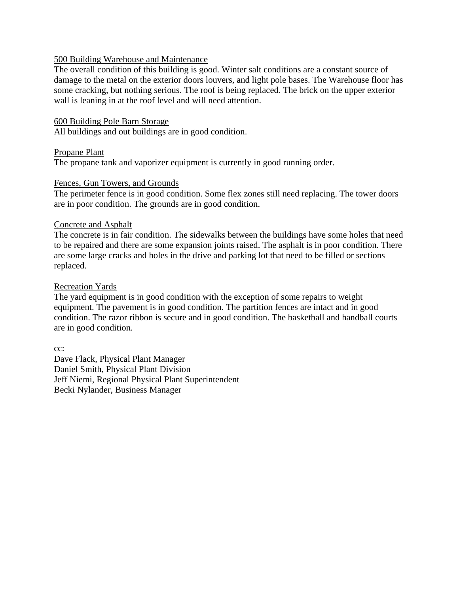#### 500 Building Warehouse and Maintenance

The overall condition of this building is good. Winter salt conditions are a constant source of damage to the metal on the exterior doors louvers, and light pole bases. The Warehouse floor has some cracking, but nothing serious. The roof is being replaced. The brick on the upper exterior wall is leaning in at the roof level and will need attention.

#### 600 Building Pole Barn Storage

All buildings and out buildings are in good condition.

#### Propane Plant

The propane tank and vaporizer equipment is currently in good running order.

#### Fences, Gun Towers, and Grounds

The perimeter fence is in good condition. Some flex zones still need replacing. The tower doors are in poor condition. The grounds are in good condition.

#### Concrete and Asphalt

The concrete is in fair condition. The sidewalks between the buildings have some holes that need to be repaired and there are some expansion joints raised. The asphalt is in poor condition. There are some large cracks and holes in the drive and parking lot that need to be filled or sections replaced.

#### Recreation Yards

The yard equipment is in good condition with the exception of some repairs to weight equipment. The pavement is in good condition. The partition fences are intact and in good condition. The razor ribbon is secure and in good condition. The basketball and handball courts are in good condition.

cc:

Dave Flack, Physical Plant Manager Daniel Smith, Physical Plant Division Jeff Niemi, Regional Physical Plant Superintendent Becki Nylander, Business Manager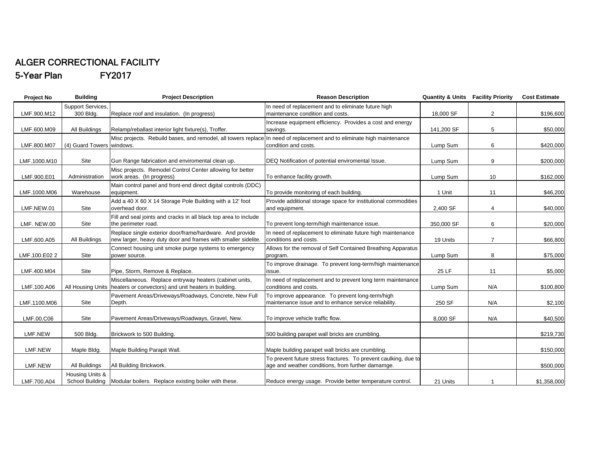#### ALGER CORRECTIONAL FACILITY 5-Year Plan FY2017

| Project No    | <b>Building</b>           | <b>Project Description</b>                                                                                                | <b>Reason Description</b>                                                                                            | <b>Quantity &amp; Units Facility Priority</b> |                | <b>Cost Estimate</b> |
|---------------|---------------------------|---------------------------------------------------------------------------------------------------------------------------|----------------------------------------------------------------------------------------------------------------------|-----------------------------------------------|----------------|----------------------|
|               | Support Services,         |                                                                                                                           | In need of replacement and to eliminate future high                                                                  |                                               |                |                      |
| LMF.900.M12   | 300 Bldg.                 | Replace roof and insulation. (In progress)                                                                                | maintenance condition and costs.                                                                                     | 18,000 SF                                     | $\overline{2}$ | \$196,600            |
| LMF.600.M09   | All Buildings             | Relamp/reballast interior light fixture(s), Troffer.                                                                      | Increase equipment efficiency. Provides a cost and energy<br>savings.                                                | 141,200 SF                                    | 5              | \$50,000             |
| LMF.800.M07   | (4) Guard Towers windows. | Misc projects. Rebuild bases, and remodel, all towers replace In need of replacement and to eliminate high maintenance    | condition and costs.                                                                                                 | Lump Sum                                      | 6              | \$420,000            |
| LMF.1000.M10  | Site                      | Gun Range fabrication and enviromental clean up.                                                                          | DEQ Notification of potential enviromental Issue.                                                                    | Lump Sum                                      | 9              | \$200,000            |
| LMF.900.E01   | Administration            | Misc projects. Remodel Control Center allowing for better<br>work areas. (In progress)                                    | To enhance facility growth.                                                                                          | Lump Sum                                      | 10             | \$162,000            |
| LMF.1000.M06  | Warehouse                 | Main control panel and front-end direct digital controls (DDC)<br>equipment.                                              | To provide monitoring of each building.                                                                              | 1 Unit                                        | 11             | \$46,200             |
| LMF.NEW.01    | Site                      | Add a 40 X 60 X 14 Storage Pole Building with a 12' foot<br>overhead door.                                                | Provide additional storage space for institutional commodities<br>and equipment.                                     | 2,400 SF                                      | 4              | \$40,000             |
| LMF. NEW.00   | Site                      | Fill and seal joints and cracks in all black top area to include<br>the perimeter road.                                   | To prevent long-term/high maintenance issue.                                                                         | 350,000 SF                                    | 6              | \$20,000             |
| LMF.600.A05   | All Buildings             | Replace single exterior door/frame/hardware. And provide<br>new larger, heavy duty door and frames with smaller sidelite. | In need of replacement to eliminate future high maintenance<br>conditions and costs.                                 | 19 Units                                      | $\overline{7}$ | \$66,800             |
| LMF.100.E02 2 | Site                      | Connect housing unit smoke purge systems to emergency<br>power source.                                                    | Allows for the removal of Self Contained Breathing Apparatus<br>program.                                             | Lump Sum                                      | 8              | \$75,000             |
| LMF.400.M04   | Site                      | Pipe, Storm, Remove & Replace.                                                                                            | To improve drainage. To prevent long-term/high maintenance<br>issue.                                                 | 25 LF                                         | 11             | \$5,000              |
| LMF.100.A06   | All Housing Units         | Miscellaneous. Replace entryway heaters (cabinet units,<br>heaters or convectors) and unit heaters in building.           | In need of replacement and to prevent long term maintenance<br>conditions and costs.                                 | Lump Sum                                      | N/A            | \$100,800            |
| LMF.1100.M06  | Site                      | Pavement Areas/Driveways/Roadways, Concrete, New Full<br>Depth.                                                           | To improve appearance. To prevent long-term/high<br>maintenance issue and to enhance service reliability.            | 250 SF                                        | N/A            | \$2,100              |
| LMF.00.C06    | Site                      | Pavement Areas/Driveways/Roadways, Gravel, New.                                                                           | To improve vehicle traffic flow.                                                                                     | 8,000 SF                                      | N/A            | \$40,500             |
| LMF.NEW       | 500 Bldg.                 | Brickwork to 500 Building.                                                                                                | 500 building parapet wall bricks are crumbling.                                                                      |                                               |                | \$219,730            |
| LMF.NEW       | Maple Bldg.               | Maple Building Parapit Wall.                                                                                              | Maple building parapet wall bricks are crumbling.                                                                    |                                               |                | \$150,000            |
| LMF.NEW       | All Buildings             | All Building Brickwork.                                                                                                   | To prevent future stress fractures. To prevent caulking, due to<br>age and weather conditions, from further damamge. |                                               |                | \$500,000            |
| LMF.700.A04   | Housing Units &           | School Building Modular boilers. Replace existing boiler with these.                                                      | Reduce energy usage. Provide better temperature control.                                                             | 21 Units                                      |                | \$1,358,000          |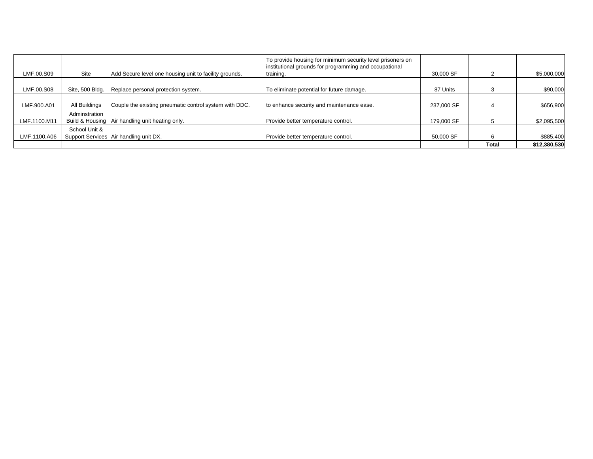| LMF.00.S09   | Site            | Add Secure level one housing unit to facility grounds. | To provide housing for minimum security level prisoners on<br>institutional grounds for programming and occupational<br>training. | 30,000 SF  |       | \$5,000,000  |
|--------------|-----------------|--------------------------------------------------------|-----------------------------------------------------------------------------------------------------------------------------------|------------|-------|--------------|
| LMF.00.S08   | Site, 500 Bldg. | Replace personal protection system.                    | To eliminate potential for future damage.                                                                                         | 87 Units   |       | \$90,000     |
|              |                 |                                                        |                                                                                                                                   |            |       |              |
| LMF.900.A01  | All Buildings   | Couple the existing pneumatic control system with DDC. | to enhance security and maintenance ease.                                                                                         | 237,000 SF |       | \$656,900    |
| LMF.1100.M11 | Adminstration   | Build & Housing   Air handling unit heating only.      | Provide better temperature control.                                                                                               | 179,000 SF |       | \$2,095,500  |
| LMF.1100.A06 | School Unit &   | Support Services Air handling unit DX.                 | Provide better temperature control.                                                                                               | 50,000 SF  |       | \$885,400    |
|              |                 |                                                        |                                                                                                                                   |            | Total | \$12,380,530 |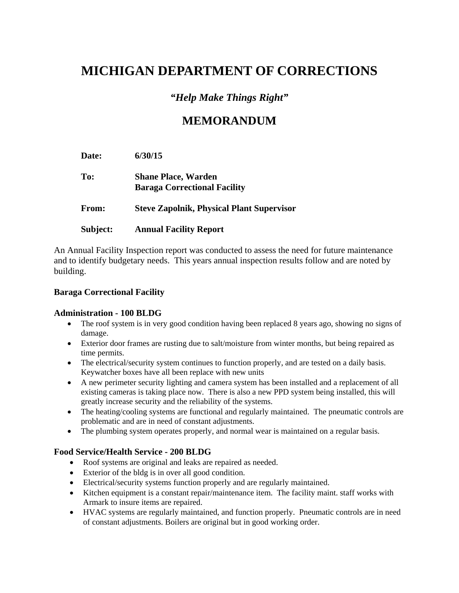# *"Help Make Things Right"*

# **MEMORANDUM**

 **Date: 6/30/15 To: Shane Place, Warden Baraga Correctional Facility From: Steve Zapolnik, Physical Plant Supervisor Subject: Annual Facility Report** 

An Annual Facility Inspection report was conducted to assess the need for future maintenance and to identify budgetary needs. This years annual inspection results follow and are noted by building.

### **Baraga Correctional Facility**

### **Administration - 100 BLDG**

- The roof system is in very good condition having been replaced 8 years ago, showing no signs of damage.
- Exterior door frames are rusting due to salt/moisture from winter months, but being repaired as time permits.
- The electrical/security system continues to function properly, and are tested on a daily basis. Keywatcher boxes have all been replace with new units
- A new perimeter security lighting and camera system has been installed and a replacement of all existing cameras is taking place now. There is also a new PPD system being installed, this will greatly increase security and the reliability of the systems.
- The heating/cooling systems are functional and regularly maintained. The pneumatic controls are problematic and are in need of constant adjustments.
- The plumbing system operates properly, and normal wear is maintained on a regular basis.

### **Food Service/Health Service - 200 BLDG**

- Roof systems are original and leaks are repaired as needed.
- Exterior of the bldg is in over all good condition.
- Electrical/security systems function properly and are regularly maintained.
- Kitchen equipment is a constant repair/maintenance item. The facility maint. staff works with Armark to insure items are repaired.
- HVAC systems are regularly maintained, and function properly. Pneumatic controls are in need of constant adjustments. Boilers are original but in good working order.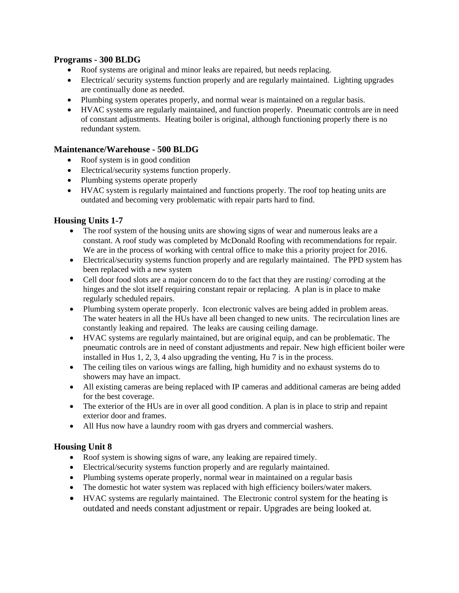#### **Programs - 300 BLDG**

- Roof systems are original and minor leaks are repaired, but needs replacing.
- Electrical/ security systems function properly and are regularly maintained. Lighting upgrades are continually done as needed.
- Plumbing system operates properly, and normal wear is maintained on a regular basis.
- HVAC systems are regularly maintained, and function properly. Pneumatic controls are in need of constant adjustments. Heating boiler is original, although functioning properly there is no redundant system.

### **Maintenance/Warehouse - 500 BLDG**

- Roof system is in good condition
- Electrical/security systems function properly.
- Plumbing systems operate properly
- HVAC system is regularly maintained and functions properly. The roof top heating units are outdated and becoming very problematic with repair parts hard to find.

### **Housing Units 1-7**

- The roof system of the housing units are showing signs of wear and numerous leaks are a constant. A roof study was completed by McDonald Roofing with recommendations for repair. We are in the process of working with central office to make this a priority project for 2016.
- Electrical/security systems function properly and are regularly maintained. The PPD system has been replaced with a new system
- Cell door food slots are a major concern do to the fact that they are rusting/ corroding at the hinges and the slot itself requiring constant repair or replacing. A plan is in place to make regularly scheduled repairs.
- Plumbing system operate properly. Icon electronic valves are being added in problem areas. The water heaters in all the HUs have all been changed to new units. The recirculation lines are constantly leaking and repaired. The leaks are causing ceiling damage.
- HVAC systems are regularly maintained, but are original equip, and can be problematic. The pneumatic controls are in need of constant adjustments and repair. New high efficient boiler were installed in Hus 1, 2, 3, 4 also upgrading the venting, Hu 7 is in the process.
- The ceiling tiles on various wings are falling, high humidity and no exhaust systems do to showers may have an impact.
- All existing cameras are being replaced with IP cameras and additional cameras are being added for the best coverage.
- The exterior of the HUs are in over all good condition. A plan is in place to strip and repaint exterior door and frames.
- All Hus now have a laundry room with gas dryers and commercial washers.

### **Housing Unit 8**

- Roof system is showing signs of ware, any leaking are repaired timely.
- Electrical/security systems function properly and are regularly maintained.
- Plumbing systems operate properly, normal wear in maintained on a regular basis
- The domestic hot water system was replaced with high efficiency boilers/water makers.
- HVAC systems are regularly maintained. The Electronic control system for the heating is outdated and needs constant adjustment or repair. Upgrades are being looked at.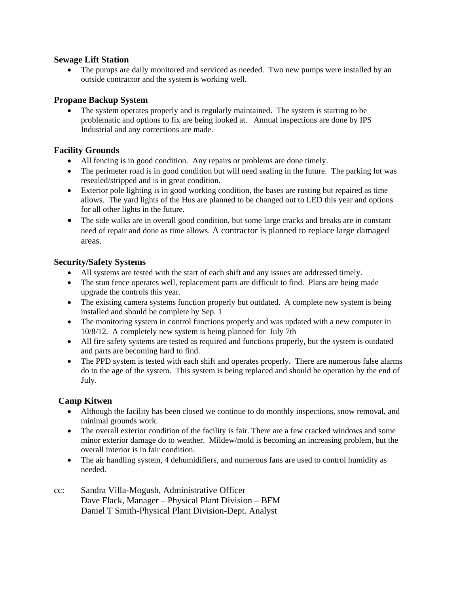#### **Sewage Lift Station**

• The pumps are daily monitored and serviced as needed. Two new pumps were installed by an outside contractor and the system is working well.

#### **Propane Backup System**

 The system operates properly and is regularly maintained. The system is starting to be problematic and options to fix are being looked at. Annual inspections are done by IPS Industrial and any corrections are made.

#### **Facility Grounds**

- All fencing is in good condition. Any repairs or problems are done timely.
- The perimeter road is in good condition but will need sealing in the future. The parking lot was resealed/stripped and is in great condition.
- Exterior pole lighting is in good working condition, the bases are rusting but repaired as time allows. The yard lights of the Hus are planned to be changed out to LED this year and options for all other lights in the future.
- The side walks are in overall good condition, but some large cracks and breaks are in constant need of repair and done as time allows. A contractor is planned to replace large damaged areas.

#### **Security/Safety Systems**

- All systems are tested with the start of each shift and any issues are addressed timely.
- The stun fence operates well, replacement parts are difficult to find. Plans are being made upgrade the controls this year.
- The existing camera systems function properly but outdated. A complete new system is being installed and should be complete by Sep. 1
- The monitoring system in control functions properly and was updated with a new computer in 10/8/12. A completely new system is being planned for July 7th
- All fire safety systems are tested as required and functions properly, but the system is outdated and parts are becoming hard to find.
- The PPD system is tested with each shift and operates properly. There are numerous false alarms do to the age of the system. This system is being replaced and should be operation by the end of July.

### **Camp Kitwen**

- Although the facility has been closed we continue to do monthly inspections, snow removal, and minimal grounds work.
- The overall exterior condition of the facility is fair. There are a few cracked windows and some minor exterior damage do to weather. Mildew/mold is becoming an increasing problem, but the overall interior is in fair condition.
- The air handling system, 4 dehumidifiers, and numerous fans are used to control humidity as needed.
- cc: Sandra Villa-Mogush, Administrative Officer Dave Flack, Manager – Physical Plant Division – BFM Daniel T Smith-Physical Plant Division-Dept. Analyst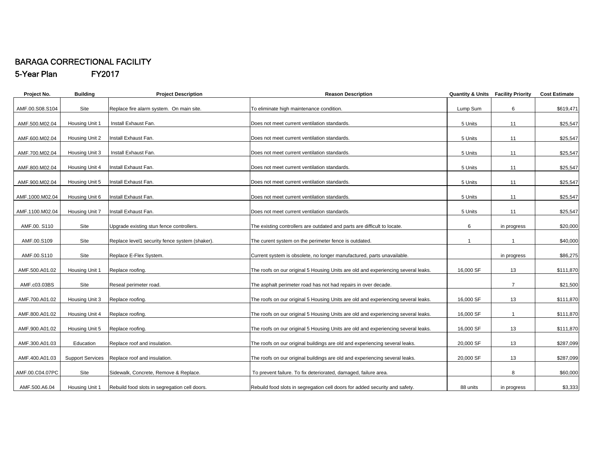#### BARAGA CORRECTIONAL FACILITY 5-Year Plan FY2017

| Project No.     | <b>Building</b>         | <b>Project Description</b>                     | <b>Reason Description</b>                                                         | <b>Quantity &amp; Units Facility Priority</b> |                | <b>Cost Estimate</b> |
|-----------------|-------------------------|------------------------------------------------|-----------------------------------------------------------------------------------|-----------------------------------------------|----------------|----------------------|
| AMF.00.S08.S104 | Site                    | Replace fire alarm system. On main site.       | To eliminate high maintenance condition.                                          | Lump Sum                                      | 6              | \$619,471            |
| AMF.500.M02.04  | Housing Unit 1          | Install Exhaust Fan.                           | Does not meet current ventilation standards.                                      | 5 Units                                       | 11             | \$25,547             |
| AMF.600.M02.04  | Housing Unit 2          | Install Exhaust Fan.                           | Does not meet current ventilation standards.                                      | 5 Units                                       | 11             | \$25,547             |
| AMF.700.M02.04  | Housing Unit 3          | Install Exhaust Fan.                           | Does not meet current ventilation standards.                                      | 5 Units                                       | 11             | \$25,547             |
| AMF.800.M02.04  | Housing Unit 4          | Install Exhaust Fan.                           | Does not meet current ventilation standards.                                      | 5 Units                                       | 11             | \$25,547             |
| AMF.900.M02.04  | Housing Unit 5          | Install Exhaust Fan.                           | Does not meet current ventilation standards.                                      | 5 Units                                       | 11             | \$25,547             |
| AMF.1000.M02.04 | Housing Unit 6          | nstall Exhaust Fan.                            | Does not meet current ventilation standards.                                      | 5 Units                                       | 11             | \$25,547             |
| AMF.1100.M02.04 | Housing Unit 7          | Install Exhaust Fan.                           | Does not meet current ventilation standards.                                      | 5 Units                                       | 11             | \$25,547             |
| AMF.00. S110    | Site                    | Upgrade existing stun fence controllers.       | The existing controllers are outdated and parts are difficult to locate.          | 6                                             | in progress    | \$20,000             |
| AMF.00.S109     | Site                    | Replace level1 security fence system (shaker). | The curent system on the perimeter fence is outdated.                             | $\overline{1}$                                | $\mathbf{1}$   | \$40,000             |
| AMF.00.S110     | Site                    | Replace E-Flex System.                         | Current system is obsolete, no longer manufactured, parts unavailable.            |                                               | in progress    | \$86,275             |
| AMF.500.A01.02  | Housing Unit 1          | Replace roofing.                               | The roofs on our original 5 Housing Units are old and experiencing several leaks. | 16,000 SF                                     | 13             | \$111,870            |
| AMF.c03.03BS    | Site                    | Reseal perimeter road.                         | The asphalt perimeter road has not had repairs in over decade.                    |                                               | $\overline{7}$ | \$21,500             |
| AMF.700.A01.02  | Housing Unit 3          | Replace roofing.                               | The roofs on our original 5 Housing Units are old and experiencing several leaks. | 16,000 SF                                     | 13             | \$111,870            |
| AMF.800.A01.02  | Housing Unit 4          | Replace roofing.                               | The roofs on our original 5 Housing Units are old and experiencing several leaks. | 16,000 SF                                     | $\mathbf{1}$   | \$111,870            |
| AMF.900.A01.02  | Housing Unit 5          | Replace roofing.                               | The roofs on our original 5 Housing Units are old and experiencing several leaks. | 16,000 SF                                     | 13             | \$111,870            |
| AMF.300.A01.03  | Education               | Replace roof and insulation.                   | The roofs on our original buildings are old and experiencing several leaks.       | 20,000 SF                                     | 13             | \$287,099            |
| AMF.400.A01.03  | <b>Support Services</b> | Replace roof and insulation.                   | The roofs on our original buildings are old and experiencing several leaks.       | 20,000 SF                                     | 13             | \$287,099            |
| AMF.00.C04.07PC | Site                    | Sidewalk, Concrete, Remove & Replace.          | To prevent failure. To fix deteriorated, damaged, failure area.                   |                                               | 8              | \$60,000             |
| AMF.500.A6.04   | Housing Unit 1          | Rebuild food slots in segregation cell doors.  | Rebuild food slots in segregation cell doors for added security and safety.       | 88 units                                      | in progress    | \$3,333              |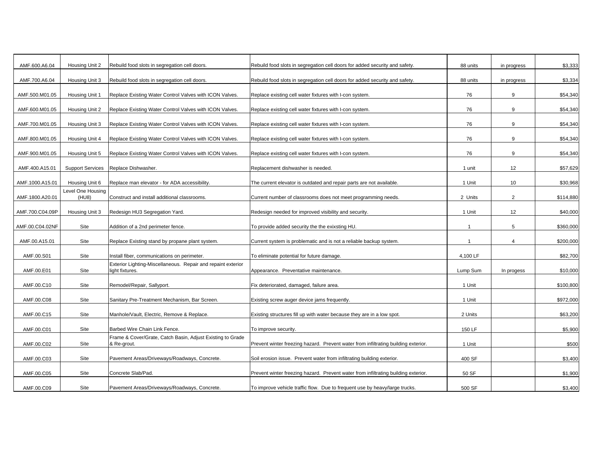| AMF.600.A6.04   | Housing Unit 2          | Rebuild food slots in segregation cell doors.                                   | Rebuild food slots in segregation cell doors for added security and safety.        | 88 units       | in progress    | \$3,333   |
|-----------------|-------------------------|---------------------------------------------------------------------------------|------------------------------------------------------------------------------------|----------------|----------------|-----------|
| AMF.700.A6.04   | Housing Unit 3          | Rebuild food slots in segregation cell doors.                                   | Rebuild food slots in segregation cell doors for added security and safety.        | 88 units       | in progress    | \$3,334   |
| AMF.500.M01.05  | Housing Unit 1          | Replace Existing Water Control Valves with ICON Valves.                         | Replace existing cell water fixtures with I-con system.                            | 76             | 9              | \$54,340  |
| AMF.600.M01.05  | Housing Unit 2          | Replace Existing Water Control Valves with ICON Valves.                         | Replace existing cell water fixtures with I-con system.                            | 76             | 9              | \$54,340  |
| AMF.700.M01.05  | Housing Unit 3          | Replace Existing Water Control Valves with ICON Valves.                         | Replace existing cell water fixtures with I-con system.                            | 76             | 9              | \$54,340  |
| AMF.800.M01.05  | Housing Unit 4          | Replace Existing Water Control Valves with ICON Valves.                         | Replace existing cell water fixtures with I-con system.                            | 76             | 9              | \$54,340  |
| AMF.900.M01.05  | Housing Unit 5          | Replace Existing Water Control Valves with ICON Valves.                         | Replace existing cell water fixtures with I-con system.                            | 76             | 9              | \$54,340  |
| AMF.400.A15.01  | <b>Support Services</b> | Replace Dishwasher.                                                             | Replacement dishwasher is needed.                                                  | 1 unit         | 12             | \$57,629  |
| AMF.1000.A15.01 | Housing Unit 6          | Replace man elevator - for ADA accessibility.                                   | The current elevator is outdated and repair parts are not available.               | 1 Unit         | 10             | \$30,968  |
|                 | Level One Housing       |                                                                                 |                                                                                    |                |                |           |
| AMF.1800.A20.01 | (HU8)                   | Construct and install additional classrooms.                                    | Current number of classrooms does not meet programming needs.                      | 2 Units        | $\overline{2}$ | \$114,880 |
| AMF.700.C04.09P | Housing Unit 3          | Redesign HU3 Segregation Yard.                                                  | Redesign needed for improved visibility and security.                              | 1 Unit         | 12             | \$40,000  |
| AMF.00.C04.02NF | Site                    | Addition of a 2nd perimeter fence.                                              | To provide added security the the exixsting HU.                                    | $\overline{1}$ | 5              | \$360,000 |
| AMF.00.A15.01   | Site                    | Replace Existing stand by propane plant system.                                 | Current system is problematic and is not a reliable backup system.                 | $\overline{1}$ | 4              | \$200,000 |
| AMF.00.S01      | Site                    | Install fiber, communications on perimeter.                                     | To eliminate potential for future damage.                                          | 4,100 LF       |                | \$82,700  |
| AMF.00.E01      | Site                    | Exterior Lighting-Miscellaneous. Repair and repaint exterior<br>light fixtures. | Appearance. Preventative maintenance.                                              | Lump Sum       | In progess     | \$10,000  |
| AMF.00.C10      | Site                    | Remodel/Repair, Sallyport.                                                      | Fix deteriorated, damaged, failure area.                                           | 1 Unit         |                | \$100,800 |
| AMF.00.C08      | Site                    | Sanitary Pre-Treatment Mechanism, Bar Screen.                                   | Existing screw auger device jams frequently.                                       | 1 Unit         |                | \$972,000 |
| AMF.00.C15      | Site                    | Manhole/Vault, Electric, Remove & Replace.                                      | Existing structures fill up with water because they are in a low spot.             | 2 Units        |                | \$63,200  |
| AMF.00.C01      | Site                    | Barbed Wire Chain Link Fence.                                                   | To improve security.                                                               | 150 LF         |                | \$5,900   |
| AMF.00.C02      | Site                    | Frame & Cover/Grate, Catch Basin, Adjust Existing to Grade<br>& Re-grout.       | Prevent winter freezing hazard. Prevent water from infiltrating building exterior. | 1 Unit         |                | \$500     |
| AMF.00.C03      | Site                    | Pavement Areas/Driveways/Roadways, Concrete.                                    | Soil erosion issue. Prevent water from infiltrating building exterior.             | 400 SF         |                | \$3,400   |
| AMF.00.C05      | Site                    | Concrete Slab/Pad.                                                              | Prevent winter freezing hazard. Prevent water from infiltrating building exterior. | 50 SF          |                | \$1,900   |
| AMF.00.C09      | Site                    | Pavement Areas/Driveways/Roadways, Concrete.                                    | To improve vehicle traffic flow. Due to frequent use by heavy/large trucks.        | 500 SF         |                | \$3,400   |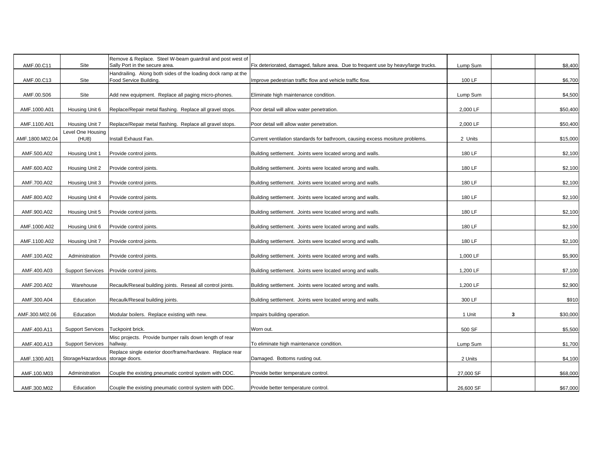| AMF.00.C11      | Site                       | Remove & Replace. Steel W-beam guardrail and post west of<br>Sally Port in the secure area. | Fix deteriorated, damaged, failure area. Due to frequent use by heavy/large trucks. | Lump Sum  |   | \$8,400  |
|-----------------|----------------------------|---------------------------------------------------------------------------------------------|-------------------------------------------------------------------------------------|-----------|---|----------|
| AMF.00.C13      | Site                       | Handrailing. Along both sides of the loading dock ramp at the<br>Food Service Building.     | Improve pedestrian traffic flow and vehicle traffic flow.                           | 100 LF    |   | \$6,700  |
| AMF.00.S06      | Site                       | Add new equipment. Replace all paging micro-phones.                                         | Eliminate high maintenance condition.                                               | Lump Sum  |   | \$4,500  |
| AMF.1000.A01    | Housing Unit 6             | Replace/Repair metal flashing. Replace all gravel stops.                                    | Poor detail will allow water penetration.                                           | 2,000 LF  |   | \$50,400 |
| AMF.1100.A01    | Housing Unit 7             | Replace/Repair metal flashing. Replace all gravel stops.                                    | Poor detail will allow water penetration.                                           | 2,000 LF  |   | \$50,400 |
| AMF.1800.M02.04 | Level One Housing<br>(HU8) | Install Exhaust Fan.                                                                        | Current ventilation standards for bathroom, causing excess mositure problems.       | 2 Units   |   | \$15,000 |
| AMF.500.A02     | Housing Unit 1             | Provide control joints.                                                                     | Building settlement. Joints were located wrong and walls.                           | 180 LF    |   | \$2,100  |
| AMF.600.A02     | Housing Unit 2             | Provide control joints.                                                                     | Building settlement. Joints were located wrong and walls.                           | 180 LF    |   | \$2,100  |
| AMF.700.A02     | Housing Unit 3             | Provide control joints.                                                                     | Building settlement. Joints were located wrong and walls.                           | 180 LF    |   | \$2,100  |
| AMF.800.A02     | Housing Unit 4             | Provide control joints.                                                                     | Building settlement. Joints were located wrong and walls.                           | 180 LF    |   | \$2,100  |
| AMF.900.A02     | Housing Unit 5             | Provide control joints.                                                                     | Building settlement. Joints were located wrong and walls.                           | 180 LF    |   | \$2,100  |
| AMF.1000.A02    | Housing Unit 6             | Provide control joints.                                                                     | Building settlement. Joints were located wrong and walls.                           | 180 LF    |   | \$2,100  |
| AMF.1100.A02    | Housing Unit 7             | Provide control joints.                                                                     | Building settlement. Joints were located wrong and walls.                           | 180 LF    |   | \$2,100  |
| AMF.100.A02     | Administration             | Provide control joints.                                                                     | Building settlement. Joints were located wrong and walls.                           | 1,000 LF  |   | \$5,900  |
| AMF.400.A03     | <b>Support Services</b>    | Provide control joints.                                                                     | Building settlement. Joints were located wrong and walls.                           | 1,200 LF  |   | \$7,100  |
| AMF.200.A02     | Warehouse                  | Recaulk/Reseal building joints. Reseal all control joints.                                  | Building settlement. Joints were located wrong and walls.                           | 1,200 LF  |   | \$2,900  |
| AMF.300.A04     | Education                  | Recaulk/Reseal building joints.                                                             | Building settlement. Joints were located wrong and walls.                           | 300 LF    |   | \$910    |
| AMF.300.M02.06  | Education                  | Modular boilers. Replace existing with new.                                                 | mpairs building operation.                                                          | 1 Unit    | 3 | \$30,000 |
| AMF.400.A11     | <b>Support Services</b>    | Tuckpoint brick.                                                                            | Worn out.                                                                           | 500 SF    |   | \$5,500  |
| AMF.400.A13     | <b>Support Services</b>    | Misc projects. Provide bumper rails down length of rear<br>hallway.                         | To eliminate high maintenance condition.                                            | Lump Sum  |   | \$1,700  |
| AMF.1300.A01    | Storage/Hazardous          | Replace single exterior door/frame/hardware. Replace rear<br>storage doors.                 | Damaged. Bottoms rusting out.                                                       | 2 Units   |   | \$4,100  |
| AMF.100.M03     | Administration             | Couple the existing pneumatic control system with DDC.                                      | Provide better temperature control.                                                 | 27,000 SF |   | \$68,000 |
| AMF.300.M02     | Education                  | Couple the existing pneumatic control system with DDC.                                      | Provide better temperature control.                                                 | 26,600 SF |   | \$67,000 |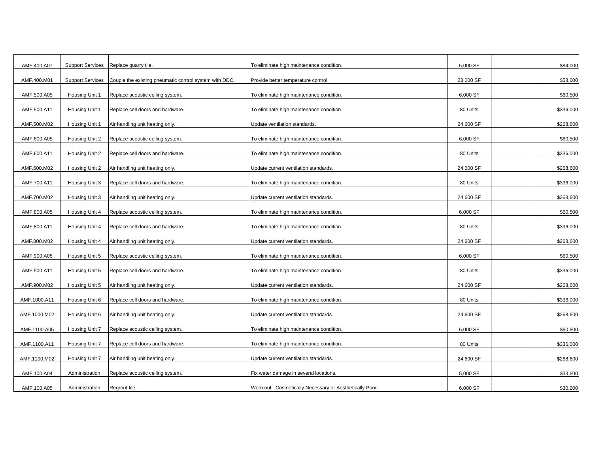| AMF.400.A07  | <b>Support Services</b> | Replace quarry tile.                                   | To eliminate high maintenance condition.                | 5,000 SF  | \$84,000  |
|--------------|-------------------------|--------------------------------------------------------|---------------------------------------------------------|-----------|-----------|
| AMF.400.M01  | <b>Support Services</b> | Couple the existing pneumatic control system with DDC. | Provide better temperature control.                     | 23,000 SF | \$58,000  |
| AMF.500.A05  | Housing Unit 1          | Replace acoustic ceiling system.                       | To eliminate high maintenance condition.                | 6,000 SF  | \$60,500  |
| AMF.500.A11  | Housing Unit 1          | Replace cell doors and hardware.                       | To eliminate high maintenance condition.                | 80 Units  | \$336,000 |
| AMF.500.M02  | Housing Unit 1          | Air handling unit heating only.                        | Update ventilation standards.                           | 24,600 SF | \$268,600 |
| AMF.600.A05  | Housing Unit 2          | Replace acoustic ceiling system.                       | To eliminate high maintenance condition.                | 6,000 SF  | \$60,500  |
|              |                         |                                                        |                                                         |           |           |
| AMF.600.A11  | Housing Unit 2          | Replace cell doors and hardware.                       | To eliminate high maintenance condition.                | 80 Units  | \$336,000 |
| AMF.600.M02  | Housing Unit 2          | Air handling unit heating only.                        | Update current ventilation standards.                   | 24,600 SF | \$268,600 |
| AMF.700.A11  | Housing Unit 3          | Replace cell doors and hardware.                       | To eliminate high maintenance condition.                | 80 Units  | \$336,000 |
| AMF.700.M02  | Housing Unit 3          | Air handling unit heating only.                        | Update current ventilation standards.                   | 24,600 SF | \$268,600 |
| AMF.800.A05  | Housing Unit 4          | Replace acoustic ceiling system.                       | To eliminate high maintenance condition.                | 6,000 SF  | \$60,500  |
| AMF.800.A11  | Housing Unit 4          | Replace cell doors and hardware.                       | To eliminate high maintenance condition.                | 80 Units  | \$336,000 |
| AMF.800.M02  | Housing Unit 4          | Air handling unit heating only.                        | Update current ventilation standards.                   | 24,600 SF | \$268,600 |
| AMF.900.A05  | Housing Unit 5          | Replace acoustic ceiling system.                       | To eliminate high maintenance condition.                | 6,000 SF  | \$60,500  |
| AMF.900.A11  | Housing Unit 5          | Replace cell doors and hardware.                       | To eliminate high maintenance condition.                | 80 Units  | \$336,000 |
| AMF.900.M02  | Housing Unit 5          | Air handling unit heating only.                        | Update current ventilation standards.                   | 24,600 SF | \$268,600 |
| AMF.1000.A11 | Housing Unit 6          | Replace cell doors and hardware.                       | To eliminate high maintenance condition.                | 80 Units  | \$336,000 |
| AMF.1000.M02 | Housing Unit 6          | Air handling unit heating only.                        | Update current ventilation standards.                   | 24,600 SF | \$268,600 |
| AMF.1100.A05 | Housing Unit 7          | Replace acoustic ceiling system.                       | To eliminate high maintenance condition.                | 6,000 SF  | \$60,500  |
| AMF.1100.A11 | Housing Unit 7          | Replace cell doors and hardware.                       | To eliminate high maintenance condition.                | 80 Units  | \$336,000 |
| AMF.1100.M02 | Housing Unit 7          | Air handling unit heating only.                        | Update current ventilation standards.                   | 24,600 SF | \$268,600 |
| AMF.100.A04  | Administration          | Replace acoustic ceiling system.                       | Fix water damage in several locations.                  | 5,000 SF  | \$33,600  |
| AMF.100.A05  | Administration          | Regrout tile.                                          | Worn out. Cosmetically Necessary or Aesthetically Poor. | 6,000 SF  | \$30,200  |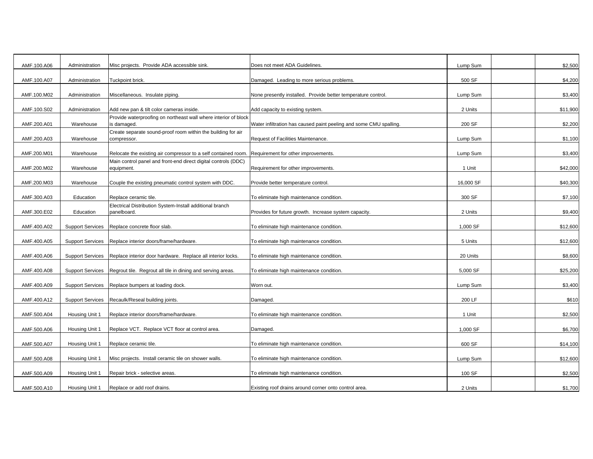| AMF.100.A06 | Administration          | Misc projects. Provide ADA accessible sink.                                    | Does not meet ADA Guidelines.                                      | Lump Sum  | \$2,500  |
|-------------|-------------------------|--------------------------------------------------------------------------------|--------------------------------------------------------------------|-----------|----------|
| AMF.100.A07 | Administration          | Tuckpoint brick.                                                               | Damaged. Leading to more serious problems.                         | 500 SF    | \$4,200  |
|             |                         |                                                                                |                                                                    |           |          |
| AMF.100.M02 | Administration          | Miscellaneous. Insulate piping.                                                | None presently installed. Provide better temperature control.      | Lump Sum  | \$3,400  |
| AMF.100.S02 | Administration          | Add new pan & tilt color cameras inside.                                       | Add capacity to existing system.                                   | 2 Units   | \$11,900 |
| AMF.200.A01 | Warehouse               | Provide waterproofing on northeast wall where interior of block<br>is damaged. | Water infiltration has caused paint peeling and some CMU spalling. | 200 SF    | \$2,200  |
| AMF.200.A03 | Warehouse               | Create separate sound-proof room within the building for air<br>compressor.    | Request of Facilities Maintenance.                                 | Lump Sum  | \$1,100  |
| AMF.200.M01 | Warehouse               | Relocate the existing air compressor to a self contained room.                 | Requirement for other improvements.                                | Lump Sum  | \$3,400  |
| AMF.200.M02 | Warehouse               | Main control panel and front-end direct digital controls (DDC)<br>equipment.   | Requirement for other improvements.                                | 1 Unit    | \$42,000 |
| AMF.200.M03 | Warehouse               | Couple the existing pneumatic control system with DDC.                         | Provide better temperature control.                                | 16,000 SF | \$40,300 |
| AMF.300.A03 | Education               | Replace ceramic tile.                                                          | To eliminate high maintenance condition.                           | 300 SF    | \$7,100  |
|             |                         | Electrical Distribution System-Install additional branch                       |                                                                    |           |          |
| AMF.300.E02 | Education               | panelboard.                                                                    | Provides for future growth. Increase system capacity.              | 2 Units   | \$9,400  |
| AMF.400.A02 | <b>Support Services</b> | Replace concrete floor slab.                                                   | To eliminate high maintenance condition.                           | 1,000 SF  | \$12,600 |
| AMF.400.A05 | <b>Support Services</b> | Replace interior doors/frame/hardware.                                         | To eliminate high maintenance condition.                           | 5 Units   | \$12,600 |
| AMF.400.A06 | <b>Support Services</b> | Replace interior door hardware. Replace all interior locks.                    | To eliminate high maintenance condition.                           | 20 Units  | \$8,600  |
| AMF.400.A08 | <b>Support Services</b> | Regrout tile. Regrout all tile in dining and serving areas.                    | To eliminate high maintenance condition.                           | 5,000 SF  | \$25,200 |
| AMF.400.A09 | <b>Support Services</b> | Replace bumpers at loading dock.                                               | Worn out.                                                          | Lump Sum  | \$3,400  |
| AMF.400.A12 | <b>Support Services</b> | Recaulk/Reseal building joints.                                                | Damaged.                                                           | 200 LF    | \$610    |
| AMF.500.A04 | Housing Unit 1          | Replace interior doors/frame/hardware.                                         | To eliminate high maintenance condition.                           | 1 Unit    | \$2,500  |
| AMF.500.A06 | Housing Unit 1          | Replace VCT. Replace VCT floor at control area.                                | Damaged.                                                           | 1,000 SF  | \$6,700  |
| AMF.500.A07 | Housing Unit 1          | Replace ceramic tile.                                                          | To eliminate high maintenance condition.                           | 600 SF    | \$14,100 |
| AMF.500.A08 | Housing Unit 1          | Misc projects. Install ceramic tile on shower walls.                           | To eliminate high maintenance condition.                           | Lump Sum  | \$12,600 |
| AMF.500.A09 | Housing Unit 1          | Repair brick - selective areas.                                                | To eliminate high maintenance condition.                           | 100 SF    | \$2,500  |
| AMF.500.A10 | Housing Unit 1          | Replace or add roof drains.                                                    | Existing roof drains around corner onto control area.              | 2 Units   | \$1,700  |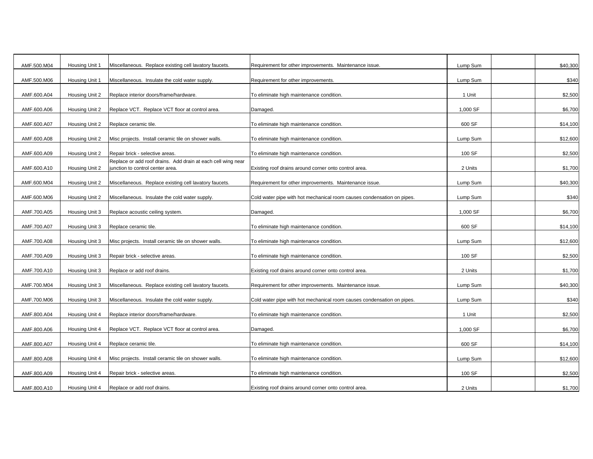| AMF.500.M04 | Housing Unit 1 | Miscellaneous. Replace existing cell lavatory faucets.       | Requirement for other improvements. Maintenance issue.                 | Lump Sum | \$40,300 |
|-------------|----------------|--------------------------------------------------------------|------------------------------------------------------------------------|----------|----------|
| AMF.500.M06 | Housing Unit 1 | Miscellaneous. Insulate the cold water supply.               | Requirement for other improvements.                                    | Lump Sum | \$340    |
| AMF.600.A04 | Housing Unit 2 | Replace interior doors/frame/hardware.                       | To eliminate high maintenance condition.                               | 1 Unit   | \$2,500  |
|             |                |                                                              |                                                                        |          |          |
| AMF.600.A06 | Housing Unit 2 | Replace VCT. Replace VCT floor at control area.              | Damaged.                                                               | 1,000 SF | \$6,700  |
| AMF.600.A07 | Housing Unit 2 | Replace ceramic tile.                                        | To eliminate high maintenance condition.                               | 600 SF   | \$14,100 |
| AMF.600.A08 | Housing Unit 2 | Misc projects. Install ceramic tile on shower walls.         | To eliminate high maintenance condition.                               | Lump Sum | \$12,600 |
| AMF.600.A09 | Housing Unit 2 | Repair brick - selective areas.                              | To eliminate high maintenance condition.                               | 100 SF   | \$2,500  |
|             |                | Replace or add roof drains. Add drain at each cell wing near |                                                                        |          |          |
| AMF.600.A10 | Housing Unit 2 | junction to control center area.                             | Existing roof drains around corner onto control area.                  | 2 Units  | \$1,700  |
|             |                |                                                              |                                                                        |          |          |
| AMF.600.M04 | Housing Unit 2 | Miscellaneous. Replace existing cell lavatory faucets.       | Requirement for other improvements. Maintenance issue.                 | Lump Sum | \$40,300 |
|             |                |                                                              |                                                                        |          |          |
| AMF.600.M06 | Housing Unit 2 | Miscellaneous. Insulate the cold water supply.               | Cold water pipe with hot mechanical room causes condensation on pipes. | Lump Sum | \$340    |
|             |                |                                                              |                                                                        |          |          |
| AMF.700.A05 | Housing Unit 3 | Replace acoustic ceiling system.                             | Damaged.                                                               | 1,000 SF | \$6,700  |
| AMF.700.A07 | Housing Unit 3 | Replace ceramic tile.                                        | To eliminate high maintenance condition.                               | 600 SF   | \$14,100 |
| AMF.700.A08 | Housing Unit 3 | Misc projects. Install ceramic tile on shower walls.         | To eliminate high maintenance condition.                               | Lump Sum | \$12,600 |
| AMF.700.A09 | Housing Unit 3 | Repair brick - selective areas.                              | To eliminate high maintenance condition.                               | 100 SF   | \$2,500  |
| AMF.700.A10 | Housing Unit 3 | Replace or add roof drains.                                  | Existing roof drains around corner onto control area.                  | 2 Units  | \$1,700  |
|             |                |                                                              |                                                                        |          |          |
| AMF.700.M04 | Housing Unit 3 | Miscellaneous. Replace existing cell lavatory faucets.       | Requirement for other improvements. Maintenance issue.                 | Lump Sum | \$40,300 |
| AMF.700.M06 | Housing Unit 3 | Miscellaneous. Insulate the cold water supply.               | Cold water pipe with hot mechanical room causes condensation on pipes. | Lump Sum | \$340    |
| AMF.800.A04 | Housing Unit 4 | Replace interior doors/frame/hardware.                       | To eliminate high maintenance condition.                               | 1 Unit   | \$2,500  |
| AMF.800.A06 | Housing Unit 4 | Replace VCT. Replace VCT floor at control area.              | Damaged.                                                               | 1,000 SF | \$6,700  |
|             |                |                                                              |                                                                        |          |          |
| AMF.800.A07 | Housing Unit 4 | Replace ceramic tile.                                        | To eliminate high maintenance condition.                               | 600 SF   | \$14,100 |
| AMF.800.A08 | Housing Unit 4 | Misc projects. Install ceramic tile on shower walls.         | To eliminate high maintenance condition.                               | Lump Sum | \$12,600 |
|             |                |                                                              |                                                                        |          |          |
| AMF.800.A09 | Housing Unit 4 | Repair brick - selective areas.                              | To eliminate high maintenance condition.                               | 100 SF   | \$2,500  |
| AMF.800.A10 | Housing Unit 4 | Replace or add roof drains.                                  | Existing roof drains around corner onto control area.                  | 2 Units  | \$1,700  |
|             |                |                                                              |                                                                        |          |          |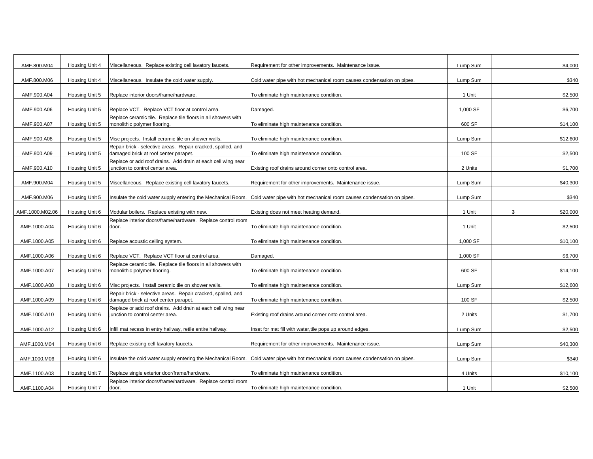| AMF.800.M04     | Housing Unit 4 | Miscellaneous. Replace existing cell lavatory faucets.                                                | Requirement for other improvements. Maintenance issue.                                                                              | Lump Sum |   | \$4,000  |
|-----------------|----------------|-------------------------------------------------------------------------------------------------------|-------------------------------------------------------------------------------------------------------------------------------------|----------|---|----------|
| AMF.800.M06     | Housing Unit 4 | Miscellaneous. Insulate the cold water supply.                                                        | Cold water pipe with hot mechanical room causes condensation on pipes.                                                              | Lump Sum |   | \$340    |
| AMF.900.A04     | Housing Unit 5 | Replace interior doors/frame/hardware.                                                                | To eliminate high maintenance condition.                                                                                            | 1 Unit   |   | \$2,500  |
|                 |                |                                                                                                       |                                                                                                                                     |          |   |          |
| AMF.900.A06     | Housing Unit 5 | Replace VCT. Replace VCT floor at control area.                                                       | Damaged.                                                                                                                            | 1,000 SF |   | \$6,700  |
| AMF.900.A07     | Housing Unit 5 | Replace ceramic tile. Replace tile floors in all showers with<br>monolithic polymer flooring.         | To eliminate high maintenance condition.                                                                                            | 600 SF   |   | \$14,100 |
| AMF.900.A08     | Housing Unit 5 | Misc projects. Install ceramic tile on shower walls.                                                  | To eliminate high maintenance condition.                                                                                            | Lump Sum |   | \$12,600 |
| AMF.900.A09     | Housing Unit 5 | Repair brick - selective areas. Repair cracked, spalled, and<br>damaged brick at roof center parapet. | To eliminate high maintenance condition.                                                                                            | 100 SF   |   | \$2,500  |
| AMF.900.A10     | Housing Unit 5 | Replace or add roof drains. Add drain at each cell wing near<br>junction to control center area.      | Existing roof drains around corner onto control area.                                                                               | 2 Units  |   | \$1,700  |
|                 |                |                                                                                                       |                                                                                                                                     |          |   |          |
| AMF.900.M04     | Housing Unit 5 | Miscellaneous. Replace existing cell lavatory faucets.                                                | Requirement for other improvements. Maintenance issue.                                                                              | Lump Sum |   | \$40,300 |
| AMF.900.M06     | Housing Unit 5 | Insulate the cold water supply entering the Mechanical Room.                                          | Cold water pipe with hot mechanical room causes condensation on pipes.                                                              | Lump Sum |   | \$340    |
|                 |                |                                                                                                       |                                                                                                                                     |          |   |          |
| AMF.1000.M02.06 | Housing Unit 6 | Modular boilers. Replace existing with new.                                                           | Existing does not meet heating demand.                                                                                              | 1 Unit   | 3 | \$20,000 |
| AMF.1000.A04    | Housing Unit 6 | Replace interior doors/frame/hardware. Replace control room<br>door.                                  | To eliminate high maintenance condition.                                                                                            | 1 Unit   |   | \$2,500  |
| AMF.1000.A05    | Housing Unit 6 | Replace acoustic ceiling system.                                                                      | To eliminate high maintenance condition.                                                                                            | 1,000 SF |   | \$10,100 |
| AMF.1000.A06    | Housing Unit 6 | Replace VCT. Replace VCT floor at control area.                                                       | Damaged.                                                                                                                            | 1,000 SF |   | \$6,700  |
| AMF.1000.A07    | Housing Unit 6 | Replace ceramic tile. Replace tile floors in all showers with<br>monolithic polymer flooring.         | To eliminate high maintenance condition.                                                                                            | 600 SF   |   | \$14,100 |
| AMF.1000.A08    | Housing Unit 6 | Misc projects. Install ceramic tile on shower walls.                                                  | To eliminate high maintenance condition.                                                                                            | Lump Sum |   | \$12,600 |
| AMF.1000.A09    | Housing Unit 6 | Repair brick - selective areas. Repair cracked, spalled, and<br>damaged brick at roof center parapet. | To eliminate high maintenance condition.                                                                                            | 100 SF   |   | \$2,500  |
| AMF.1000.A10    | Housing Unit 6 | Replace or add roof drains. Add drain at each cell wing near<br>junction to control center area.      | Existing roof drains around corner onto control area.                                                                               | 2 Units  |   | \$1,700  |
| AMF.1000.A12    | Housing Unit 6 | Infill mat recess in entry hallway, retile entire hallway.                                            | Inset for mat fill with water, tile pops up around edges.                                                                           | Lump Sum |   | \$2,500  |
| AMF.1000.M04    | Housing Unit 6 | Replace existing cell lavatory faucets.                                                               | Requirement for other improvements. Maintenance issue.                                                                              | Lump Sum |   | \$40,300 |
| AMF.1000.M06    | Housing Unit 6 |                                                                                                       | Insulate the cold water supply entering the Mechanical Room. Cold water pipe with hot mechanical room causes condensation on pipes. | Lump Sum |   | \$340    |
|                 |                |                                                                                                       |                                                                                                                                     |          |   |          |
| AMF.1100.A03    | Housing Unit 7 | Replace single exterior door/frame/hardware.                                                          | To eliminate high maintenance condition.                                                                                            | 4 Units  |   | \$10,100 |
| AMF.1100.A04    | Housing Unit 7 | Replace interior doors/frame/hardware. Replace control room<br>door.                                  | To eliminate high maintenance condition.                                                                                            | 1 Unit   |   | \$2,500  |
|                 |                |                                                                                                       |                                                                                                                                     |          |   |          |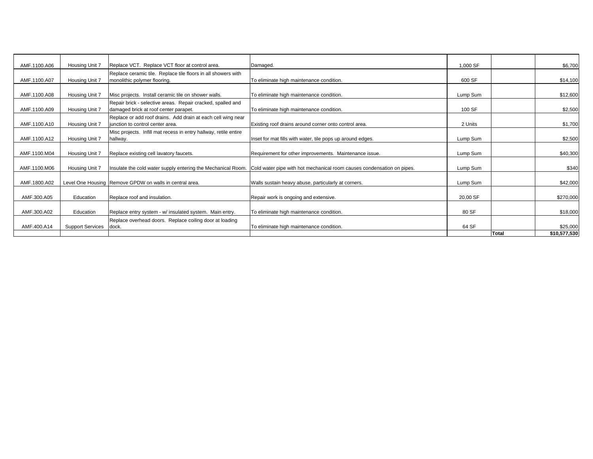| AMF.1100.A06 | Housing Unit 7          | Replace VCT. Replace VCT floor at control area.                  | Damaged.                                                               | 1.000 SF |       | \$6,700      |
|--------------|-------------------------|------------------------------------------------------------------|------------------------------------------------------------------------|----------|-------|--------------|
|              |                         |                                                                  |                                                                        |          |       |              |
|              |                         | Replace ceramic tile. Replace tile floors in all showers with    |                                                                        |          |       |              |
| AMF.1100.A07 | Housing Unit 7          | monolithic polymer flooring.                                     | To eliminate high maintenance condition.                               | 600 SF   |       | \$14,100     |
|              |                         |                                                                  |                                                                        |          |       |              |
| AMF.1100.A08 | Housing Unit 7          | Misc projects. Install ceramic tile on shower walls.             | To eliminate high maintenance condition.                               | Lump Sum |       | \$12,600     |
|              |                         | Repair brick - selective areas. Repair cracked, spalled and      |                                                                        |          |       |              |
| AMF.1100.A09 | Housing Unit 7          | damaged brick at roof center parapet.                            | To eliminate high maintenance condition.                               | 100 SF   |       | \$2,500      |
|              |                         | Replace or add roof drains. Add drain at each cell wing near     |                                                                        |          |       |              |
| AMF.1100.A10 | Housing Unit 7          | junction to control center area.                                 | Existing roof drains around corner onto control area.                  | 2 Units  |       | \$1,700      |
|              |                         |                                                                  |                                                                        |          |       |              |
|              |                         | Misc projects. Infill mat recess in entry hallway, retile entire |                                                                        |          |       |              |
| AMF.1100.A12 | Housing Unit 7          | hallway.                                                         | Inset for mat fills with water, tile pops up around edges.             | Lump Sum |       | \$2,500      |
|              |                         |                                                                  |                                                                        |          |       |              |
| AMF.1100.M04 | Housing Unit 7          | Replace existing cell lavatory faucets.                          | Requirement for other improvements. Maintenance issue.                 | Lump Sum |       | \$40,300     |
|              |                         |                                                                  |                                                                        |          |       |              |
| AMF.1100.M06 | Housing Unit 7          | Insulate the cold water supply entering the Mechanical Room.     | Cold water pipe with hot mechanical room causes condensation on pipes. | Lump Sum |       | \$340        |
|              |                         |                                                                  |                                                                        |          |       |              |
|              |                         |                                                                  |                                                                        |          |       |              |
| AMF.1800.A02 |                         | Level One Housing Remove GPDW on walls in central area.          | Walls sustain heavy abuse, particularly at corners.                    | Lump Sum |       | \$42,000     |
|              |                         |                                                                  |                                                                        |          |       |              |
| AMF.300.A05  | Education               | Replace roof and insulation.                                     | Repair work is ongoing and extensive.                                  | 20,00 SF |       | \$270,000    |
|              |                         |                                                                  |                                                                        |          |       |              |
| AMF.300.A02  | Education               | Replace entry system - w/ insulated system. Main entry.          | To eliminate high maintenance condition.                               | 80 SF    |       | \$18,000     |
|              |                         | Replace overhead doors. Replace coiling door at loading          |                                                                        |          |       |              |
| AMF.400.A14  | <b>Support Services</b> | dock.                                                            | To eliminate high maintenance condition.                               | 64 SF    |       | \$25,000     |
|              |                         |                                                                  |                                                                        |          | Total | \$10,577,530 |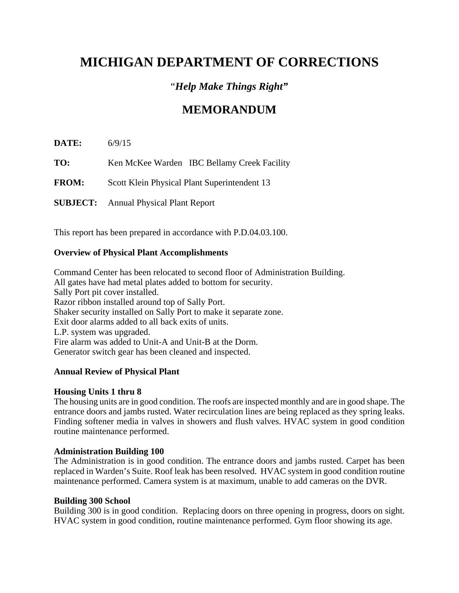# "*Help Make Things Right"*

# **MEMORANDUM**

**DATE:** 6/9/15 **TO:** Ken McKee Warden IBC Bellamy Creek Facility **FROM:** Scott Klein Physical Plant Superintendent 13 **SUBJECT:** Annual Physical Plant Report

This report has been prepared in accordance with P.D.04.03.100.

### **Overview of Physical Plant Accomplishments**

Command Center has been relocated to second floor of Administration Building. All gates have had metal plates added to bottom for security. Sally Port pit cover installed. Razor ribbon installed around top of Sally Port. Shaker security installed on Sally Port to make it separate zone. Exit door alarms added to all back exits of units. L.P. system was upgraded. Fire alarm was added to Unit-A and Unit-B at the Dorm. Generator switch gear has been cleaned and inspected.

### **Annual Review of Physical Plant**

### **Housing Units 1 thru 8**

The housing units are in good condition. The roofs are inspected monthly and are in good shape. The entrance doors and jambs rusted. Water recirculation lines are being replaced as they spring leaks. Finding softener media in valves in showers and flush valves. HVAC system in good condition routine maintenance performed.

### **Administration Building 100**

The Administration is in good condition. The entrance doors and jambs rusted. Carpet has been replaced in Warden's Suite. Roof leak has been resolved. HVAC system in good condition routine maintenance performed. Camera system is at maximum, unable to add cameras on the DVR.

### **Building 300 School**

Building 300 is in good condition. Replacing doors on three opening in progress, doors on sight. HVAC system in good condition, routine maintenance performed. Gym floor showing its age.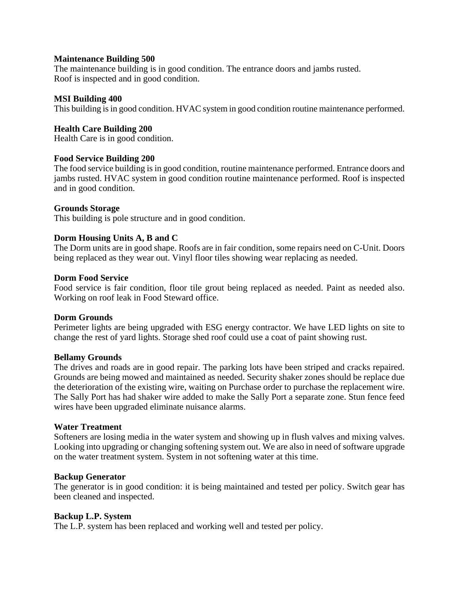#### **Maintenance Building 500**

The maintenance building is in good condition. The entrance doors and jambs rusted. Roof is inspected and in good condition.

#### **MSI Building 400**

This building is in good condition. HVAC system in good condition routine maintenance performed.

#### **Health Care Building 200**

Health Care is in good condition.

#### **Food Service Building 200**

The food service building is in good condition, routine maintenance performed. Entrance doors and jambs rusted. HVAC system in good condition routine maintenance performed. Roof is inspected and in good condition.

#### **Grounds Storage**

This building is pole structure and in good condition.

#### **Dorm Housing Units A, B and C**

The Dorm units are in good shape. Roofs are in fair condition, some repairs need on C-Unit. Doors being replaced as they wear out. Vinyl floor tiles showing wear replacing as needed.

#### **Dorm Food Service**

Food service is fair condition, floor tile grout being replaced as needed. Paint as needed also. Working on roof leak in Food Steward office.

#### **Dorm Grounds**

Perimeter lights are being upgraded with ESG energy contractor. We have LED lights on site to change the rest of yard lights. Storage shed roof could use a coat of paint showing rust.

#### **Bellamy Grounds**

The drives and roads are in good repair. The parking lots have been striped and cracks repaired. Grounds are being mowed and maintained as needed. Security shaker zones should be replace due the deterioration of the existing wire, waiting on Purchase order to purchase the replacement wire. The Sally Port has had shaker wire added to make the Sally Port a separate zone. Stun fence feed wires have been upgraded eliminate nuisance alarms.

#### **Water Treatment**

Softeners are losing media in the water system and showing up in flush valves and mixing valves. Looking into upgrading or changing softening system out. We are also in need of software upgrade on the water treatment system. System in not softening water at this time.

#### **Backup Generator**

The generator is in good condition: it is being maintained and tested per policy. Switch gear has been cleaned and inspected.

#### **Backup L.P. System**

The L.P. system has been replaced and working well and tested per policy.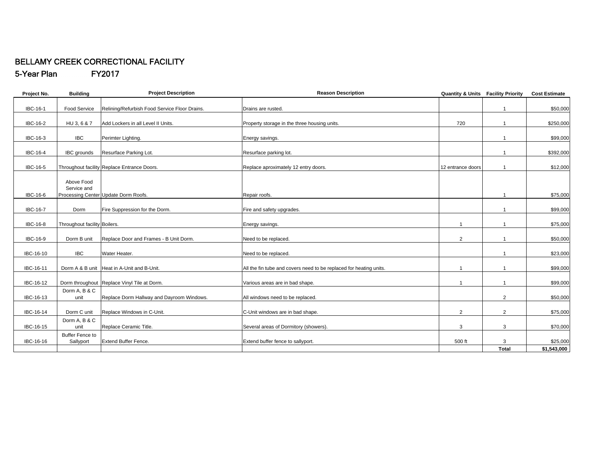#### BELLAMY CREEK CORRECTIONAL FACILITY 5-Year Plan FY2017

| Project No.     | <b>Building</b>                     | <b>Project Description</b>                    | <b>Reason Description</b>                                          | <b>Quantity &amp; Units Facility Priority</b> |                | <b>Cost Estimate</b> |
|-----------------|-------------------------------------|-----------------------------------------------|--------------------------------------------------------------------|-----------------------------------------------|----------------|----------------------|
| <b>IBC-16-1</b> | Food Service                        | Relining/Refurbish Food Service Floor Drains. | Drains are rusted.                                                 |                                               |                | \$50,000             |
|                 |                                     |                                               |                                                                    |                                               |                |                      |
| <b>IBC-16-2</b> | HU 3, 6 & 7                         | Add Lockers in all Level II Units.            | Property storage in the three housing units.                       | 720                                           |                | \$250,000            |
| IBC-16-3        | <b>IBC</b>                          | Perimter Lighting.                            | Energy savings.                                                    |                                               |                | \$99,000             |
| IBC-16-4        | <b>IBC</b> grounds                  | Resurface Parking Lot.                        | Resurface parking lot.                                             |                                               |                | \$392,000            |
| <b>IBC-16-5</b> |                                     | Throughout facility Replace Entrance Doors.   | Replace aproximately 12 entry doors.                               | 12 entrance doors                             |                | \$12,000             |
|                 |                                     |                                               |                                                                    |                                               |                |                      |
|                 | Above Food                          |                                               |                                                                    |                                               |                |                      |
|                 | Service and                         |                                               |                                                                    |                                               |                |                      |
| IBC-16-6        |                                     | Processing Center Update Dorm Roofs.          | Repair roofs.                                                      |                                               |                | \$75,000             |
| <b>IBC-16-7</b> | Dorm                                | Fire Suppression for the Dorm.                | Fire and safety upgrades.                                          |                                               |                | \$99,000             |
|                 |                                     |                                               |                                                                    |                                               |                |                      |
| <b>IBC-16-8</b> | Throughout facility Boilers.        |                                               | Energy savings.                                                    |                                               |                | \$75,000             |
| IBC-16-9        | Dorm B unit                         | Replace Door and Frames - B Unit Dorm.        | Need to be replaced.                                               | $\overline{2}$                                |                | \$50,000             |
|                 |                                     |                                               |                                                                    |                                               |                |                      |
| IBC-16-10       | <b>IBC</b>                          | Water Heater.                                 | Need to be replaced.                                               |                                               |                | \$23,000             |
| IBC-16-11       |                                     | Dorm A & B unit Heat in A-Unit and B-Unit.    | All the fin tube and covers need to be replaced for heating units. |                                               |                | \$99,000             |
| IBC-16-12       |                                     | Dorm throughout Replace Vinyl Tile at Dorm.   | Various areas are in bad shape.                                    |                                               |                | \$99,000             |
|                 | Dorm A, B & C                       |                                               |                                                                    |                                               |                |                      |
| IBC-16-13       | unit                                | Replace Dorm Hallway and Dayroom Windows.     | All windows need to be replaced.                                   |                                               | $\overline{2}$ | \$50,000             |
|                 |                                     |                                               |                                                                    |                                               |                |                      |
| IBC-16-14       | Dorm C unit                         | Replace Windows in C-Unit.                    | C-Unit windows are in bad shape.                                   | $\overline{2}$                                | $\overline{2}$ | \$75,000             |
|                 | Dorm A, B & C                       |                                               |                                                                    |                                               |                |                      |
| IBC-16-15       | unit                                | Replace Ceramic Title.                        | Several areas of Dormitory (showers).                              | 3                                             | 3              | \$70,000             |
| IBC-16-16       | <b>Buffer Fence to</b><br>Sallyport | <b>Extend Buffer Fence.</b>                   | Extend buffer fence to sallyport.                                  | 500 ft                                        | 3              | \$25,000             |
|                 |                                     |                                               |                                                                    |                                               | <b>Total</b>   | \$1,543,000          |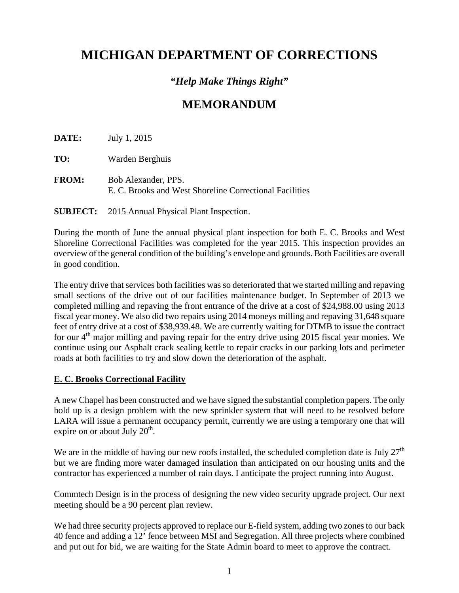# *"Help Make Things Right"*

# **MEMORANDUM**

**DATE:** July 1, 2015

**TO:** Warden Berghuis

**FROM:** Bob Alexander, PPS. E. C. Brooks and West Shoreline Correctional Facilities

**SUBJECT:** 2015 Annual Physical Plant Inspection.

During the month of June the annual physical plant inspection for both E. C. Brooks and West Shoreline Correctional Facilities was completed for the year 2015. This inspection provides an overview of the general condition of the building's envelope and grounds. Both Facilities are overall in good condition.

The entry drive that services both facilities was so deteriorated that we started milling and repaving small sections of the drive out of our facilities maintenance budget. In September of 2013 we completed milling and repaving the front entrance of the drive at a cost of \$24,988.00 using 2013 fiscal year money. We also did two repairs using 2014 moneys milling and repaving 31,648 square feet of entry drive at a cost of \$38,939.48. We are currently waiting for DTMB to issue the contract for our 4<sup>th</sup> major milling and paving repair for the entry drive using 2015 fiscal year monies. We continue using our Asphalt crack sealing kettle to repair cracks in our parking lots and perimeter roads at both facilities to try and slow down the deterioration of the asphalt.

### **E. C. Brooks Correctional Facility**

A new Chapel has been constructed and we have signed the substantial completion papers. The only hold up is a design problem with the new sprinkler system that will need to be resolved before LARA will issue a permanent occupancy permit, currently we are using a temporary one that will expire on or about July  $20<sup>th</sup>$ .

We are in the middle of having our new roofs installed, the scheduled completion date is July  $27<sup>th</sup>$ but we are finding more water damaged insulation than anticipated on our housing units and the contractor has experienced a number of rain days. I anticipate the project running into August.

Commtech Design is in the process of designing the new video security upgrade project. Our next meeting should be a 90 percent plan review.

We had three security projects approved to replace our E-field system, adding two zones to our back 40 fence and adding a 12' fence between MSI and Segregation. All three projects where combined and put out for bid, we are waiting for the State Admin board to meet to approve the contract.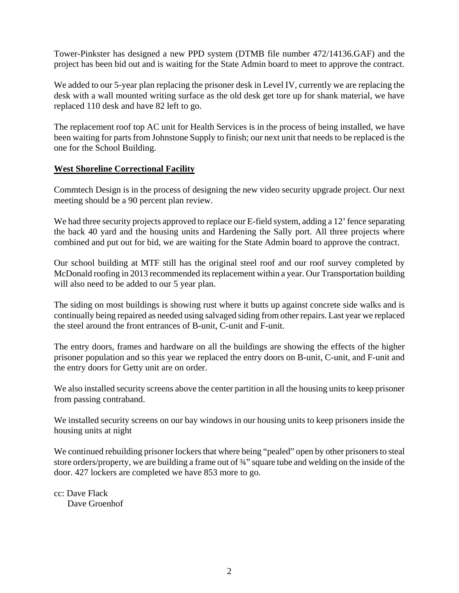Tower-Pinkster has designed a new PPD system (DTMB file number 472/14136.GAF) and the project has been bid out and is waiting for the State Admin board to meet to approve the contract.

We added to our 5-year plan replacing the prisoner desk in Level IV, currently we are replacing the desk with a wall mounted writing surface as the old desk get tore up for shank material, we have replaced 110 desk and have 82 left to go.

The replacement roof top AC unit for Health Services is in the process of being installed, we have been waiting for parts from Johnstone Supply to finish; our next unit that needs to be replaced is the one for the School Building.

### **West Shoreline Correctional Facility**

Commtech Design is in the process of designing the new video security upgrade project. Our next meeting should be a 90 percent plan review.

We had three security projects approved to replace our E-field system, adding a 12' fence separating the back 40 yard and the housing units and Hardening the Sally port. All three projects where combined and put out for bid, we are waiting for the State Admin board to approve the contract.

Our school building at MTF still has the original steel roof and our roof survey completed by McDonald roofing in 2013 recommended its replacement within a year. Our Transportation building will also need to be added to our 5 year plan.

The siding on most buildings is showing rust where it butts up against concrete side walks and is continually being repaired as needed using salvaged siding from other repairs. Last year we replaced the steel around the front entrances of B-unit, C-unit and F-unit.

The entry doors, frames and hardware on all the buildings are showing the effects of the higher prisoner population and so this year we replaced the entry doors on B-unit, C-unit, and F-unit and the entry doors for Getty unit are on order.

We also installed security screens above the center partition in all the housing units to keep prisoner from passing contraband.

We installed security screens on our bay windows in our housing units to keep prisoners inside the housing units at night

We continued rebuilding prisoner lockers that where being "pealed" open by other prisoners to steal store orders/property, we are building a frame out of  $\frac{3}{4}$ " square tube and welding on the inside of the door. 427 lockers are completed we have 853 more to go.

cc: Dave Flack Dave Groenhof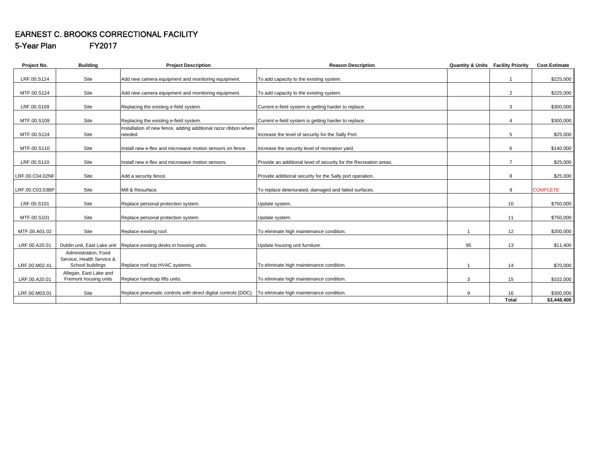# EARNEST C. BROOKS CORRECTIONAL FACILITY

5-Year Plan FY2017

| Project No.     | <b>Building</b>                                                       | <b>Project Description</b>                                                 | <b>Reason Description</b>                                         | <b>Quantity &amp; Units</b> | <b>Facility Priority</b> | <b>Cost Estimate</b> |
|-----------------|-----------------------------------------------------------------------|----------------------------------------------------------------------------|-------------------------------------------------------------------|-----------------------------|--------------------------|----------------------|
| LRF.00.S124     | Site                                                                  | Add new camera equipment and monitoring equipment.                         | To add capacity to the existing system.                           |                             |                          | \$225,000            |
| MTF.00.S124     | Site                                                                  | Add new camera equipment and monitoring equipment.                         | To add capacity to the existing system.                           |                             | $\overline{2}$           | \$225,000            |
| LRF.00.S109     | Site                                                                  | Replacing the existing e-field system.                                     | Current e-field system is getting harder to replace.              |                             | 3                        | \$300,000            |
| MTF.00.S109     | Site                                                                  | Replacing the existing e-field system.                                     | Current e-field system is getting harder to replace.              |                             | 4                        | \$300,000            |
| MTF.00.S124     | Site                                                                  | Installation of new fence, adding additional razor ribbon where<br>needed. | Increase the level of security for the Sally Port.                |                             | 5                        | \$25,000             |
| MTF.00.S110     | Site                                                                  | Install new e-flex and microwave motion sensors on fence.                  | Increase the security level of recreation yard.                   |                             | 6                        | \$140,000            |
| LRF.00.S110     | Site                                                                  | Install new e-flex and microwave motion sensors.                           | Provide an additional level of security for the Recreation areas. |                             | $\overline{7}$           | \$25,000             |
| LRF.00.C04.02NF | Site                                                                  | Add a security fence.                                                      | Provide additional security for the Sally port operation.         |                             | 8                        | \$25,000             |
| LRF.00.C03.03BP | Site                                                                  | Mill & Resurface.                                                          | To replace deteriorated, damaged and failed surfaces.             |                             | 9                        | <b>COMPLETE</b>      |
| LRF.00.S101     | Site                                                                  | Replace personal protection system.                                        | Update system.                                                    |                             | 10                       | \$750,000            |
| MTF.00.S101     | Site                                                                  | Replace personal protection system.                                        | Update system.                                                    |                             | 11                       | \$750,000            |
| MTF.00.A01.02   | Site                                                                  | Replace existing roof.                                                     | To eliminate high maintenance condition.                          |                             | 12                       | \$200,000            |
| LRF.00.A20.01   |                                                                       | Dublin unit, East Lake unit Replace existing desks in housing units.       | Update housing unit furniture.                                    | 95                          | 13                       | \$11,400             |
| LRF.00.M02.41   | Administration, Food<br>Service, Health Service &<br>School buildings | Replace roof top HVAC systems.                                             | To eliminate high maintenance condition.                          |                             | 14                       | \$70,000             |
| LRF.00.A20.01   | Allegan, East Lake and<br>Fremont housing units                       | Replace handicap lifts units.                                              | To eliminate high maintenance condition.                          | 3                           | 15                       | \$102,000            |
| LRF.00.M03.01   | Site                                                                  | Replace pneumatic controls with direct digital controls (DDC).             | To eliminate high maintenance condition.                          | 9                           | 16                       | \$300,000            |
|                 |                                                                       |                                                                            |                                                                   |                             | <b>Total</b>             | \$3,448,400          |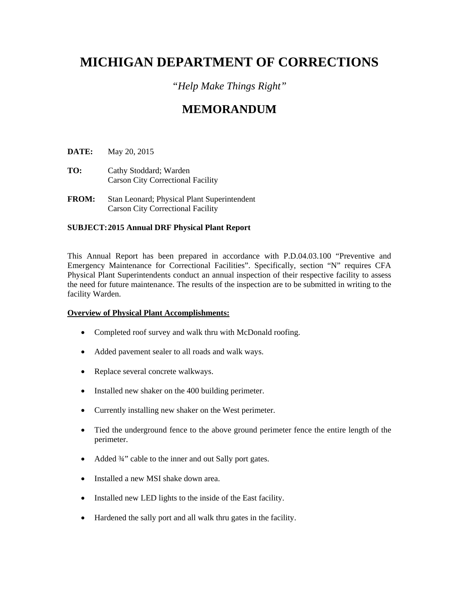# *"Help Make Things Right"*

# **MEMORANDUM**

**DATE:** May 20, 2015

- **TO:** Cathy Stoddard; Warden Carson City Correctional Facility
- **FROM:** Stan Leonard; Physical Plant Superintendent Carson City Correctional Facility

#### **SUBJECT: 2015 Annual DRF Physical Plant Report**

This Annual Report has been prepared in accordance with P.D.04.03.100 "Preventive and Emergency Maintenance for Correctional Facilities". Specifically, section "N" requires CFA Physical Plant Superintendents conduct an annual inspection of their respective facility to assess the need for future maintenance. The results of the inspection are to be submitted in writing to the facility Warden.

#### **Overview of Physical Plant Accomplishments:**

- Completed roof survey and walk thru with McDonald roofing.
- Added pavement sealer to all roads and walk ways.
- Replace several concrete walkways.
- Installed new shaker on the 400 building perimeter.
- Currently installing new shaker on the West perimeter.
- Tied the underground fence to the above ground perimeter fence the entire length of the perimeter.
- Added 3/4" cable to the inner and out Sally port gates.
- Installed a new MSI shake down area.
- Installed new LED lights to the inside of the East facility.
- Hardened the sally port and all walk thru gates in the facility.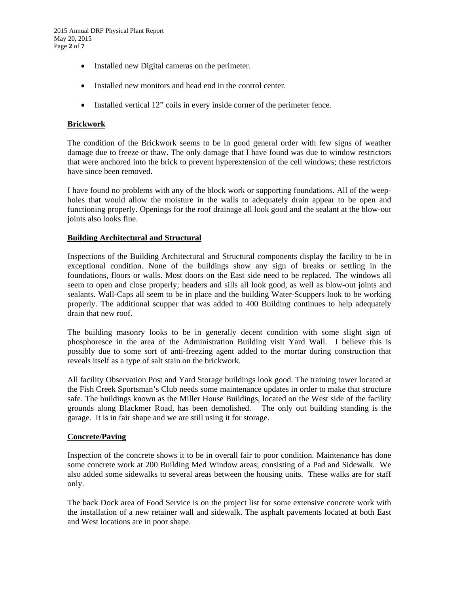- Installed new Digital cameras on the perimeter.
- Installed new monitors and head end in the control center.
- Installed vertical 12" coils in every inside corner of the perimeter fence.

#### **Brickwork**

The condition of the Brickwork seems to be in good general order with few signs of weather damage due to freeze or thaw. The only damage that I have found was due to window restrictors that were anchored into the brick to prevent hyperextension of the cell windows; these restrictors have since been removed.

I have found no problems with any of the block work or supporting foundations. All of the weepholes that would allow the moisture in the walls to adequately drain appear to be open and functioning properly. Openings for the roof drainage all look good and the sealant at the blow-out joints also looks fine.

#### **Building Architectural and Structural**

Inspections of the Building Architectural and Structural components display the facility to be in exceptional condition. None of the buildings show any sign of breaks or settling in the foundations, floors or walls. Most doors on the East side need to be replaced. The windows all seem to open and close properly; headers and sills all look good, as well as blow-out joints and sealants. Wall-Caps all seem to be in place and the building Water-Scuppers look to be working properly. The additional scupper that was added to 400 Building continues to help adequately drain that new roof.

The building masonry looks to be in generally decent condition with some slight sign of phosphoresce in the area of the Administration Building visit Yard Wall. I believe this is possibly due to some sort of anti-freezing agent added to the mortar during construction that reveals itself as a type of salt stain on the brickwork.

All facility Observation Post and Yard Storage buildings look good. The training tower located at the Fish Creek Sportsman's Club needs some maintenance updates in order to make that structure safe. The buildings known as the Miller House Buildings, located on the West side of the facility grounds along Blackmer Road, has been demolished. The only out building standing is the garage. It is in fair shape and we are still using it for storage.

#### **Concrete/Paving**

Inspection of the concrete shows it to be in overall fair to poor condition. Maintenance has done some concrete work at 200 Building Med Window areas; consisting of a Pad and Sidewalk. We also added some sidewalks to several areas between the housing units. These walks are for staff only.

The back Dock area of Food Service is on the project list for some extensive concrete work with the installation of a new retainer wall and sidewalk. The asphalt pavements located at both East and West locations are in poor shape.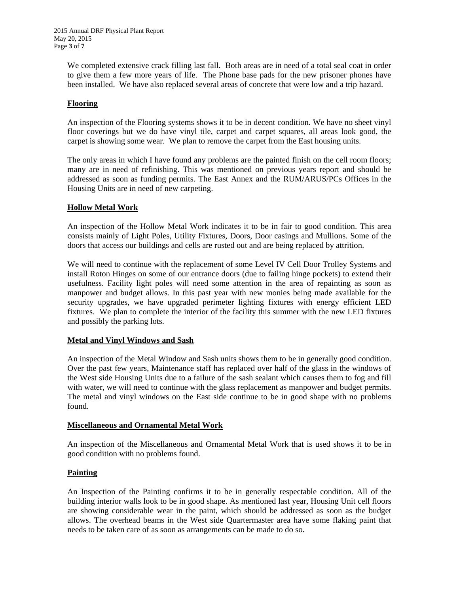We completed extensive crack filling last fall. Both areas are in need of a total seal coat in order to give them a few more years of life. The Phone base pads for the new prisoner phones have been installed. We have also replaced several areas of concrete that were low and a trip hazard.

#### **Flooring**

An inspection of the Flooring systems shows it to be in decent condition. We have no sheet vinyl floor coverings but we do have vinyl tile, carpet and carpet squares, all areas look good, the carpet is showing some wear. We plan to remove the carpet from the East housing units.

The only areas in which I have found any problems are the painted finish on the cell room floors; many are in need of refinishing. This was mentioned on previous years report and should be addressed as soon as funding permits. The East Annex and the RUM/ARUS/PCs Offices in the Housing Units are in need of new carpeting.

#### **Hollow Metal Work**

An inspection of the Hollow Metal Work indicates it to be in fair to good condition. This area consists mainly of Light Poles, Utility Fixtures, Doors, Door casings and Mullions. Some of the doors that access our buildings and cells are rusted out and are being replaced by attrition.

We will need to continue with the replacement of some Level IV Cell Door Trolley Systems and install Roton Hinges on some of our entrance doors (due to failing hinge pockets) to extend their usefulness. Facility light poles will need some attention in the area of repainting as soon as manpower and budget allows. In this past year with new monies being made available for the security upgrades, we have upgraded perimeter lighting fixtures with energy efficient LED fixtures. We plan to complete the interior of the facility this summer with the new LED fixtures and possibly the parking lots.

### **Metal and Vinyl Windows and Sash**

An inspection of the Metal Window and Sash units shows them to be in generally good condition. Over the past few years, Maintenance staff has replaced over half of the glass in the windows of the West side Housing Units due to a failure of the sash sealant which causes them to fog and fill with water, we will need to continue with the glass replacement as manpower and budget permits. The metal and vinyl windows on the East side continue to be in good shape with no problems found.

#### **Miscellaneous and Ornamental Metal Work**

An inspection of the Miscellaneous and Ornamental Metal Work that is used shows it to be in good condition with no problems found.

#### **Painting**

An Inspection of the Painting confirms it to be in generally respectable condition. All of the building interior walls look to be in good shape. As mentioned last year, Housing Unit cell floors are showing considerable wear in the paint, which should be addressed as soon as the budget allows. The overhead beams in the West side Quartermaster area have some flaking paint that needs to be taken care of as soon as arrangements can be made to do so.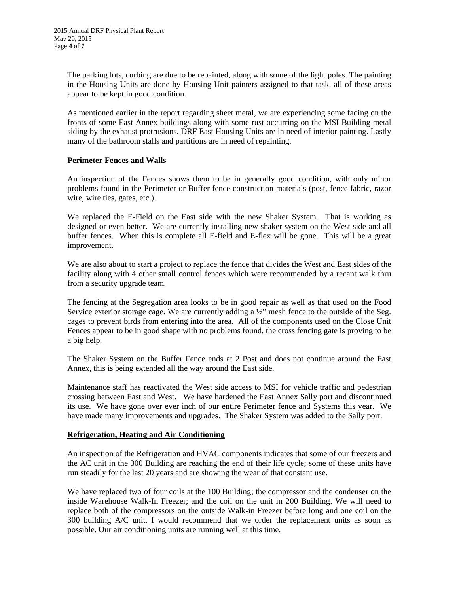The parking lots, curbing are due to be repainted, along with some of the light poles. The painting in the Housing Units are done by Housing Unit painters assigned to that task, all of these areas appear to be kept in good condition.

As mentioned earlier in the report regarding sheet metal, we are experiencing some fading on the fronts of some East Annex buildings along with some rust occurring on the MSI Building metal siding by the exhaust protrusions. DRF East Housing Units are in need of interior painting. Lastly many of the bathroom stalls and partitions are in need of repainting.

#### **Perimeter Fences and Walls**

An inspection of the Fences shows them to be in generally good condition, with only minor problems found in the Perimeter or Buffer fence construction materials (post, fence fabric, razor wire, wire ties, gates, etc.).

We replaced the E-Field on the East side with the new Shaker System. That is working as designed or even better. We are currently installing new shaker system on the West side and all buffer fences. When this is complete all E-field and E-flex will be gone. This will be a great improvement.

We are also about to start a project to replace the fence that divides the West and East sides of the facility along with 4 other small control fences which were recommended by a recant walk thru from a security upgrade team.

The fencing at the Segregation area looks to be in good repair as well as that used on the Food Service exterior storage cage. We are currently adding a  $\frac{1}{2}$  mesh fence to the outside of the Seg. cages to prevent birds from entering into the area. All of the components used on the Close Unit Fences appear to be in good shape with no problems found, the cross fencing gate is proving to be a big help.

The Shaker System on the Buffer Fence ends at 2 Post and does not continue around the East Annex, this is being extended all the way around the East side.

Maintenance staff has reactivated the West side access to MSI for vehicle traffic and pedestrian crossing between East and West. We have hardened the East Annex Sally port and discontinued its use. We have gone over ever inch of our entire Perimeter fence and Systems this year. We have made many improvements and upgrades. The Shaker System was added to the Sally port.

#### **Refrigeration, Heating and Air Conditioning**

An inspection of the Refrigeration and HVAC components indicates that some of our freezers and the AC unit in the 300 Building are reaching the end of their life cycle; some of these units have run steadily for the last 20 years and are showing the wear of that constant use.

We have replaced two of four coils at the 100 Building; the compressor and the condenser on the inside Warehouse Walk-In Freezer; and the coil on the unit in 200 Building. We will need to replace both of the compressors on the outside Walk-in Freezer before long and one coil on the 300 building A/C unit. I would recommend that we order the replacement units as soon as possible. Our air conditioning units are running well at this time.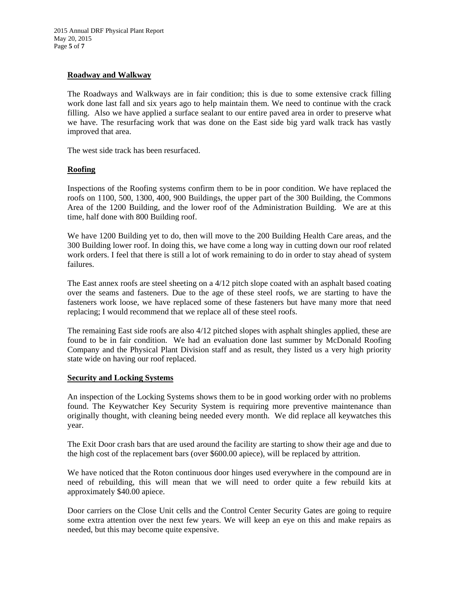#### **Roadway and Walkway**

The Roadways and Walkways are in fair condition; this is due to some extensive crack filling work done last fall and six years ago to help maintain them. We need to continue with the crack filling. Also we have applied a surface sealant to our entire paved area in order to preserve what we have. The resurfacing work that was done on the East side big yard walk track has vastly improved that area.

The west side track has been resurfaced.

#### **Roofing**

Inspections of the Roofing systems confirm them to be in poor condition. We have replaced the roofs on 1100, 500, 1300, 400, 900 Buildings, the upper part of the 300 Building, the Commons Area of the 1200 Building, and the lower roof of the Administration Building. We are at this time, half done with 800 Building roof.

We have 1200 Building yet to do, then will move to the 200 Building Health Care areas, and the 300 Building lower roof. In doing this, we have come a long way in cutting down our roof related work orders. I feel that there is still a lot of work remaining to do in order to stay ahead of system failures.

The East annex roofs are steel sheeting on a 4/12 pitch slope coated with an asphalt based coating over the seams and fasteners. Due to the age of these steel roofs, we are starting to have the fasteners work loose, we have replaced some of these fasteners but have many more that need replacing; I would recommend that we replace all of these steel roofs.

The remaining East side roofs are also 4/12 pitched slopes with asphalt shingles applied, these are found to be in fair condition. We had an evaluation done last summer by McDonald Roofing Company and the Physical Plant Division staff and as result, they listed us a very high priority state wide on having our roof replaced.

#### **Security and Locking Systems**

An inspection of the Locking Systems shows them to be in good working order with no problems found. The Keywatcher Key Security System is requiring more preventive maintenance than originally thought, with cleaning being needed every month. We did replace all keywatches this year.

The Exit Door crash bars that are used around the facility are starting to show their age and due to the high cost of the replacement bars (over \$600.00 apiece), will be replaced by attrition.

We have noticed that the Roton continuous door hinges used everywhere in the compound are in need of rebuilding, this will mean that we will need to order quite a few rebuild kits at approximately \$40.00 apiece.

Door carriers on the Close Unit cells and the Control Center Security Gates are going to require some extra attention over the next few years. We will keep an eye on this and make repairs as needed, but this may become quite expensive.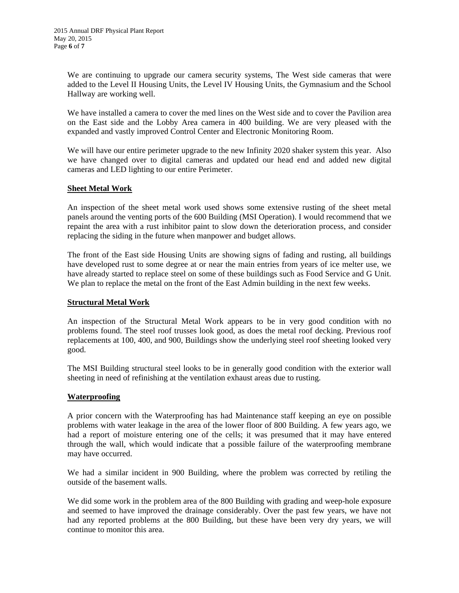We are continuing to upgrade our camera security systems, The West side cameras that were added to the Level II Housing Units, the Level IV Housing Units, the Gymnasium and the School Hallway are working well.

We have installed a camera to cover the med lines on the West side and to cover the Pavilion area on the East side and the Lobby Area camera in 400 building. We are very pleased with the expanded and vastly improved Control Center and Electronic Monitoring Room.

We will have our entire perimeter upgrade to the new Infinity 2020 shaker system this year. Also we have changed over to digital cameras and updated our head end and added new digital cameras and LED lighting to our entire Perimeter.

#### **Sheet Metal Work**

An inspection of the sheet metal work used shows some extensive rusting of the sheet metal panels around the venting ports of the 600 Building (MSI Operation). I would recommend that we repaint the area with a rust inhibitor paint to slow down the deterioration process, and consider replacing the siding in the future when manpower and budget allows.

The front of the East side Housing Units are showing signs of fading and rusting, all buildings have developed rust to some degree at or near the main entries from years of ice melter use, we have already started to replace steel on some of these buildings such as Food Service and G Unit. We plan to replace the metal on the front of the East Admin building in the next few weeks.

#### **Structural Metal Work**

An inspection of the Structural Metal Work appears to be in very good condition with no problems found. The steel roof trusses look good, as does the metal roof decking. Previous roof replacements at 100, 400, and 900, Buildings show the underlying steel roof sheeting looked very good.

The MSI Building structural steel looks to be in generally good condition with the exterior wall sheeting in need of refinishing at the ventilation exhaust areas due to rusting.

#### **Waterproofing**

A prior concern with the Waterproofing has had Maintenance staff keeping an eye on possible problems with water leakage in the area of the lower floor of 800 Building. A few years ago, we had a report of moisture entering one of the cells; it was presumed that it may have entered through the wall, which would indicate that a possible failure of the waterproofing membrane may have occurred.

We had a similar incident in 900 Building, where the problem was corrected by retiling the outside of the basement walls.

We did some work in the problem area of the 800 Building with grading and weep-hole exposure and seemed to have improved the drainage considerably. Over the past few years, we have not had any reported problems at the 800 Building, but these have been very dry years, we will continue to monitor this area.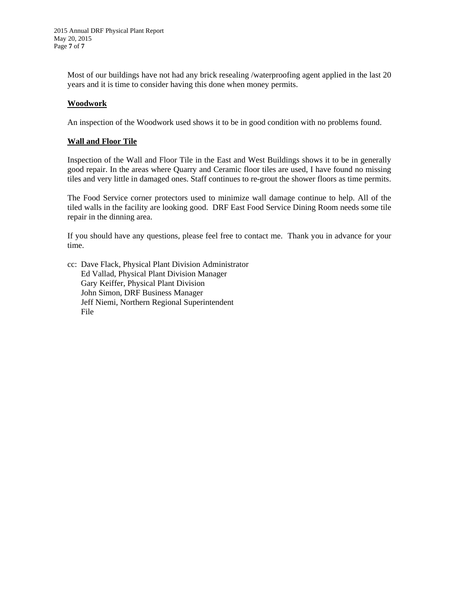Most of our buildings have not had any brick resealing /waterproofing agent applied in the last 20 years and it is time to consider having this done when money permits.

#### **Woodwork**

An inspection of the Woodwork used shows it to be in good condition with no problems found.

#### **Wall and Floor Tile**

Inspection of the Wall and Floor Tile in the East and West Buildings shows it to be in generally good repair. In the areas where Quarry and Ceramic floor tiles are used, I have found no missing tiles and very little in damaged ones. Staff continues to re-grout the shower floors as time permits.

The Food Service corner protectors used to minimize wall damage continue to help. All of the tiled walls in the facility are looking good. DRF East Food Service Dining Room needs some tile repair in the dinning area.

If you should have any questions, please feel free to contact me. Thank you in advance for your time.

cc: Dave Flack, Physical Plant Division Administrator Ed Vallad, Physical Plant Division Manager Gary Keiffer, Physical Plant Division John Simon, DRF Business Manager Jeff Niemi, Northern Regional Superintendent File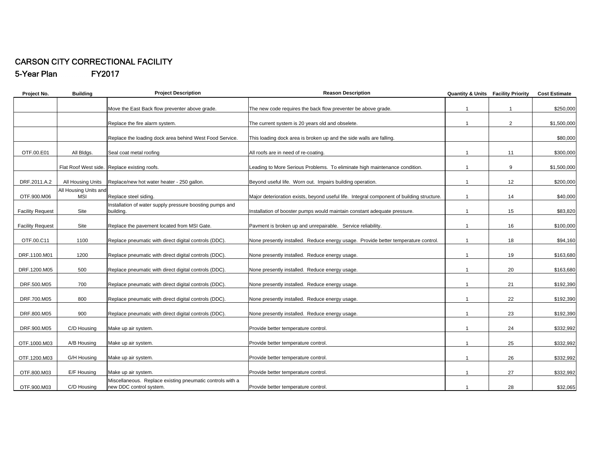#### CARSON CITY CORRECTIONAL FACILITY 5-Year Plan FY2017

| Project No.             | <b>Building</b>              | <b>Project Description</b>                                                           | <b>Reason Description</b>                                                                 | <b>Quantity &amp; Units Facility Priority</b> |                | <b>Cost Estimate</b> |
|-------------------------|------------------------------|--------------------------------------------------------------------------------------|-------------------------------------------------------------------------------------------|-----------------------------------------------|----------------|----------------------|
|                         |                              |                                                                                      | The new code requires the back flow preventer be above grade.                             | $\mathbf{1}$                                  | $\mathbf{1}$   | \$250,000            |
|                         |                              | Move the East Back flow preventer above grade.                                       |                                                                                           |                                               |                |                      |
|                         |                              | Replace the fire alarm system.                                                       | The current system is 20 years old and obselete.                                          | $\mathbf{1}$                                  | $\overline{2}$ | \$1,500,000          |
|                         |                              | Replace the loading dock area behind West Food Service.                              | This loading dock area is broken up and the side walls are falling.                       |                                               |                | \$80,000             |
| OTF.00.E01              | All Bldgs.                   | Seal coat metal roofing                                                              | All roofs are in need of re-coating.                                                      | $\mathbf{1}$                                  | 11             | \$300,000            |
|                         |                              | Flat Roof West side. Replace existing roofs.                                         | Leading to More Serious Problems. To eliminate high maintenance condition.                | $\mathbf{1}$                                  | 9              | \$1,500,000          |
| DRF.2011.A.2            | All Housing Units            | Replace/new hot water heater - 250 gallon.                                           | Beyond useful life. Worn out. Impairs building operation.                                 | $\overline{1}$                                | 12             | \$200,000            |
| OTF.900.M06             | All Housing Units and<br>MSI | Replace steel siding.                                                                | Major deterioration exists, beyond useful life. Integral component of building structure. | $\mathbf{1}$                                  | 14             | \$40,000             |
| <b>Facility Request</b> | Site                         | Installation of water supply pressure boosting pumps and<br>building.                | Installation of booster pumps would maintain constant adequate pressure.                  | $\overline{1}$                                | 15             | \$83,820             |
| <b>Facility Request</b> | Site                         | Replace the pavement located from MSI Gate.                                          | Pavment is broken up and unrepairable. Service reliability.                               | $\mathbf{1}$                                  | 16             | \$100,000            |
| OTF.00.C11              | 1100                         | Replace pneumatic with direct digital controls (DDC).                                | None presently installed. Reduce energy usage. Provide better temperature control.        | $\mathbf{1}$                                  | 18             | \$94,160             |
| DRF.1100.M01            | 1200                         | Replace pneumatic with direct digital controls (DDC).                                | None presently installed. Reduce energy usage.                                            | $\overline{1}$                                | 19             | \$163,680            |
| DRF.1200.M05            | 500                          | Replace pneumatic with direct digital controls (DDC).                                | None presently installed. Reduce energy usage.                                            | $\mathbf{1}$                                  | 20             | \$163,680            |
| DRF.500.M05             | 700                          | Replace pneumatic with direct digital controls (DDC).                                | None presently installed. Reduce energy usage.                                            | $\mathbf{1}$                                  | 21             | \$192,390            |
| DRF.700.M05             | 800                          | Replace pneumatic with direct digital controls (DDC).                                | None presently installed. Reduce energy usage.                                            | $\overline{1}$                                | 22             | \$192,390            |
| DRF.800.M05             | 900                          | Replace pneumatic with direct digital controls (DDC).                                | None presently installed. Reduce energy usage.                                            | $\mathbf{1}$                                  | 23             | \$192,390            |
| DRF.900.M05             | C/D Housing                  | Make up air system.                                                                  | Provide better temperature control.                                                       | $\mathbf{1}$                                  | 24             | \$332,992            |
| OTF.1000.M03            | A/B Housing                  | Make up air system.                                                                  | Provide better temperature control.                                                       | $\overline{1}$                                | 25             | \$332,992            |
| OTF.1200.M03            | G/H Housing                  | Make up air system.                                                                  | Provide better temperature control.                                                       | $\mathbf{1}$                                  | 26             | \$332,992            |
| OTF.800.M03             | E/F Housing                  | Make up air system.                                                                  | Provide better temperature control.                                                       | $\overline{1}$                                | 27             | \$332,992            |
| OTF.900.M03             | C/D Housing                  | Miscellaneous. Replace existing pneumatic controls with a<br>new DDC control system. | Provide better temperature control.                                                       | $\overline{1}$                                | 28             | \$32,065             |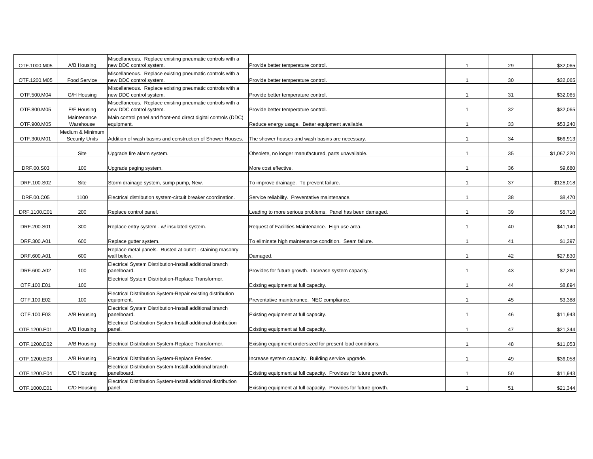| OTF.1000.M05 | A/B Housing                               | Miscellaneous. Replace existing pneumatic controls with a<br>new DDC control system. | Provide better temperature control.                              |                | 29 | \$32,065    |
|--------------|-------------------------------------------|--------------------------------------------------------------------------------------|------------------------------------------------------------------|----------------|----|-------------|
| OTF.1200.M05 | <b>Food Service</b>                       | Miscellaneous. Replace existing pneumatic controls with a<br>new DDC control system. | Provide better temperature control.                              |                | 30 | \$32,065    |
| OTF.500.M04  | G/H Housing                               | Miscellaneous. Replace existing pneumatic controls with a<br>new DDC control system. | Provide better temperature control.                              |                | 31 | \$32,065    |
| OTF.800.M05  | E/F Housing                               | Miscellaneous. Replace existing pneumatic controls with a<br>new DDC control system. | Provide better temperature control.                              | $\overline{1}$ | 32 | \$32,065    |
|              | Maintenance                               | Main control panel and front-end direct digital controls (DDC)                       |                                                                  |                |    |             |
| OTF.900.M05  | Warehouse                                 | equipment.                                                                           | Reduce energy usage. Better equipment available.                 | $\mathbf{1}$   | 33 | \$53,240    |
| OTF.300.M01  | Medium & Minimum<br><b>Security Units</b> | Addition of wash basins and construction of Shower Houses.                           | The shower houses and wash basins are necessary.                 | $\overline{1}$ | 34 | \$66,913    |
|              | Site                                      | Upgrade fire alarm system.                                                           | Obsolete, no longer manufactured, parts unavailable.             | $\overline{1}$ | 35 | \$1,067,220 |
| DRF.00.S03   | 100                                       | Upgrade paging system.                                                               | More cost effective.                                             | $\mathbf{1}$   | 36 | \$9,680     |
|              |                                           |                                                                                      |                                                                  |                |    |             |
| DRF.100.S02  | Site                                      | Storm drainage system, sump pump, New.                                               | To improve drainage. To prevent failure.                         | $\mathbf 1$    | 37 | \$128,018   |
| DRF.00.C05   | 1100                                      | Electrical distribution system-circuit breaker coordination.                         | Service reliability. Preventative maintenance.                   | $\mathbf{1}$   | 38 | \$8,470     |
|              |                                           |                                                                                      |                                                                  |                |    |             |
| DRF.1100.E01 | 200                                       | Replace control panel.                                                               | Leading to more serious problems. Panel has been damaged.        | $\overline{1}$ | 39 | \$5,718     |
| DRF.200.S01  | 300                                       | Replace entry system - w/ insulated system.                                          | Request of Facilities Maintenance. High use area.                | $\mathbf{1}$   | 40 | \$41,140    |
| DRF.300.A01  | 600                                       | Replace gutter system.                                                               | To eliminate high maintenance condition. Seam failure.           | $\mathbf{1}$   | 41 | \$1,397     |
| DRF.600.A01  | 600                                       | Replace metal panels. Rusted at outlet - staining masonry<br>wall below.             | Damaged.                                                         | $\overline{1}$ | 42 | \$27,830    |
| DRF.600.A02  | 100                                       | Electrical System Distribution-Install additional branch<br>panelboard.              | Provides for future growth. Increase system capacity.            |                | 43 | \$7,260     |
| OTF.100.E01  | 100                                       | Electrical System Distribution-Replace Transformer.                                  | Existing equipment at full capacity.                             | $\mathbf{1}$   | 44 | \$8,894     |
| OTF.100.E02  | 100                                       | Electrical Distribution System-Repair existing distribution<br>equipment.            | Preventative maintenance. NEC compliance.                        | $\mathbf{1}$   | 45 | \$3,388     |
|              |                                           |                                                                                      |                                                                  |                |    |             |
| OTF.100.E03  | A/B Housing                               | Electrical System Distribution-Install additional branch<br>panelboard.              | Existing equipment at full capacity.                             | $\mathbf{1}$   | 46 | \$11,943    |
| OTF.1200.E01 | A/B Housing                               | Electrical Distribution System-Install additional distribution<br>panel.             | Existing equipment at full capacity.                             | $\overline{1}$ | 47 | \$21,344    |
| OTF.1200.E02 | A/B Housing                               | Electrical Distribution System-Replace Transformer.                                  | Existing equipment undersized for present load conditions.       | $\overline{1}$ | 48 | \$11,053    |
|              |                                           |                                                                                      |                                                                  |                |    |             |
| OTF.1200.E03 | A/B Housing                               | Electrical Distribution System-Replace Feeder.                                       | Increase system capacity. Building service upgrade.              | $\mathbf{1}$   | 49 | \$36,058    |
|              |                                           | Electrical Distribution System-Install additional branch                             |                                                                  |                |    |             |
| OTF.1200.E04 | C/D Housing                               | panelboard.                                                                          | Existing equipment at full capacity. Provides for future growth. | $\mathbf{1}$   | 50 | \$11,943    |
|              |                                           | Electrical Distribution System-Install additional distribution                       |                                                                  |                |    |             |
| OTF.1000.E01 | C/D Housing                               | panel.                                                                               | Existing equipment at full capacity. Provides for future growth. |                | 51 | \$21,344    |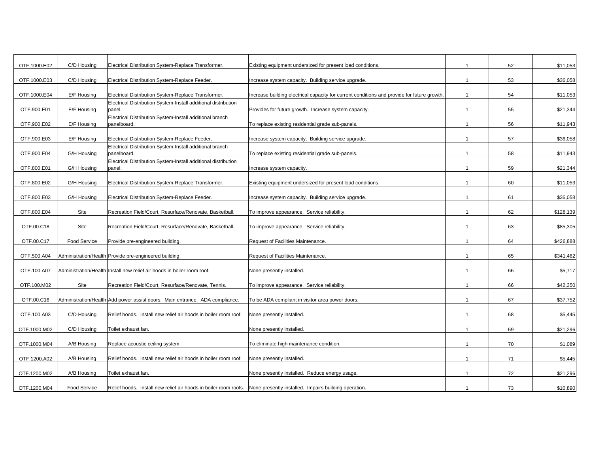| OTF.1000.E02 | C/D Housing         | Electrical Distribution System-Replace Transformer.                                                                    | Existing equipment undersized for present load conditions.                                 |                | 52 | \$11,053  |
|--------------|---------------------|------------------------------------------------------------------------------------------------------------------------|--------------------------------------------------------------------------------------------|----------------|----|-----------|
| OTF.1000.E03 | C/D Housing         | Electrical Distribution System-Replace Feeder.                                                                         | Increase system capacity. Building service upgrade.                                        | $\mathbf{1}$   | 53 | \$36,058  |
| OTF.1000.E04 | E/F Housing         | Electrical Distribution System-Replace Transformer.                                                                    | Increase building electrical capacity for current conditions and provide for future growth |                | 54 | \$11,053  |
| OTF.900.E01  | E/F Housing         | Electrical Distribution System-Install additional distribution<br>panel.                                               | Provides for future growth. Increase system capacity.                                      | $\overline{1}$ | 55 | \$21,344  |
| OTF.900.E02  | E/F Housing         | Electrical Distribution System-Install additional branch<br>panelboard.                                                | To replace existing residential grade sub-panels.                                          | $\mathbf 1$    | 56 | \$11,943  |
| OTF.900.E03  | E/F Housing         | Electrical Distribution System-Replace Feeder.                                                                         | Increase system capacity. Building service upgrade.                                        | $\mathbf{1}$   | 57 | \$36,058  |
| OTF.900.E04  | G/H Housing         | Electrical Distribution System-Install additional branch<br>panelboard.                                                | To replace existing residential grade sub-panels.                                          |                | 58 | \$11,943  |
| OTF.800.E01  | G/H Housing         | Electrical Distribution System-Install additional distribution<br>panel.                                               | Increase system capacity.                                                                  | $\mathbf 1$    | 59 | \$21,344  |
| OTF.800.E02  | G/H Housing         | Electrical Distribution System-Replace Transformer.                                                                    | Existing equipment undersized for present load conditions.                                 |                | 60 | \$11,053  |
| OTF.800.E03  | G/H Housing         | Electrical Distribution System-Replace Feeder.                                                                         | Increase system capacity. Building service upgrade.                                        | $\mathbf{1}$   | 61 | \$36,058  |
| OTF.800.E04  | Site                | Recreation Field/Court, Resurface/Renovate, Basketball.                                                                | To improve appearance. Service reliability.                                                |                | 62 | \$128,139 |
| OTF.00.C18   | Site                | Recreation Field/Court, Resurface/Renovate, Basketball.                                                                | To improve appearance. Service reliability.                                                | $\overline{1}$ | 63 | \$85,305  |
| OTF.00.C17   | <b>Food Service</b> | Provide pre-engineered building.                                                                                       | Request of Facilities Maintenance.                                                         | $\mathbf{1}$   | 64 | \$426,888 |
| OTF.500.A04  |                     | Administration/Health Provide pre-engineered building.                                                                 | Request of Facilities Maintenance.                                                         | $\overline{1}$ | 65 | \$341,462 |
| OTF.100.A07  |                     | Administration/Health Install new relief air hoods in boiler room roof.                                                | None presently installed.                                                                  |                | 66 | \$5,717   |
| OTF.100.M02  | Site                | Recreation Field/Court, Resurface/Renovate, Tennis.                                                                    | To improve appearance. Service reliability.                                                | $\overline{1}$ | 66 | \$42,350  |
| OTF.00.C16   |                     | Administration/Health Add power assist doors. Main entrance. ADA compliance.                                           | To be ADA compliant in visitor area power doors.                                           | $\mathbf 1$    | 67 | \$37,752  |
| OTF.100.A03  | C/D Housing         | Relief hoods. Install new relief air hoods in boiler room roof.                                                        | None presently installed.                                                                  | $\mathbf{1}$   | 68 | \$5,445   |
| OTF.1000.M02 | C/D Housing         | Toilet exhaust fan.                                                                                                    | None presently installed.                                                                  |                | 69 | \$21,296  |
| OTF.1000.M04 | A/B Housing         | Replace acoustic ceiling system.                                                                                       | To eliminate high maintenance condition.                                                   | $\overline{1}$ | 70 | \$1,089   |
| OTF.1200.A02 | A/B Housing         | Relief hoods. Install new relief air hoods in boiler room roof.                                                        | None presently installed.                                                                  | $\mathbf{1}$   | 71 | \$5,445   |
| OTF.1200.M02 | A/B Housing         | Toilet exhaust fan.                                                                                                    | None presently installed. Reduce energy usage.                                             | $\mathbf{1}$   | 72 | \$21,296  |
| OTF.1200.M04 | Food Service        | Relief hoods. Install new relief air hoods in boiler room roofs. None presently installed. Impairs building operation. |                                                                                            |                | 73 | \$10,890  |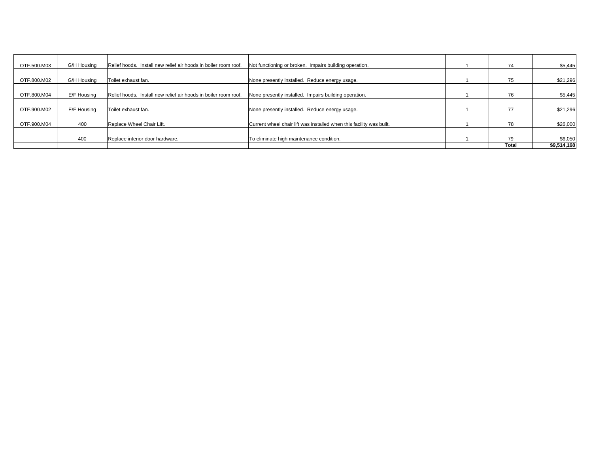| OTF.500.M03 | G/H Housing | Relief hoods. Install new relief air hoods in boiler room roof. | Not functioning or broken. Impairs building operation.               | 74    | \$5,445     |
|-------------|-------------|-----------------------------------------------------------------|----------------------------------------------------------------------|-------|-------------|
|             |             |                                                                 |                                                                      |       |             |
| OTF.800.M02 | G/H Housing | Toilet exhaust fan.                                             | None presently installed. Reduce energy usage.                       | 75    | \$21,296    |
|             |             |                                                                 |                                                                      |       |             |
| OTF.800.M04 | E/F Housing | Relief hoods. Install new relief air hoods in boiler room roof. | None presently installed. Impairs building operation.                | 76    | \$5,445     |
|             |             |                                                                 |                                                                      |       |             |
| OTF.900.M02 | E/F Housing | Toilet exhaust fan.                                             | None presently installed. Reduce energy usage.                       | 77    | \$21,296    |
|             |             |                                                                 |                                                                      |       |             |
| OTF.900.M04 | 400         | Replace Wheel Chair Lift.                                       | Current wheel chair lift was installed when this facility was built. | 78    | \$26,000    |
|             |             |                                                                 |                                                                      |       |             |
|             | 400         | Replace interior door hardware.                                 | To eliminate high maintenance condition.                             | 79    | \$6,050     |
|             |             |                                                                 |                                                                      | Total | \$9,514,168 |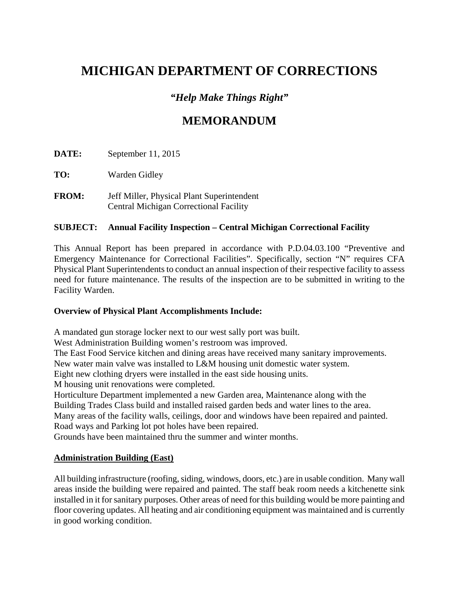# *"Help Make Things Right"*

# **MEMORANDUM**

**DATE:** September 11, 2015

**TO:** Warden Gidley

**FROM:** Jeff Miller, Physical Plant Superintendent Central Michigan Correctional Facility

### **SUBJECT: Annual Facility Inspection – Central Michigan Correctional Facility**

This Annual Report has been prepared in accordance with P.D.04.03.100 "Preventive and Emergency Maintenance for Correctional Facilities". Specifically, section "N" requires CFA Physical Plant Superintendents to conduct an annual inspection of their respective facility to assess need for future maintenance. The results of the inspection are to be submitted in writing to the Facility Warden.

### **Overview of Physical Plant Accomplishments Include:**

A mandated gun storage locker next to our west sally port was built.

West Administration Building women's restroom was improved.

The East Food Service kitchen and dining areas have received many sanitary improvements.

New water main valve was installed to L&M housing unit domestic water system.

Eight new clothing dryers were installed in the east side housing units.

M housing unit renovations were completed.

Horticulture Department implemented a new Garden area, Maintenance along with the

Building Trades Class build and installed raised garden beds and water lines to the area.

Many areas of the facility walls, ceilings, door and windows have been repaired and painted. Road ways and Parking lot pot holes have been repaired.

Grounds have been maintained thru the summer and winter months.

### **Administration Building (East)**

All building infrastructure (roofing, siding, windows, doors, etc.) are in usable condition. Many wall areas inside the building were repaired and painted. The staff beak room needs a kitchenette sink installed in it for sanitary purposes. Other areas of need for this building would be more painting and floor covering updates. All heating and air conditioning equipment was maintained and is currently in good working condition.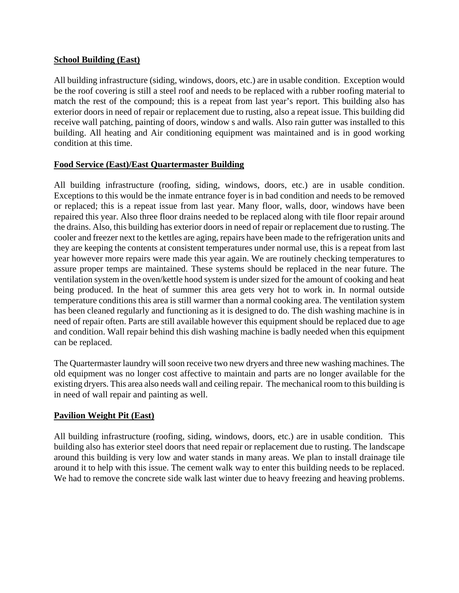#### **School Building (East)**

All building infrastructure (siding, windows, doors, etc.) are in usable condition. Exception would be the roof covering is still a steel roof and needs to be replaced with a rubber roofing material to match the rest of the compound; this is a repeat from last year's report. This building also has exterior doors in need of repair or replacement due to rusting, also a repeat issue. This building did receive wall patching, painting of doors, window s and walls. Also rain gutter was installed to this building. All heating and Air conditioning equipment was maintained and is in good working condition at this time.

#### **Food Service (East)/East Quartermaster Building**

All building infrastructure (roofing, siding, windows, doors, etc.) are in usable condition. Exceptions to this would be the inmate entrance foyer is in bad condition and needs to be removed or replaced; this is a repeat issue from last year. Many floor, walls, door, windows have been repaired this year. Also three floor drains needed to be replaced along with tile floor repair around the drains. Also, this building has exterior doors in need of repair or replacement due to rusting. The cooler and freezer next to the kettles are aging, repairs have been made to the refrigeration units and they are keeping the contents at consistent temperatures under normal use, this is a repeat from last year however more repairs were made this year again. We are routinely checking temperatures to assure proper temps are maintained. These systems should be replaced in the near future. The ventilation system in the oven/kettle hood system is under sized for the amount of cooking and heat being produced. In the heat of summer this area gets very hot to work in. In normal outside temperature conditions this area is still warmer than a normal cooking area. The ventilation system has been cleaned regularly and functioning as it is designed to do. The dish washing machine is in need of repair often. Parts are still available however this equipment should be replaced due to age and condition. Wall repair behind this dish washing machine is badly needed when this equipment can be replaced.

The Quartermaster laundry will soon receive two new dryers and three new washing machines. The old equipment was no longer cost affective to maintain and parts are no longer available for the existing dryers. This area also needs wall and ceiling repair. The mechanical room to this building is in need of wall repair and painting as well.

#### **Pavilion Weight Pit (East)**

All building infrastructure (roofing, siding, windows, doors, etc.) are in usable condition. This building also has exterior steel doors that need repair or replacement due to rusting. The landscape around this building is very low and water stands in many areas. We plan to install drainage tile around it to help with this issue. The cement walk way to enter this building needs to be replaced. We had to remove the concrete side walk last winter due to heavy freezing and heaving problems.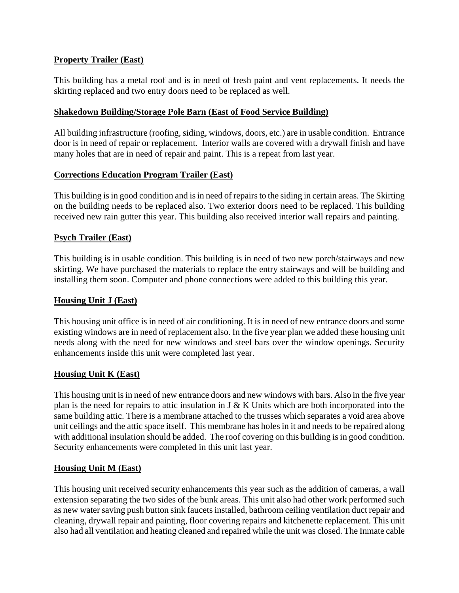#### **Property Trailer (East)**

This building has a metal roof and is in need of fresh paint and vent replacements. It needs the skirting replaced and two entry doors need to be replaced as well.

#### **Shakedown Building/Storage Pole Barn (East of Food Service Building)**

All building infrastructure (roofing, siding, windows, doors, etc.) are in usable condition. Entrance door is in need of repair or replacement. Interior walls are covered with a drywall finish and have many holes that are in need of repair and paint. This is a repeat from last year.

#### **Corrections Education Program Trailer (East)**

This building is in good condition and is in need of repairs to the siding in certain areas. The Skirting on the building needs to be replaced also. Two exterior doors need to be replaced. This building received new rain gutter this year. This building also received interior wall repairs and painting.

#### **Psych Trailer (East)**

This building is in usable condition. This building is in need of two new porch/stairways and new skirting. We have purchased the materials to replace the entry stairways and will be building and installing them soon. Computer and phone connections were added to this building this year.

#### **Housing Unit J (East)**

This housing unit office is in need of air conditioning. It is in need of new entrance doors and some existing windows are in need of replacement also. In the five year plan we added these housing unit needs along with the need for new windows and steel bars over the window openings. Security enhancements inside this unit were completed last year.

#### **Housing Unit K (East)**

This housing unit is in need of new entrance doors and new windows with bars. Also in the five year plan is the need for repairs to attic insulation in J & K Units which are both incorporated into the same building attic. There is a membrane attached to the trusses which separates a void area above unit ceilings and the attic space itself. This membrane has holes in it and needs to be repaired along with additional insulation should be added. The roof covering on this building is in good condition. Security enhancements were completed in this unit last year.

#### **Housing Unit M (East)**

This housing unit received security enhancements this year such as the addition of cameras, a wall extension separating the two sides of the bunk areas. This unit also had other work performed such as new water saving push button sink faucets installed, bathroom ceiling ventilation duct repair and cleaning, drywall repair and painting, floor covering repairs and kitchenette replacement. This unit also had all ventilation and heating cleaned and repaired while the unit was closed. The Inmate cable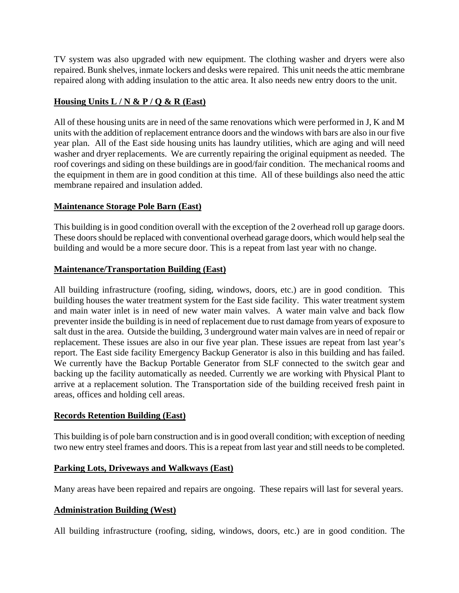TV system was also upgraded with new equipment. The clothing washer and dryers were also repaired. Bunk shelves, inmate lockers and desks were repaired. This unit needs the attic membrane repaired along with adding insulation to the attic area. It also needs new entry doors to the unit.

#### **Housing Units L / N & P / Q & R (East)**

All of these housing units are in need of the same renovations which were performed in J, K and M units with the addition of replacement entrance doors and the windows with bars are also in our five year plan. All of the East side housing units has laundry utilities, which are aging and will need washer and dryer replacements. We are currently repairing the original equipment as needed. The roof coverings and siding on these buildings are in good/fair condition. The mechanical rooms and the equipment in them are in good condition at this time. All of these buildings also need the attic membrane repaired and insulation added.

### **Maintenance Storage Pole Barn (East)**

This building is in good condition overall with the exception of the 2 overhead roll up garage doors. These doors should be replaced with conventional overhead garage doors, which would help seal the building and would be a more secure door. This is a repeat from last year with no change.

#### **Maintenance/Transportation Building (East)**

All building infrastructure (roofing, siding, windows, doors, etc.) are in good condition. This building houses the water treatment system for the East side facility. This water treatment system and main water inlet is in need of new water main valves. A water main valve and back flow preventer inside the building is in need of replacement due to rust damage from years of exposure to salt dust in the area. Outside the building, 3 underground water main valves are in need of repair or replacement. These issues are also in our five year plan. These issues are repeat from last year's report. The East side facility Emergency Backup Generator is also in this building and has failed. We currently have the Backup Portable Generator from SLF connected to the switch gear and backing up the facility automatically as needed. Currently we are working with Physical Plant to arrive at a replacement solution. The Transportation side of the building received fresh paint in areas, offices and holding cell areas.

#### **Records Retention Building (East)**

This building is of pole barn construction and is in good overall condition; with exception of needing two new entry steel frames and doors. This is a repeat from last year and still needs to be completed.

#### **Parking Lots, Driveways and Walkways (East)**

Many areas have been repaired and repairs are ongoing. These repairs will last for several years.

#### **Administration Building (West)**

All building infrastructure (roofing, siding, windows, doors, etc.) are in good condition. The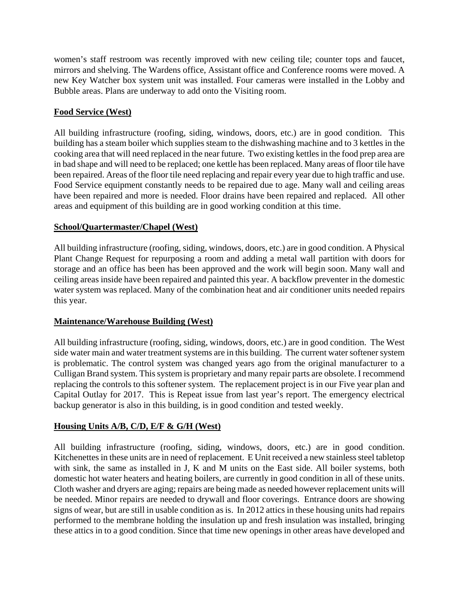women's staff restroom was recently improved with new ceiling tile; counter tops and faucet, mirrors and shelving. The Wardens office, Assistant office and Conference rooms were moved. A new Key Watcher box system unit was installed. Four cameras were installed in the Lobby and Bubble areas. Plans are underway to add onto the Visiting room.

#### **Food Service (West)**

All building infrastructure (roofing, siding, windows, doors, etc.) are in good condition. This building has a steam boiler which supplies steam to the dishwashing machine and to 3 kettles in the cooking area that will need replaced in the near future. Two existing kettles in the food prep area are in bad shape and will need to be replaced; one kettle has been replaced. Many areas of floor tile have been repaired. Areas of the floor tile need replacing and repair every year due to high traffic and use. Food Service equipment constantly needs to be repaired due to age. Many wall and ceiling areas have been repaired and more is needed. Floor drains have been repaired and replaced. All other areas and equipment of this building are in good working condition at this time.

#### **School/Quartermaster/Chapel (West)**

All building infrastructure (roofing, siding, windows, doors, etc.) are in good condition. A Physical Plant Change Request for repurposing a room and adding a metal wall partition with doors for storage and an office has been has been approved and the work will begin soon. Many wall and ceiling areas inside have been repaired and painted this year. A backflow preventer in the domestic water system was replaced. Many of the combination heat and air conditioner units needed repairs this year.

#### **Maintenance/Warehouse Building (West)**

All building infrastructure (roofing, siding, windows, doors, etc.) are in good condition. The West side water main and water treatment systems are in this building. The current water softener system is problematic. The control system was changed years ago from the original manufacturer to a Culligan Brand system. This system is proprietary and many repair parts are obsolete. I recommend replacing the controls to this softener system. The replacement project is in our Five year plan and Capital Outlay for 2017. This is Repeat issue from last year's report. The emergency electrical backup generator is also in this building, is in good condition and tested weekly.

### **Housing Units A/B, C/D, E/F & G/H (West)**

All building infrastructure (roofing, siding, windows, doors, etc.) are in good condition. Kitchenettes in these units are in need of replacement. E Unit received a new stainless steel tabletop with sink, the same as installed in J, K and M units on the East side. All boiler systems, both domestic hot water heaters and heating boilers, are currently in good condition in all of these units. Cloth washer and dryers are aging; repairs are being made as needed however replacement units will be needed. Minor repairs are needed to drywall and floor coverings. Entrance doors are showing signs of wear, but are still in usable condition as is. In 2012 attics in these housing units had repairs performed to the membrane holding the insulation up and fresh insulation was installed, bringing these attics in to a good condition. Since that time new openings in other areas have developed and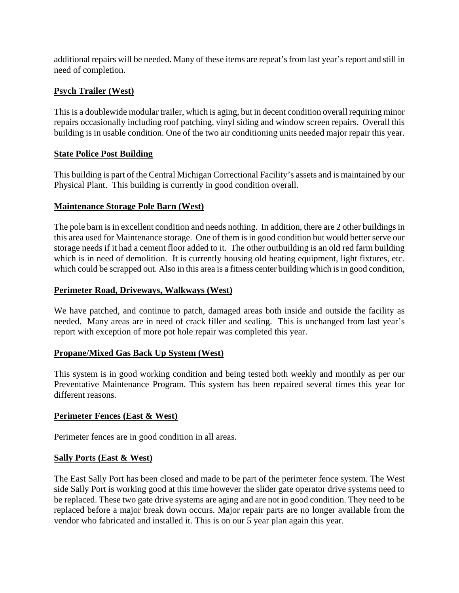additional repairs will be needed. Many of these items are repeat's from last year's report and still in need of completion.

### **Psych Trailer (West)**

This is a doublewide modular trailer, which is aging, but in decent condition overall requiring minor repairs occasionally including roof patching, vinyl siding and window screen repairs. Overall this building is in usable condition. One of the two air conditioning units needed major repair this year.

#### **State Police Post Building**

This building is part of the Central Michigan Correctional Facility's assets and is maintained by our Physical Plant. This building is currently in good condition overall.

### **Maintenance Storage Pole Barn (West)**

The pole barn is in excellent condition and needs nothing. In addition, there are 2 other buildings in this area used for Maintenance storage. One of them is in good condition but would better serve our storage needs if it had a cement floor added to it. The other outbuilding is an old red farm building which is in need of demolition. It is currently housing old heating equipment, light fixtures, etc. which could be scrapped out. Also in this area is a fitness center building which is in good condition,

#### **Perimeter Road, Driveways, Walkways (West)**

We have patched, and continue to patch, damaged areas both inside and outside the facility as needed. Many areas are in need of crack filler and sealing. This is unchanged from last year's report with exception of more pot hole repair was completed this year.

#### **Propane/Mixed Gas Back Up System (West)**

This system is in good working condition and being tested both weekly and monthly as per our Preventative Maintenance Program. This system has been repaired several times this year for different reasons.

#### **Perimeter Fences (East & West)**

Perimeter fences are in good condition in all areas.

#### **Sally Ports (East & West)**

The East Sally Port has been closed and made to be part of the perimeter fence system. The West side Sally Port is working good at this time however the slider gate operator drive systems need to be replaced. These two gate drive systems are aging and are not in good condition. They need to be replaced before a major break down occurs. Major repair parts are no longer available from the vendor who fabricated and installed it. This is on our 5 year plan again this year.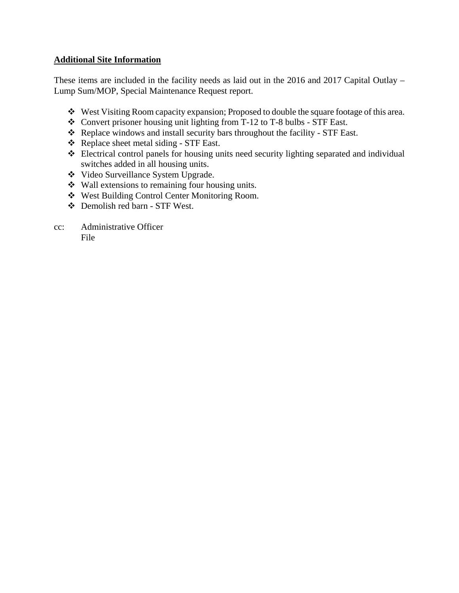#### **Additional Site Information**

These items are included in the facility needs as laid out in the 2016 and 2017 Capital Outlay – Lump Sum/MOP, Special Maintenance Request report.

- West Visiting Room capacity expansion; Proposed to double the square footage of this area.
- Convert prisoner housing unit lighting from T-12 to T-8 bulbs STF East.
- \* Replace windows and install security bars throughout the facility STF East.
- Replace sheet metal siding STF East.
- Electrical control panels for housing units need security lighting separated and individual switches added in all housing units.
- Video Surveillance System Upgrade.
- Wall extensions to remaining four housing units.
- West Building Control Center Monitoring Room.
- Demolish red barn STF West.
- cc: Administrative Officer File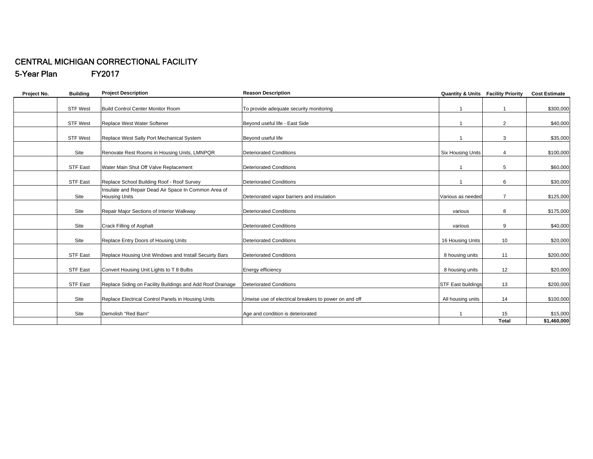#### CENTRAL MICHIGAN CORRECTIONAL FACILITY 5-Year Plan FY2017

| Project No. | <b>Building</b> | <b>Project Description</b>                                                   | <b>Reason Description</b>                             | <b>Quantity &amp; Units Facility Priority</b> |                 | <b>Cost Estimate</b> |
|-------------|-----------------|------------------------------------------------------------------------------|-------------------------------------------------------|-----------------------------------------------|-----------------|----------------------|
|             | <b>STF West</b> | Build Control Center Monitor Room                                            | To provide adequate security monitoring               |                                               |                 | \$300,000            |
|             | <b>STF West</b> | Replace West Water Softener                                                  | Bevond useful life - East Side                        | 1                                             | 2               | \$40,000             |
|             | <b>STF West</b> | Replace West Sally Port Mechanical System                                    | Beyond useful life                                    |                                               | 3               | \$35,000             |
|             | Site            | Renovate Rest Rooms in Housing Units, LMNPQR                                 | <b>Deteriorated Conditions</b>                        | <b>Six Housing Units</b>                      | $\overline{4}$  | \$100,000            |
|             | <b>STF East</b> | Water Main Shut Off Valve Replacement                                        | <b>Deteriorated Conditions</b>                        | -1                                            | 5               | \$60,000             |
|             | <b>STF East</b> | Replace School Building Roof - Roof Survey                                   | <b>Deteriorated Conditions</b>                        |                                               | 6               | \$30,000             |
|             | Site            | Insulate and Repair Dead Air Space In Common Area of<br><b>Housing Units</b> | Deteriorated vapor barriers and insulation            | Various as needed                             | $\overline{7}$  | \$125,000            |
|             | Site            | Repair Major Sections of Interior Walkway                                    | Deteriorated Conditions                               | various                                       | 8               | \$175,000            |
|             | Site            | Crack Filling of Asphalt                                                     | <b>Deteriorated Conditions</b>                        | various                                       | 9               | \$40,000             |
|             | Site            | Replace Entry Doors of Housing Units                                         | <b>Deteriorated Conditions</b>                        | 16 Housing Units                              | 10 <sup>1</sup> | \$20,000             |
|             | <b>STF East</b> | Replace Housing Unit Windows and Install Secuirty Bars                       | <b>Deteriorated Conditions</b>                        | 8 housing units                               | 11              | \$200,000            |
|             | <b>STF East</b> | Convert Housing Unit Lights to T 8 Bulbs                                     | Energy efficiency                                     | 8 housing units                               | 12              | \$20,000             |
|             | <b>STF East</b> | Replace Siding on Facility Buildings and Add Roof Drainage                   | <b>Deteriorated Conditions</b>                        | STF East buildings                            | 13              | \$200,000            |
|             | Site            | Replace Electrical Control Panels in Housing Units                           | Unwise use of electrical breakers to power on and off | All housing units                             | 14              | \$100,000            |
|             | Site            | Demolish "Red Barn"                                                          | Age and condition is deteriorated                     | -1                                            | 15              | \$15,000             |
|             |                 |                                                                              |                                                       |                                               | <b>Total</b>    | \$1,460,000          |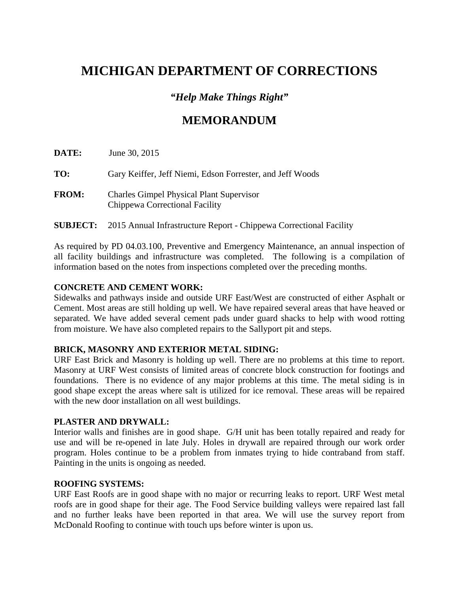### *"Help Make Things Right"*

### **MEMORANDUM**

| <b>DATE:</b> | June 30, 2015                                                                     |
|--------------|-----------------------------------------------------------------------------------|
| TO:          | Gary Keiffer, Jeff Niemi, Edson Forrester, and Jeff Woods                         |
| <b>FROM:</b> | <b>Charles Gimpel Physical Plant Supervisor</b><br>Chippewa Correctional Facility |

#### **SUBJECT:** 2015 Annual Infrastructure Report - Chippewa Correctional Facility

As required by PD 04.03.100, Preventive and Emergency Maintenance, an annual inspection of all facility buildings and infrastructure was completed. The following is a compilation of information based on the notes from inspections completed over the preceding months.

#### **CONCRETE AND CEMENT WORK:**

Sidewalks and pathways inside and outside URF East/West are constructed of either Asphalt or Cement. Most areas are still holding up well. We have repaired several areas that have heaved or separated. We have added several cement pads under guard shacks to help with wood rotting from moisture. We have also completed repairs to the Sallyport pit and steps.

#### **BRICK, MASONRY AND EXTERIOR METAL SIDING:**

URF East Brick and Masonry is holding up well. There are no problems at this time to report. Masonry at URF West consists of limited areas of concrete block construction for footings and foundations. There is no evidence of any major problems at this time. The metal siding is in good shape except the areas where salt is utilized for ice removal. These areas will be repaired with the new door installation on all west buildings.

#### **PLASTER AND DRYWALL:**

Interior walls and finishes are in good shape. G/H unit has been totally repaired and ready for use and will be re-opened in late July. Holes in drywall are repaired through our work order program. Holes continue to be a problem from inmates trying to hide contraband from staff. Painting in the units is ongoing as needed.

#### **ROOFING SYSTEMS:**

URF East Roofs are in good shape with no major or recurring leaks to report. URF West metal roofs are in good shape for their age. The Food Service building valleys were repaired last fall and no further leaks have been reported in that area. We will use the survey report from McDonald Roofing to continue with touch ups before winter is upon us.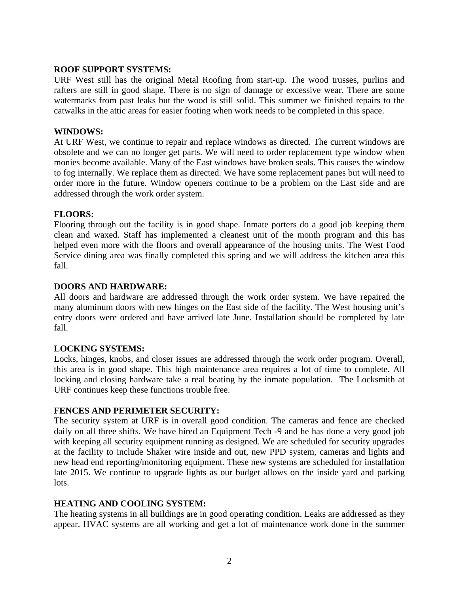#### **ROOF SUPPORT SYSTEMS:**

URF West still has the original Metal Roofing from start-up. The wood trusses, purlins and rafters are still in good shape. There is no sign of damage or excessive wear. There are some watermarks from past leaks but the wood is still solid. This summer we finished repairs to the catwalks in the attic areas for easier footing when work needs to be completed in this space.

#### **WINDOWS:**

At URF West, we continue to repair and replace windows as directed. The current windows are obsolete and we can no longer get parts. We will need to order replacement type window when monies become available. Many of the East windows have broken seals. This causes the window to fog internally. We replace them as directed. We have some replacement panes but will need to order more in the future. Window openers continue to be a problem on the East side and are addressed through the work order system.

#### **FLOORS:**

Flooring through out the facility is in good shape. Inmate porters do a good job keeping them clean and waxed. Staff has implemented a cleanest unit of the month program and this has helped even more with the floors and overall appearance of the housing units. The West Food Service dining area was finally completed this spring and we will address the kitchen area this fall.

#### **DOORS AND HARDWARE:**

All doors and hardware are addressed through the work order system. We have repaired the many aluminum doors with new hinges on the East side of the facility. The West housing unit's entry doors were ordered and have arrived late June. Installation should be completed by late fall.

#### **LOCKING SYSTEMS:**

Locks, hinges, knobs, and closer issues are addressed through the work order program. Overall, this area is in good shape. This high maintenance area requires a lot of time to complete. All locking and closing hardware take a real beating by the inmate population. The Locksmith at URF continues keep these functions trouble free.

#### **FENCES AND PERIMETER SECURITY:**

The security system at URF is in overall good condition. The cameras and fence are checked daily on all three shifts. We have hired an Equipment Tech -9 and he has done a very good job with keeping all security equipment running as designed. We are scheduled for security upgrades at the facility to include Shaker wire inside and out, new PPD system, cameras and lights and new head end reporting/monitoring equipment. These new systems are scheduled for installation late 2015. We continue to upgrade lights as our budget allows on the inside yard and parking lots.

#### **HEATING AND COOLING SYSTEM:**

The heating systems in all buildings are in good operating condition. Leaks are addressed as they appear. HVAC systems are all working and get a lot of maintenance work done in the summer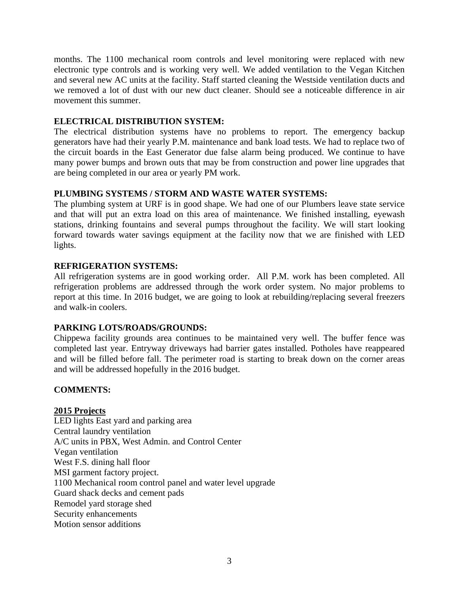months. The 1100 mechanical room controls and level monitoring were replaced with new electronic type controls and is working very well. We added ventilation to the Vegan Kitchen and several new AC units at the facility. Staff started cleaning the Westside ventilation ducts and we removed a lot of dust with our new duct cleaner. Should see a noticeable difference in air movement this summer.

#### **ELECTRICAL DISTRIBUTION SYSTEM:**

The electrical distribution systems have no problems to report. The emergency backup generators have had their yearly P.M. maintenance and bank load tests. We had to replace two of the circuit boards in the East Generator due false alarm being produced. We continue to have many power bumps and brown outs that may be from construction and power line upgrades that are being completed in our area or yearly PM work.

#### **PLUMBING SYSTEMS / STORM AND WASTE WATER SYSTEMS:**

The plumbing system at URF is in good shape. We had one of our Plumbers leave state service and that will put an extra load on this area of maintenance. We finished installing, eyewash stations, drinking fountains and several pumps throughout the facility. We will start looking forward towards water savings equipment at the facility now that we are finished with LED lights.

#### **REFRIGERATION SYSTEMS:**

All refrigeration systems are in good working order. All P.M. work has been completed. All refrigeration problems are addressed through the work order system. No major problems to report at this time. In 2016 budget, we are going to look at rebuilding/replacing several freezers and walk-in coolers.

#### **PARKING LOTS/ROADS/GROUNDS:**

Chippewa facility grounds area continues to be maintained very well. The buffer fence was completed last year. Entryway driveways had barrier gates installed. Potholes have reappeared and will be filled before fall. The perimeter road is starting to break down on the corner areas and will be addressed hopefully in the 2016 budget.

#### **COMMENTS:**

#### **2015 Projects**

LED lights East yard and parking area Central laundry ventilation A/C units in PBX, West Admin. and Control Center Vegan ventilation West F.S. dining hall floor MSI garment factory project. 1100 Mechanical room control panel and water level upgrade Guard shack decks and cement pads Remodel yard storage shed Security enhancements Motion sensor additions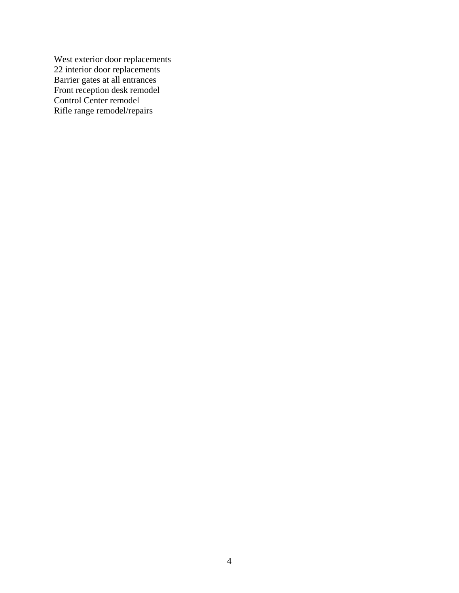West exterior door replacements 22 interior door replacements Barrier gates at all entrances Front reception desk remodel Control Center remodel Rifle range remodel/repairs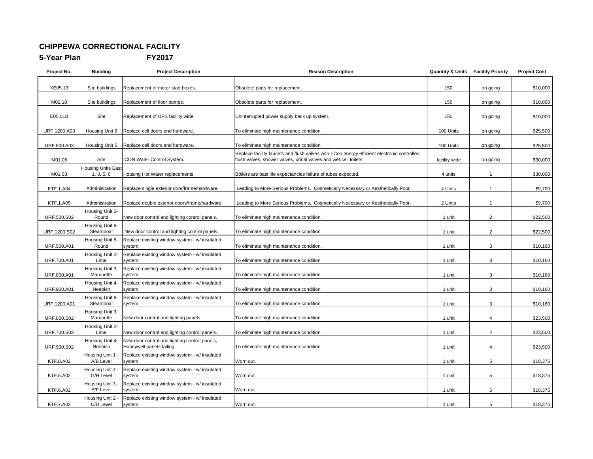#### **CHIPPEWA CORRECTIONAL FACILITY**

**5-Year Plan** 

#### FY2017

| Project No.      | <b>Building</b>                         | <b>Project Description</b>                                                 | <b>Reason Description</b>                                                                                                                                       | <b>Quantity &amp; Units</b> | <b>Facility Priority</b> | <b>Project Cost</b> |
|------------------|-----------------------------------------|----------------------------------------------------------------------------|-----------------------------------------------------------------------------------------------------------------------------------------------------------------|-----------------------------|--------------------------|---------------------|
| XE05.13          | Site buildings                          | Replacement of motor start boxes.                                          | Obsolete parts for replacement.                                                                                                                                 | 150                         | on going                 | \$10,000            |
| M02.10           | Site buildings                          | Replacement of floor pumps.                                                | Obsolete parts for replacement.                                                                                                                                 | 150                         | on going                 | \$10,000            |
| E05.01B          | Site                                    | Replacement of UPS facility wide.                                          | Uninterrupted power supply back up system.                                                                                                                      | 150                         | on going                 | \$10,000            |
| URF.1200.A03     | Housing Unit 6                          | Replace cell doors and hardware.                                           | To eliminate high maintenance condition.                                                                                                                        | 100 Units                   | on going                 | \$25,500            |
| URF.500.A03      | Housing Unit 5                          | Replace cell doors and hardware.                                           | To eliminate high maintenance condition.                                                                                                                        | 100 Units                   | on going                 | \$25,500            |
| M01.05           | Site                                    | ICON Water Control System.                                                 | Replace facility faucets and flush valves with I-Con energy efficient electronic controlled<br>flush valves, shower valves, urinal valves and wet cell toilets. | facility wide               | on going                 | \$30,000            |
| M01.03           | <b>Housing Units East</b><br>1, 3, 5, 6 | Housing Hot Water replacements.                                            | Boilers are past life expectancies failure of tubes expected.                                                                                                   | 4 units                     | $\mathbf{1}$             | \$30,000            |
| <b>KTF.1.A04</b> | Administration                          | Replace single exterior door/frame/hardware.                               | Leading to More Serious Problems. Cosmetically Necessary or Aesthetically Poor.                                                                                 | 4 Units                     | $\mathbf{1}$             | \$9,700             |
| KTF.1.A05        | Administration                          | Replace double exterior doors/frame/hardware.                              | Leading to More Serious Problems. Cosmetically Necessary or Aesthetically Poor.                                                                                 | 2 Units                     | $\mathbf{1}$             | \$9,700             |
| URF.500.S02      | Housing Unit 5-<br>Round                | New door control and lighting control panels.                              | To eliminate high maintenance condition.                                                                                                                        | 1 unit                      | $\overline{2}$           | \$22,500            |
| URF.1200.S02     | Housing Unit 6-<br>Steamboat            | New door control and lighting control panels.                              | To eliminate high maintenance condition.                                                                                                                        | 1 unit                      | $\overline{2}$           | \$22,500            |
| URF.500.A01      | Housing Unit 5-<br>Round                | Replace existing window system - w/ insulated<br>system.                   | To eliminate high maintenance condition.                                                                                                                        | 1 unit                      | 3                        | \$10,160            |
| URF.700.A01      | Housing Unit 2-<br>Lime                 | Replace existing window system - w/ insulated<br>system.                   | To eliminate high maintenance condition.                                                                                                                        | 1 unit                      | 3                        | \$10,160            |
| URF.800.A01      | Housing Unit 3-<br>Marquette            | Replace existing window system - w/ insulated<br>system.                   | To eliminate high maintenance condition.                                                                                                                        | 1 unit                      | 3                        | \$10,160            |
| URF.900.A01      | Housing Unit 4-<br>Neebish              | Replace existing window system - w/ insulated<br>system.                   | To eliminate high maintenance condition.                                                                                                                        | 1 unit                      | 3                        | \$10,160            |
| URF.1200.A01     | Housing Unit 6-<br>Steamboat            | Replace existing window system - w/ insulated<br>system.                   | To eliminate high maintenance condition.                                                                                                                        | 1 unit                      | 3                        | \$10,160            |
| URF.800.S02      | Housing Unit 3-<br>Marquette            | New door control and lighting panels.                                      | To eliminate high maintenance condition.                                                                                                                        | 1 unit                      | $\overline{4}$           | \$23,500            |
| URF.700.S02      | Housing Unit 2-<br>Lime                 | New door control and lighting control panels.                              | To eliminate high maintenance condition.                                                                                                                        | 1 unit                      | $\overline{4}$           | \$23,500            |
| URF.900.S02      | Housing Unit 4-<br>Neebish              | New door control and lighting control panels,<br>Honeywell panels failing. | To eliminate high maintenance condition.                                                                                                                        | 1 unit                      | $\overline{4}$           | \$23,500            |
| KTF.8.A02        | Housing Unit 1<br>A/B Level             | Replace existing window system - w/ insulated<br>system.                   | Worn out.                                                                                                                                                       | 1 unit                      | 5                        | \$18,375            |
| KTF.5.A02        | Housing Unit 4 -<br>G/H Level           | Replace existing window system - w/ insulated<br>system.                   | Worn out.                                                                                                                                                       | 1 unit                      | 5                        | \$18,375            |
| KTF.6.A02        | Housing Unit 3 -<br>E/F Level           | Replace existing window system - w/ insulated<br>system.                   | Worn out.                                                                                                                                                       | 1 unit                      | 5                        | \$18,375            |
| <b>KTF.7.A02</b> | Housing Unit 2 -<br>C/D Level           | Replace existing window system - w/ insulated<br>system.                   | Worn out.                                                                                                                                                       | 1 unit                      | 5                        | \$18,375            |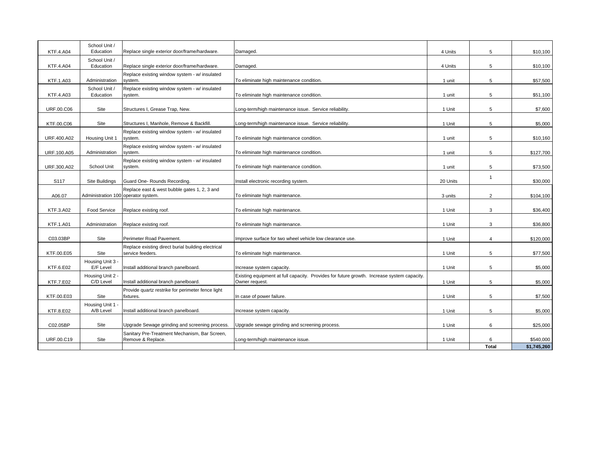| <b>KTF.4.A04</b>  | School Unit /<br>Education          | Replace single exterior door/frame/hardware.                           | Damaged.                                                                                                     | 4 Units  | 5              | \$10,100    |
|-------------------|-------------------------------------|------------------------------------------------------------------------|--------------------------------------------------------------------------------------------------------------|----------|----------------|-------------|
| <b>KTF.4.A04</b>  | School Unit /<br>Education          | Replace single exterior door/frame/hardware.                           | Damaged.                                                                                                     | 4 Units  | 5              | \$10,100    |
| <b>KTF.1.A03</b>  | Administration                      | Replace existing window system - w/ insulated<br>system.               | To eliminate high maintenance condition.                                                                     | 1 unit   | 5              | \$57,500    |
| <b>KTF.4.A03</b>  | School Unit /<br>Education          | Replace existing window system - w/ insulated<br>system.               | To eliminate high maintenance condition.                                                                     | 1 unit   | 5              | \$51,100    |
| <b>URF.00.C06</b> | Site                                | Structures I, Grease Trap, New.                                        | Long-term/high maintenance issue. Service reliability.                                                       | 1 Unit   | 5              | \$7,600     |
| KTF.00.C06        | Site                                | Structures I, Manhole, Remove & Backfill.                              | Long-term/high maintenance issue. Service reliability.                                                       | 1 Unit   | 5              | \$5,000     |
| URF.400.A02       | Housing Unit 1                      | Replace existing window system - w/ insulated<br>system.               | To eliminate high maintenance condition.                                                                     | 1 unit   | 5              | \$10,160    |
| URF.100.A05       | Administration                      | Replace existing window system - w/ insulated<br>system.               | To eliminate high maintenance condition.                                                                     | 1 unit   | 5              | \$127,700   |
| URF.300.A02       | School Unit                         | Replace existing window system - w/ insulated<br>system.               | To eliminate high maintenance condition.                                                                     | 1 unit   | 5              | \$73,500    |
| S <sub>117</sub>  | Site Buildings                      | Guard One-Rounds Recording.                                            | Install electronic recording system.                                                                         | 20 Units | $\overline{1}$ | \$30,000    |
| A06.07            | Administration 100 operator system. | Replace east & west bubble gates 1, 2, 3 and                           | To eliminate high maintenance.                                                                               | 3 units  | $\overline{2}$ | \$104,100   |
| KTF.3.A02         | Food Service                        | Replace existing roof.                                                 | To eliminate high maintenance.                                                                               | 1 Unit   | 3              | \$36,400    |
| <b>KTF.1.A01</b>  | Administration                      | Replace existing roof.                                                 | To eliminate high maintenance.                                                                               | 1 Unit   | 3              | \$36,800    |
| C03.03BP          | Site                                | Perimeter Road Pavement.                                               | Improve surface for two wheel vehicle low clearance use.                                                     | 1 Unit   | $\overline{4}$ | \$120,000   |
| KTF.00.E05        | Site                                | Replace existing direct burial building electrical<br>service feeders. | To eliminate high maintenance.                                                                               | 1 Unit   | 5              | \$77,500    |
| KTF.6.E02         | Housing Unit 3 -<br>E/F Level       | Install additional branch panelboard.                                  | Increase system capacity.                                                                                    | 1 Unit   | 5              | \$5,000     |
| <b>KTF.7.E02</b>  | Housing Unit 2 -<br>C/D Level       | Install additional branch panelboard.                                  | Existing equipment at full capacity. Provides for future growth. Increase system capacity.<br>Owner request. | 1 Unit   | 5              | \$5,000     |
| KTF.00.E03        | Site                                | Provide quartz restrike for perimeter fence light<br>fixtures.         | In case of power failure.                                                                                    | 1 Unit   | 5              | \$7,500     |
| KTF.8.E02         | Housing Unit 1 -<br>A/B Level       | Install additional branch panelboard.                                  | Increase system capacity.                                                                                    | 1 Unit   | 5              | \$5,000     |
| C02.05BP          | Site                                | Upgrade Sewage grinding and screening process.                         | Upgrade sewage grinding and screening process.                                                               | 1 Unit   | 6              | \$25,000    |
| URF.00.C19        | Site                                | Sanitary Pre-Treatment Mechanism, Bar Screen,<br>Remove & Replace.     | Long-term/high maintenance issue.                                                                            | 1 Unit   | 6              | \$540,000   |
|                   |                                     |                                                                        |                                                                                                              |          | <b>Total</b>   | \$1,745,260 |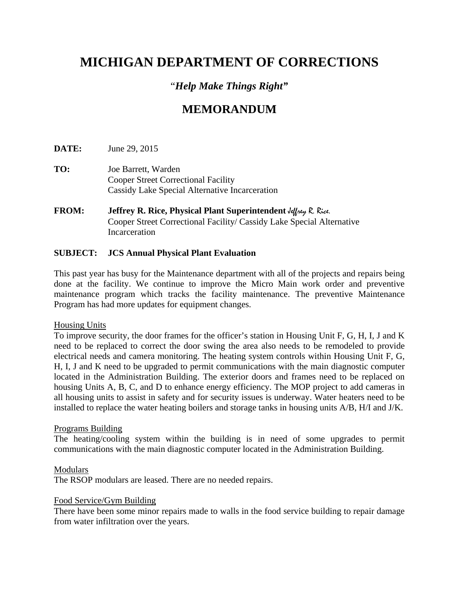### "*Help Make Things Right"*

## **MEMORANDUM**

**DATE:** June 29, 2015

- **TO:** Joe Barrett, Warden Cooper Street Correctional Facility Cassidy Lake Special Alternative Incarceration
- **FROM: Jeffrey R. Rice, Physical Plant Superintendent Jeffrey R. Rice.**  Cooper Street Correctional Facility/ Cassidy Lake Special Alternative **Incarceration**

#### **SUBJECT: JCS Annual Physical Plant Evaluation**

This past year has busy for the Maintenance department with all of the projects and repairs being done at the facility. We continue to improve the Micro Main work order and preventive maintenance program which tracks the facility maintenance. The preventive Maintenance Program has had more updates for equipment changes.

#### Housing Units

To improve security, the door frames for the officer's station in Housing Unit F, G, H, I, J and K need to be replaced to correct the door swing the area also needs to be remodeled to provide electrical needs and camera monitoring. The heating system controls within Housing Unit F, G, H, I, J and K need to be upgraded to permit communications with the main diagnostic computer located in the Administration Building. The exterior doors and frames need to be replaced on housing Units A, B, C, and D to enhance energy efficiency. The MOP project to add cameras in all housing units to assist in safety and for security issues is underway. Water heaters need to be installed to replace the water heating boilers and storage tanks in housing units A/B, H/I and J/K.

#### Programs Building

The heating/cooling system within the building is in need of some upgrades to permit communications with the main diagnostic computer located in the Administration Building.

#### Modulars

The RSOP modulars are leased. There are no needed repairs.

#### Food Service/Gym Building

There have been some minor repairs made to walls in the food service building to repair damage from water infiltration over the years.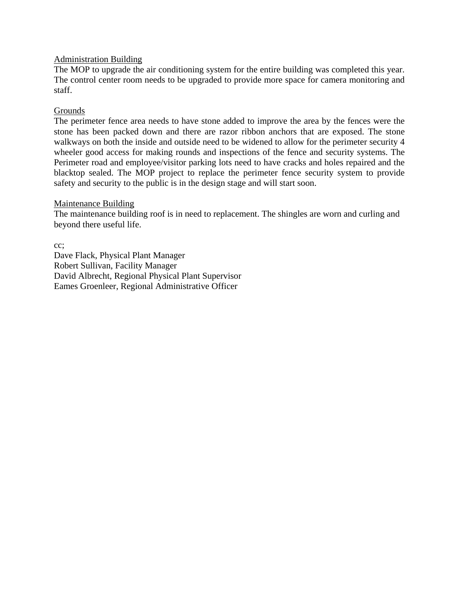#### Administration Building

The MOP to upgrade the air conditioning system for the entire building was completed this year. The control center room needs to be upgraded to provide more space for camera monitoring and staff.

#### Grounds

The perimeter fence area needs to have stone added to improve the area by the fences were the stone has been packed down and there are razor ribbon anchors that are exposed. The stone walkways on both the inside and outside need to be widened to allow for the perimeter security 4 wheeler good access for making rounds and inspections of the fence and security systems. The Perimeter road and employee/visitor parking lots need to have cracks and holes repaired and the blacktop sealed. The MOP project to replace the perimeter fence security system to provide safety and security to the public is in the design stage and will start soon.

#### Maintenance Building

The maintenance building roof is in need to replacement. The shingles are worn and curling and beyond there useful life.

cc; Dave Flack, Physical Plant Manager Robert Sullivan, Facility Manager David Albrecht, Regional Physical Plant Supervisor Eames Groenleer, Regional Administrative Officer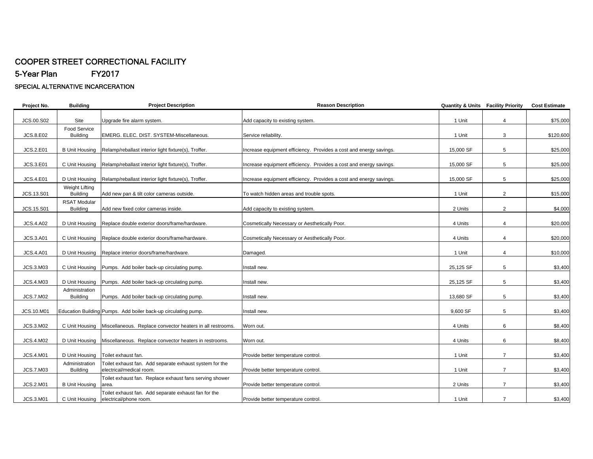## COOPER STREET CORRECTIONAL FACILITY

5-Year Plan FY2017

#### SPECIAL ALTERNATIVE INCARCERATION

| Project No.      | <b>Building</b>                         | <b>Project Description</b>                                                     | <b>Reason Description</b>                                          | <b>Quantity &amp; Units Facility Priority</b> |                | <b>Cost Estimate</b> |
|------------------|-----------------------------------------|--------------------------------------------------------------------------------|--------------------------------------------------------------------|-----------------------------------------------|----------------|----------------------|
|                  |                                         |                                                                                |                                                                    |                                               |                |                      |
| JCS.00.S02       | Site                                    | Upgrade fire alarm system.                                                     | Add capacity to existing system.                                   | 1 Unit                                        | $\overline{4}$ | \$75,000             |
| <b>JCS.8.E02</b> | Food Service<br><b>Building</b>         | EMERG. ELEC. DIST. SYSTEM-Miscellaneous.                                       | Service reliability.                                               | 1 Unit                                        | 3              | \$120,600            |
|                  |                                         |                                                                                |                                                                    |                                               |                |                      |
| <b>JCS.2.E01</b> | <b>B Unit Housing</b>                   | Relamp/reballast interior light fixture(s), Troffer.                           | Increase equipment efficiency. Provides a cost and energy savings. | 15,000 SF                                     | 5              | \$25,000             |
|                  |                                         |                                                                                |                                                                    |                                               |                |                      |
| JCS.3.E01        | C Unit Housing                          | Relamp/reballast interior light fixture(s), Troffer.                           | Increase equipment efficiency. Provides a cost and energy savings. | 15,000 SF                                     | 5              | \$25,000             |
|                  |                                         |                                                                                |                                                                    | 15,000 SF                                     | 5              | \$25,000             |
| <b>JCS.4.E01</b> | D Unit Housing<br><b>Weight Lifting</b> | Relamp/reballast interior light fixture(s), Troffer.                           | Increase equipment efficiency. Provides a cost and energy savings. |                                               |                |                      |
| JCS.13.S01       | <b>Building</b>                         | Add new pan & tilt color cameras outside.                                      | To watch hidden areas and trouble spots.                           | 1 Unit                                        | $\overline{2}$ | \$15,000             |
|                  | <b>RSAT Modular</b>                     |                                                                                |                                                                    |                                               |                |                      |
| JCS.15.S01       | <b>Building</b>                         | Add new fixed color cameras inside.                                            | Add capacity to existing system.                                   | 2 Units                                       | $\overline{2}$ | \$4,000              |
|                  |                                         |                                                                                |                                                                    |                                               |                |                      |
| <b>JCS.4.A02</b> | D Unit Housing                          | Replace double exterior doors/frame/hardware.                                  | Cosmetically Necessary or Aesthetically Poor.                      | 4 Units                                       | 4              | \$20,000             |
|                  |                                         |                                                                                |                                                                    |                                               |                |                      |
| <b>JCS.3.A01</b> | C Unit Housing                          | Replace double exterior doors/frame/hardware.                                  | Cosmetically Necessary or Aesthetically Poor.                      | 4 Units                                       | 4              | \$20,000             |
| <b>JCS.4.A01</b> | D Unit Housing                          | Replace interior doors/frame/hardware.                                         | Damaged.                                                           | 1 Unit                                        | 4              | \$10,000             |
|                  |                                         |                                                                                |                                                                    |                                               |                |                      |
| JCS.3.M03        | C Unit Housing                          | Pumps. Add boiler back-up circulating pump.                                    | Install new.                                                       | 25,125 SF                                     | 5              | \$3,400              |
|                  |                                         |                                                                                |                                                                    |                                               |                |                      |
| JCS.4.M03        | D Unit Housing                          | Pumps. Add boiler back-up circulating pump.                                    | Install new.                                                       | 25,125 SF                                     | 5              | \$3,400              |
|                  | Administration                          |                                                                                |                                                                    |                                               |                |                      |
| <b>JCS.7.M02</b> | <b>Building</b>                         | Pumps. Add boiler back-up circulating pump.                                    | Install new.                                                       | 13,680 SF                                     | 5              | \$3,400              |
|                  |                                         |                                                                                |                                                                    |                                               |                |                      |
| JCS.10.M01       |                                         | Education Building Pumps. Add boiler back-up circulating pump.                 | Install new.                                                       | 9,600 SF                                      | 5              | \$3,400              |
| JCS.3.M02        | C Unit Housing                          | Miscellaneous. Replace convector heaters in all restrooms.                     | Worn out.                                                          | 4 Units                                       | 6              | \$8,400              |
|                  |                                         |                                                                                |                                                                    |                                               |                |                      |
| <b>JCS.4.M02</b> | D Unit Housing                          | Miscellaneous. Replace convector heaters in restrooms.                         | Worn out.                                                          | 4 Units                                       | 6              | \$8,400              |
|                  |                                         |                                                                                |                                                                    |                                               |                |                      |
| <b>JCS.4.M01</b> | D Unit Housing                          | Toilet exhaust fan.                                                            | Provide better temperature control.                                | 1 Unit                                        | $\overline{7}$ | \$3,400              |
|                  | Administration                          | Toilet exhaust fan. Add separate exhaust system for the                        |                                                                    |                                               |                |                      |
| <b>JCS.7.M03</b> | <b>Building</b>                         | electrical/medical room.                                                       | Provide better temperature control.                                | 1 Unit                                        | $\overline{7}$ | \$3,400              |
|                  |                                         | Toilet exhaust fan. Replace exhaust fans serving shower                        |                                                                    |                                               |                |                      |
| JCS.2.M01        | <b>B Unit Housing</b>                   | area.                                                                          | Provide better temperature control.                                | 2 Units                                       | $\overline{7}$ | \$3,400              |
| JCS.3.M01        | C Unit Housing                          | Toilet exhaust fan. Add separate exhaust fan for the<br>electrical/phone room. | Provide better temperature control.                                | 1 Unit                                        | $\overline{7}$ | \$3,400              |
|                  |                                         |                                                                                |                                                                    |                                               |                |                      |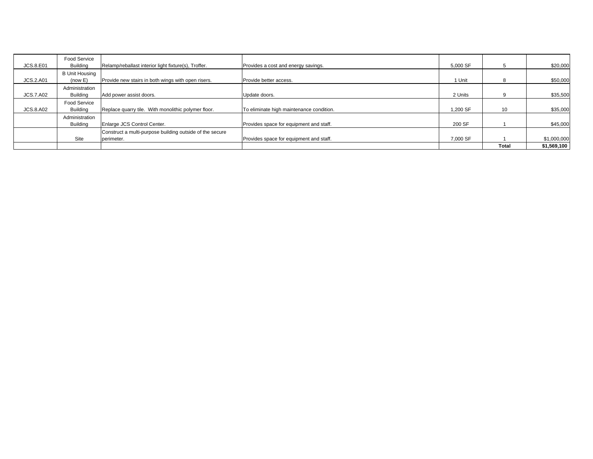| <b>JCS.8.E01</b> | Food Service<br>Buildina         | Relamp/reballast interior light fixture(s), Troffer.                   | Provides a cost and energy savings.      | 5.000 SF | 5            | \$20,000    |
|------------------|----------------------------------|------------------------------------------------------------------------|------------------------------------------|----------|--------------|-------------|
| <b>JCS.2.A01</b> | <b>B Unit Housing</b><br>(now E) | Provide new stairs in both wings with open risers.                     | Provide better access.                   | 1 Unit   | 8            | \$50,000    |
| <b>JCS.7.A02</b> | Administration<br>Buildina       | Add power assist doors.                                                | Update doors.                            | 2 Units  | 9            | \$35,500    |
| <b>JCS.8.A02</b> | <b>Food Service</b><br>Building  | Replace quarry tile. With monolithic polymer floor.                    | To eliminate high maintenance condition. | 1.200 SF | 10           | \$35,000    |
|                  | Administration<br>Building       | Enlarge JCS Control Center.                                            | Provides space for equipment and staff.  | 200 SF   |              | \$45,000    |
|                  | Site                             | Construct a multi-purpose building outside of the secure<br>perimeter. | Provides space for equipment and staff.  | 7.000 SF |              | \$1,000,000 |
|                  |                                  |                                                                        |                                          |          | <b>Total</b> | \$1,569,100 |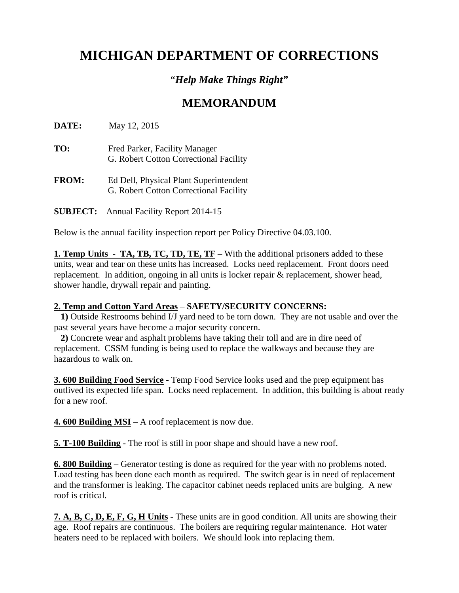### "*Help Make Things Right"*

### **MEMORANDUM**

**DATE:** May 12, 2015

- **TO:** Fred Parker, Facility Manager G. Robert Cotton Correctional Facility
- **FROM:** Ed Dell, Physical Plant Superintendent G. Robert Cotton Correctional Facility

**SUBJECT:** Annual Facility Report 2014-15

Below is the annual facility inspection report per Policy Directive 04.03.100.

**1. Temp Units - TA, TB, TC, TD, TE, TF** – With the additional prisoners added to these units, wear and tear on these units has increased. Locks need replacement. Front doors need replacement. In addition, ongoing in all units is locker repair & replacement, shower head, shower handle, drywall repair and painting.

#### **2. Temp and Cotton Yard Areas** – **SAFETY/SECURITY CONCERNS:**

 **1)** Outside Restrooms behind I/J yard need to be torn down. They are not usable and over the past several years have become a major security concern.

 **2)** Concrete wear and asphalt problems have taking their toll and are in dire need of replacement. CSSM funding is being used to replace the walkways and because they are hazardous to walk on.

**3. 600 Building Food Service** - Temp Food Service looks used and the prep equipment has outlived its expected life span. Locks need replacement. In addition, this building is about ready for a new roof.

**4. 600 Building MSI** – A roof replacement is now due.

**5. T-100 Building** - The roof is still in poor shape and should have a new roof.

**6. 800 Building** – Generator testing is done as required for the year with no problems noted. Load testing has been done each month as required. The switch gear is in need of replacement and the transformer is leaking. The capacitor cabinet needs replaced units are bulging. A new roof is critical.

**7. A, B, C, D, E, F, G, H Units** - These units are in good condition. All units are showing their age. Roof repairs are continuous. The boilers are requiring regular maintenance. Hot water heaters need to be replaced with boilers. We should look into replacing them.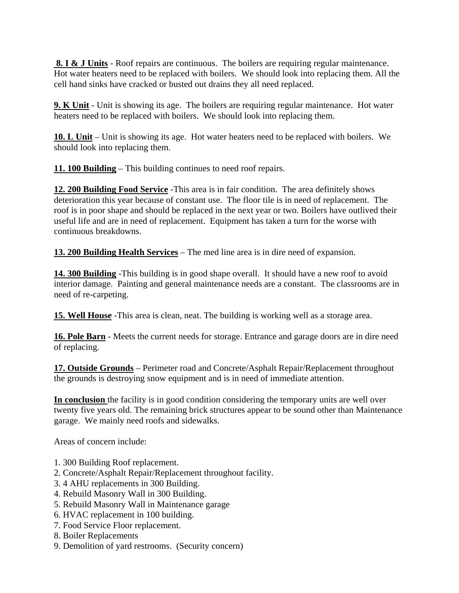**8. I & J Units** - Roof repairs are continuous. The boilers are requiring regular maintenance. Hot water heaters need to be replaced with boilers. We should look into replacing them. All the cell hand sinks have cracked or busted out drains they all need replaced.

**9. K Unit** - Unit is showing its age. The boilers are requiring regular maintenance. Hot water heaters need to be replaced with boilers. We should look into replacing them.

**10. L Unit** – Unit is showing its age. Hot water heaters need to be replaced with boilers. We should look into replacing them.

**11. 100 Building** – This building continues to need roof repairs.

**12. 200 Building Food Service** -This area is in fair condition. The area definitely shows deterioration this year because of constant use. The floor tile is in need of replacement. The roof is in poor shape and should be replaced in the next year or two. Boilers have outlived their useful life and are in need of replacement. Equipment has taken a turn for the worse with continuous breakdowns.

**13. 200 Building Health Services** – The med line area is in dire need of expansion.

**14. 300 Building** -This building is in good shape overall. It should have a new roof to avoid interior damage. Painting and general maintenance needs are a constant. The classrooms are in need of re-carpeting.

**15. Well House** -This area is clean, neat. The building is working well as a storage area.

**16. Pole Barn** - Meets the current needs for storage. Entrance and garage doors are in dire need of replacing.

**17. Outside Grounds** – Perimeter road and Concrete/Asphalt Repair/Replacement throughout the grounds is destroying snow equipment and is in need of immediate attention.

**In conclusion** the facility is in good condition considering the temporary units are well over twenty five years old. The remaining brick structures appear to be sound other than Maintenance garage. We mainly need roofs and sidewalks.

Areas of concern include:

- 1. 300 Building Roof replacement.
- 2. Concrete/Asphalt Repair/Replacement throughout facility.
- 3. 4 AHU replacements in 300 Building.
- 4. Rebuild Masonry Wall in 300 Building.
- 5. Rebuild Masonry Wall in Maintenance garage
- 6. HVAC replacement in 100 building.
- 7. Food Service Floor replacement.
- 8. Boiler Replacements
- 9. Demolition of yard restrooms. (Security concern)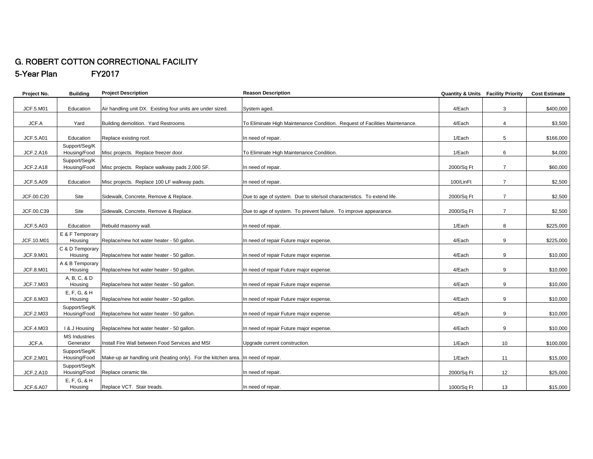#### G. ROBERT COTTON CORRECTIONAL FACILITY 5-Year Plan FY2017

| Project No.      | <b>Building</b>                       | <b>Project Description</b>                                                         | <b>Reason Description</b>                                                   | <b>Quantity &amp; Units Facility Priority</b> |                | <b>Cost Estimate</b> |
|------------------|---------------------------------------|------------------------------------------------------------------------------------|-----------------------------------------------------------------------------|-----------------------------------------------|----------------|----------------------|
| JCF.5.M01        | Education                             | Air handling unit DX. Existing four units are under sized.                         | System aged.                                                                | 4/Each                                        | 3              | \$400,000            |
|                  |                                       |                                                                                    |                                                                             |                                               |                |                      |
| JCF.A            | Yard                                  | Building demolition. Yard Restrooms                                                | To Eliminate High Maintenance Condition. Request of Facilities Maintenance. | 4/Each                                        | $\overline{4}$ | \$3,500              |
| <b>JCF.5.A01</b> | Education                             | Replace existing roof.                                                             | In need of repair.                                                          | 1/Each                                        | 5              | \$166,000            |
| JCF.2.A16        | Support/Seq/K<br>Housing/Food         | Misc projects. Replace freezer door.                                               | To Eliminate High Maintenance Condition.                                    | 1/Each                                        | 6              | \$4,000              |
| <b>JCF.2.A18</b> | Support/Seg/K<br>Housing/Food         | Misc projects. Replace walkway pads 2,000 SF.                                      | In need of repair.                                                          | 2000/Sq Ft                                    | $\overline{7}$ | \$60,000             |
| <b>JCF.5.A09</b> | Education                             | Misc projects. Replace 100 LF walkway pads.                                        | In need of repair.                                                          | 100/LinFt                                     | $\overline{7}$ | \$2,500              |
|                  |                                       |                                                                                    |                                                                             |                                               |                |                      |
| JCF.00.C20       | Site                                  | Sidewalk, Concrete, Remove & Replace.                                              | Due to age of system. Due to site/soil characteristics. To extend life.     | 2000/Sq Ft                                    | $\overline{7}$ | \$2,500              |
| JCF.00.C39       | Site                                  | Sidewalk, Concrete, Remove & Replace.                                              | Due to age of system. To prevent failure. To improve appearance.            | 2000/Sq Ft                                    | $\overline{7}$ | \$2,500              |
| <b>JCF.5.A03</b> | Education                             | Rebuild masonry wall.                                                              | In need of repair.                                                          | 1/Each                                        | 8              | \$225,000            |
|                  | E & F Temporary                       |                                                                                    |                                                                             |                                               |                |                      |
| JCF.10.M01       | Housing                               | Replace/new hot water heater - 50 gallon.                                          | In need of repair Future major expense.                                     | 4/Each                                        | 9              | \$225,000            |
| JCF.9.M01        | C & D Temporary<br>Housing            | Replace/new hot water heater - 50 gallon.                                          | In need of repair Future major expense.                                     | 4/Each                                        | 9              | \$10,000             |
| <b>JCF.8.M01</b> | A & B Temporary<br>Housing            | Replace/new hot water heater - 50 gallon.                                          | In need of repair Future major expense.                                     | 4/Each                                        | 9              | \$10,000             |
|                  | A, B, C, & D                          |                                                                                    |                                                                             |                                               |                |                      |
| <b>JCF.7.M03</b> | Housing<br>E, F, G, & H               | Replace/new hot water heater - 50 gallon.                                          | In need of repair Future major expense.                                     | 4/Each                                        | 9              | \$10,000             |
| JCF.6.M03        | Housing                               | Replace/new hot water heater - 50 gallon.                                          | In need of repair Future major expense.                                     | 4/Each                                        | 9              | \$10,000             |
| JCF.2.M03        | Support/Seq/K<br>Housing/Food         | Replace/new hot water heater - 50 gallon.                                          | In need of repair Future major expense.                                     | 4/Each                                        | 9              | \$10,000             |
|                  |                                       |                                                                                    |                                                                             |                                               |                |                      |
| JCF.4.M03        | I & J Housing<br><b>MS Industries</b> | Replace/new hot water heater - 50 gallon.                                          | In need of repair Future major expense.                                     | 4/Each                                        | 9              | \$10,000             |
| JCF.A            | Generator                             | Install Fire Wall between Food Services and MSI                                    | Upgrade current construction.                                               | 1/Each                                        | 10             | \$100,000            |
|                  | Support/Seq/K                         |                                                                                    |                                                                             |                                               |                |                      |
| <b>JCF.2.M01</b> | Housing/Food                          | Make-up air handling unit (heating only). For the kitchen area. In need of repair. |                                                                             | 1/Each                                        | 11             | \$15,000             |
| JCF.2.A10        | Support/Seg/K<br>Housing/Food         | Replace ceramic tile.                                                              | In need of repair.                                                          | 2000/Sq Ft                                    | 12             | \$25,000             |
|                  | $E, F, G, 8$ H                        |                                                                                    |                                                                             |                                               |                |                      |
| <b>JCF.6.A07</b> | Housing                               | Replace VCT. Stair treads.                                                         | In need of repair.                                                          | 1000/Sq Ft                                    | 13             | \$15,000             |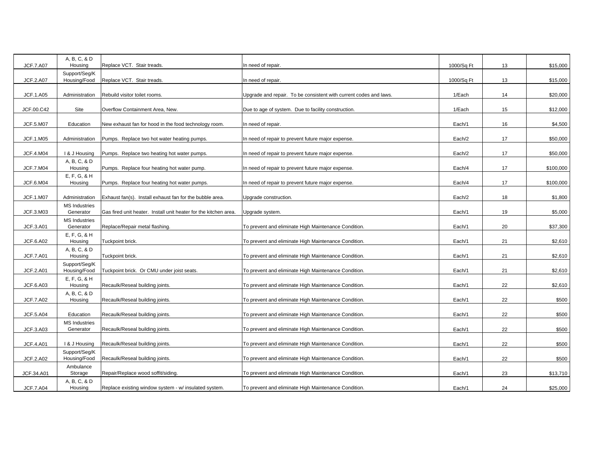| A, B, C, & D                      | Replace VCT. Stair treads.                                                                                                            | In need of repair.                                                                                                                                         |                                                                                                                                                                          |                                                        | \$15,000                   |
|-----------------------------------|---------------------------------------------------------------------------------------------------------------------------------------|------------------------------------------------------------------------------------------------------------------------------------------------------------|--------------------------------------------------------------------------------------------------------------------------------------------------------------------------|--------------------------------------------------------|----------------------------|
| Support/Seg/K                     |                                                                                                                                       |                                                                                                                                                            |                                                                                                                                                                          |                                                        | \$15,000                   |
|                                   |                                                                                                                                       |                                                                                                                                                            |                                                                                                                                                                          |                                                        |                            |
|                                   |                                                                                                                                       |                                                                                                                                                            |                                                                                                                                                                          |                                                        | \$20,000                   |
| Site                              | Overflow Containment Area, New.                                                                                                       | Due to age of system. Due to facility construction.                                                                                                        | 1/Each                                                                                                                                                                   | 15                                                     | \$12,000                   |
| Education                         | New exhaust fan for hood in the food technology room.                                                                                 | In need of repair.                                                                                                                                         | Each/1                                                                                                                                                                   | 16                                                     | \$4,500                    |
| Administration                    | Pumps. Replace two hot water heating pumps.                                                                                           | In need of repair to prevent future major expense.                                                                                                         | Each/2                                                                                                                                                                   | 17                                                     | \$50,000                   |
| I & J Housing                     | Pumps. Replace two heating hot water pumps.                                                                                           | In need of repair to prevent future major expense.                                                                                                         | Each/2                                                                                                                                                                   | 17                                                     | \$50,000                   |
| A, B, C, & D<br>Housing           | Pumps. Replace four heating hot water pump.                                                                                           | In need of repair to prevent future major expense.                                                                                                         | Each/4                                                                                                                                                                   | 17                                                     | \$100,000                  |
| $E, F, G, 8$ H<br>Housing         | Pumps. Replace four heating hot water pumps.                                                                                          | In need of repair to prevent future major expense.                                                                                                         | Each/4                                                                                                                                                                   | 17                                                     | \$100,000                  |
|                                   |                                                                                                                                       |                                                                                                                                                            |                                                                                                                                                                          |                                                        |                            |
|                                   |                                                                                                                                       |                                                                                                                                                            |                                                                                                                                                                          |                                                        | \$1,800                    |
| Generator                         | Gas fired unit heater. Install unit heater for the kitchen area.                                                                      | Upgrade system.                                                                                                                                            | Each/1                                                                                                                                                                   | 19                                                     | \$5,000                    |
| <b>MS Industries</b><br>Generator | Replace/Repair metal flashing.                                                                                                        | To prevent and eliminate High Maintenance Condition.                                                                                                       | Each/1                                                                                                                                                                   | 20                                                     | \$37,300                   |
| $E, F, G, 8$ H<br>Housing         | Tuckpoint brick.                                                                                                                      | To prevent and eliminate High Maintenance Condition.                                                                                                       | Each/1                                                                                                                                                                   | 21                                                     | \$2,610                    |
| A, B, C, & D<br>Housing           | Tuckpoint brick.                                                                                                                      | To prevent and eliminate High Maintenance Condition.                                                                                                       | Each/1                                                                                                                                                                   | 21                                                     | \$2,610                    |
| Support/Seq/K<br>Housing/Food     | Tuckpoint brick. Or CMU under joist seats.                                                                                            | To prevent and eliminate High Maintenance Condition.                                                                                                       | Each/1                                                                                                                                                                   | 21                                                     | \$2,610                    |
| $E, F, G, 8$ H<br>Housing         | Recaulk/Reseal building joints.                                                                                                       | To prevent and eliminate High Maintenance Condition.                                                                                                       | Each/1                                                                                                                                                                   | 22                                                     | \$2,610                    |
| A, B, C, & D<br>Housing           | Recaulk/Reseal building joints.                                                                                                       | To prevent and eliminate High Maintenance Condition.                                                                                                       | Each/1                                                                                                                                                                   | 22                                                     | \$500                      |
| Education                         | Recaulk/Reseal building joints.                                                                                                       | To prevent and eliminate High Maintenance Condition.                                                                                                       | Each/1                                                                                                                                                                   | 22                                                     | \$500                      |
| <b>MS Industries</b><br>Generator | Recaulk/Reseal building joints.                                                                                                       | To prevent and eliminate High Maintenance Condition.                                                                                                       | Each/1                                                                                                                                                                   | 22                                                     | \$500                      |
|                                   |                                                                                                                                       |                                                                                                                                                            |                                                                                                                                                                          |                                                        |                            |
|                                   |                                                                                                                                       |                                                                                                                                                            |                                                                                                                                                                          |                                                        | \$500                      |
| Housing/Food                      | Recaulk/Reseal building joints.                                                                                                       | To prevent and eliminate High Maintenance Condition.                                                                                                       | Each/1                                                                                                                                                                   | 22                                                     | \$500                      |
| Ambulance                         |                                                                                                                                       |                                                                                                                                                            |                                                                                                                                                                          |                                                        |                            |
| Storage                           | Repair/Replace wood soffit/siding.                                                                                                    | To prevent and eliminate High Maintenance Condition.                                                                                                       | Each/1                                                                                                                                                                   | 23                                                     | \$13,710                   |
| Housing                           | Replace existing window system - w/ insulated system.                                                                                 | To prevent and eliminate High Maintenance Condition.                                                                                                       | Each/1                                                                                                                                                                   | 24                                                     | \$25,000                   |
|                                   | Housing<br>Housing/Food<br>Administration<br>Administration<br><b>MS Industries</b><br>I & J Housing<br>Support/Seg/K<br>A, B, C, & D | Replace VCT. Stair treads.<br>Rebuild visitor toilet rooms.<br>Exhaust fan(s). Install exhaust fan for the bubble area.<br>Recaulk/Reseal building joints. | In need of repair.<br>Upgrade and repair. To be consistent with current codes and laws.<br>Upgrade construction.<br>To prevent and eliminate High Maintenance Condition. | 1000/Sq Ft<br>1000/Sq Ft<br>1/Each<br>Each/2<br>Each/1 | 13<br>13<br>14<br>18<br>22 |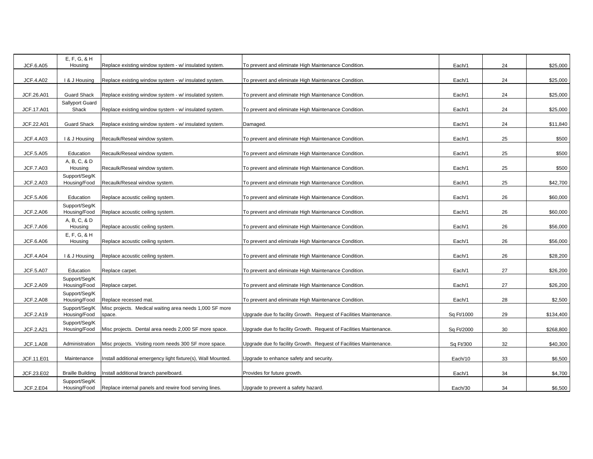| <b>JCF.6.A05</b> | $E, F, G, 8$ H<br>Housing     | Replace existing window system - w/ insulated system.                            | To prevent and eliminate High Maintenance Condition.               | Each/1     | 24 | \$25,000  |
|------------------|-------------------------------|----------------------------------------------------------------------------------|--------------------------------------------------------------------|------------|----|-----------|
| <b>JCF.4.A02</b> | I & J Housing                 | Replace existing window system - w/ insulated system.                            | To prevent and eliminate High Maintenance Condition.               | Each/1     | 24 | \$25,000  |
| JCF.26.A01       | <b>Guard Shack</b>            | Replace existing window system - w/ insulated system.                            | To prevent and eliminate High Maintenance Condition.               | Each/1     | 24 | \$25,000  |
|                  | Sallyport Guard               |                                                                                  |                                                                    |            |    |           |
| JCF.17.A01       | Shack                         | Replace existing window system - w/ insulated system.                            | To prevent and eliminate High Maintenance Condition.               | Each/1     | 24 | \$25,000  |
| JCF.22.A01       | <b>Guard Shack</b>            | Replace existing window system - w/ insulated system.                            | Damaged.                                                           | Each/1     | 24 | \$11,840  |
| <b>JCF.4.A03</b> | I & J Housing                 | Recaulk/Reseal window system.                                                    | To prevent and eliminate High Maintenance Condition.               | Each/1     | 25 | \$500     |
| JCF.5.A05        | Education                     | Recaulk/Reseal window system.                                                    | To prevent and eliminate High Maintenance Condition.               | Each/1     | 25 | \$500     |
|                  | A, B, C, & D                  |                                                                                  |                                                                    |            |    |           |
| <b>JCF.7.A03</b> | Housing                       | Recaulk/Reseal window system.                                                    | To prevent and eliminate High Maintenance Condition.               | Each/1     | 25 | \$500     |
|                  | Support/Seq/K                 |                                                                                  |                                                                    |            |    |           |
| <b>JCF.2.A03</b> | Housing/Food                  | Recaulk/Reseal window system.                                                    | To prevent and eliminate High Maintenance Condition.               | Each/1     | 25 | \$42,700  |
| <b>JCF.5.A06</b> | Education                     | Replace acoustic ceiling system.                                                 | To prevent and eliminate High Maintenance Condition.               | Each/1     | 26 | \$60,000  |
|                  | Support/Seg/K                 |                                                                                  |                                                                    |            |    |           |
| <b>JCF.2.A06</b> | Housing/Food                  | Replace acoustic ceiling system.                                                 | To prevent and eliminate High Maintenance Condition.               | Each/1     | 26 | \$60,000  |
|                  | A, B, C, & D                  |                                                                                  |                                                                    |            |    |           |
| <b>JCF.7.A06</b> | Housing                       | Replace acoustic ceiling system.                                                 | To prevent and eliminate High Maintenance Condition.               | Each/1     | 26 | \$56,000  |
| <b>JCF.6.A06</b> | $E, F, G, 8$ H<br>Housing     | Replace acoustic ceiling system.                                                 | To prevent and eliminate High Maintenance Condition.               | Each/1     | 26 | \$56,000  |
|                  |                               |                                                                                  |                                                                    |            |    |           |
| <b>JCF.4.A04</b> | I & J Housing                 | Replace acoustic ceiling system.                                                 | To prevent and eliminate High Maintenance Condition.               | Each/1     | 26 | \$28,200  |
| <b>JCF.5.A07</b> | Education                     | Replace carpet.                                                                  | To prevent and eliminate High Maintenance Condition.               | Each/1     | 27 | \$26,200  |
| <b>JCF.2.A09</b> | Support/Seg/K<br>Housing/Food | Replace carpet.                                                                  | To prevent and eliminate High Maintenance Condition.               | Each/1     | 27 | \$26,200  |
|                  | Support/Seq/K                 |                                                                                  |                                                                    |            |    |           |
| <b>JCF.2.A08</b> | Housing/Food<br>Support/Seq/K | Replace recessed mat.<br>Misc projects. Medical waiting area needs 1,000 SF more | To prevent and eliminate High Maintenance Condition.               | Each/1     | 28 | \$2,500   |
| <b>JCF.2.A19</b> | Housing/Food                  | space.                                                                           | Upgrade due fo facility Growth. Request of Facilities Maintenance. | Sq Ft/1000 | 29 | \$134,400 |
|                  | Support/Seg/K                 |                                                                                  |                                                                    |            |    |           |
| <b>JCF.2.A21</b> | Housing/Food                  | Misc projects. Dental area needs 2,000 SF more space.                            | Upgrade due fo facility Growth. Request of Facilities Maintenance. | Sq Ft/2000 | 30 | \$268,800 |
| <b>JCF.1.A08</b> | Administration                | Misc projects. Visiting room needs 300 SF more space.                            | Upgrade due fo facility Growth. Request of Facilities Maintenance. | Sq Ft/300  | 32 | \$40,300  |
|                  |                               |                                                                                  |                                                                    |            |    |           |
| JCF.11.E01       | Maintenance                   | Install additional emergency light fixture(s), Wall Mounted.                     | Upgrade to enhance safety and security.                            | Each/10    | 33 | \$6,500   |
|                  |                               |                                                                                  |                                                                    |            |    |           |
| JCF.23.E02       | <b>Braille Building</b>       | nstall additional branch panelboard.                                             | Provides for future growth.                                        | Each/1     | 34 | \$4,700   |
| <b>JCF.2.E04</b> | Support/Seq/K                 |                                                                                  |                                                                    | Each/30    | 34 | \$6,500   |
|                  | Housing/Food                  | Replace internal panels and rewire food serving lines.                           | Upgrade to prevent a safety hazard.                                |            |    |           |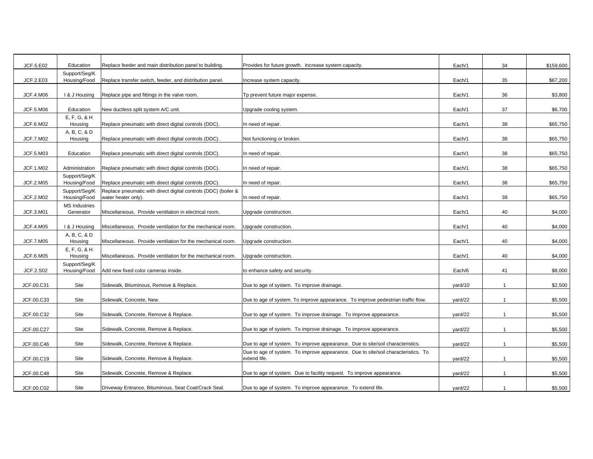| JCF.5.E02        | Education                     | Replace feeder and main distribution panel to building.                               | Provides for future growth. Increase system capacity.                             | Each/1  | 34             | \$159,600 |
|------------------|-------------------------------|---------------------------------------------------------------------------------------|-----------------------------------------------------------------------------------|---------|----------------|-----------|
|                  | Support/Seg/K                 |                                                                                       |                                                                                   |         |                |           |
| JCF.2.E03        | Housing/Food                  | Replace transfer switch, feeder, and distribution panel.                              | Increase system capacity.                                                         | Each/1  | 35             | \$67,200  |
| <b>JCF.4.M06</b> | I & J Housing                 | Replace pipe and fittings in the valve room.                                          | Tp prevent future major expense.                                                  | Each/1  | 36             | \$3,800   |
|                  |                               |                                                                                       |                                                                                   |         |                |           |
| JCF.5.M06        | Education                     | New ductless split system A/C unit.                                                   | Upgrade cooling system.                                                           | Each/1  | 37             | \$6,700   |
|                  | E, F, G, & H                  |                                                                                       |                                                                                   |         |                |           |
| JCF.6.M02        | Housing                       | Replace pneumatic with direct digital controls (DDC).                                 | In need of repair.                                                                | Each/1  | 38             | \$65,750  |
|                  | A, B, C, & D                  |                                                                                       |                                                                                   |         |                |           |
| <b>JCF.7.M02</b> | Housing                       | Replace pneumatic with direct digital controls (DDC).                                 | Not functioning or broken.                                                        | Each/1  | 38             | \$65,750  |
|                  |                               |                                                                                       |                                                                                   |         |                |           |
| JCF.5.M03        | Education                     | Replace pneumatic with direct digital controls (DDC).                                 | In need of repair.                                                                | Each/1  | 38             | \$65,750  |
| <b>JCF.1.M02</b> | Administration                | Replace pneumatic with direct digital controls (DDC).                                 | In need of repair.                                                                |         |                |           |
|                  |                               |                                                                                       |                                                                                   | Each/1  | 38             | \$65,750  |
| JCF.2.M05        | Support/Seq/K<br>Housing/Food | Replace pneumatic with direct digital controls (DDC).                                 | In need of repair.                                                                | Each/1  | 38             | \$65,750  |
|                  | Support/Seg/K                 |                                                                                       |                                                                                   |         |                |           |
| <b>JCF.2.M02</b> | Housing/Food                  | Replace pneumatic with direct digital controls (DDC) (boiler &<br>water heater only). | In need of repair.                                                                | Each/1  | 39             | \$65,750  |
|                  | <b>MS Industries</b>          |                                                                                       |                                                                                   |         |                |           |
| JCF.3.M01        | Generator                     | Miscellaneous. Provide ventilation in electrical room.                                | Upgrade construction.                                                             | Each/1  | 40             | \$4,000   |
|                  |                               |                                                                                       |                                                                                   |         |                |           |
| <b>JCF.4.M05</b> | I & J Housing                 | Miscellaneous. Provide ventilation for the mechanical room.                           | Upgrade construction.                                                             | Each/1  | 40             | \$4,000   |
|                  | A, B, C, & D                  |                                                                                       |                                                                                   |         |                |           |
| <b>JCF.7.M05</b> | Housing                       | Miscellaneous. Provide ventilation for the mechanical room.                           | Upgrade construction.                                                             | Each/1  | 40             | \$4,000   |
|                  | E. F. G. 8 H                  |                                                                                       |                                                                                   |         |                |           |
| JCF.6.M05        | Housing                       | Miscellaneous. Provide ventilation for the mechanical room.                           | Upgrade construction.                                                             | Each/1  | 40             | \$4,000   |
|                  | Support/Seg/K                 |                                                                                       |                                                                                   |         |                |           |
| JCF.2.S02        | Housing/Food                  | Add new fixed color cameras inside.                                                   | to enhance safety and security.                                                   | Each/6  | 41             | \$8,000   |
|                  | Site                          |                                                                                       |                                                                                   |         | $\overline{1}$ | \$2,500   |
| JCF.00.C31       |                               | Sidewalk, Bituminous, Remove & Replace.                                               | Due to age of system. To improve drainage.                                        | yard/10 |                |           |
| JCF.00.C33       | Site                          | Sidewalk, Concrete, New.                                                              | Due to age of system. To improve appearance. To improve pedestrian traffic flow.  | yard/22 | $\mathbf{1}$   | \$5,500   |
|                  |                               |                                                                                       |                                                                                   |         |                |           |
| JCF.00.C32       | Site                          | Sidewalk, Concrete, Remove & Replace.                                                 | Due to age of system. To improve drainage. To improve appearance.                 | yard/22 | $\mathbf{1}$   | \$5,500   |
|                  |                               |                                                                                       |                                                                                   |         |                |           |
| JCF.00.C27       | Site                          | Sidewalk, Concrete, Remove & Replace.                                                 | Due to age of system. To improve drainage. To improve appearance.                 | yard/22 | $\mathbf{1}$   | \$5,500   |
|                  |                               |                                                                                       |                                                                                   |         |                |           |
| JCF.00.C46       | Site                          | Sidewalk, Concrete, Remove & Replace.                                                 | Due to age of system. To improve appearance. Due to site/soil characteristics.    | yard/22 | $\overline{1}$ | \$5,500   |
|                  |                               |                                                                                       | Due to age of system. To improve appearance. Due to site/soil characteristics. To |         |                |           |
| JCF.00.C19       | Site                          | Sidewalk, Concrete, Remove & Replace.                                                 | extend life.                                                                      | yard/22 | $\mathbf{1}$   | \$5,500   |
|                  |                               |                                                                                       |                                                                                   |         |                |           |
| JCF.00.C48       | Site                          | Sidewalk, Concrete, Remove & Replace.                                                 | Due to age of system. Due to facility request. To improve appearance.             | yard/22 | $\mathbf{1}$   | \$5,500   |
|                  |                               |                                                                                       |                                                                                   |         |                |           |
| JCF.00.C02       | Site                          | Driveway Entrance, Bituminous, Seat Coat/Crack Seal.                                  | Due to age of system. To improve appearance. To extend life.                      | yard/22 | $\overline{1}$ | \$5,500   |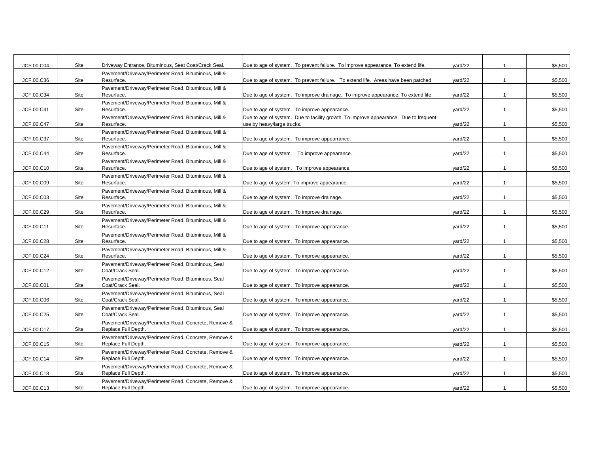| JCF.00.C04 | Site | Driveway Entrance, Bituminous, Seat Coat/Crack Seal.                        | Due to age of system. To prevent failure. To improve appearance. To extend life.     | yard/22 | -1             | \$5,500 |
|------------|------|-----------------------------------------------------------------------------|--------------------------------------------------------------------------------------|---------|----------------|---------|
|            |      | Pavement/Driveway/Perimeter Road, Bituminous, Mill &                        |                                                                                      |         |                |         |
| JCF.00.C36 | Site | Resurface.                                                                  | Due to age of system. To prevent failure. To extend life. Areas have been patched.   | yard/22 | $\mathbf{1}$   | \$5,500 |
|            |      | Pavement/Driveway/Perimeter Road, Bituminous, Mill &                        |                                                                                      |         |                |         |
| JCF.00.C34 | Site | Resurface.                                                                  | Due to age of system. To improve drainage. To improve appearance. To extend life.    | yard/22 | $\mathbf{1}$   | \$5,500 |
| JCF.00.C41 | Site | Pavement/Driveway/Perimeter Road, Bituminous, Mill &<br>Resurface.          | Due to age of system. To improve appearance.                                         | yard/22 | $\mathbf{1}$   | \$5,500 |
|            |      | Pavement/Driveway/Perimeter Road, Bituminous, Mill &                        | Due to age of system. Due to facility growth. To improve appearance. Due to frequent |         |                |         |
| JCF.00.C47 | Site | Resurface.                                                                  | use by heavy/large trucks.                                                           | yard/22 | $\mathbf{1}$   | \$5,500 |
|            |      | Pavement/Driveway/Perimeter Road, Bituminous, Mill &                        |                                                                                      |         |                |         |
| JCF.00.C37 | Site | Resurface.                                                                  | Due to age of system. To improve appearrance.                                        | yard/22 | $\mathbf{1}$   | \$5,500 |
|            |      | Pavement/Driveway/Perimeter Road, Bituminous, Mill &                        |                                                                                      |         |                |         |
| JCF.00.C44 | Site | Resurface.                                                                  | Due to age of system. To improve appearance.                                         | yard/22 | $\mathbf{1}$   | \$5,500 |
| JCF.00.C10 | Site | Pavement/Driveway/Perimeter Road, Bituminous, Mill &<br>Resurface.          | Due to age of system. To improve appearance.                                         | yard/22 | $\overline{1}$ | \$5,500 |
|            |      | Pavement/Driveway/Perimeter Road, Bituminous, Mill &                        |                                                                                      |         |                |         |
| JCF.00.C09 | Site | Resurface.                                                                  | Due to age of system. To improve appearance.                                         | yard/22 | $\mathbf{1}$   | \$5,500 |
|            |      | Pavement/Driveway/Perimeter Road, Bituminous, Mill &                        |                                                                                      |         |                |         |
| JCF.00.C03 | Site | Resurface.                                                                  | Due to age of system. To improve drainage.                                           | yard/22 | $\mathbf{1}$   | \$5,500 |
|            |      | Pavement/Driveway/Perimeter Road, Bituminous, Mill &                        |                                                                                      |         |                |         |
| JCF.00.C29 | Site | Resurface.                                                                  | Due to age of system. To improve drainage.                                           | yard/22 | $\mathbf{1}$   | \$5,500 |
|            |      | Pavement/Driveway/Perimeter Road, Bituminous, Mill &                        |                                                                                      |         |                |         |
| JCF.00.C11 | Site | Resurface.                                                                  | Due to age of system. To improve appearance.                                         | yard/22 | $\mathbf{1}$   | \$5,500 |
|            |      | Pavement/Driveway/Perimeter Road, Bituminous, Mill &                        |                                                                                      |         |                |         |
| JCF.00.C28 | Site | Resurface.                                                                  | Due to age of system. To improve appearance.                                         | yard/22 | $\mathbf{1}$   | \$5,500 |
|            |      | Pavement/Driveway/Perimeter Road, Bituminous, Mill &                        |                                                                                      |         |                |         |
| JCF.00.C24 | Site | Resurface.                                                                  | Due to age of system. To improve appearance.                                         | yard/22 | $\mathbf{1}$   | \$5,500 |
|            |      | Pavement/Driveway/Perimeter Road, Bituminous, Seal                          |                                                                                      |         |                |         |
| JCF.00.C12 | Site | Coat/Crack Seal.                                                            | Due to age of system. To improve appearance.                                         | yard/22 | $\mathbf{1}$   | \$5,500 |
| JCF.00.C01 | Site | Pavement/Driveway/Perimeter Road, Bituminous, Seal<br>Coat/Crack Seal.      | Due to age of system. To improve appearance.                                         | yard/22 | $\mathbf{1}$   | \$5,500 |
|            |      | Pavement/Driveway/Perimeter Road, Bituminous, Seal                          |                                                                                      |         |                |         |
| JCF.00.C06 | Site | Coat/Crack Seal.                                                            | Due to age of system. To improve appearance.                                         | yard/22 | $\mathbf{1}$   | \$5,500 |
|            |      | Pavement/Driveway/Perimeter Road, Bituminous, Seal                          |                                                                                      |         |                |         |
| JCF.00.C25 | Site | Coat/Crack Seal.                                                            | Due to age of system. To improve appearance.                                         | yard/22 | $\mathbf{1}$   | \$5,500 |
|            |      | Pavement/Driveway/Perimeter Road, Concrete, Remove &                        |                                                                                      |         |                |         |
| JCF.00.C17 | Site | Replace Full Depth.                                                         | Due to age of system. To improve appearance.                                         | yard/22 | $\mathbf{1}$   | \$5,500 |
|            |      | Pavement/Driveway/Perimeter Road, Concrete, Remove &                        |                                                                                      |         |                |         |
| JCF.00.C15 | Site | Replace Full Depth.                                                         | Due to age of system. To improve appearance.                                         | yard/22 | $\mathbf{1}$   | \$5,500 |
|            |      | Pavement/Driveway/Perimeter Road, Concrete, Remove &                        |                                                                                      |         |                |         |
| JCF.00.C14 | Site | Replace Full Depth.                                                         | Due to age of system. To improve appearance.                                         | yard/22 | $\mathbf{1}$   | \$5,500 |
|            |      | Pavement/Driveway/Perimeter Road, Concrete, Remove &                        |                                                                                      |         |                |         |
| JCF.00.C18 | Site | Replace Full Depth.                                                         | Due to age of system. To improve appearance.                                         | yard/22 | $\mathbf{1}$   | \$5,500 |
| JCF.00.C13 | Site | Pavement/Driveway/Perimeter Road, Concrete, Remove &<br>Replace Full Depth. | Due to age of system. To improve appearance.                                         | yard/22 |                | \$5,500 |
|            |      |                                                                             |                                                                                      |         |                |         |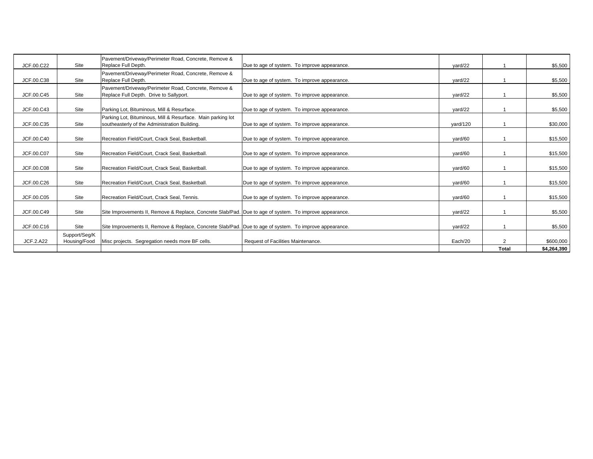| JCF.00.C22       | Site          | Pavement/Driveway/Perimeter Road, Concrete, Remove &<br>Replace Full Depth.                             | Due to age of system. To improve appearance. | yard/22  |              | \$5,500     |
|------------------|---------------|---------------------------------------------------------------------------------------------------------|----------------------------------------------|----------|--------------|-------------|
|                  |               | Pavement/Driveway/Perimeter Road, Concrete, Remove &                                                    |                                              |          |              |             |
| JCF.00.C38       | Site          | Replace Full Depth.                                                                                     | Due to age of system. To improve appearance. | yard/22  |              | \$5,500     |
|                  |               | Pavement/Driveway/Perimeter Road, Concrete, Remove &                                                    |                                              |          |              |             |
| JCF.00.C45       | Site          | Replace Full Depth. Drive to Sallyport.                                                                 | Due to age of system. To improve appearance. | vard/22  |              | \$5,500     |
| JCF.00.C43       | Site          | Parking Lot, Bituminous, Mill & Resurface.                                                              | Due to age of system. To improve appearance. | vard/22  |              | \$5,500     |
|                  |               | Parking Lot, Bituminous, Mill & Resurface. Main parking lot                                             |                                              |          |              |             |
| JCF.00.C35       | Site          | southeasterly of the Administration Building.                                                           | Due to age of system. To improve appearance. | yard/120 |              | \$30,000    |
|                  |               |                                                                                                         |                                              |          |              |             |
| JCF.00.C40       | Site          | Recreation Field/Court, Crack Seal, Basketball.                                                         | Due to age of system. To improve appearance. | yard/60  |              | \$15,500    |
|                  |               |                                                                                                         |                                              |          |              |             |
| JCF.00.C07       | Site          | Recreation Field/Court, Crack Seal, Basketball.                                                         | Due to age of system. To improve appearance. | yard/60  |              | \$15,500    |
| JCF.00.C08       | Site          | Recreation Field/Court, Crack Seal, Basketball.                                                         | Due to age of system. To improve appearance. | yard/60  |              | \$15,500    |
| JCF.00.C26       | Site          | Recreation Field/Court, Crack Seal, Basketball.                                                         | Due to age of system. To improve appearance. | vard/60  |              | \$15,500    |
|                  |               |                                                                                                         |                                              |          |              |             |
| JCF.00.C05       | Site          | Recreation Field/Court, Crack Seal, Tennis.                                                             | Due to age of system. To improve appearance. | yard/60  |              | \$15,500    |
| JCF.00.C49       | Site          | Site Improvements II, Remove & Replace, Concrete Slab/Pad. Due to age of system. To improve appearance. |                                              | yard/22  |              | \$5,500     |
|                  |               |                                                                                                         |                                              |          |              |             |
| JCF.00.C16       | Site          | Site Improvements II, Remove & Replace, Concrete Slab/Pad. Due to age of system. To improve appearance. |                                              | yard/22  |              | \$5,500     |
|                  | Support/Seq/K |                                                                                                         |                                              |          |              |             |
| <b>JCF.2.A22</b> | Housing/Food  | Misc projects. Segregation needs more BF cells.                                                         | Request of Facilities Maintenance.           | Each/20  | 2            | \$600,000   |
|                  |               |                                                                                                         |                                              |          | <b>Total</b> | \$4,264,390 |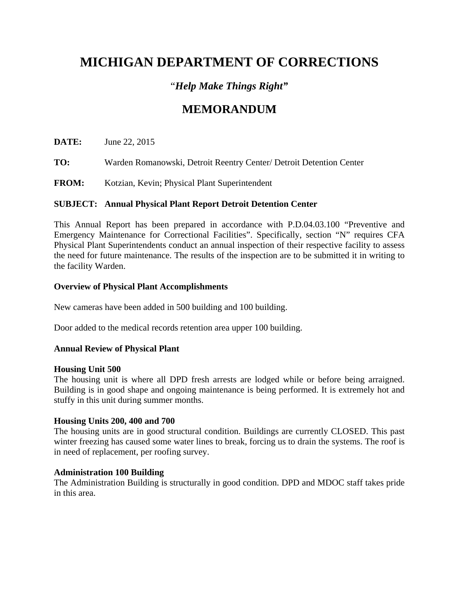### "*Help Make Things Right"*

## **MEMORANDUM**

**DATE:** June 22, 2015

**TO:** Warden Romanowski, Detroit Reentry Center/ Detroit Detention Center

**FROM:** Kotzian, Kevin; Physical Plant Superintendent

#### **SUBJECT: Annual Physical Plant Report Detroit Detention Center**

This Annual Report has been prepared in accordance with P.D.04.03.100 "Preventive and Emergency Maintenance for Correctional Facilities". Specifically, section "N" requires CFA Physical Plant Superintendents conduct an annual inspection of their respective facility to assess the need for future maintenance. The results of the inspection are to be submitted it in writing to the facility Warden.

#### **Overview of Physical Plant Accomplishments**

New cameras have been added in 500 building and 100 building.

Door added to the medical records retention area upper 100 building.

#### **Annual Review of Physical Plant**

#### **Housing Unit 500**

The housing unit is where all DPD fresh arrests are lodged while or before being arraigned. Building is in good shape and ongoing maintenance is being performed. It is extremely hot and stuffy in this unit during summer months.

#### **Housing Units 200, 400 and 700**

The housing units are in good structural condition. Buildings are currently CLOSED. This past winter freezing has caused some water lines to break, forcing us to drain the systems. The roof is in need of replacement, per roofing survey.

#### **Administration 100 Building**

The Administration Building is structurally in good condition. DPD and MDOC staff takes pride in this area.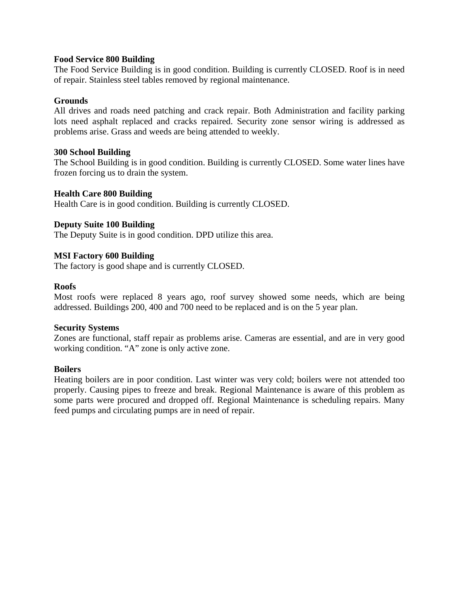#### **Food Service 800 Building**

The Food Service Building is in good condition. Building is currently CLOSED. Roof is in need of repair. Stainless steel tables removed by regional maintenance.

#### **Grounds**

All drives and roads need patching and crack repair. Both Administration and facility parking lots need asphalt replaced and cracks repaired. Security zone sensor wiring is addressed as problems arise. Grass and weeds are being attended to weekly.

#### **300 School Building**

The School Building is in good condition. Building is currently CLOSED. Some water lines have frozen forcing us to drain the system.

#### **Health Care 800 Building**

Health Care is in good condition. Building is currently CLOSED.

#### **Deputy Suite 100 Building**

The Deputy Suite is in good condition. DPD utilize this area.

#### **MSI Factory 600 Building**

The factory is good shape and is currently CLOSED.

#### **Roofs**

Most roofs were replaced 8 years ago, roof survey showed some needs, which are being addressed. Buildings 200, 400 and 700 need to be replaced and is on the 5 year plan.

#### **Security Systems**

Zones are functional, staff repair as problems arise. Cameras are essential, and are in very good working condition. "A" zone is only active zone.

#### **Boilers**

Heating boilers are in poor condition. Last winter was very cold; boilers were not attended too properly. Causing pipes to freeze and break. Regional Maintenance is aware of this problem as some parts were procured and dropped off. Regional Maintenance is scheduling repairs. Many feed pumps and circulating pumps are in need of repair.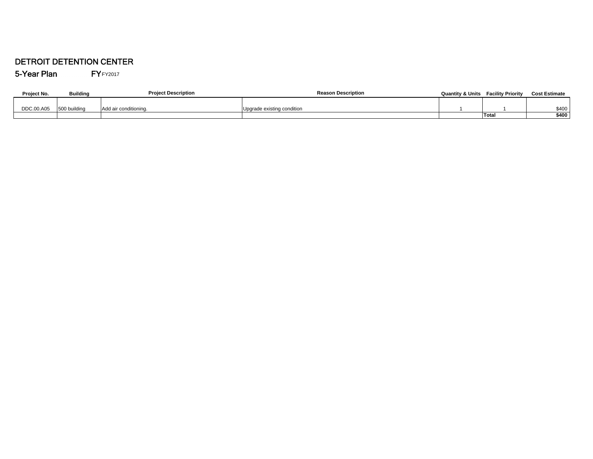#### DETROIT DETENTION CENTER

5-Year Plan FYFY2017

| Project No. | <b>Building</b> | <b>Project Description</b> | <b>Reason Description</b>  | <b>Quantity &amp; Units</b> | <b>Facility Priority</b> | <b>Cost Estimate</b> |
|-------------|-----------------|----------------------------|----------------------------|-----------------------------|--------------------------|----------------------|
|             |                 |                            |                            |                             |                          |                      |
| DDC.00.A05  | 500 building    | Add air conditioning.      | Upgrade existing condition |                             |                          | \$400                |
|             |                 |                            |                            |                             | Total                    | \$400                |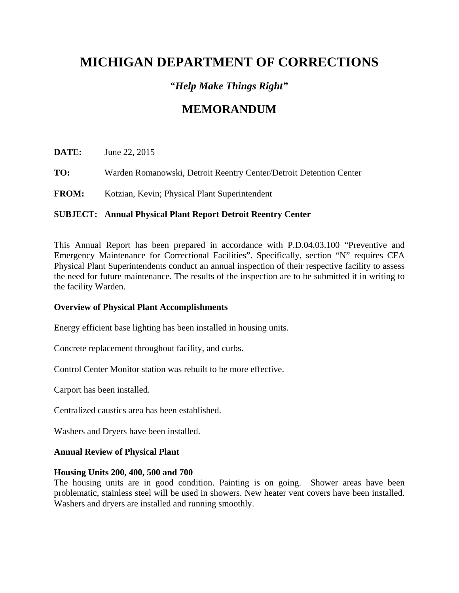### "*Help Make Things Right"*

## **MEMORANDUM**

**DATE:** June 22, 2015

**TO:** Warden Romanowski, Detroit Reentry Center/Detroit Detention Center

**FROM:** Kotzian, Kevin; Physical Plant Superintendent

#### **SUBJECT: Annual Physical Plant Report Detroit Reentry Center**

This Annual Report has been prepared in accordance with P.D.04.03.100 "Preventive and Emergency Maintenance for Correctional Facilities". Specifically, section "N" requires CFA Physical Plant Superintendents conduct an annual inspection of their respective facility to assess the need for future maintenance. The results of the inspection are to be submitted it in writing to the facility Warden.

#### **Overview of Physical Plant Accomplishments**

Energy efficient base lighting has been installed in housing units.

Concrete replacement throughout facility, and curbs.

Control Center Monitor station was rebuilt to be more effective.

Carport has been installed.

Centralized caustics area has been established.

Washers and Dryers have been installed.

#### **Annual Review of Physical Plant**

#### **Housing Units 200, 400, 500 and 700**

The housing units are in good condition. Painting is on going. Shower areas have been problematic, stainless steel will be used in showers. New heater vent covers have been installed. Washers and dryers are installed and running smoothly.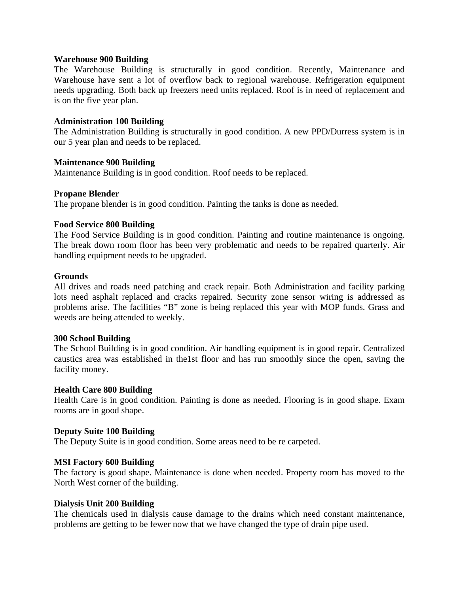#### **Warehouse 900 Building**

The Warehouse Building is structurally in good condition. Recently, Maintenance and Warehouse have sent a lot of overflow back to regional warehouse. Refrigeration equipment needs upgrading. Both back up freezers need units replaced. Roof is in need of replacement and is on the five year plan.

#### **Administration 100 Building**

The Administration Building is structurally in good condition. A new PPD/Durress system is in our 5 year plan and needs to be replaced.

#### **Maintenance 900 Building**

Maintenance Building is in good condition. Roof needs to be replaced.

#### **Propane Blender**

The propane blender is in good condition. Painting the tanks is done as needed.

#### **Food Service 800 Building**

The Food Service Building is in good condition. Painting and routine maintenance is ongoing. The break down room floor has been very problematic and needs to be repaired quarterly. Air handling equipment needs to be upgraded.

#### **Grounds**

All drives and roads need patching and crack repair. Both Administration and facility parking lots need asphalt replaced and cracks repaired. Security zone sensor wiring is addressed as problems arise. The facilities "B" zone is being replaced this year with MOP funds. Grass and weeds are being attended to weekly.

#### **300 School Building**

The School Building is in good condition. Air handling equipment is in good repair. Centralized caustics area was established in the1st floor and has run smoothly since the open, saving the facility money.

#### **Health Care 800 Building**

Health Care is in good condition. Painting is done as needed. Flooring is in good shape. Exam rooms are in good shape.

#### **Deputy Suite 100 Building**

The Deputy Suite is in good condition. Some areas need to be re carpeted.

#### **MSI Factory 600 Building**

The factory is good shape. Maintenance is done when needed. Property room has moved to the North West corner of the building.

#### **Dialysis Unit 200 Building**

The chemicals used in dialysis cause damage to the drains which need constant maintenance, problems are getting to be fewer now that we have changed the type of drain pipe used.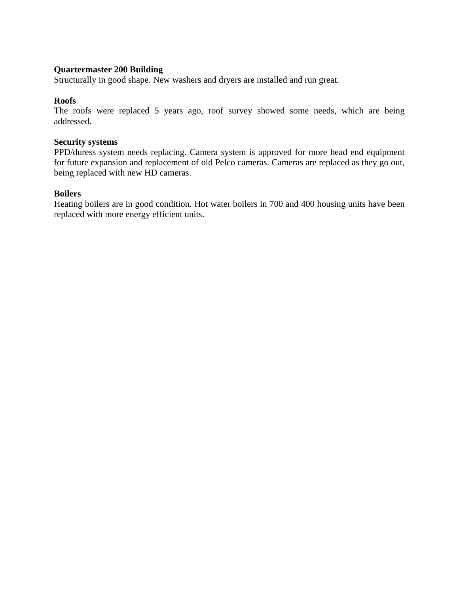#### **Quartermaster 200 Building**

Structurally in good shape. New washers and dryers are installed and run great.

#### **Roofs**

The roofs were replaced 5 years ago, roof survey showed some needs, which are being addressed.

#### **Security systems**

PPD/duress system needs replacing. Camera system is approved for more head end equipment for future expansion and replacement of old Pelco cameras. Cameras are replaced as they go out, being replaced with new HD cameras.

#### **Boilers**

Heating boilers are in good condition. Hot water boilers in 700 and 400 housing units have been replaced with more energy efficient units.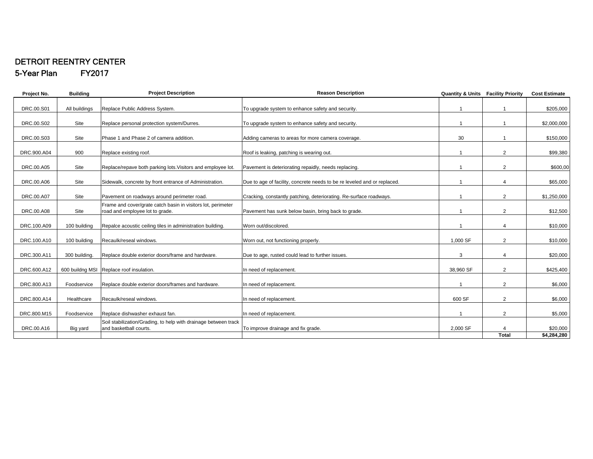#### DETROIT REENTRY CENTER 5-Year Plan FY2017

| Project No. | <b>Building</b> | <b>Project Description</b>                                                                      | <b>Reason Description</b>                                                | <b>Quantity &amp; Units Facility Priority</b> |                | <b>Cost Estimate</b> |
|-------------|-----------------|-------------------------------------------------------------------------------------------------|--------------------------------------------------------------------------|-----------------------------------------------|----------------|----------------------|
| DRC.00.S01  | All buildings   | Replace Public Address System.                                                                  | To upgrade system to enhance safety and security.                        |                                               |                | \$205,000            |
| DRC.00.S02  | Site            | Replace personal protection system/Durres.                                                      | To upgrade system to enhance safety and security.                        |                                               |                | \$2,000,000          |
| DRC.00.S03  | Site            | Phase 1 and Phase 2 of camera addition.                                                         | Adding cameras to areas for more camera coverage.                        | 30                                            |                | \$150,000            |
| DRC.900.A04 | 900             | Replace existing roof.                                                                          | Roof is leaking, patching is wearing out.                                |                                               | $\overline{2}$ | \$99,380             |
| DRC.00.A05  | Site            | Replace/repave both parking lots. Visitors and employee lot.                                    | Pavement is deteriorating repaidly, needs replacing.                     |                                               | 2              | \$600,00             |
| DRC.00.A06  | Site            | Sidewalk, concrete by front entrance of Administration.                                         | Due to age of facility, concrete needs to be re leveled and or replaced. |                                               | 4              | \$65,000             |
| DRC.00.A07  | Site            | Pavement on roadways around perimeter road.                                                     | Cracking, constantly patching, deteriorating. Re-surface roadways.       |                                               | $\overline{2}$ | \$1,250,000          |
| DRC.00.A08  | Site            | Frame and cover/grate catch basin in visitors lot, perimeter<br>road and employee lot to grade. | Pavement has sunk below basin, bring back to grade.                      |                                               | 2              | \$12,500             |
| DRC.100.A09 | 100 building    | Repalce acoustic ceiling tiles in administration building.                                      | Worn out/discolored.                                                     |                                               |                | \$10,000             |
| DRC.100.A10 | 100 building    | Recaulk/reseal windows.                                                                         | Worn out, not functioning properly.                                      | 1,000 SF                                      | 2              | \$10,000             |
| DRC.300.A11 | 300 building.   | Replace double exterior doors/frame and hardware.                                               | Due to age, rusted could lead to further issues.                         | 3                                             | 4              | \$20,000             |
| DRC.600.A12 |                 | 600 buildng MSI Replace roof insulation.                                                        | In need of replacement.                                                  | 38,960 SF                                     | $\overline{2}$ | \$425,400            |
| DRC.800.A13 | Foodservice     | Replace double exterior doors/frames and hardware.                                              | In need of replacement.                                                  |                                               | 2              | \$6,000              |
| DRC.800.A14 | Healthcare      | Recaulk/reseal windows.                                                                         | In need of replacement.                                                  | 600 SF                                        | $\overline{2}$ | \$6,000              |
| DRC.800.M15 | Foodservice     | Replace dishwasher exhaust fan.                                                                 | In need of replacement.                                                  |                                               | 2              | \$5,000              |
| DRC.00.A16  | Big yard        | Soil stabilization/Grading, to help with drainage between track<br>and basketball courts.       | To improve drainage and fix grade.                                       | 2,000 SF                                      |                | \$20,000             |
|             |                 |                                                                                                 |                                                                          |                                               | <b>Total</b>   | \$4,284,280          |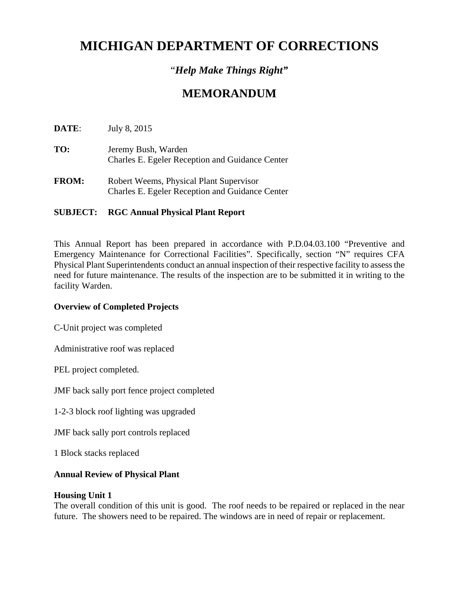### "*Help Make Things Right"*

### **MEMORANDUM**

**DATE**: July 8, 2015

- **TO:** Jeremy Bush, Warden Charles E. Egeler Reception and Guidance Center
- **FROM:** Robert Weems, Physical Plant Supervisor Charles E. Egeler Reception and Guidance Center

### **SUBJECT: RGC Annual Physical Plant Report**

This Annual Report has been prepared in accordance with P.D.04.03.100 "Preventive and Emergency Maintenance for Correctional Facilities". Specifically, section "N" requires CFA Physical Plant Superintendents conduct an annual inspection of their respective facility to assess the need for future maintenance. The results of the inspection are to be submitted it in writing to the facility Warden.

#### **Overview of Completed Projects**

C-Unit project was completed

Administrative roof was replaced

PEL project completed.

JMF back sally port fence project completed

1-2-3 block roof lighting was upgraded

JMF back sally port controls replaced

1 Block stacks replaced

#### **Annual Review of Physical Plant**

#### **Housing Unit 1**

The overall condition of this unit is good. The roof needs to be repaired or replaced in the near future. The showers need to be repaired. The windows are in need of repair or replacement.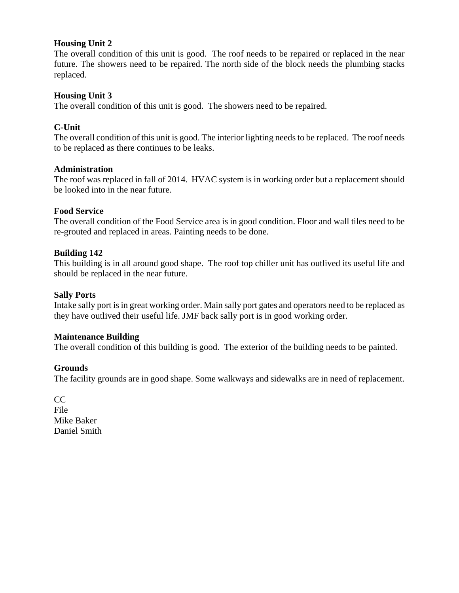#### **Housing Unit 2**

The overall condition of this unit is good. The roof needs to be repaired or replaced in the near future. The showers need to be repaired. The north side of the block needs the plumbing stacks replaced.

#### **Housing Unit 3**

The overall condition of this unit is good. The showers need to be repaired.

#### **C-Unit**

The overall condition of this unit is good. The interior lighting needs to be replaced. The roof needs to be replaced as there continues to be leaks.

#### **Administration**

The roof was replaced in fall of 2014. HVAC system is in working order but a replacement should be looked into in the near future.

#### **Food Service**

The overall condition of the Food Service area is in good condition. Floor and wall tiles need to be re-grouted and replaced in areas. Painting needs to be done.

#### **Building 142**

This building is in all around good shape. The roof top chiller unit has outlived its useful life and should be replaced in the near future.

#### **Sally Ports**

Intake sally port is in great working order. Main sally port gates and operators need to be replaced as they have outlived their useful life. JMF back sally port is in good working order.

#### **Maintenance Building**

The overall condition of this building is good. The exterior of the building needs to be painted.

#### **Grounds**

The facility grounds are in good shape. Some walkways and sidewalks are in need of replacement.

CC File Mike Baker Daniel Smith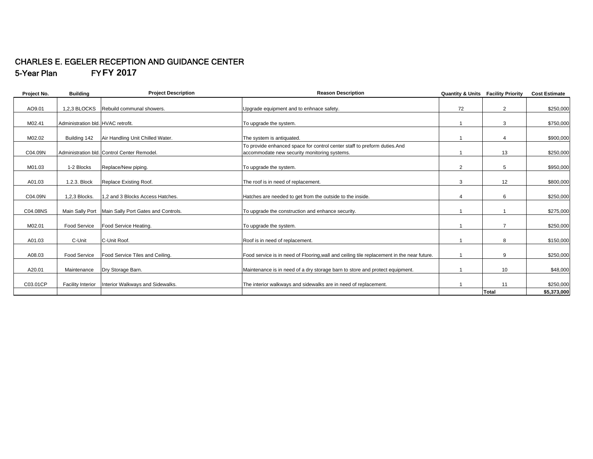#### CHARLES E. EGELER RECEPTION AND GUIDANCE CENTER 5-Year Plan F Y**FY 2017**

| Project No. | <b>Building</b>                    | <b>Project Description</b>                  | <b>Reason Description</b>                                                                                                | <b>Quantity &amp; Units Facility Priority</b> |                | <b>Cost Estimate</b> |
|-------------|------------------------------------|---------------------------------------------|--------------------------------------------------------------------------------------------------------------------------|-----------------------------------------------|----------------|----------------------|
| AO9.01      | 1,2,3 BLOCKS                       | Rebuild communal showers.                   | Upgrade equipment and to enhnace safety.                                                                                 | 72                                            | $\overline{2}$ | \$250,000            |
| M02.41      | Administration bld. HVAC retrofit. |                                             | To upgrade the system.                                                                                                   |                                               | 3              | \$750,000            |
| M02.02      | Building 142                       | Air Handling Unit Chilled Water.            | The system is antiquated.                                                                                                |                                               |                | \$900,000            |
| C04.09N     |                                    | Administration bld. Control Center Remodel. | To provide enhanced space for control center staff to preform duties.And<br>accommodate new security monitoring systems. |                                               | 13             | \$250,000            |
| M01.03      | 1-2 Blocks                         | Replace/New piping.                         | To upgrade the system.                                                                                                   | $\overline{2}$                                | 5              | \$950,000            |
| A01.03      | 1.2.3. Block                       | Replace Existing Roof.                      | The roof is in need of replacement.                                                                                      | 3                                             | 12             | \$800,000            |
| C04.09N     | 1,2,3 Blocks.                      | 1,2 and 3 Blocks Access Hatches.            | Hatches are needed to get from the outside to the inside.                                                                | Δ                                             | 6              | \$250,000            |
| C04.08NS    | Main Sally Port                    | Main Sally Port Gates and Controls.         | To upgrade the construction and enhance security.                                                                        |                                               |                | \$275,000            |
| M02.01      | Food Service                       | Food Service Heating.                       | To upgrade the system.                                                                                                   |                                               |                | \$250,000            |
| A01.03      | C-Unit                             | C-Unit Roof.                                | Roof is in need of replacement.                                                                                          |                                               | 8              | \$150,000            |
| A08.03      | Food Service                       | Food Service Tiles and Ceiling.             | Food service is in need of Flooring, wall and ceiling tile replacement in the near future.                               |                                               | 9              | \$250,000            |
| A20.01      | Maintenance                        | Dry Storage Barn.                           | Maintenance is in need of a dry storage barn to store and protect equipment.                                             |                                               | 10             | \$48,000             |
| C03.01CP    | <b>Facility Interior</b>           | Interior Walkways and Sidewalks.            | The interior walkways and sidewalks are in need of replacement.                                                          |                                               | 11             | \$250,000            |
|             |                                    |                                             |                                                                                                                          |                                               | Total          | \$5,373,000          |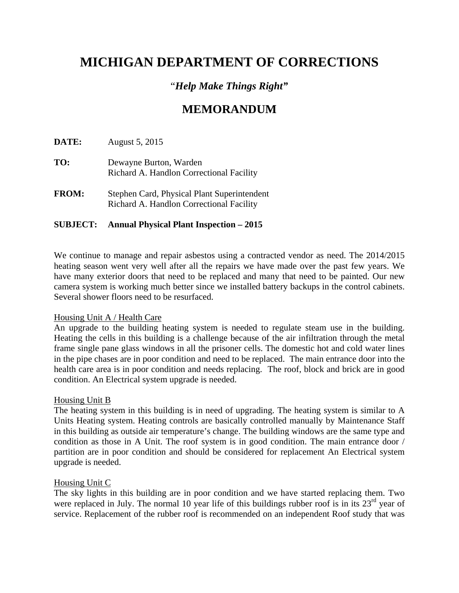### "*Help Make Things Right"*

### **MEMORANDUM**

**DATE:** August 5, 2015

- **TO:** Dewayne Burton, Warden Richard A. Handlon Correctional Facility
- **FROM:** Stephen Card, Physical Plant Superintendent Richard A. Handlon Correctional Facility

#### **SUBJECT: Annual Physical Plant Inspection – 2015**

We continue to manage and repair asbestos using a contracted vendor as need. The 2014/2015 heating season went very well after all the repairs we have made over the past few years. We have many exterior doors that need to be replaced and many that need to be painted. Our new camera system is working much better since we installed battery backups in the control cabinets. Several shower floors need to be resurfaced.

#### Housing Unit A / Health Care

An upgrade to the building heating system is needed to regulate steam use in the building. Heating the cells in this building is a challenge because of the air infiltration through the metal frame single pane glass windows in all the prisoner cells. The domestic hot and cold water lines in the pipe chases are in poor condition and need to be replaced. The main entrance door into the health care area is in poor condition and needs replacing. The roof, block and brick are in good condition. An Electrical system upgrade is needed.

#### Housing Unit B

The heating system in this building is in need of upgrading. The heating system is similar to A Units Heating system. Heating controls are basically controlled manually by Maintenance Staff in this building as outside air temperature's change. The building windows are the same type and condition as those in A Unit. The roof system is in good condition. The main entrance door / partition are in poor condition and should be considered for replacement An Electrical system upgrade is needed.

#### Housing Unit C

The sky lights in this building are in poor condition and we have started replacing them. Two were replaced in July. The normal 10 year life of this buildings rubber roof is in its  $23<sup>rd</sup>$  year of service. Replacement of the rubber roof is recommended on an independent Roof study that was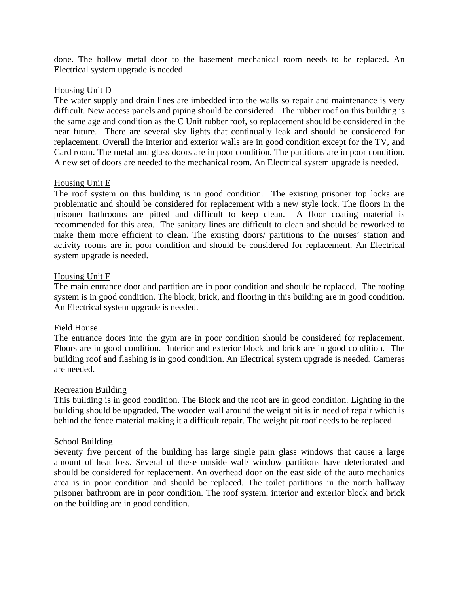done. The hollow metal door to the basement mechanical room needs to be replaced. An Electrical system upgrade is needed.

## Housing Unit D

The water supply and drain lines are imbedded into the walls so repair and maintenance is very difficult. New access panels and piping should be considered. The rubber roof on this building is the same age and condition as the C Unit rubber roof, so replacement should be considered in the near future. There are several sky lights that continually leak and should be considered for replacement. Overall the interior and exterior walls are in good condition except for the TV, and Card room. The metal and glass doors are in poor condition. The partitions are in poor condition. A new set of doors are needed to the mechanical room. An Electrical system upgrade is needed.

## Housing Unit E

The roof system on this building is in good condition. The existing prisoner top locks are problematic and should be considered for replacement with a new style lock. The floors in the prisoner bathrooms are pitted and difficult to keep clean. A floor coating material is recommended for this area. The sanitary lines are difficult to clean and should be reworked to make them more efficient to clean. The existing doors/ partitions to the nurses' station and activity rooms are in poor condition and should be considered for replacement. An Electrical system upgrade is needed.

## Housing Unit F

The main entrance door and partition are in poor condition and should be replaced. The roofing system is in good condition. The block, brick, and flooring in this building are in good condition. An Electrical system upgrade is needed.

## Field House

The entrance doors into the gym are in poor condition should be considered for replacement. Floors are in good condition. Interior and exterior block and brick are in good condition. The building roof and flashing is in good condition. An Electrical system upgrade is needed. Cameras are needed.

## Recreation Building

This building is in good condition. The Block and the roof are in good condition. Lighting in the building should be upgraded. The wooden wall around the weight pit is in need of repair which is behind the fence material making it a difficult repair. The weight pit roof needs to be replaced.

## School Building

Seventy five percent of the building has large single pain glass windows that cause a large amount of heat loss. Several of these outside wall/ window partitions have deteriorated and should be considered for replacement. An overhead door on the east side of the auto mechanics area is in poor condition and should be replaced. The toilet partitions in the north hallway prisoner bathroom are in poor condition. The roof system, interior and exterior block and brick on the building are in good condition.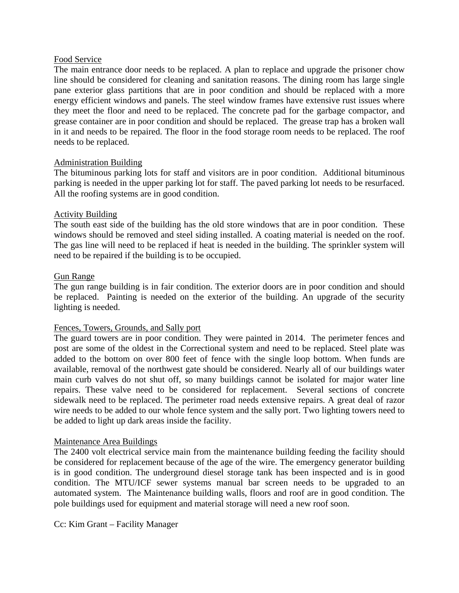## Food Service

The main entrance door needs to be replaced. A plan to replace and upgrade the prisoner chow line should be considered for cleaning and sanitation reasons. The dining room has large single pane exterior glass partitions that are in poor condition and should be replaced with a more energy efficient windows and panels. The steel window frames have extensive rust issues where they meet the floor and need to be replaced. The concrete pad for the garbage compactor, and grease container are in poor condition and should be replaced. The grease trap has a broken wall in it and needs to be repaired. The floor in the food storage room needs to be replaced. The roof needs to be replaced.

## Administration Building

The bituminous parking lots for staff and visitors are in poor condition. Additional bituminous parking is needed in the upper parking lot for staff. The paved parking lot needs to be resurfaced. All the roofing systems are in good condition.

## Activity Building

The south east side of the building has the old store windows that are in poor condition. These windows should be removed and steel siding installed. A coating material is needed on the roof. The gas line will need to be replaced if heat is needed in the building. The sprinkler system will need to be repaired if the building is to be occupied.

## Gun Range

The gun range building is in fair condition. The exterior doors are in poor condition and should be replaced. Painting is needed on the exterior of the building. An upgrade of the security lighting is needed.

## Fences, Towers, Grounds, and Sally port

The guard towers are in poor condition. They were painted in 2014. The perimeter fences and post are some of the oldest in the Correctional system and need to be replaced. Steel plate was added to the bottom on over 800 feet of fence with the single loop bottom. When funds are available, removal of the northwest gate should be considered. Nearly all of our buildings water main curb valves do not shut off, so many buildings cannot be isolated for major water line repairs. These valve need to be considered for replacement. Several sections of concrete sidewalk need to be replaced. The perimeter road needs extensive repairs. A great deal of razor wire needs to be added to our whole fence system and the sally port. Two lighting towers need to be added to light up dark areas inside the facility.

## Maintenance Area Buildings

The 2400 volt electrical service main from the maintenance building feeding the facility should be considered for replacement because of the age of the wire. The emergency generator building is in good condition. The underground diesel storage tank has been inspected and is in good condition. The MTU/ICF sewer systems manual bar screen needs to be upgraded to an automated system. The Maintenance building walls, floors and roof are in good condition. The pole buildings used for equipment and material storage will need a new roof soon.

Cc: Kim Grant – Facility Manager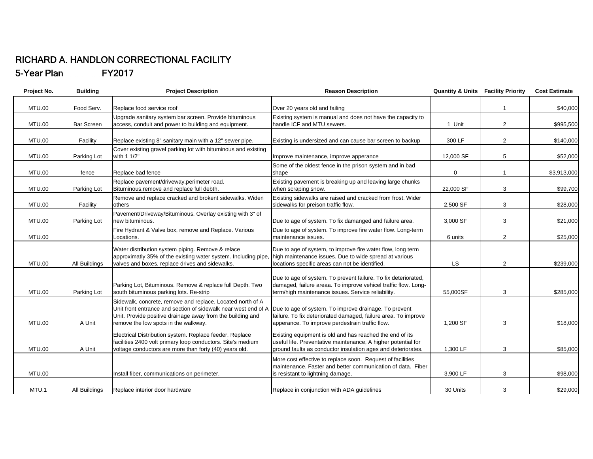## RICHARD A. HANDLON CORRECTIONAL FACILITY 5-Year Plan FY2017

| Project No.   | <b>Building</b>   | <b>Project Description</b>                                                                                                                                                                                                         | <b>Reason Description</b>                                                                                                                                                                 |                  | <b>Quantity &amp; Units Facility Priority</b> | <b>Cost Estimate</b> |
|---------------|-------------------|------------------------------------------------------------------------------------------------------------------------------------------------------------------------------------------------------------------------------------|-------------------------------------------------------------------------------------------------------------------------------------------------------------------------------------------|------------------|-----------------------------------------------|----------------------|
| <b>MTU.00</b> | Food Serv.        | Replace food service roof                                                                                                                                                                                                          | Over 20 years old and failing                                                                                                                                                             |                  |                                               | \$40,000             |
| <b>MTU.00</b> | <b>Bar Screen</b> | Upgrade sanitary system bar screen. Provide bituminous<br>access, conduit and power to building and equipment.                                                                                                                     | Existing system is manual and does not have the capacity to<br>handle ICF and MTU sewers.                                                                                                 | 1 Unit           | $\overline{2}$                                | \$995,500            |
| <b>MTU.00</b> | Facility          | Replace existing 8" sanitary main with a 12" sewer pipe.                                                                                                                                                                           | Existing is undersized and can cause bar screen to backup                                                                                                                                 | 300 LF           | $\overline{2}$                                | \$140,000            |
| <b>MTU.00</b> | Parking Lot       | Cover existing gravel parking lot with bituminous and existing<br>with 1 1/2"                                                                                                                                                      | Improve maintenance, improve apperance                                                                                                                                                    | 12,000 SF        | 5                                             | \$52,000             |
| <b>MTU.00</b> | fence             | Replace bad fence                                                                                                                                                                                                                  | Some of the oldest fence in the prison system and in bad<br>shape                                                                                                                         | $\boldsymbol{0}$ |                                               | \$3,913,000          |
| <b>MTU.00</b> | Parking Lot       | Replace pavement/driveway, perimeter road.<br>Bituminous, remove and replace full debth.                                                                                                                                           | Existing pavement is breaking up and leaving large chunks<br>when scraping snow.                                                                                                          | 22,000 SF        | 3                                             | \$99,700             |
| <b>MTU.00</b> | Facility          | Remove and replace cracked and brokent sidewalks. Widen<br>others                                                                                                                                                                  | Existing sidewalks are raised and cracked from frost. Wider<br>sidewalks for preison traffic flow.                                                                                        | 2,500 SF         | 3                                             | \$28,000             |
| <b>MTU.00</b> | Parking Lot       | Pavement/Driveway/Bituminous. Overlay existing with 3" of<br>new bituminous.                                                                                                                                                       | Due to age of system. To fix damanged and failure area.                                                                                                                                   | 3,000 SF         | 3                                             | \$21,000             |
| <b>MTU.00</b> |                   | Fire Hydrant & Valve box, remove and Replace. Various<br>Locations.                                                                                                                                                                | Due to age of system. To improve fire water flow. Long-term<br>maintenance issues.                                                                                                        | 6 units          | $\overline{2}$                                | \$25,000             |
| <b>MTU.00</b> | All Buildings     | Water distribution system piping. Remove & relace<br>approximatly 35% of the existing water system. Including pipe,<br>valves and boxes, replace drives and sidewalks.                                                             | Due to age of system, to improve fire water flow, long term<br>high maintenance issues. Due to wide spread at various<br>locations specific areas can not be identified.                  | <b>LS</b>        | $\overline{2}$                                | \$239,000            |
| <b>MTU.00</b> | Parking Lot       | Parking Lot, Bituminous. Remove & replace full Depth. Two<br>south bituminous parking lots. Re-strip                                                                                                                               | Due to age of system. To prevent failure. To fix deteriorated,<br>damaged, failure areaa. To improve vehicel traffic flow. Long-<br>term/high maintenance issues. Service reliability.    | 55.000SF         | 3                                             | \$285,000            |
| <b>MTU.00</b> | A Unit            | Sidewalk, concrete, remove and replace. Located north of A<br>Unit front entrance and section of sidewalk near west end of A<br>Unit. Provide positive drainage away from the building and<br>remove the low spots in the walkway. | Due to age of system. To improve drainage. To prevent<br>failure. To fix deteriorated damaged, failure area. To improve<br>apperance. To improve perdestrain traffic flow.                | 1,200 SF         | 3                                             | \$18,000             |
| <b>MTU.00</b> | A Unit            | Electrical Distribution system. Replace feeder. Replace<br>facilities 2400 volt primary loop conductors. Site's medium<br>voltage conductors are more than forty (40) years old.                                                   | Existing equipment is old and has reached the end of its<br>useful life. Preventative maintenance, A higher potential for<br>ground faults as conductor insulation ages and deteriorates. | 1,300 LF         | 3                                             | \$85,000             |
| <b>MTU.00</b> |                   | Install fiber, communications on perimeter.                                                                                                                                                                                        | More cost effective to replace soon. Request of facilities<br>maintenance. Faster and better communication of data. Fiber<br>is resistant to lightning damage.                            | 3,900 LF         | 3                                             | \$98,000             |
| MTU.1         | All Buildings     | Replace interior door hardware                                                                                                                                                                                                     | Replace in conjunction with ADA guidelines                                                                                                                                                | 30 Units         | 3                                             | \$29,000             |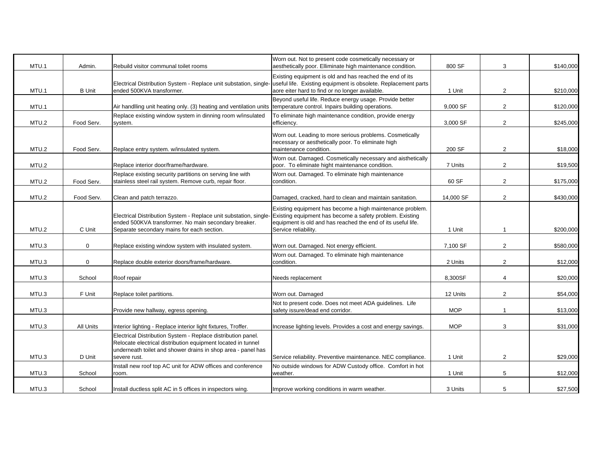| MTU.1 | Admin.        | Rebuild visitor communal toilet rooms                                                                                                                                                        | Worn out. Not to present code cosmetically necessary or<br>aesthetically poor. Elliminate high maintenance condition.                                                                 | 800 SF     | 3              | \$140,000 |
|-------|---------------|----------------------------------------------------------------------------------------------------------------------------------------------------------------------------------------------|---------------------------------------------------------------------------------------------------------------------------------------------------------------------------------------|------------|----------------|-----------|
|       |               |                                                                                                                                                                                              | Existing equipment is old and has reached the end of its                                                                                                                              |            |                |           |
|       |               | Electrical Distribution System - Replace unit substation, single-                                                                                                                            | useful life. Existing equipment is obsolete. Replacement parts                                                                                                                        |            |                |           |
| MTU.1 | <b>B</b> Unit | ended 500KVA transformer.                                                                                                                                                                    | aore eiter hard to find or no longer available.                                                                                                                                       | 1 Unit     | $\overline{2}$ | \$210,000 |
|       |               |                                                                                                                                                                                              | Beyond useful life. Reduce energy usage. Provide better                                                                                                                               |            |                |           |
| MTU.1 |               | Air handlling unit heating only. (3) heating and ventilation units                                                                                                                           | temperature control. Inpairs building operations.                                                                                                                                     | 9,000 SF   | $\overline{2}$ | \$120,000 |
| MTU.2 | Food Serv.    | Replace existing window system in dinning room w/insulated<br>system.                                                                                                                        | To eliminate high maintenance condition, provide energy<br>efficiency.                                                                                                                | 3,000 SF   | $\overline{2}$ | \$245,000 |
|       |               |                                                                                                                                                                                              | Worn out. Leading to more serious problems. Cosmetically                                                                                                                              |            |                |           |
| MTU.2 | Food Serv.    | Replace entry system. w/insulated system.                                                                                                                                                    | necessary or aesthetically poor. To eliminate high<br>maintenance condition.                                                                                                          | 200 SF     | $\overline{2}$ | \$18,000  |
| MTU.2 |               | Replace interior door/frame/hardware.                                                                                                                                                        | Worn out. Damaged. Cosmetically necessary and aisthetically<br>poor. To eliminate hight maintenance condition.                                                                        | 7 Units    | $\overline{2}$ | \$19,500  |
|       |               | Replace existing security partitions on serving line with                                                                                                                                    | Worn out. Damaged. To eliminate high maintenance                                                                                                                                      |            |                |           |
| MTU.2 | Food Serv.    | stainless steel rail system. Remove curb, repair floor.                                                                                                                                      | condition.                                                                                                                                                                            | 60 SF      | $\overline{2}$ | \$175,000 |
| MTU.2 | Food Serv.    | Clean and patch terrazzo.                                                                                                                                                                    | Damaged, cracked, hard to clean and maintain sanitation.                                                                                                                              | 14,000 SF  | $\overline{2}$ | \$430,000 |
|       |               | Electrical Distribution System - Replace unit substation, single-<br>ended 500KVA transformer. No main secondary breaker.                                                                    | Existing equipment has become a high maintenance problem.<br>Existing equipment has become a safety problem. Existing<br>equipment is old and has reached the end of its useful life. |            |                |           |
| MTU.2 | C Unit        | Separate secondary mains for each section.                                                                                                                                                   | Service reliability.                                                                                                                                                                  | 1 Unit     |                | \$200,000 |
|       |               |                                                                                                                                                                                              |                                                                                                                                                                                       |            |                |           |
| MTU.3 | $\mathbf 0$   | Replace existing window system with insulated system.                                                                                                                                        | Worn out. Damaged. Not energy efficient.                                                                                                                                              | 7,100 SF   | $\overline{2}$ | \$580,000 |
|       |               |                                                                                                                                                                                              | Worn out. Damaged. To eliminate high maintenance                                                                                                                                      |            |                |           |
| MTU.3 | $\mathbf 0$   | Replace double exterior doors/frame/hardware.                                                                                                                                                | condition.                                                                                                                                                                            | 2 Units    | $\overline{2}$ | \$12,000  |
| MTU.3 | School        | Roof repair                                                                                                                                                                                  | Needs replacement                                                                                                                                                                     | 8,300SF    | $\overline{4}$ | \$20,000  |
| MTU.3 | F Unit        | Replace toilet partitions.                                                                                                                                                                   | Worn out. Damaged                                                                                                                                                                     | 12 Units   | $\overline{2}$ | \$54,000  |
|       |               |                                                                                                                                                                                              | Not to present code. Does not meet ADA guidelines. Life                                                                                                                               |            |                |           |
| MTU.3 |               | Provide new hallway, egress opening.                                                                                                                                                         | safety issure/dead end corridor.                                                                                                                                                      | <b>MOP</b> | $\mathbf{1}$   | \$13,000  |
|       |               |                                                                                                                                                                                              |                                                                                                                                                                                       |            |                |           |
| MTU.3 | All Units     | Interior lighting - Replace interior light fixtures, Troffer.                                                                                                                                | Increase lighting levels. Provides a cost and energy savings.                                                                                                                         | <b>MOP</b> | 3              | \$31,000  |
|       |               | Electrical Distribution System - Replace distribution panel.<br>Relocate electrical distribution equipment located in tunnel<br>underneath toilet and shower drains in shop area - panel has |                                                                                                                                                                                       |            |                |           |
| MTU.3 | D Unit        | severe rust.                                                                                                                                                                                 | Service reliability. Preventive maintenance. NEC compliance.                                                                                                                          | 1 Unit     | $\overline{2}$ | \$29,000  |
|       |               | Install new roof top AC unit for ADW offices and conference                                                                                                                                  | No outside windows for ADW Custody office. Comfort in hot                                                                                                                             |            |                |           |
| MTU.3 | School        | room.                                                                                                                                                                                        | weather.                                                                                                                                                                              | 1 Unit     | 5              | \$12,000  |
| MTU.3 | School        | Install ductless split AC in 5 offices in inspectors wing.                                                                                                                                   | Improve working conditions in warm weather.                                                                                                                                           | 3 Units    | 5              | \$27,500  |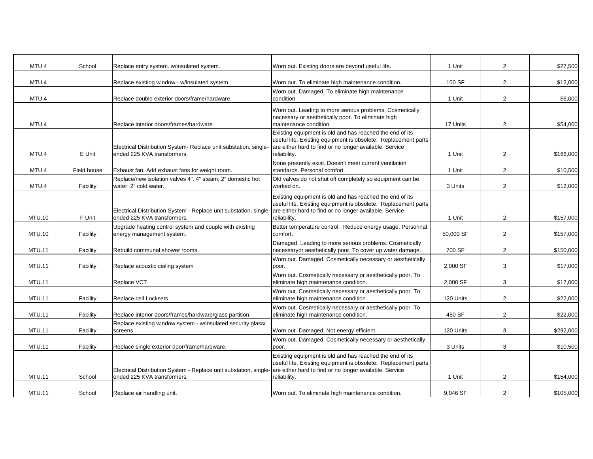| MTU.4         | School      | Replace entry system. w/insulated system.                                                                                                               | Worn out. Existing doors are beyond useful life.                                                                                                                                                      | 1 Unit    | $\overline{2}$ | \$27,500  |
|---------------|-------------|---------------------------------------------------------------------------------------------------------------------------------------------------------|-------------------------------------------------------------------------------------------------------------------------------------------------------------------------------------------------------|-----------|----------------|-----------|
| MTU.4         |             | Replace existing window - w/insulated system.                                                                                                           | Worn out. To eliminate high maintenance condition.                                                                                                                                                    | 150 SF    | $\overline{2}$ | \$12,000  |
| MTU.4         |             | Replace double exterior doors/frame/hardware.                                                                                                           | Worn out. Damaged. To eliminate high maintenance<br>condition.                                                                                                                                        | 1 Unit    | $\overline{2}$ | \$6,000   |
| MTU.4         |             | Replace interior doors/frames/hardware                                                                                                                  | Worn out. Leading to more serious problems. Cosmetically<br>necessary or aesthetically poor. To eliminate high<br>maintenance condition.                                                              | 17 Units  | $\overline{2}$ | \$54,000  |
| MTU.4         | E Unit      | Electrical Distribution System- Replace unit substation, single-<br>ended 225 KVA transformers.                                                         | Existing equipment is old and has reached the end of its<br>useful life. Existing equipment is obsolete. Replacement parts<br>are either hard to find or no longer available. Service<br>reliability. | 1 Unit    | $\overline{2}$ | \$166,000 |
| MTU.4         | Field house | Exhaust fan. Add exhaust fans for weight room.                                                                                                          | None presently exist. Doesn't meet current ventilation<br>standards. Personal comfort.                                                                                                                | 1 Unit    | $\overline{2}$ | \$10,500  |
| MTU.4         | Facility    | Replace/new isolation valves 4". 4" steam; 2" domestic hot<br>water; 2" cold water.                                                                     | Old valves do not shut off completely so equipment can be<br>worked on.                                                                                                                               | 3 Units   | $\overline{2}$ | \$12,000  |
| <b>MTU.10</b> | F Unit      | Electrical Distribution System - Replace unit substation, single-are either hard to find or no longer available. Service<br>ended 225 KVA transformers. | Existing equipment is old and has reached the end of its<br>useful life. Existing equipment is obsolete. Replacement parts<br>reliability.                                                            | 1 Unit    | $\overline{2}$ | \$157,000 |
| <b>MTU.10</b> | Facility    | Upgrade heating control system and couple with existing<br>energy management system.                                                                    | Better temperature control. Reduce energy usage. Personnal<br>comfort.                                                                                                                                | 50,000 SF | $\overline{2}$ | \$157,000 |
| <b>MTU.11</b> | Facility    | Rebuild communal shower rooms.                                                                                                                          | Damaged. Leading to more serious problems. Cosmetically<br>necessaryor aesthetically poor. To cover up water damage.                                                                                  | 700 SF    | $\overline{2}$ | \$150,000 |
| <b>MTU.11</b> | Facility    | Replace acoustic ceiling system                                                                                                                         | Worn out. Damaged. Cosmetically necessary or aesthetically<br>poor.                                                                                                                                   | 2,000 SF  | 3              | \$17,000  |
| <b>MTU.11</b> |             | Replace VCT                                                                                                                                             | Worn out. Cosmetically necessary or aesthetically poor. To<br>eliminate high maintenance condition.                                                                                                   | 2,000 SF  | 3              | \$17,000  |
| <b>MTU.11</b> | Facility    | Replace cell Locksets                                                                                                                                   | Worn out. Cosmetically necessary or aesthetically poor. To<br>eliminate high maintenance condition.                                                                                                   | 120 Units | $\overline{2}$ | \$22,000  |
| <b>MTU.11</b> | Facility    | Replace interior doors/frames/hardware/glass partition.                                                                                                 | Worn out. Cosmetically necessary or aesthetically poor. To<br>eliminate high maintenance condition.                                                                                                   | 450 SF    | $\overline{2}$ | \$22,000  |
| <b>MTU.11</b> | Facility    | Replace existing window system - w/insulated security glass/<br>screens                                                                                 | Worn out. Damaged. Not energy efficient.                                                                                                                                                              | 120 Units | 3              | \$292,000 |
| <b>MTU.11</b> | Facility    | Replace single exterior door/frame/hardware.                                                                                                            | Worn out. Damaged. Cosmetically necessary or aesthetically<br>poor.                                                                                                                                   | 3 Units   | 3              | \$10,500  |
| <b>MTU.11</b> | School      | Electrical Distribution System - Replace unit substation, single-<br>ended 225 KVA transformers.                                                        | Existing equipment is old and has reached the end of its<br>useful life. Existing equipment is obsolete. Replacement parts<br>are either hard to find or no longer available. Service<br>reliability. | 1 Unit    | $\overline{2}$ | \$154,000 |
| <b>MTU.11</b> | School      | Replace air handling unit.                                                                                                                              | Worn out. To eliminate high maintenance condition.                                                                                                                                                    | 9,046 SF  | $\overline{2}$ | \$105,000 |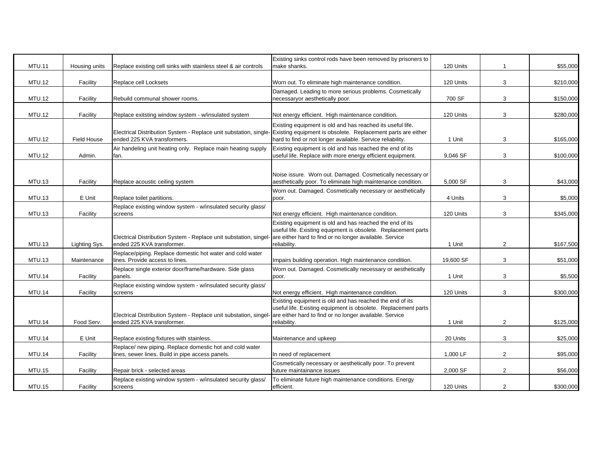| <b>MTU.11</b> | Housing units      | Replace existing cell sinks with stainless steel & air controls   | Existing sinks control rods have been removed by prisoners to<br>make shanks.                                              | 120 Units | 1              | \$55,000  |
|---------------|--------------------|-------------------------------------------------------------------|----------------------------------------------------------------------------------------------------------------------------|-----------|----------------|-----------|
|               |                    |                                                                   |                                                                                                                            |           |                |           |
| <b>MTU.12</b> | Facility           | Replace cell Locksets                                             | Worn out. To eliminate high maintenance condition.                                                                         | 120 Units | 3              | \$210,000 |
|               |                    |                                                                   | Damaged. Leading to more serious problems. Cosmetically                                                                    |           |                |           |
| <b>MTU.12</b> | Facility           | Rebuild communal shower rooms.                                    | necessaryor aesthetically poor.                                                                                            | 700 SF    | 3              | \$150,000 |
| <b>MTU.12</b> | Facility           | Replace exitsting window system - w/insulated system              | Not energy efficient. High maintenance condition.                                                                          | 120 Units | 3              | \$280,000 |
|               |                    | Electrical Distribution System - Replace unit substation, single- | Existing equipment is old and has reached its useful life.<br>Existing equipment is obsolete. Replacement parts are either |           |                |           |
| <b>MTU.12</b> | <b>Field House</b> | ended 225 KVA transformers.                                       | hard to find or not longer available. Service reliability.                                                                 | 1 Unit    | 3              | \$165,000 |
|               |                    | Air handeling unit heating only. Replace main heating supply      | Existing equipment is old and has reached the end of its                                                                   |           |                |           |
| <b>MTU.12</b> | Admin.             | fan.                                                              | useful life. Replace with more energy efficient equipment.                                                                 | 9,046 SF  | 3              | \$100,000 |
|               |                    |                                                                   |                                                                                                                            |           |                |           |
|               |                    |                                                                   | Noise issure. Worn out. Damaged. Cosmetically necessary or                                                                 |           |                |           |
| <b>MTU.13</b> | Facility           | Replace acoustic ceiling system                                   | aesthetically poor. To eliminate high maintenance condition.                                                               | 5,000 SF  | 3              | \$43,000  |
|               |                    |                                                                   | Worn out. Damaged. Cosmetically necessary or aesthetically                                                                 |           |                |           |
| <b>MTU.13</b> | E Unit             | Replace toilet partitions.                                        | poor.                                                                                                                      | 4 Units   | 3              | \$5,000   |
|               |                    | Replace existing window system - w/insulated security glass/      |                                                                                                                            |           |                |           |
| <b>MTU.13</b> | Facility           | screens                                                           | Not energy efficient. High maintenance condition.                                                                          | 120 Units | 3              | \$345,000 |
|               |                    |                                                                   | Existing equipment is old and has reached the end of its                                                                   |           |                |           |
|               |                    |                                                                   | useful life. Existing equipment is obsolete. Replacement parts                                                             |           |                |           |
|               |                    | Electrical Distribution System - Replace unit substation, singel- | are either hard to find or no longer available. Service                                                                    |           |                |           |
| <b>MTU.13</b> | Lighting Sys.      | ended 225 KVA transformer.                                        | reliability.                                                                                                               | 1 Unit    | $\overline{2}$ | \$167,500 |
|               |                    | Replace/piping. Replace domestic hot water and cold water         |                                                                                                                            |           |                |           |
| <b>MTU.13</b> | Maintenance        | lines. Provide access to lines.                                   | Impairs building operation. High maintenance condition.                                                                    | 19,600 SF | 3              | \$51,000  |
| <b>MTU.14</b> |                    | Replace single exterior door/frame/hardware. Side glass           | Worn out. Damaged. Cosmetically necessary or aesthetically                                                                 | 1 Unit    |                | \$5,500   |
|               | Facility           | panels.                                                           | poor.                                                                                                                      |           | 3              |           |
| <b>MTU.14</b> | Facility           | Replace existing window system - w/insulated security glass/      | Not energy efficient. High maintenance condition.                                                                          | 120 Units | 3              | \$300,000 |
|               |                    | screens                                                           | Existing equipment is old and has reached the end of its                                                                   |           |                |           |
|               |                    |                                                                   | useful life. Existing equipment is obsolete. Replacement parts                                                             |           |                |           |
|               |                    | Electrical Distribution System - Replace unit substation, singel- | are either hard to find or no longer available. Service                                                                    |           |                |           |
| <b>MTU.14</b> | Food Serv.         | ended 225 KVA transformer.                                        | reliability.                                                                                                               | 1 Unit    | $\overline{2}$ | \$125,000 |
|               |                    |                                                                   |                                                                                                                            |           |                |           |
| <b>MTU.14</b> | E Unit             | Replace existing fixtures with stainless.                         | Maintenance and upkeep                                                                                                     | 20 Units  | 3              | \$25,000  |
|               |                    | Replace/ new piping. Replace domestic hot and cold water          |                                                                                                                            |           |                |           |
| <b>MTU.14</b> | Facility           | lines, sewer lines. Build in pipe access panels.                  | n need of replacement                                                                                                      | 1,000 LF  | $\overline{2}$ | \$95,000  |
|               |                    |                                                                   | Cosmetically necessary or aesthetically poor. To prevent                                                                   |           |                |           |
| <b>MTU.15</b> | Facility           | Repair brick - selected areas                                     | future maintainance issues                                                                                                 | 2,000 SF  | $\overline{2}$ | \$56,000  |
|               |                    | Replace existing window system - w/insulated security glass/      | To eliminate future high maintenance conditions. Energy                                                                    |           |                |           |
| <b>MTU.15</b> | Facility           | screens                                                           | efficient.                                                                                                                 | 120 Units | $\overline{2}$ | \$300,000 |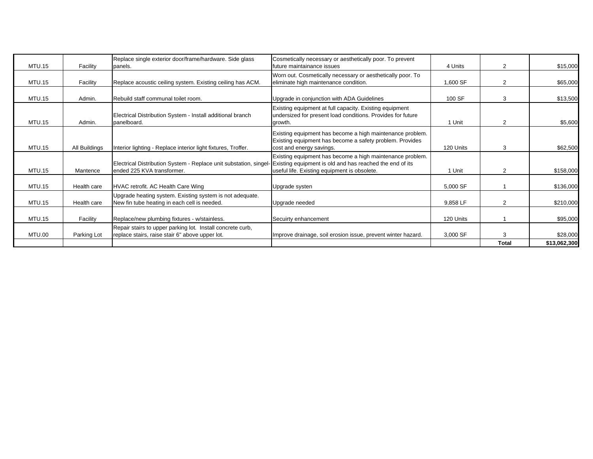| <b>MTU.15</b> | Facility      | Replace single exterior door/frame/hardware. Side glass<br>panels.                                                                                       | Cosmetically necessary or aesthetically poor. To prevent<br>future maintainance issues                                                            | 4 Units   | 2              | \$15,000     |
|---------------|---------------|----------------------------------------------------------------------------------------------------------------------------------------------------------|---------------------------------------------------------------------------------------------------------------------------------------------------|-----------|----------------|--------------|
| <b>MTU.15</b> | Facility      | Replace acoustic ceiling system. Existing ceiling has ACM.                                                                                               | Worn out. Cosmetically necessary or aesthetically poor. To<br>eliminate high maintenance condition.                                               | 1,600 SF  | $\overline{2}$ | \$65,000     |
| <b>MTU.15</b> | Admin.        | Rebuild staff communal toilet room.                                                                                                                      | Upgrade in conjunction with ADA Guidelines                                                                                                        | 100 SF    | 3              | \$13,500     |
| <b>MTU.15</b> | Admin.        | Electrical Distribution System - Install additional branch<br>panelboard.                                                                                | Existing equipment at full capacity. Existing equipment<br>undersized for present load conditions. Provides for future<br>growth.                 | 1 Unit    | 2              | \$5,600      |
| <b>MTU.15</b> | All Buildings | Interior lighting - Replace interior light fixtures, Troffer.                                                                                            | Existing equipment has become a high maintenance problem.<br>Existing equipment has become a safety problem. Provides<br>cost and energy savings. | 120 Units | 3              | \$62,500     |
| <b>MTU.15</b> | Mantence      | Electrical Distribution System - Replace unit substation, singel- Existing equipment is old and has reached the end of its<br>ended 225 KVA transformer. | Existing equipment has become a high maintenance problem.<br>useful life. Existing equipment is obsolete.                                         | 1 Unit    | $\overline{2}$ | \$158,000    |
| <b>MTU.15</b> | Health care   | HVAC retrofit. AC Health Care Wing                                                                                                                       | Upgrade systen                                                                                                                                    | 5,000 SF  |                | \$136,000    |
| <b>MTU.15</b> | Health care   | Upgrade heating system. Existing system is not adequate.<br>New fin tube heating in each cell is needed.                                                 | Upgrade needed                                                                                                                                    | 9,858 LF  | 2              | \$210,000    |
| <b>MTU.15</b> | Facility      | Replace/new plumbing fixtures - w/stainless.                                                                                                             | Secuirty enhancement                                                                                                                              | 120 Units |                | \$95,000     |
| <b>MTU.00</b> | Parking Lot   | Repair stairs to upper parking lot. Install concrete curb,<br>replace stairs, raise stair 6" above upper lot.                                            | Improve drainage, soil erosion issue, prevent winter hazard.                                                                                      | 3,000 SF  | 3              | \$28,000     |
|               |               |                                                                                                                                                          |                                                                                                                                                   |           | <b>Total</b>   | \$13,062,300 |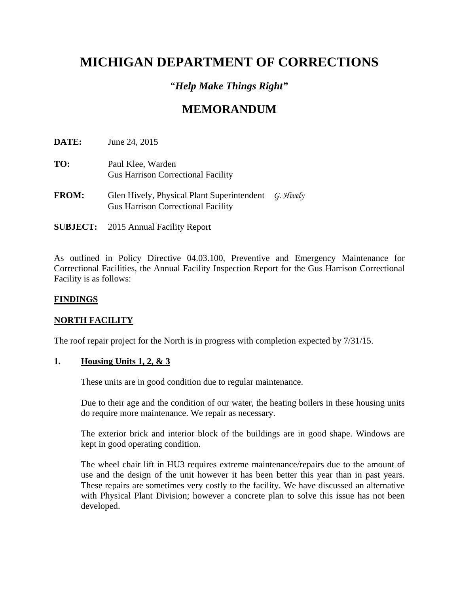# **MICHIGAN DEPARTMENT OF CORRECTIONS**

# "*Help Make Things Right"*

# **MEMORANDUM**

**DATE:** June 24, 2015

- **TO:** Paul Klee, Warden Gus Harrison Correctional Facility
- **FROM:** Glen Hively, Physical Plant Superintendent *G. Hively* Gus Harrison Correctional Facility
- **SUBJECT:** 2015 Annual Facility Report

As outlined in Policy Directive 04.03.100, Preventive and Emergency Maintenance for Correctional Facilities, the Annual Facility Inspection Report for the Gus Harrison Correctional Facility is as follows:

## **FINDINGS**

## **NORTH FACILITY**

The roof repair project for the North is in progress with completion expected by 7/31/15.

## **1. Housing Units 1, 2, & 3**

These units are in good condition due to regular maintenance.

Due to their age and the condition of our water, the heating boilers in these housing units do require more maintenance. We repair as necessary.

The exterior brick and interior block of the buildings are in good shape. Windows are kept in good operating condition.

The wheel chair lift in HU3 requires extreme maintenance/repairs due to the amount of use and the design of the unit however it has been better this year than in past years. These repairs are sometimes very costly to the facility. We have discussed an alternative with Physical Plant Division; however a concrete plan to solve this issue has not been developed.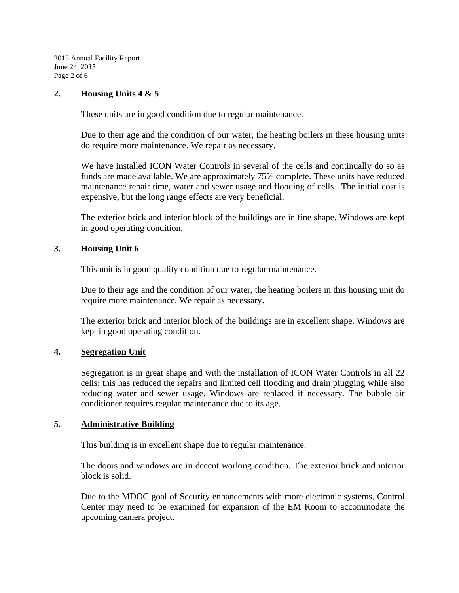2015 Annual Facility Report June 24, 2015 Page 2 of 6

## **2. Housing Units 4 & 5**

These units are in good condition due to regular maintenance.

Due to their age and the condition of our water, the heating boilers in these housing units do require more maintenance. We repair as necessary.

We have installed ICON Water Controls in several of the cells and continually do so as funds are made available. We are approximately 75% complete. These units have reduced maintenance repair time, water and sewer usage and flooding of cells. The initial cost is expensive, but the long range effects are very beneficial.

The exterior brick and interior block of the buildings are in fine shape. Windows are kept in good operating condition.

## **3. Housing Unit 6**

This unit is in good quality condition due to regular maintenance.

 Due to their age and the condition of our water, the heating boilers in this housing unit do require more maintenance. We repair as necessary.

 The exterior brick and interior block of the buildings are in excellent shape. Windows are kept in good operating condition.

## **4. Segregation Unit**

Segregation is in great shape and with the installation of ICON Water Controls in all 22 cells; this has reduced the repairs and limited cell flooding and drain plugging while also reducing water and sewer usage. Windows are replaced if necessary. The bubble air conditioner requires regular maintenance due to its age.

## **5. Administrative Building**

This building is in excellent shape due to regular maintenance.

The doors and windows are in decent working condition. The exterior brick and interior block is solid.

Due to the MDOC goal of Security enhancements with more electronic systems, Control Center may need to be examined for expansion of the EM Room to accommodate the upcoming camera project.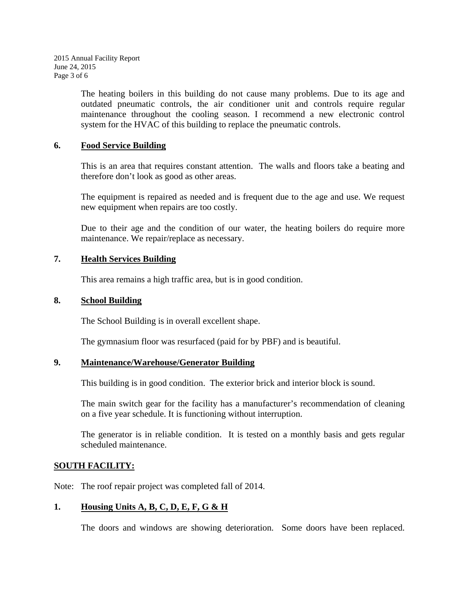2015 Annual Facility Report June 24, 2015 Page 3 of 6

> The heating boilers in this building do not cause many problems. Due to its age and outdated pneumatic controls, the air conditioner unit and controls require regular maintenance throughout the cooling season. I recommend a new electronic control system for the HVAC of this building to replace the pneumatic controls.

## **6. Food Service Building**

This is an area that requires constant attention. The walls and floors take a beating and therefore don't look as good as other areas.

The equipment is repaired as needed and is frequent due to the age and use. We request new equipment when repairs are too costly.

Due to their age and the condition of our water, the heating boilers do require more maintenance. We repair/replace as necessary.

## **7. Health Services Building**

This area remains a high traffic area, but is in good condition.

#### **8. School Building**

The School Building is in overall excellent shape.

The gymnasium floor was resurfaced (paid for by PBF) and is beautiful.

#### **9. Maintenance/Warehouse/Generator Building**

This building is in good condition. The exterior brick and interior block is sound.

The main switch gear for the facility has a manufacturer's recommendation of cleaning on a five year schedule. It is functioning without interruption.

The generator is in reliable condition. It is tested on a monthly basis and gets regular scheduled maintenance.

## **SOUTH FACILITY:**

Note: The roof repair project was completed fall of 2014.

## **1. Housing Units A, B, C, D, E, F, G & H**

The doors and windows are showing deterioration. Some doors have been replaced.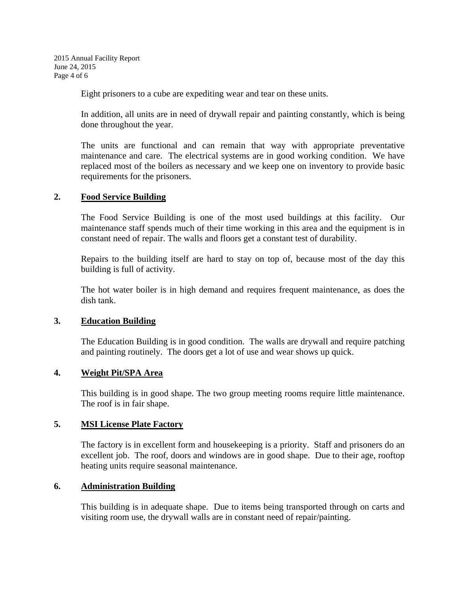2015 Annual Facility Report June 24, 2015 Page 4 of 6

Eight prisoners to a cube are expediting wear and tear on these units.

In addition, all units are in need of drywall repair and painting constantly, which is being done throughout the year.

 The units are functional and can remain that way with appropriate preventative maintenance and care. The electrical systems are in good working condition. We have replaced most of the boilers as necessary and we keep one on inventory to provide basic requirements for the prisoners.

## **2. Food Service Building**

The Food Service Building is one of the most used buildings at this facility. Our maintenance staff spends much of their time working in this area and the equipment is in constant need of repair. The walls and floors get a constant test of durability.

Repairs to the building itself are hard to stay on top of, because most of the day this building is full of activity.

The hot water boiler is in high demand and requires frequent maintenance, as does the dish tank.

## **3. Education Building**

The Education Building is in good condition. The walls are drywall and require patching and painting routinely. The doors get a lot of use and wear shows up quick.

## **4. Weight Pit/SPA Area**

This building is in good shape. The two group meeting rooms require little maintenance. The roof is in fair shape.

## **5. MSI License Plate Factory**

The factory is in excellent form and housekeeping is a priority. Staff and prisoners do an excellent job. The roof, doors and windows are in good shape. Due to their age, rooftop heating units require seasonal maintenance.

## **6. Administration Building**

This building is in adequate shape. Due to items being transported through on carts and visiting room use, the drywall walls are in constant need of repair/painting.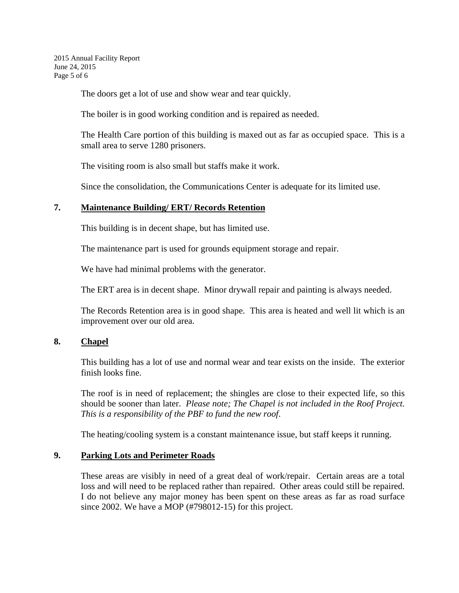2015 Annual Facility Report June 24, 2015 Page 5 of 6

The doors get a lot of use and show wear and tear quickly.

The boiler is in good working condition and is repaired as needed.

The Health Care portion of this building is maxed out as far as occupied space. This is a small area to serve 1280 prisoners.

The visiting room is also small but staffs make it work.

Since the consolidation, the Communications Center is adequate for its limited use.

## **7. Maintenance Building/ ERT/ Records Retention**

This building is in decent shape, but has limited use.

The maintenance part is used for grounds equipment storage and repair.

We have had minimal problems with the generator.

The ERT area is in decent shape. Minor drywall repair and painting is always needed.

The Records Retention area is in good shape. This area is heated and well lit which is an improvement over our old area.

## **8. Chapel**

This building has a lot of use and normal wear and tear exists on the inside. The exterior finish looks fine.

The roof is in need of replacement; the shingles are close to their expected life, so this should be sooner than later. *Please note; The Chapel is not included in the Roof Project. This is a responsibility of the PBF to fund the new roof*.

The heating/cooling system is a constant maintenance issue, but staff keeps it running.

## **9. Parking Lots and Perimeter Roads**

These areas are visibly in need of a great deal of work/repair. Certain areas are a total loss and will need to be replaced rather than repaired. Other areas could still be repaired. I do not believe any major money has been spent on these areas as far as road surface since 2002. We have a MOP (#798012-15) for this project.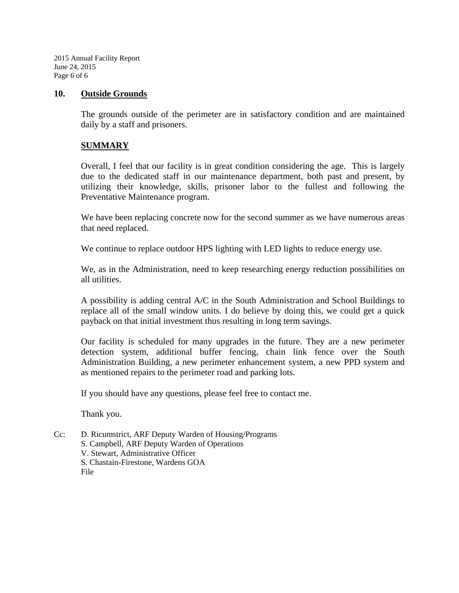2015 Annual Facility Report June 24, 2015 Page 6 of 6

#### **10. Outside Grounds**

The grounds outside of the perimeter are in satisfactory condition and are maintained daily by a staff and prisoners.

## **SUMMARY**

Overall, I feel that our facility is in great condition considering the age. This is largely due to the dedicated staff in our maintenance department, both past and present, by utilizing their knowledge, skills, prisoner labor to the fullest and following the Preventative Maintenance program.

We have been replacing concrete now for the second summer as we have numerous areas that need replaced.

We continue to replace outdoor HPS lighting with LED lights to reduce energy use.

We, as in the Administration, need to keep researching energy reduction possibilities on all utilities.

A possibility is adding central A/C in the South Administration and School Buildings to replace all of the small window units. I do believe by doing this, we could get a quick payback on that initial investment thus resulting in long term savings.

Our facility is scheduled for many upgrades in the future. They are a new perimeter detection system, additional buffer fencing, chain link fence over the South Administration Building, a new perimeter enhancement system, a new PPD system and as mentioned repairs to the perimeter road and parking lots.

If you should have any questions, please feel free to contact me.

Thank you.

Cc: D. Ricumstrict, ARF Deputy Warden of Housing/Programs S. Campbell, ARF Deputy Warden of Operations V. Stewart, Administrative Officer S. Chastain-Firestone, Wardens GOA File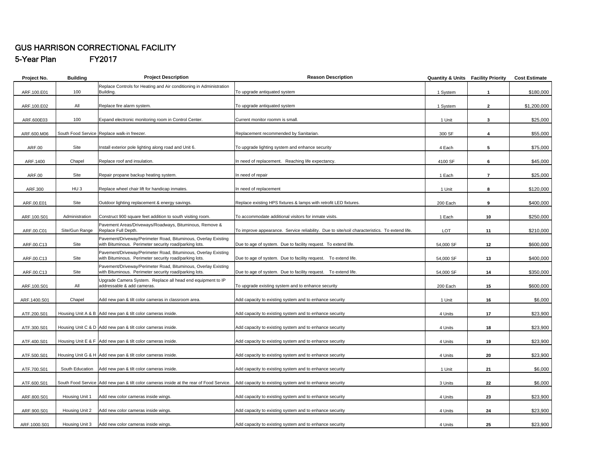## GUS HARRISON CORRECTIONAL FACILITY **FY2017**

5-Year Plan

| Project No.  | <b>Building</b> | <b>Project Description</b>                                                                | <b>Reason Description</b>                                                                     | <b>Quantity &amp; Units Facility Priority</b> |                         | <b>Cost Estimate</b> |
|--------------|-----------------|-------------------------------------------------------------------------------------------|-----------------------------------------------------------------------------------------------|-----------------------------------------------|-------------------------|----------------------|
|              |                 | Replace Controls for Heating and Air conditioning in Administration                       |                                                                                               |                                               |                         |                      |
| ARF.100.E01  | 100             | Building.                                                                                 | To upgrade antiquated system                                                                  | 1 System                                      | $\mathbf{1}$            | \$180,000            |
|              |                 |                                                                                           |                                                                                               |                                               |                         |                      |
| ARF.100.E02  | All             | Replace fire alarm system.                                                                | To upgrade antiquated system                                                                  | 1 System                                      | $\overline{2}$          | \$1,200,000          |
|              |                 |                                                                                           |                                                                                               |                                               |                         |                      |
| ARF.600E03   | 100             | Expand electronic monitoring room in Control Center.                                      | Current monitor roomm is small                                                                | 1 Unit                                        | 3                       | \$25,000             |
|              |                 |                                                                                           |                                                                                               |                                               |                         |                      |
| ARF.600.M06  |                 | South Food Service Replace walk-in freezer.                                               | Replacement recommended by Sanitarian.                                                        | 300 SF                                        | $\overline{\mathbf{4}}$ | \$55,000             |
|              |                 |                                                                                           |                                                                                               |                                               |                         |                      |
| ARF.00       | Site            | Install exterior pole lighting along road and Unit 6.                                     | To upgrade lighting system and enhance security                                               | 4 Each                                        | 5                       | \$75,000             |
|              |                 |                                                                                           |                                                                                               |                                               |                         |                      |
| ARF.1400     | Chapel          | Replace roof and insulation.                                                              | In need of replacement. Reaching life expectancy.                                             | 4100 SF                                       | 6                       | \$45,000             |
|              |                 |                                                                                           |                                                                                               |                                               |                         |                      |
| ARF.00       | Site            | Repair propane backup heating system.                                                     | In need of repair                                                                             | 1 Each                                        | $\overline{7}$          | \$25,000             |
|              |                 |                                                                                           |                                                                                               |                                               |                         |                      |
| ARF.300      | HU <sub>3</sub> | Replace wheel chair lift for handicap inmates.                                            | In need of replacement                                                                        | 1 Unit                                        | 8                       | \$120,000            |
|              |                 |                                                                                           |                                                                                               |                                               |                         |                      |
| ARF.00.E01   | Site            | Outdoor lighting replacement & energy savings.                                            | Replace existing HPS fixtures & lamps with retrofit LED fixtures.                             | 200 Each                                      | 9                       | \$400,000            |
|              |                 |                                                                                           |                                                                                               |                                               |                         |                      |
| ARF.100.S01  | Administration  | Construct 900 square feet addition to south visiting room.                                | To accommodate additional visitors for inmate visits.                                         | 1 Each                                        | 10                      | \$250,000            |
|              |                 | Pavement Areas/Driveways/Roadways, Bituminous, Remove &                                   |                                                                                               |                                               |                         |                      |
| ARF.00.C01   | Site/Gun Range  | Replace Full Depth.                                                                       | To improve appearance. Service reliability. Due to site/soil characteristics. To extend life. | LOT                                           | 11                      | \$210,000            |
|              |                 | Pavement/Driveway/Perimeter Road, Bituminous, Overlay Existing                            |                                                                                               |                                               |                         |                      |
| ARF.00.C13   | Site            | with Bituminous. Perimeter security road/parking lots.                                    | Due to age of system. Due to facility request. To extend life.                                | 54,000 SF                                     | 12                      | \$600,000            |
|              |                 | Pavement/Driveway/Perimeter Road, Bituminous, Overlay Existing                            |                                                                                               |                                               |                         |                      |
| ARF.00.C13   | Site            | with Bituminous. Perimeter security road/parking lots.                                    | Due to age of system. Due to facility request. To extend life.                                | 54,000 SF                                     | 13                      | \$400,000            |
|              |                 | Pavement/Driveway/Perimeter Road, Bituminous, Overlay Existing                            |                                                                                               |                                               |                         |                      |
| ARF.00.C13   | Site            | with Bituminous. Perimeter security road/parking lots.                                    | Due to age of system. Due to facility request. To extend life.                                | 54,000 SF                                     | 14                      | \$350,000            |
|              |                 | Upgrade Camera System. Replace all head end equipment to IP<br>addressable & add cameras. |                                                                                               |                                               |                         |                      |
| ARF.100.S01  | All             |                                                                                           | To upgrade existing system and to enhance security                                            | 200 Each                                      | 15                      | \$600,000            |
| ARF.1400.S01 | Chapel          | Add new pan & tilt color cameras in classroom area.                                       | Add capacity to existing system and to enhance security                                       | 1 Unit                                        | 16                      | \$6,000              |
|              |                 |                                                                                           |                                                                                               |                                               |                         |                      |
| ATF.200.S01  |                 | Housing Unit A & B Add new pan & tilt color cameras inside.                               | Add capacity to existing system and to enhance security                                       | 4 Units                                       | 17                      | \$23,900             |
|              |                 |                                                                                           |                                                                                               |                                               |                         |                      |
| ATF.300.S01  |                 | Housing Unit C & D Add new pan & tilt color cameras inside.                               | Add capacity to existing system and to enhance security                                       | 4 Units                                       | 18                      | \$23,900             |
|              |                 |                                                                                           |                                                                                               |                                               |                         |                      |
| ATF.400.S01  |                 | Housing Unit E & F Add new pan & tilt color cameras inside.                               | Add capacity to existing system and to enhance security                                       | 4 Units                                       | 19                      | \$23,900             |
|              |                 |                                                                                           |                                                                                               |                                               |                         |                      |
| ATF.500.S01  |                 | Housing Unit G & H Add new pan & tilt color cameras inside.                               | Add capacity to existing system and to enhance security                                       | 4 Units                                       | 20                      | \$23,900             |
|              |                 |                                                                                           |                                                                                               |                                               |                         |                      |
| ATF.700.S01  | South Education | Add new pan & tilt color cameras inside.                                                  | Add capacity to existing system and to enhance security                                       | 1 Unit                                        | 21                      | \$6,000              |
|              |                 |                                                                                           |                                                                                               |                                               |                         |                      |
| ATF.600.S01  |                 | South Food Service Add new pan & tilt color cameras inside at the rear of Food Service.   | Add capacity to existing system and to enhance security                                       | 3 Units                                       | 22                      | \$6,000              |
|              |                 |                                                                                           |                                                                                               |                                               |                         |                      |
| ARF.800.S01  | Housing Unit 1  | Add new color cameras inside wings.                                                       | Add capacity to existing system and to enhance security                                       | 4 Units                                       | 23                      | \$23,900             |
|              |                 |                                                                                           |                                                                                               |                                               |                         |                      |
| ARF.900.S01  | Housing Unit 2  | Add new color cameras inside wings.                                                       | Add capacity to existing system and to enhance security                                       | 4 Units                                       | 24                      | \$23,900             |
|              |                 |                                                                                           |                                                                                               |                                               |                         |                      |
| ARF.1000.S01 | Housing Unit 3  | Add new color cameras inside wings.                                                       | Add capacity to existing system and to enhance security                                       | 4 Units                                       | 25                      | \$23,900             |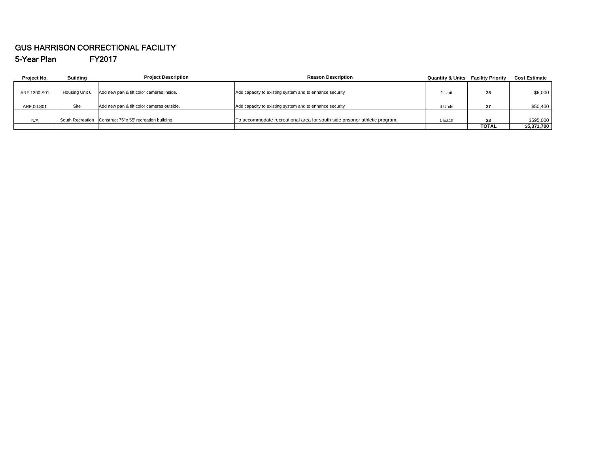#### GUS HARRISON CORRECTIONAL FACILITY 5-Year Plan FY2017

| Project No.  | <b>Building</b> | <b>Project Description</b>                                | <b>Reason Description</b>                                                  | <b>Quantity &amp; Units Facility Priority</b> |              | <b>Cost Estimate</b> |
|--------------|-----------------|-----------------------------------------------------------|----------------------------------------------------------------------------|-----------------------------------------------|--------------|----------------------|
|              |                 |                                                           |                                                                            |                                               |              |                      |
| ARF.1300.S01 | Housing Unit 6  | Add new pan & tilt color cameras inside.                  | Add capacity to existing system and to enhance security                    | 1 Unit                                        | 26           | \$6,000              |
|              |                 |                                                           |                                                                            |                                               |              |                      |
| ARF.00.S01   | Site            | Add new pan & tilt color cameras outside.                 | Add capacity to existing system and to enhance security                    | 4 Units                                       | 27           | \$50,400             |
|              |                 |                                                           |                                                                            |                                               |              |                      |
| N/A          |                 | South Recreation Construct 75' x 55' recreation building. | To accommodate recreational area for south side prisoner athletic program. | 1 Each                                        | 28           | \$595,000            |
|              |                 |                                                           |                                                                            |                                               | <b>TOTAL</b> | \$5,371,700          |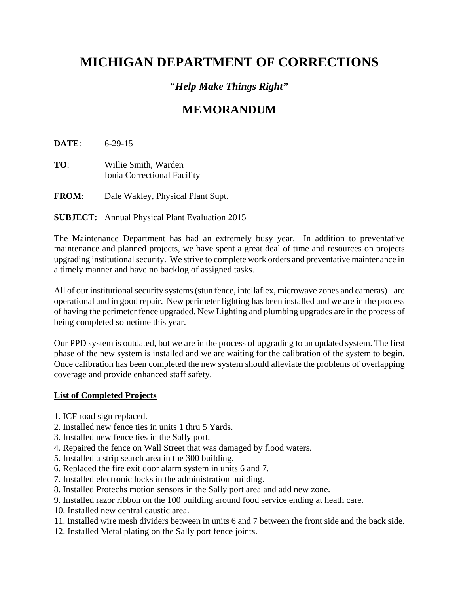# **MICHIGAN DEPARTMENT OF CORRECTIONS**

## "*Help Make Things Right"*

# **MEMORANDUM**

**DATE**: 6-29-15

**TO**: Willie Smith, Warden Ionia Correctional Facility

**FROM**: Dale Wakley, Physical Plant Supt.

## **SUBJECT:** Annual Physical Plant Evaluation 2015

The Maintenance Department has had an extremely busy year. In addition to preventative maintenance and planned projects, we have spent a great deal of time and resources on projects upgrading institutional security. We strive to complete work orders and preventative maintenance in a timely manner and have no backlog of assigned tasks.

All of our institutional security systems (stun fence, intellaflex, microwave zones and cameras) are operational and in good repair. New perimeter lighting has been installed and we are in the process of having the perimeter fence upgraded. New Lighting and plumbing upgrades are in the process of being completed sometime this year.

Our PPD system is outdated, but we are in the process of upgrading to an updated system. The first phase of the new system is installed and we are waiting for the calibration of the system to begin. Once calibration has been completed the new system should alleviate the problems of overlapping coverage and provide enhanced staff safety.

## **List of Completed Projects**

- 1. ICF road sign replaced.
- 2. Installed new fence ties in units 1 thru 5 Yards.
- 3. Installed new fence ties in the Sally port.
- 4. Repaired the fence on Wall Street that was damaged by flood waters.
- 5. Installed a strip search area in the 300 building.
- 6. Replaced the fire exit door alarm system in units 6 and 7.
- 7. Installed electronic locks in the administration building.
- 8. Installed Protechs motion sensors in the Sally port area and add new zone.
- 9. Installed razor ribbon on the 100 building around food service ending at heath care.
- 10. Installed new central caustic area.
- 11. Installed wire mesh dividers between in units 6 and 7 between the front side and the back side.
- 12. Installed Metal plating on the Sally port fence joints.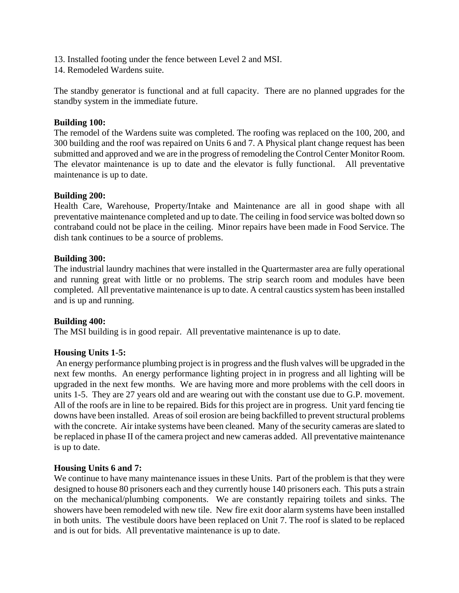- 13. Installed footing under the fence between Level 2 and MSI.
- 14. Remodeled Wardens suite.

The standby generator is functional and at full capacity. There are no planned upgrades for the standby system in the immediate future.

## **Building 100:**

The remodel of the Wardens suite was completed. The roofing was replaced on the 100, 200, and 300 building and the roof was repaired on Units 6 and 7. A Physical plant change request has been submitted and approved and we are in the progress of remodeling the Control Center Monitor Room. The elevator maintenance is up to date and the elevator is fully functional. All preventative maintenance is up to date.

## **Building 200:**

Health Care, Warehouse, Property/Intake and Maintenance are all in good shape with all preventative maintenance completed and up to date. The ceiling in food service was bolted down so contraband could not be place in the ceiling. Minor repairs have been made in Food Service. The dish tank continues to be a source of problems.

## **Building 300:**

The industrial laundry machines that were installed in the Quartermaster area are fully operational and running great with little or no problems. The strip search room and modules have been completed. All preventative maintenance is up to date. A central caustics system has been installed and is up and running.

## **Building 400:**

The MSI building is in good repair. All preventative maintenance is up to date.

## **Housing Units 1-5:**

 An energy performance plumbing project is in progress and the flush valves will be upgraded in the next few months. An energy performance lighting project in in progress and all lighting will be upgraded in the next few months. We are having more and more problems with the cell doors in units 1-5. They are 27 years old and are wearing out with the constant use due to G.P. movement. All of the roofs are in line to be repaired. Bids for this project are in progress. Unit yard fencing tie downs have been installed. Areas of soil erosion are being backfilled to prevent structural problems with the concrete. Air intake systems have been cleaned. Many of the security cameras are slated to be replaced in phase II of the camera project and new cameras added. All preventative maintenance is up to date.

## **Housing Units 6 and 7:**

We continue to have many maintenance issues in these Units. Part of the problem is that they were designed to house 80 prisoners each and they currently house 140 prisoners each. This puts a strain on the mechanical/plumbing components. We are constantly repairing toilets and sinks. The showers have been remodeled with new tile. New fire exit door alarm systems have been installed in both units. The vestibule doors have been replaced on Unit 7. The roof is slated to be replaced and is out for bids. All preventative maintenance is up to date.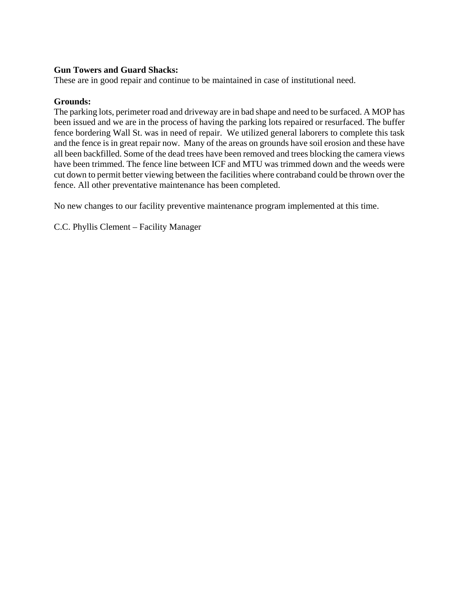## **Gun Towers and Guard Shacks:**

These are in good repair and continue to be maintained in case of institutional need.

## **Grounds:**

The parking lots, perimeter road and driveway are in bad shape and need to be surfaced. A MOP has been issued and we are in the process of having the parking lots repaired or resurfaced. The buffer fence bordering Wall St. was in need of repair. We utilized general laborers to complete this task and the fence is in great repair now. Many of the areas on grounds have soil erosion and these have all been backfilled. Some of the dead trees have been removed and trees blocking the camera views have been trimmed. The fence line between ICF and MTU was trimmed down and the weeds were cut down to permit better viewing between the facilities where contraband could be thrown over the fence. All other preventative maintenance has been completed.

No new changes to our facility preventive maintenance program implemented at this time.

C.C. Phyllis Clement – Facility Manager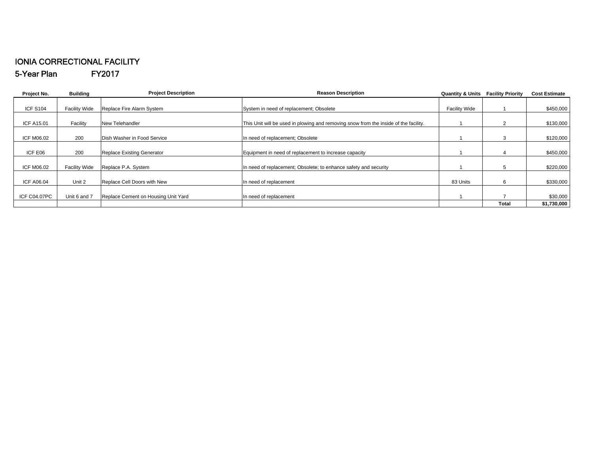#### IONIA CORRECTIONAL FACILITY 5-Year Plan FY2017

| Project No.         | <b>Building</b>      | <b>Project Description</b>          | <b>Reason Description</b>                                                            | <b>Quantity &amp; Units</b> | <b>Facility Priority</b> | <b>Cost Estimate</b> |
|---------------------|----------------------|-------------------------------------|--------------------------------------------------------------------------------------|-----------------------------|--------------------------|----------------------|
|                     |                      |                                     |                                                                                      |                             |                          |                      |
| <b>ICF S104</b>     | <b>Facility Wide</b> | Replace Fire Alarm System           | System in need of replacement; Obsolete                                              | <b>Facility Wide</b>        |                          | \$450,000            |
|                     |                      |                                     |                                                                                      |                             |                          |                      |
| <b>ICF A15.01</b>   | Facility             | <b>New Telehandler</b>              | This Unit will be used in plowing and removing snow from the inside of the facility. |                             |                          | \$130,000            |
|                     |                      |                                     |                                                                                      |                             |                          |                      |
| ICF M06.02          | 200                  | Dish Washer in Food Service         | In need of replacement; Obsolete                                                     |                             |                          | \$120,000            |
|                     |                      |                                     |                                                                                      |                             |                          |                      |
| ICF E06             | 200                  | <b>Replace Existing Generator</b>   | Equipment in need of replacement to increase capacity                                |                             |                          | \$450,000            |
|                     |                      |                                     |                                                                                      |                             |                          |                      |
| ICF M06.02          | <b>Facility Wide</b> | Replace P.A. System                 | In need of replacement; Obsolete; to enhance safety and security                     |                             |                          | \$220,000            |
|                     |                      |                                     |                                                                                      |                             |                          |                      |
| <b>ICF A06.04</b>   | Unit 2               | Replace Cell Doors with New         | In need of replacement                                                               | 83 Units                    | 6                        | \$330,000            |
|                     |                      |                                     |                                                                                      |                             |                          |                      |
| <b>ICF C04.07PC</b> | Unit 6 and 7         | Replace Cement on Housing Unit Yard | In need of replacement                                                               |                             |                          | \$30,000             |
|                     |                      |                                     |                                                                                      |                             | Total                    | \$1,730,000          |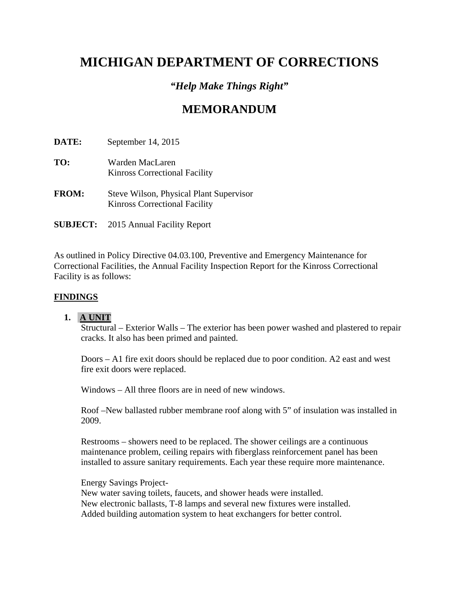# **MICHIGAN DEPARTMENT OF CORRECTIONS**

## *"Help Make Things Right"*

# **MEMORANDUM**

**DATE:** September 14, 2015

- **TO:** Warden MacLaren Kinross Correctional Facility
- **FROM:** Steve Wilson, Physical Plant Supervisor Kinross Correctional Facility
- **SUBJECT:** 2015 Annual Facility Report

As outlined in Policy Directive 04.03.100, Preventive and Emergency Maintenance for Correctional Facilities, the Annual Facility Inspection Report for the Kinross Correctional Facility is as follows:

## **FINDINGS**

## **1. A UNIT**

Structural – Exterior Walls – The exterior has been power washed and plastered to repair cracks. It also has been primed and painted.

 Doors – A1 fire exit doors should be replaced due to poor condition. A2 east and west fire exit doors were replaced.

Windows – All three floors are in need of new windows.

Roof –New ballasted rubber membrane roof along with 5" of insulation was installed in 2009.

Restrooms – showers need to be replaced. The shower ceilings are a continuous maintenance problem, ceiling repairs with fiberglass reinforcement panel has been installed to assure sanitary requirements. Each year these require more maintenance.

Energy Savings Project-New water saving toilets, faucets, and shower heads were installed. New electronic ballasts, T-8 lamps and several new fixtures were installed. Added building automation system to heat exchangers for better control.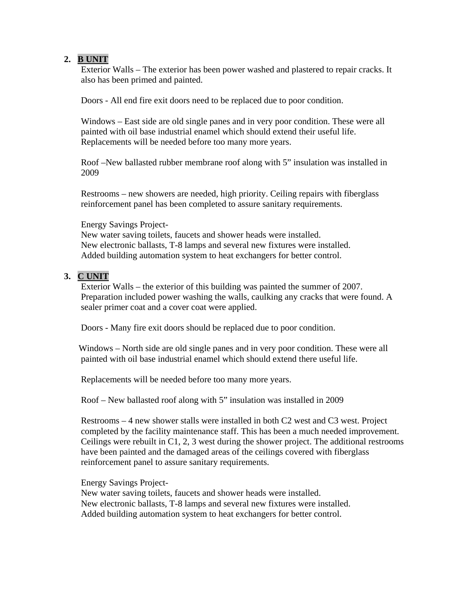## **2. B UNIT**

Exterior Walls – The exterior has been power washed and plastered to repair cracks. It also has been primed and painted.

Doors - All end fire exit doors need to be replaced due to poor condition.

Windows – East side are old single panes and in very poor condition. These were all painted with oil base industrial enamel which should extend their useful life. Replacements will be needed before too many more years.

Roof –New ballasted rubber membrane roof along with 5" insulation was installed in 2009

Restrooms – new showers are needed, high priority. Ceiling repairs with fiberglass reinforcement panel has been completed to assure sanitary requirements.

Energy Savings Project-

New water saving toilets, faucets and shower heads were installed. New electronic ballasts, T-8 lamps and several new fixtures were installed. Added building automation system to heat exchangers for better control.

## **3. C UNIT**

Exterior Walls – the exterior of this building was painted the summer of 2007. Preparation included power washing the walls, caulking any cracks that were found. A sealer primer coat and a cover coat were applied.

Doors - Many fire exit doors should be replaced due to poor condition.

 Windows – North side are old single panes and in very poor condition. These were all painted with oil base industrial enamel which should extend there useful life.

Replacements will be needed before too many more years.

Roof – New ballasted roof along with 5" insulation was installed in 2009

Restrooms – 4 new shower stalls were installed in both C2 west and C3 west. Project completed by the facility maintenance staff. This has been a much needed improvement. Ceilings were rebuilt in C1, 2, 3 west during the shower project. The additional restrooms have been painted and the damaged areas of the ceilings covered with fiberglass reinforcement panel to assure sanitary requirements.

Energy Savings Project-

New water saving toilets, faucets and shower heads were installed. New electronic ballasts, T-8 lamps and several new fixtures were installed. Added building automation system to heat exchangers for better control.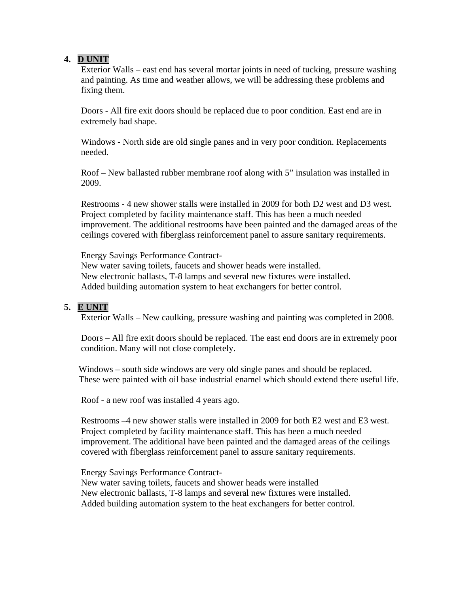## **4. D UNIT**

 Exterior Walls – east end has several mortar joints in need of tucking, pressure washing and painting. As time and weather allows, we will be addressing these problems and fixing them.

Doors - All fire exit doors should be replaced due to poor condition. East end are in extremely bad shape.

Windows - North side are old single panes and in very poor condition. Replacements needed.

Roof – New ballasted rubber membrane roof along with 5" insulation was installed in 2009.

Restrooms - 4 new shower stalls were installed in 2009 for both D2 west and D3 west. Project completed by facility maintenance staff. This has been a much needed improvement. The additional restrooms have been painted and the damaged areas of the ceilings covered with fiberglass reinforcement panel to assure sanitary requirements.

Energy Savings Performance Contract-

New water saving toilets, faucets and shower heads were installed. New electronic ballasts, T-8 lamps and several new fixtures were installed. Added building automation system to heat exchangers for better control.

## **5. E UNIT**

Exterior Walls – New caulking, pressure washing and painting was completed in 2008.

Doors – All fire exit doors should be replaced. The east end doors are in extremely poor condition. Many will not close completely.

 Windows – south side windows are very old single panes and should be replaced. These were painted with oil base industrial enamel which should extend there useful life.

Roof - a new roof was installed 4 years ago.

Restrooms –4 new shower stalls were installed in 2009 for both E2 west and E3 west. Project completed by facility maintenance staff. This has been a much needed improvement. The additional have been painted and the damaged areas of the ceilings covered with fiberglass reinforcement panel to assure sanitary requirements.

Energy Savings Performance Contract-New water saving toilets, faucets and shower heads were installed New electronic ballasts, T-8 lamps and several new fixtures were installed. Added building automation system to the heat exchangers for better control.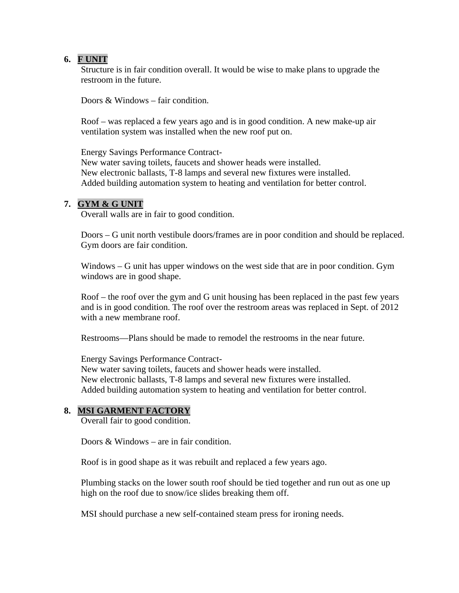## **6. F UNIT**

Structure is in fair condition overall. It would be wise to make plans to upgrade the restroom in the future.

Doors  $\&$  Windows – fair condition.

Roof – was replaced a few years ago and is in good condition. A new make-up air ventilation system was installed when the new roof put on.

Energy Savings Performance Contract-New water saving toilets, faucets and shower heads were installed. New electronic ballasts, T-8 lamps and several new fixtures were installed. Added building automation system to heating and ventilation for better control.

## **7. GYM & G UNIT**

Overall walls are in fair to good condition.

Doors – G unit north vestibule doors/frames are in poor condition and should be replaced. Gym doors are fair condition.

Windows – G unit has upper windows on the west side that are in poor condition. Gym windows are in good shape.

Roof – the roof over the gym and G unit housing has been replaced in the past few years and is in good condition. The roof over the restroom areas was replaced in Sept. of 2012 with a new membrane roof.

Restrooms—Plans should be made to remodel the restrooms in the near future.

Energy Savings Performance Contract-New water saving toilets, faucets and shower heads were installed. New electronic ballasts, T-8 lamps and several new fixtures were installed. Added building automation system to heating and ventilation for better control.

## **8. MSI GARMENT FACTORY**

Overall fair to good condition.

Doors  $&$  Windows – are in fair condition.

Roof is in good shape as it was rebuilt and replaced a few years ago.

Plumbing stacks on the lower south roof should be tied together and run out as one up high on the roof due to snow/ice slides breaking them off.

MSI should purchase a new self-contained steam press for ironing needs.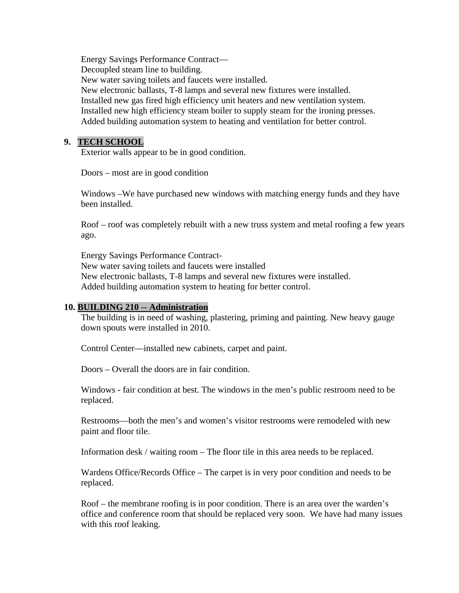Energy Savings Performance Contract— Decoupled steam line to building. New water saving toilets and faucets were installed. New electronic ballasts, T-8 lamps and several new fixtures were installed. Installed new gas fired high efficiency unit heaters and new ventilation system. Installed new high efficiency steam boiler to supply steam for the ironing presses. Added building automation system to heating and ventilation for better control.

## **9. TECH SCHOOL**

Exterior walls appear to be in good condition.

Doors – most are in good condition

Windows –We have purchased new windows with matching energy funds and they have been installed.

Roof – roof was completely rebuilt with a new truss system and metal roofing a few years ago.

Energy Savings Performance Contract-

New water saving toilets and faucets were installed New electronic ballasts, T-8 lamps and several new fixtures were installed. Added building automation system to heating for better control.

#### **10. BUILDING 210 -- Administration**

The building is in need of washing, plastering, priming and painting. New heavy gauge down spouts were installed in 2010.

Control Center—installed new cabinets, carpet and paint.

Doors – Overall the doors are in fair condition.

Windows - fair condition at best. The windows in the men's public restroom need to be replaced.

Restrooms—both the men's and women's visitor restrooms were remodeled with new paint and floor tile.

Information desk / waiting room – The floor tile in this area needs to be replaced.

Wardens Office/Records Office – The carpet is in very poor condition and needs to be replaced.

Roof – the membrane roofing is in poor condition. There is an area over the warden's office and conference room that should be replaced very soon. We have had many issues with this roof leaking.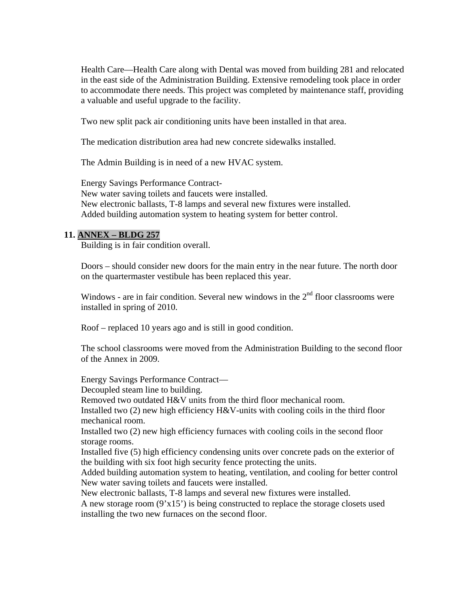Health Care—Health Care along with Dental was moved from building 281 and relocated in the east side of the Administration Building. Extensive remodeling took place in order to accommodate there needs. This project was completed by maintenance staff, providing a valuable and useful upgrade to the facility.

Two new split pack air conditioning units have been installed in that area.

The medication distribution area had new concrete sidewalks installed.

The Admin Building is in need of a new HVAC system.

Energy Savings Performance Contract-

New water saving toilets and faucets were installed. New electronic ballasts, T-8 lamps and several new fixtures were installed. Added building automation system to heating system for better control.

### **11. ANNEX – BLDG 257**

Building is in fair condition overall.

Doors – should consider new doors for the main entry in the near future. The north door on the quartermaster vestibule has been replaced this year.

Windows - are in fair condition. Several new windows in the  $2<sup>nd</sup>$  floor classrooms were installed in spring of 2010.

Roof – replaced 10 years ago and is still in good condition.

 The school classrooms were moved from the Administration Building to the second floor of the Annex in 2009.

Energy Savings Performance Contract—

Decoupled steam line to building.

Removed two outdated H&V units from the third floor mechanical room.

Installed two  $(2)$  new high efficiency H&V-units with cooling coils in the third floor mechanical room.

Installed two (2) new high efficiency furnaces with cooling coils in the second floor storage rooms.

Installed five (5) high efficiency condensing units over concrete pads on the exterior of the building with six foot high security fence protecting the units.

Added building automation system to heating, ventilation, and cooling for better control New water saving toilets and faucets were installed.

New electronic ballasts, T-8 lamps and several new fixtures were installed.

A new storage room  $(9'x15')$  is being constructed to replace the storage closets used installing the two new furnaces on the second floor.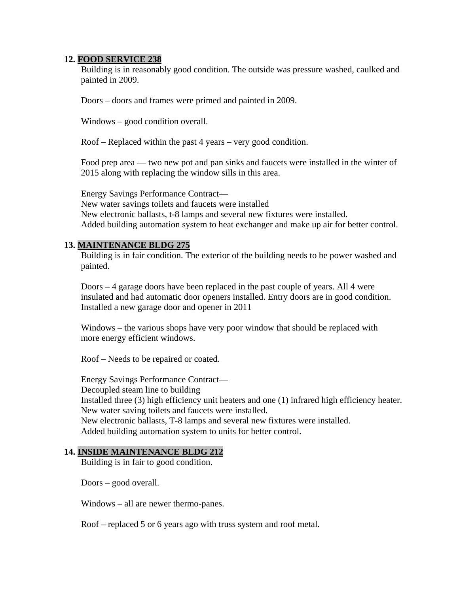## **12. FOOD SERVICE 238**

Building is in reasonably good condition. The outside was pressure washed, caulked and painted in 2009.

Doors – doors and frames were primed and painted in 2009.

Windows – good condition overall.

Roof – Replaced within the past 4 years – very good condition.

Food prep area — two new pot and pan sinks and faucets were installed in the winter of 2015 along with replacing the window sills in this area.

Energy Savings Performance Contract— New water savings toilets and faucets were installed New electronic ballasts, t-8 lamps and several new fixtures were installed. Added building automation system to heat exchanger and make up air for better control.

## **13. MAINTENANCE BLDG 275**

Building is in fair condition. The exterior of the building needs to be power washed and painted.

Doors – 4 garage doors have been replaced in the past couple of years. All 4 were insulated and had automatic door openers installed. Entry doors are in good condition. Installed a new garage door and opener in 2011

Windows – the various shops have very poor window that should be replaced with more energy efficient windows.

Roof – Needs to be repaired or coated.

Energy Savings Performance Contract— Decoupled steam line to building Installed three (3) high efficiency unit heaters and one (1) infrared high efficiency heater. New water saving toilets and faucets were installed. New electronic ballasts, T-8 lamps and several new fixtures were installed. Added building automation system to units for better control.

#### **14. INSIDE MAINTENANCE BLDG 212**

Building is in fair to good condition.

Doors – good overall.

Windows – all are newer thermo-panes.

Roof – replaced 5 or 6 years ago with truss system and roof metal.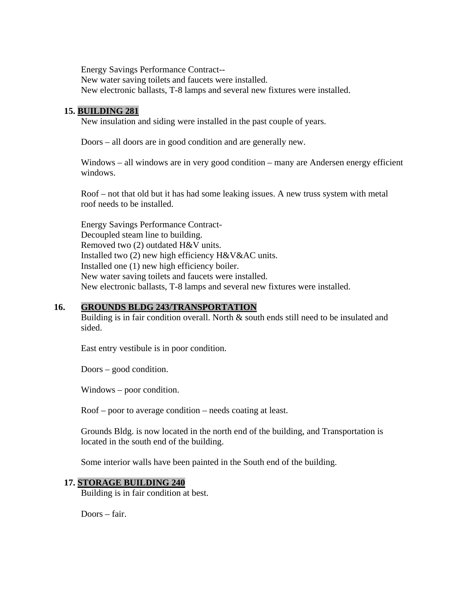Energy Savings Performance Contract-- New water saving toilets and faucets were installed. New electronic ballasts, T-8 lamps and several new fixtures were installed.

## **15. BUILDING 281**

New insulation and siding were installed in the past couple of years.

Doors – all doors are in good condition and are generally new.

Windows – all windows are in very good condition – many are Andersen energy efficient windows.

Roof – not that old but it has had some leaking issues. A new truss system with metal roof needs to be installed.

Energy Savings Performance Contract-Decoupled steam line to building. Removed two (2) outdated H&V units. Installed two (2) new high efficiency H&V&AC units. Installed one (1) new high efficiency boiler. New water saving toilets and faucets were installed. New electronic ballasts, T-8 lamps and several new fixtures were installed.

## **16. GROUNDS BLDG 243/TRANSPORTATION**

Building is in fair condition overall. North & south ends still need to be insulated and sided.

East entry vestibule is in poor condition.

Doors – good condition.

Windows – poor condition.

Roof – poor to average condition – needs coating at least.

Grounds Bldg. is now located in the north end of the building, and Transportation is located in the south end of the building.

Some interior walls have been painted in the South end of the building.

#### **17. STORAGE BUILDING 240**

Building is in fair condition at best.

Doors – fair.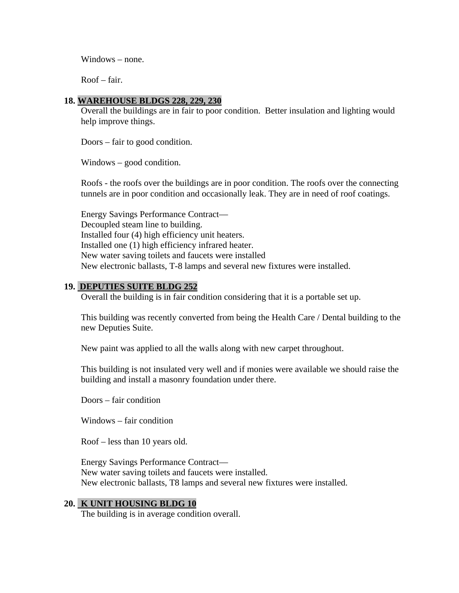Windows – none.

Roof – fair.

## **18. WAREHOUSE BLDGS 228, 229, 230**

Overall the buildings are in fair to poor condition. Better insulation and lighting would help improve things.

Doors – fair to good condition.

Windows – good condition.

Roofs - the roofs over the buildings are in poor condition. The roofs over the connecting tunnels are in poor condition and occasionally leak. They are in need of roof coatings.

Energy Savings Performance Contract— Decoupled steam line to building. Installed four (4) high efficiency unit heaters. Installed one (1) high efficiency infrared heater. New water saving toilets and faucets were installed New electronic ballasts, T-8 lamps and several new fixtures were installed.

## **19. DEPUTIES SUITE BLDG 252**

Overall the building is in fair condition considering that it is a portable set up.

This building was recently converted from being the Health Care / Dental building to the new Deputies Suite.

New paint was applied to all the walls along with new carpet throughout.

This building is not insulated very well and if monies were available we should raise the building and install a masonry foundation under there.

Doors – fair condition

Windows – fair condition

Roof – less than 10 years old.

Energy Savings Performance Contract— New water saving toilets and faucets were installed. New electronic ballasts, T8 lamps and several new fixtures were installed.

## **20. K UNIT HOUSING BLDG 10**

The building is in average condition overall.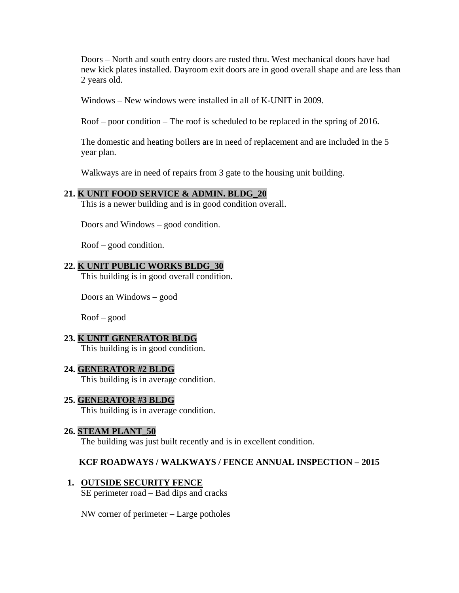Doors – North and south entry doors are rusted thru. West mechanical doors have had new kick plates installed. Dayroom exit doors are in good overall shape and are less than 2 years old.

Windows – New windows were installed in all of K-UNIT in 2009.

Roof – poor condition – The roof is scheduled to be replaced in the spring of 2016.

 The domestic and heating boilers are in need of replacement and are included in the 5 year plan.

Walkways are in need of repairs from 3 gate to the housing unit building.

### **21. K UNIT FOOD SERVICE & ADMIN. BLDG\_20**

This is a newer building and is in good condition overall.

Doors and Windows – good condition.

Roof – good condition.

#### **22. K UNIT PUBLIC WORKS BLDG\_30**

This building is in good overall condition.

Doors an Windows – good

Roof – good

## **23. K UNIT GENERATOR BLDG**

This building is in good condition.

## **24. GENERATOR #2 BLDG**

This building is in average condition.

## **25. GENERATOR #3 BLDG**

This building is in average condition.

#### **26. STEAM PLANT\_50**

The building was just built recently and is in excellent condition.

## **KCF ROADWAYS / WALKWAYS / FENCE ANNUAL INSPECTION – 2015**

#### **1. OUTSIDE SECURITY FENCE**

SE perimeter road – Bad dips and cracks

NW corner of perimeter – Large potholes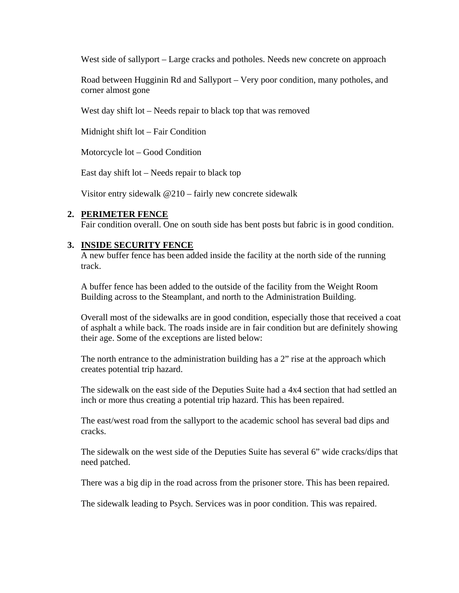West side of sallyport – Large cracks and potholes. Needs new concrete on approach

Road between Hugginin Rd and Sallyport – Very poor condition, many potholes, and corner almost gone

West day shift lot – Needs repair to black top that was removed

Midnight shift lot – Fair Condition

Motorcycle lot – Good Condition

East day shift lot – Needs repair to black top

Visitor entry sidewalk @210 – fairly new concrete sidewalk

### **2. PERIMETER FENCE**

Fair condition overall. One on south side has bent posts but fabric is in good condition.

### **3. INSIDE SECURITY FENCE**

A new buffer fence has been added inside the facility at the north side of the running track.

A buffer fence has been added to the outside of the facility from the Weight Room Building across to the Steamplant, and north to the Administration Building.

Overall most of the sidewalks are in good condition, especially those that received a coat of asphalt a while back. The roads inside are in fair condition but are definitely showing their age. Some of the exceptions are listed below:

The north entrance to the administration building has a 2" rise at the approach which creates potential trip hazard.

The sidewalk on the east side of the Deputies Suite had a 4x4 section that had settled an inch or more thus creating a potential trip hazard. This has been repaired.

The east/west road from the sallyport to the academic school has several bad dips and cracks.

The sidewalk on the west side of the Deputies Suite has several 6" wide cracks/dips that need patched.

There was a big dip in the road across from the prisoner store. This has been repaired.

The sidewalk leading to Psych. Services was in poor condition. This was repaired.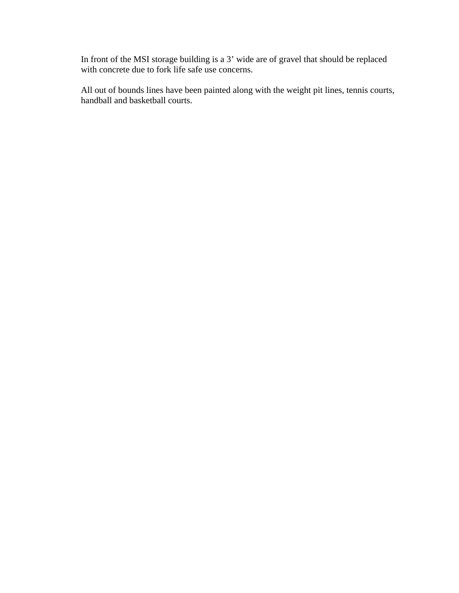In front of the MSI storage building is a 3' wide are of gravel that should be replaced with concrete due to fork life safe use concerns.

All out of bounds lines have been painted along with the weight pit lines, tennis courts, handball and basketball courts.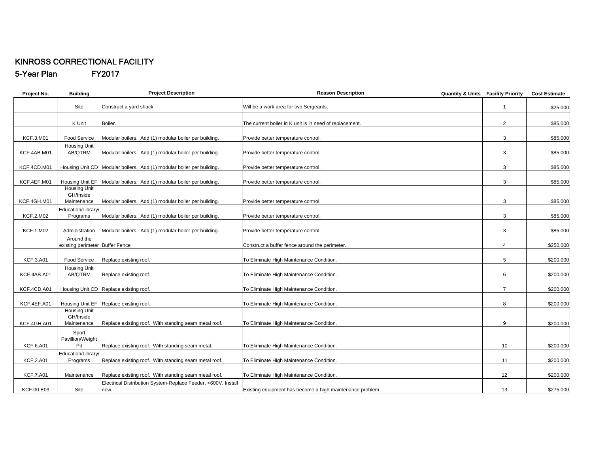#### KINROSS CORRECTIONAL FACILITY 5-Year Plan FY2017

| Project No.      | <b>Building</b>                                 | <b>Project Description</b>                                            | <b>Reason Description</b>                                 | <b>Quantity &amp; Units Facility Priority</b> |                 | <b>Cost Estimate</b> |
|------------------|-------------------------------------------------|-----------------------------------------------------------------------|-----------------------------------------------------------|-----------------------------------------------|-----------------|----------------------|
|                  | Site                                            | Construct a yard shack.                                               | Will be a work area for two Sergeants.                    |                                               | $\mathbf{1}$    | \$25,000             |
|                  | K Unit                                          | Boiler.                                                               | The current boiler in K unit is in need of replacement.   |                                               | $\overline{2}$  | \$85,000             |
| <b>KCF.3.M01</b> | Food Service                                    | Modular boilers. Add (1) modular boiler per building.                 | Provide better temperature control.                       |                                               | 3               | \$85,000             |
| KCF.4AB.M01      | Housing Unit<br>AB/QTRM                         | Modular boilers. Add (1) modular boiler per building.                 | Provide better temperature control.                       |                                               | 3               | \$85,000             |
| KCF.4CD.M01      |                                                 | Housing Unit CD Modular boilers. Add (1) modular boiler per building. | Provide better temperature control.                       |                                               | 3               | \$85,000             |
| KCF.4EF.M01      | Housing Unit EF                                 | Modular boilers. Add (1) modular boiler per building.                 | Provide better temperature control.                       |                                               | 3               | \$85,000             |
| KCF.4GH.M01      | <b>Housing Unit</b><br>GH/Inside<br>Maintenance | Modular boilers. Add (1) modular boiler per building.                 | Provide better temperature control.                       |                                               | 3               | \$85,000             |
| <b>KCF.2.M02</b> | Education/Library/<br>Programs                  | Modular boilers. Add (1) modular boiler per building.                 | Provide better temperature control.                       |                                               | 3               | \$85,000             |
| <b>KCF.1.M02</b> | Administration                                  | Modular boilers. Add (1) modular boiler per building.                 | Provide better temperature control.                       |                                               | 3               | \$85,000             |
|                  | Around the<br>existing perimeter Buffer Fence   |                                                                       | Construct a buffer fence around the perimeter.            |                                               | 4               | \$250,000            |
| <b>KCF.3.A01</b> | <b>Food Service</b>                             | Replace existing roof.                                                | To Eliminate High Maintenance Condition.                  |                                               | 5               | \$200,000            |
| KCF.4AB.A01      | <b>Housing Unit</b><br>AB/QTRM                  | Replace existing roof.                                                | To Eliminate High Maintenance Condition.                  |                                               | 6               | \$200,000            |
| KCF.4CD.A01      |                                                 | Housing Unit CD Replace existing roof.                                | To Eliminate High Maintenance Condition.                  |                                               | $\overline{7}$  | \$200,000            |
| KCF.4EF.A01      | Housing Unit EF                                 | Replace existing roof.                                                | To Eliminate High Maintenance Condition.                  |                                               | 8               | \$200,000            |
| KCF.4GH.A01      | <b>Housing Unit</b><br>GH/Inside<br>Maintenance | Replace existing roof. With standing seam metal roof.                 | To Eliminate High Maintenance Condition.                  |                                               | 9               | \$200,000            |
|                  | Sport<br>Pavillion/Weight                       |                                                                       |                                                           |                                               |                 |                      |
| <b>KCF.6.A01</b> | Pit                                             | Replace existing roof. With standing seam metal.                      | To Eliminate High Maintenance Condition.                  |                                               | 10 <sup>1</sup> | \$200,000            |
| <b>KCF.2.A01</b> | Education/Library/<br>Programs                  | Replace existing roof. With standing seam metal roof.                 | To Eliminate High Maintenance Condition.                  |                                               | 11              | \$200,000            |
| <b>KCF.7.A01</b> | Maintenance                                     | Replace existing roof. With standing seam metal roof.                 | To Eliminate High Maintenance Condition.                  |                                               | 12              | \$200,000            |
| KCF.00.E03       | Site                                            | Electrical Distribution System-Replace Feeder, <600V. Install<br>new. | Existing equipment has become a high maintenance problem. |                                               | 13              | \$275,000            |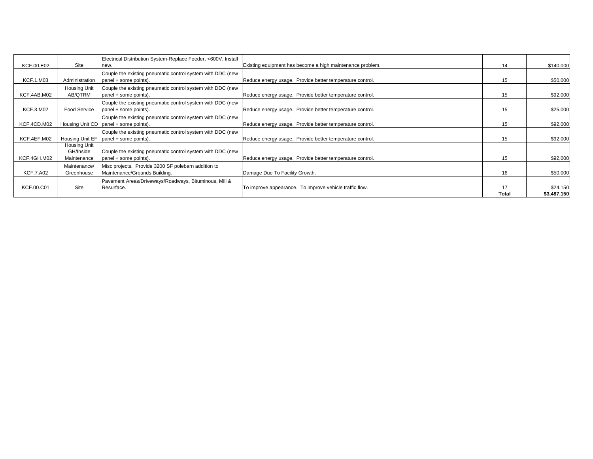| KCF.00.E02       | Site                                            | Electrical Distribution System-Replace Feeder, <600V. Install<br>new.                                 | Existing equipment has become a high maintenance problem. | 14    | \$140,000   |
|------------------|-------------------------------------------------|-------------------------------------------------------------------------------------------------------|-----------------------------------------------------------|-------|-------------|
| <b>KCF.1.M03</b> | Administration                                  | Couple the existing pneumatic control system with DDC (new<br>panel + some points).                   | Reduce energy usage. Provide better temperature control.  | 15    | \$50,000    |
| KCF.4AB.M02      | Housing Unit<br>AB/QTRM                         | Couple the existing pneumatic control system with DDC (new<br>panel + some points).                   | Reduce energy usage. Provide better temperature control.  | 15    | \$92,000    |
| <b>KCF.3.M02</b> | Food Service                                    | Couple the existing pneumatic control system with DDC (new<br>panel + some points).                   | Reduce energy usage. Provide better temperature control.  | 15    | \$25,000    |
| KCF.4CD.M02      |                                                 | Couple the existing pneumatic control system with DDC (new<br>Housing Unit CD   panel + some points). | Reduce energy usage. Provide better temperature control.  | 15    | \$92,000    |
| KCF.4EF.M02      | Housing Unit EF                                 | Couple the existing pneumatic control system with DDC (new<br>panel + some points).                   | Reduce energy usage. Provide better temperature control.  | 15    | \$92,000    |
| KCF.4GH.M02      | <b>Housing Unit</b><br>GH/Inside<br>Maintenance | Couple the existing pneumatic control system with DDC (new<br>panel + some points).                   | Reduce energy usage. Provide better temperature control.  | 15    | \$92,000    |
| <b>KCF.7.A02</b> | Maintenance/<br>Greenhouse                      | Misc projects. Provide 3200 SF polebarn addition to<br>Maintenance/Grounds Building.                  | Damage Due To Facility Growth.                            | 16    | \$50,000    |
| KCF.00.C01       | Site                                            | Pavement Areas/Driveways/Roadways, Bituminous, Mill &<br>Resurface.                                   | To improve appearance. To improve vehicle traffic flow.   | 17    | \$24,150    |
|                  |                                                 |                                                                                                       |                                                           | Total | \$3,487,150 |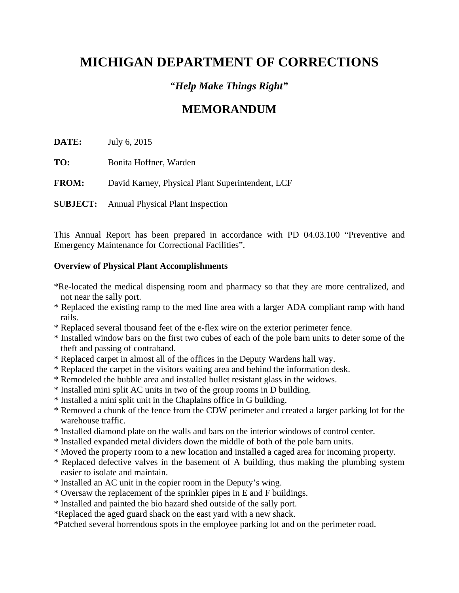# **MICHIGAN DEPARTMENT OF CORRECTIONS**

# "*Help Make Things Right"*

# **MEMORANDUM**

**DATE:** July 6, 2015

**TO:** Bonita Hoffner, Warden

**FROM:** David Karney, Physical Plant Superintendent, LCF

**SUBJECT:** Annual Physical Plant Inspection

This Annual Report has been prepared in accordance with PD 04.03.100 "Preventive and Emergency Maintenance for Correctional Facilities".

## **Overview of Physical Plant Accomplishments**

- \*Re-located the medical dispensing room and pharmacy so that they are more centralized, and not near the sally port.
- \* Replaced the existing ramp to the med line area with a larger ADA compliant ramp with hand rails.
- \* Replaced several thousand feet of the e-flex wire on the exterior perimeter fence.
- \* Installed window bars on the first two cubes of each of the pole barn units to deter some of the theft and passing of contraband.
- \* Replaced carpet in almost all of the offices in the Deputy Wardens hall way.
- \* Replaced the carpet in the visitors waiting area and behind the information desk.
- \* Remodeled the bubble area and installed bullet resistant glass in the widows.
- \* Installed mini split AC units in two of the group rooms in D building.
- \* Installed a mini split unit in the Chaplains office in G building.
- \* Removed a chunk of the fence from the CDW perimeter and created a larger parking lot for the warehouse traffic.
- \* Installed diamond plate on the walls and bars on the interior windows of control center.
- \* Installed expanded metal dividers down the middle of both of the pole barn units.
- \* Moved the property room to a new location and installed a caged area for incoming property.
- \* Replaced defective valves in the basement of A building, thus making the plumbing system easier to isolate and maintain.
- \* Installed an AC unit in the copier room in the Deputy's wing.
- \* Oversaw the replacement of the sprinkler pipes in E and F buildings.
- \* Installed and painted the bio hazard shed outside of the sally port.
- \*Replaced the aged guard shack on the east yard with a new shack.
- \*Patched several horrendous spots in the employee parking lot and on the perimeter road.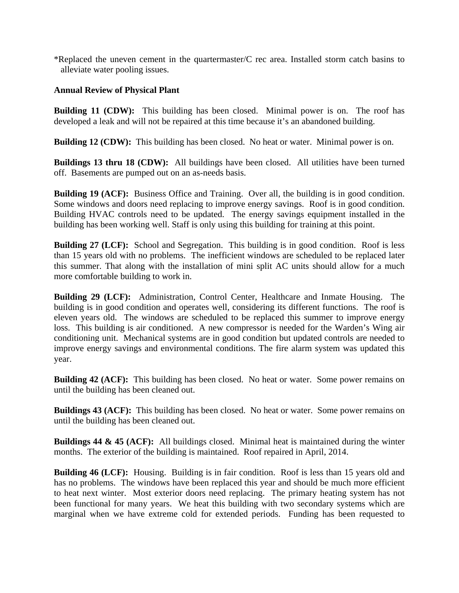\*Replaced the uneven cement in the quartermaster/C rec area. Installed storm catch basins to alleviate water pooling issues.

## **Annual Review of Physical Plant**

**Building 11 (CDW):** This building has been closed. Minimal power is on. The roof has developed a leak and will not be repaired at this time because it's an abandoned building.

**Building 12 (CDW):** This building has been closed. No heat or water. Minimal power is on.

**Buildings 13 thru 18 (CDW):** All buildings have been closed. All utilities have been turned off. Basements are pumped out on an as-needs basis.

**Building 19 (ACF):** Business Office and Training. Over all, the building is in good condition. Some windows and doors need replacing to improve energy savings. Roof is in good condition. Building HVAC controls need to be updated. The energy savings equipment installed in the building has been working well. Staff is only using this building for training at this point.

**Building 27 (LCF):** School and Segregation. This building is in good condition. Roof is less than 15 years old with no problems. The inefficient windows are scheduled to be replaced later this summer. That along with the installation of mini split AC units should allow for a much more comfortable building to work in.

**Building 29 (LCF):** Administration, Control Center, Healthcare and Inmate Housing. The building is in good condition and operates well, considering its different functions. The roof is eleven years old. The windows are scheduled to be replaced this summer to improve energy loss. This building is air conditioned. A new compressor is needed for the Warden's Wing air conditioning unit. Mechanical systems are in good condition but updated controls are needed to improve energy savings and environmental conditions. The fire alarm system was updated this year.

**Building 42 (ACF):** This building has been closed. No heat or water. Some power remains on until the building has been cleaned out.

**Buildings 43 (ACF):** This building has been closed. No heat or water. Some power remains on until the building has been cleaned out.

**Buildings 44 & 45 (ACF):** All buildings closed. Minimal heat is maintained during the winter months. The exterior of the building is maintained. Roof repaired in April, 2014.

**Building 46 (LCF):** Housing. Building is in fair condition. Roof is less than 15 years old and has no problems. The windows have been replaced this year and should be much more efficient to heat next winter. Most exterior doors need replacing. The primary heating system has not been functional for many years. We heat this building with two secondary systems which are marginal when we have extreme cold for extended periods. Funding has been requested to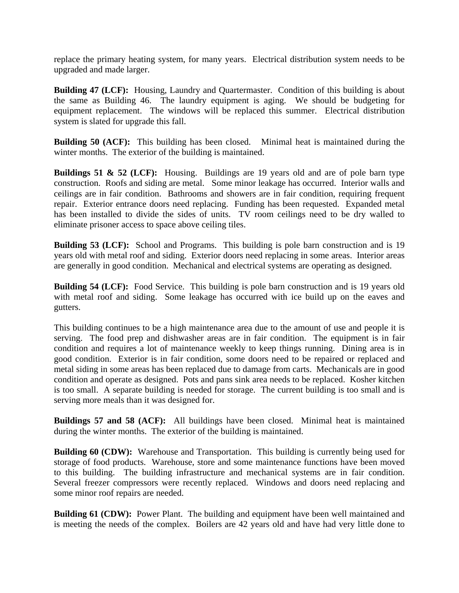replace the primary heating system, for many years. Electrical distribution system needs to be upgraded and made larger.

**Building 47 (LCF):** Housing, Laundry and Quartermaster. Condition of this building is about the same as Building 46. The laundry equipment is aging. We should be budgeting for equipment replacement. The windows will be replaced this summer. Electrical distribution system is slated for upgrade this fall.

**Building 50 (ACF):** This building has been closed. Minimal heat is maintained during the winter months. The exterior of the building is maintained.

**Buildings 51 & 52 (LCF):** Housing. Buildings are 19 years old and are of pole barn type construction. Roofs and siding are metal. Some minor leakage has occurred. Interior walls and ceilings are in fair condition. Bathrooms and showers are in fair condition, requiring frequent repair. Exterior entrance doors need replacing. Funding has been requested. Expanded metal has been installed to divide the sides of units. TV room ceilings need to be dry walled to eliminate prisoner access to space above ceiling tiles.

**Building 53 (LCF):** School and Programs. This building is pole barn construction and is 19 years old with metal roof and siding. Exterior doors need replacing in some areas. Interior areas are generally in good condition. Mechanical and electrical systems are operating as designed.

**Building 54 (LCF):** Food Service. This building is pole barn construction and is 19 years old with metal roof and siding. Some leakage has occurred with ice build up on the eaves and gutters.

This building continues to be a high maintenance area due to the amount of use and people it is serving. The food prep and dishwasher areas are in fair condition. The equipment is in fair condition and requires a lot of maintenance weekly to keep things running. Dining area is in good condition. Exterior is in fair condition, some doors need to be repaired or replaced and metal siding in some areas has been replaced due to damage from carts. Mechanicals are in good condition and operate as designed. Pots and pans sink area needs to be replaced. Kosher kitchen is too small. A separate building is needed for storage. The current building is too small and is serving more meals than it was designed for.

**Buildings 57 and 58 (ACF):** All buildings have been closed. Minimal heat is maintained during the winter months. The exterior of the building is maintained.

**Building 60 (CDW):** Warehouse and Transportation. This building is currently being used for storage of food products. Warehouse, store and some maintenance functions have been moved to this building. The building infrastructure and mechanical systems are in fair condition. Several freezer compressors were recently replaced. Windows and doors need replacing and some minor roof repairs are needed.

**Building 61 (CDW):** Power Plant. The building and equipment have been well maintained and is meeting the needs of the complex. Boilers are 42 years old and have had very little done to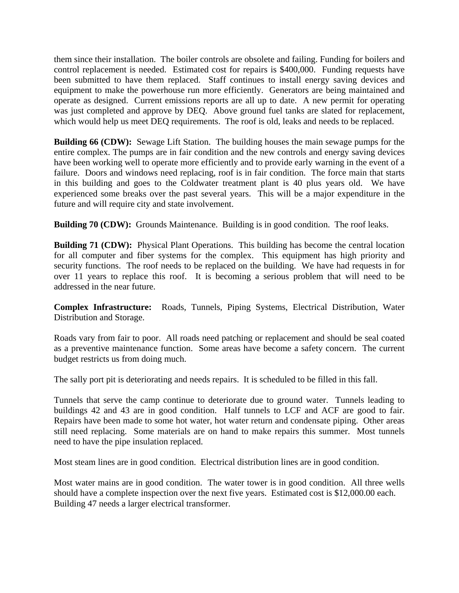them since their installation. The boiler controls are obsolete and failing. Funding for boilers and control replacement is needed. Estimated cost for repairs is \$400,000. Funding requests have been submitted to have them replaced. Staff continues to install energy saving devices and equipment to make the powerhouse run more efficiently. Generators are being maintained and operate as designed. Current emissions reports are all up to date. A new permit for operating was just completed and approve by DEQ. Above ground fuel tanks are slated for replacement, which would help us meet DEQ requirements. The roof is old, leaks and needs to be replaced.

**Building 66 (CDW):** Sewage Lift Station. The building houses the main sewage pumps for the entire complex. The pumps are in fair condition and the new controls and energy saving devices have been working well to operate more efficiently and to provide early warning in the event of a failure. Doors and windows need replacing, roof is in fair condition. The force main that starts in this building and goes to the Coldwater treatment plant is 40 plus years old. We have experienced some breaks over the past several years. This will be a major expenditure in the future and will require city and state involvement.

**Building 70 (CDW):** Grounds Maintenance. Building is in good condition. The roof leaks.

**Building 71 (CDW):** Physical Plant Operations. This building has become the central location for all computer and fiber systems for the complex. This equipment has high priority and security functions. The roof needs to be replaced on the building. We have had requests in for over 11 years to replace this roof. It is becoming a serious problem that will need to be addressed in the near future.

**Complex Infrastructure:** Roads, Tunnels, Piping Systems, Electrical Distribution, Water Distribution and Storage.

Roads vary from fair to poor. All roads need patching or replacement and should be seal coated as a preventive maintenance function. Some areas have become a safety concern. The current budget restricts us from doing much.

The sally port pit is deteriorating and needs repairs. It is scheduled to be filled in this fall.

Tunnels that serve the camp continue to deteriorate due to ground water. Tunnels leading to buildings 42 and 43 are in good condition. Half tunnels to LCF and ACF are good to fair. Repairs have been made to some hot water, hot water return and condensate piping. Other areas still need replacing. Some materials are on hand to make repairs this summer. Most tunnels need to have the pipe insulation replaced.

Most steam lines are in good condition. Electrical distribution lines are in good condition.

Most water mains are in good condition. The water tower is in good condition. All three wells should have a complete inspection over the next five years. Estimated cost is \$12,000.00 each. Building 47 needs a larger electrical transformer.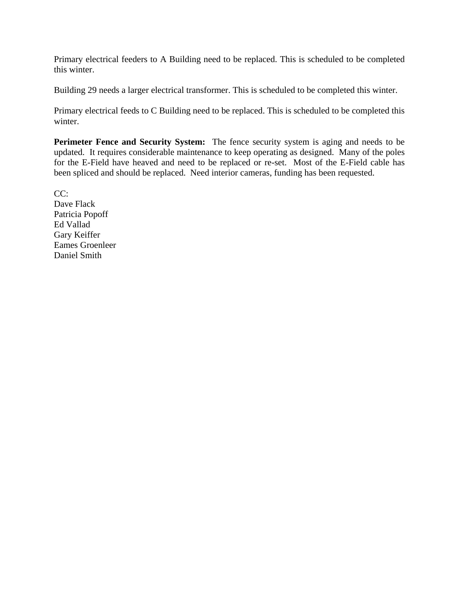Primary electrical feeders to A Building need to be replaced. This is scheduled to be completed this winter.

Building 29 needs a larger electrical transformer. This is scheduled to be completed this winter.

Primary electrical feeds to C Building need to be replaced. This is scheduled to be completed this winter.

**Perimeter Fence and Security System:** The fence security system is aging and needs to be updated. It requires considerable maintenance to keep operating as designed. Many of the poles for the E-Field have heaved and need to be replaced or re-set. Most of the E-Field cable has been spliced and should be replaced. Need interior cameras, funding has been requested.

CC: Dave Flack Patricia Popoff Ed Vallad Gary Keiffer Eames Groenleer Daniel Smith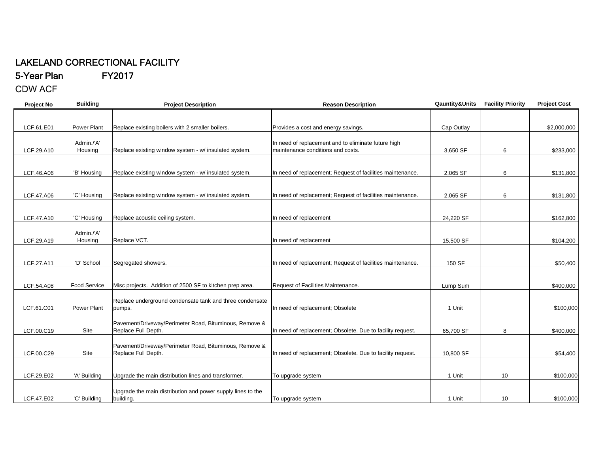## LAKELAND CORRECTIONAL FACILITY

5-Year Plan FY2017

CDW ACF

| <b>Project No</b> | <b>Building</b>       | <b>Project Description</b>                                                    | <b>Reason Description</b>                                                                | Qauntity&Units | <b>Facility Priority</b> | <b>Project Cost</b> |
|-------------------|-----------------------|-------------------------------------------------------------------------------|------------------------------------------------------------------------------------------|----------------|--------------------------|---------------------|
|                   |                       |                                                                               |                                                                                          |                |                          |                     |
| LCF.61.E01        | <b>Power Plant</b>    | Replace existing boilers with 2 smaller boilers.                              | Provides a cost and energy savings.                                                      | Cap Outlay     |                          | \$2,000,000         |
| LCF.29.A10        | Admin./'A'<br>Housing | Replace existing window system - w/ insulated system.                         | In need of replacement and to eliminate future high<br>maintenance conditions and costs. | 3,650 SF       | 6                        | \$233,000           |
|                   |                       |                                                                               |                                                                                          |                |                          |                     |
| LCF.46.A06        | 'B' Housing           | Replace existing window system - w/ insulated system.                         | In need of replacement; Request of facilities maintenance.                               | 2,065 SF       | 6                        | \$131,800           |
| LCF.47.A06        | 'C' Housing           | Replace existing window system - w/ insulated system.                         | In need of replacement; Request of facilities maintenance.                               | 2,065 SF       | 6                        | \$131,800           |
| LCF.47.A10        | 'C' Housing           | Replace acoustic ceiling system.                                              | In need of replacement                                                                   | 24,220 SF      |                          | \$162,800           |
| LCF.29.A19        | Admin./'A'<br>Housing | Replace VCT.                                                                  | In need of replacement                                                                   | 15.500 SF      |                          | \$104,200           |
| LCF.27.A11        | 'D' School            | Segregated showers.                                                           | In need of replacement; Request of facilities maintenance.                               | 150 SF         |                          | \$50,400            |
|                   |                       |                                                                               |                                                                                          |                |                          |                     |
| LCF.54.A08        | <b>Food Service</b>   | Misc projects. Addition of 2500 SF to kitchen prep area.                      | Request of Facilities Maintenance.                                                       | Lump Sum       |                          | \$400,000           |
| LCF.61.C01        | <b>Power Plant</b>    | Replace underground condensate tank and three condensate<br>pumps.            | In need of replacement; Obsolete                                                         | 1 Unit         |                          | \$100,000           |
| LCF.00.C19        | Site                  | Pavement/Driveway/Perimeter Road, Bituminous, Remove &<br>Replace Full Depth. | In need of replacement; Obsolete. Due to facility request.                               | 65,700 SF      | 8                        | \$400,000           |
| LCF.00.C29        | Site                  | Pavement/Driveway/Perimeter Road, Bituminous, Remove &<br>Replace Full Depth. | In need of replacement; Obsolete. Due to facility request.                               | 10,800 SF      |                          | \$54,400            |
| LCF.29.E02        | 'A' Building          | Upgrade the main distribution lines and transformer.                          | To upgrade system                                                                        | 1 Unit         | 10 <sup>1</sup>          | \$100,000           |
| LCF.47.E02        | 'C' Building          | Upgrade the main distribution and power supply lines to the<br>building.      | To upgrade system                                                                        | 1 Unit         | 10                       | \$100,000           |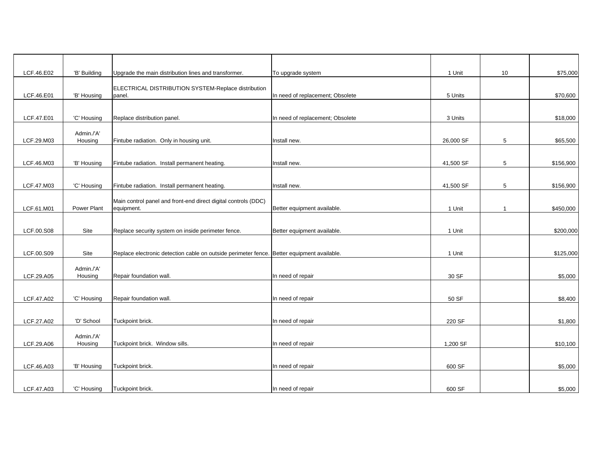| LCF.46.E02 | 'B' Building          | Upgrade the main distribution lines and transformer.                                       | To upgrade system                | 1 Unit    | 10             | \$75,000  |
|------------|-----------------------|--------------------------------------------------------------------------------------------|----------------------------------|-----------|----------------|-----------|
| LCF.46.E01 | 'B' Housing           | ELECTRICAL DISTRIBUTION SYSTEM-Replace distribution<br>panel.                              | In need of replacement; Obsolete | 5 Units   |                | \$70,600  |
|            |                       |                                                                                            |                                  |           |                |           |
| LCF.47.E01 | 'C' Housing           | Replace distribution panel.                                                                | In need of replacement; Obsolete | 3 Units   |                | \$18,000  |
| LCF.29.M03 | Admin./'A'<br>Housing | Fintube radiation. Only in housing unit.                                                   | Install new.                     | 26,000 SF | 5              | \$65,500  |
|            |                       |                                                                                            |                                  |           |                |           |
| LCF.46.M03 | 'B' Housing           | Fintube radiation. Install permanent heating.                                              | Install new.                     | 41,500 SF | 5              | \$156,900 |
|            |                       |                                                                                            |                                  |           |                |           |
| LCF.47.M03 | 'C' Housing           | Fintube radiation. Install permanent heating.                                              | Install new.                     | 41,500 SF | 5              | \$156,900 |
| LCF.61.M01 | Power Plant           | Main control panel and front-end direct digital controls (DDC)<br>equipment.               | Better equipment available.      | 1 Unit    | $\overline{1}$ | \$450,000 |
|            |                       |                                                                                            |                                  |           |                |           |
| LCF.00.S08 | Site                  | Replace security system on inside perimeter fence.                                         | Better equipment available.      | 1 Unit    |                | \$200,000 |
|            |                       |                                                                                            |                                  |           |                |           |
| LCF.00.S09 | Site                  | Replace electronic detection cable on outside perimeter fence. Better equipment available. |                                  | 1 Unit    |                | \$125,000 |
|            | Admin./'A'            |                                                                                            |                                  |           |                |           |
| LCF.29.A05 | Housing               | Repair foundation wall.                                                                    | In need of repair                | 30 SF     |                | \$5,000   |
|            |                       |                                                                                            |                                  |           |                |           |
| LCF.47.A02 | 'C' Housing           | Repair foundation wall.                                                                    | In need of repair                | 50 SF     |                | \$8,400   |
|            |                       |                                                                                            |                                  |           |                |           |
| LCF.27.A02 | 'D' School            | Tuckpoint brick.                                                                           | In need of repair                | 220 SF    |                | \$1,800   |
| LCF.29.A06 | Admin./'A'<br>Housing | Tuckpoint brick. Window sills.                                                             | In need of repair                | 1,200 SF  |                | \$10,100  |
|            |                       |                                                                                            |                                  |           |                |           |
| LCF.46.A03 | 'B' Housing           | Tuckpoint brick.                                                                           | In need of repair                | 600 SF    |                | \$5,000   |
|            |                       |                                                                                            |                                  |           |                |           |
| LCF.47.A03 | 'C' Housing           | Tuckpoint brick.                                                                           | In need of repair                | 600 SF    |                | \$5,000   |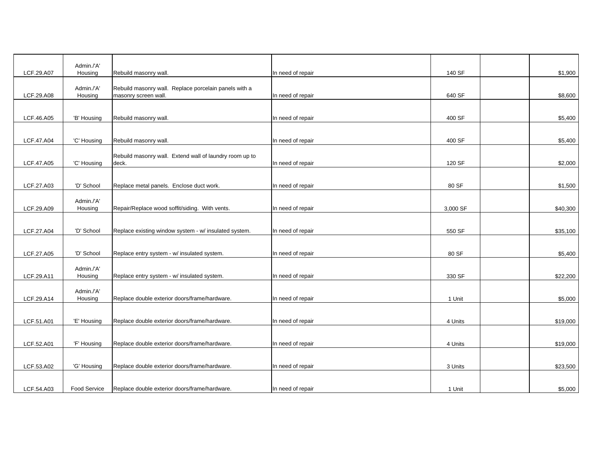|            | Admin./'A'            |                                                                               |                   |          |          |
|------------|-----------------------|-------------------------------------------------------------------------------|-------------------|----------|----------|
| LCF.29.A07 | Housing               | Rebuild masonry wall.                                                         | In need of repair | 140 SF   | \$1,900  |
| LCF.29.A08 | Admin./'A'<br>Housing | Rebuild masonry wall. Replace porcelain panels with a<br>masonry screen wall. | In need of repair | 640 SF   | \$8,600  |
| LCF.46.A05 | 'B' Housing           | Rebuild masonry wall.                                                         | In need of repair | 400 SF   | \$5,400  |
| LCF.47.A04 | 'C' Housing           | Rebuild masonry wall.                                                         | In need of repair | 400 SF   | \$5,400  |
| LCF.47.A05 | 'C' Housing           | Rebuild masonry wall. Extend wall of laundry room up to<br>deck.              | In need of repair | 120 SF   | \$2,000  |
| LCF.27.A03 | 'D' School            | Replace metal panels. Enclose duct work.                                      | In need of repair | 80 SF    | \$1,500  |
| LCF.29.A09 | Admin./'A'<br>Housing | Repair/Replace wood soffit/siding. With vents.                                | In need of repair | 3,000 SF | \$40,300 |
| LCF.27.A04 | 'D' School            | Replace existing window system - w/ insulated system.                         | In need of repair | 550 SF   | \$35,100 |
| LCF.27.A05 | 'D' School            | Replace entry system - w/ insulated system.                                   | In need of repair | 80 SF    | \$5,400  |
| LCF.29.A11 | Admin./'A'<br>Housing | Replace entry system - w/ insulated system.                                   | In need of repair | 330 SF   | \$22,200 |
| LCF.29.A14 | Admin./'A'<br>Housing | Replace double exterior doors/frame/hardware.                                 | In need of repair | 1 Unit   | \$5,000  |
| LCF.51.A01 | 'E' Housing           | Replace double exterior doors/frame/hardware.                                 | In need of repair | 4 Units  | \$19,000 |
| LCF.52.A01 | 'F' Housing           | Replace double exterior doors/frame/hardware.                                 | In need of repair | 4 Units  | \$19,000 |
| LCF.53.A02 | 'G' Housing           | Replace double exterior doors/frame/hardware.                                 | In need of repair | 3 Units  | \$23,500 |
| LCF.54.A03 | Food Service          | Replace double exterior doors/frame/hardware.                                 | In need of repair | 1 Unit   | \$5,000  |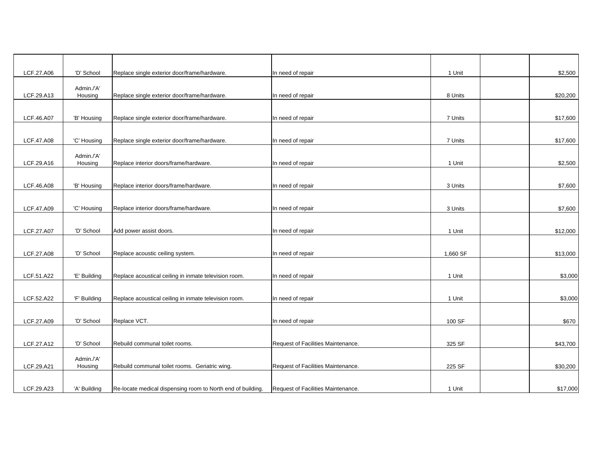| LCF.27.A06 | 'D' School            | Replace single exterior door/frame/hardware.                | In need of repair                  | 1 Unit   | \$2,500  |
|------------|-----------------------|-------------------------------------------------------------|------------------------------------|----------|----------|
|            | Admin./'A'            |                                                             |                                    |          |          |
| LCF.29.A13 | Housing               | Replace single exterior door/frame/hardware.                | In need of repair                  | 8 Units  | \$20,200 |
| LCF.46.A07 | 'B' Housing           | Replace single exterior door/frame/hardware.                | In need of repair                  | 7 Units  | \$17,600 |
| LCF.47.A08 | 'C' Housing           | Replace single exterior door/frame/hardware.                | In need of repair                  | 7 Units  | \$17,600 |
| LCF.29.A16 | Admin./'A'<br>Housing | Replace interior doors/frame/hardware.                      | In need of repair                  | 1 Unit   | \$2,500  |
| LCF.46.A08 | 'B' Housing           | Replace interior doors/frame/hardware.                      | In need of repair                  | 3 Units  | \$7,600  |
| LCF.47.A09 | 'C' Housing           | Replace interior doors/frame/hardware.                      | In need of repair                  | 3 Units  | \$7,600  |
|            |                       |                                                             |                                    |          |          |
| LCF.27.A07 | 'D' School            | Add power assist doors.                                     | In need of repair                  | 1 Unit   | \$12,000 |
| LCF.27.A08 | 'D' School            | Replace acoustic ceiling system.                            | In need of repair                  | 1,660 SF | \$13,000 |
| LCF.51.A22 | 'E' Building          | Replace acoustical ceiling in inmate television room.       | In need of repair                  | 1 Unit   | \$3,000  |
| LCF.52.A22 | 'F' Building          | Replace acoustical ceiling in inmate television room.       | In need of repair                  | 1 Unit   | \$3,000  |
| LCF.27.A09 | 'D' School            | Replace VCT.                                                | In need of repair                  | 100 SF   | \$670    |
| LCF.27.A12 | 'D' School            | Rebuild communal toilet rooms.                              | Request of Facilities Maintenance. | 325 SF   | \$43,700 |
| LCF.29.A21 | Admin./'A'<br>Housing | Rebuild communal toilet rooms. Geriatric wing.              | Request of Facilities Maintenance. | 225 SF   | \$30,200 |
| LCF.29.A23 | 'A' Building          | Re-locate medical dispensing room to North end of building. | Request of Facilities Maintenance. | 1 Unit   | \$17,000 |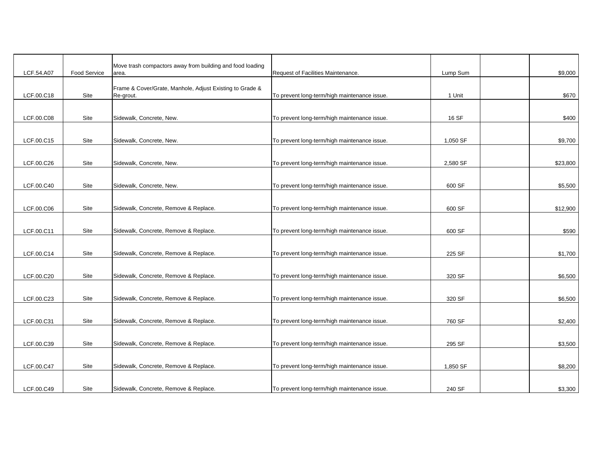|            |              | Move trash compactors away from building and food loading             |                                              |          |          |
|------------|--------------|-----------------------------------------------------------------------|----------------------------------------------|----------|----------|
| LCF.54.A07 | Food Service | area.                                                                 | Request of Facilities Maintenance.           | Lump Sum | \$9,000  |
| LCF.00.C18 | Site         | Frame & Cover/Grate, Manhole, Adjust Existing to Grade &<br>Re-grout. | To prevent long-term/high maintenance issue. | 1 Unit   | \$670    |
| LCF.00.C08 | Site         | Sidewalk, Concrete, New.                                              | To prevent long-term/high maintenance issue. | 16 SF    | \$400    |
| LCF.00.C15 | Site         | Sidewalk, Concrete, New.                                              | To prevent long-term/high maintenance issue. | 1,050 SF | \$9,700  |
| LCF.00.C26 | Site         | Sidewalk, Concrete, New.                                              | To prevent long-term/high maintenance issue. | 2,580 SF | \$23,800 |
| LCF.00.C40 | Site         | Sidewalk, Concrete, New.                                              | To prevent long-term/high maintenance issue. | 600 SF   | \$5,500  |
| LCF.00.C06 | Site         | Sidewalk, Concrete, Remove & Replace.                                 | To prevent long-term/high maintenance issue. | 600 SF   | \$12,900 |
| LCF.00.C11 | Site         | Sidewalk, Concrete, Remove & Replace.                                 | To prevent long-term/high maintenance issue. | 600 SF   | \$590    |
| LCF.00.C14 | Site         | Sidewalk, Concrete, Remove & Replace.                                 | To prevent long-term/high maintenance issue. | 225 SF   | \$1,700  |
| LCF.00.C20 | Site         | Sidewalk, Concrete, Remove & Replace.                                 | To prevent long-term/high maintenance issue. | 320 SF   | \$6,500  |
| LCF.00.C23 | Site         | Sidewalk, Concrete, Remove & Replace.                                 | To prevent long-term/high maintenance issue. | 320 SF   | \$6,500  |
| LCF.00.C31 | Site         | Sidewalk, Concrete, Remove & Replace.                                 | To prevent long-term/high maintenance issue. | 760 SF   | \$2,400  |
| LCF.00.C39 | Site         | Sidewalk, Concrete, Remove & Replace.                                 | To prevent long-term/high maintenance issue. | 295 SF   | \$3,500  |
| LCF.00.C47 | Site         | Sidewalk, Concrete, Remove & Replace.                                 | To prevent long-term/high maintenance issue. | 1,850 SF | \$8,200  |
| LCF.00.C49 | Site         | Sidewalk, Concrete, Remove & Replace.                                 | To prevent long-term/high maintenance issue. | 240 SF   | \$3,300  |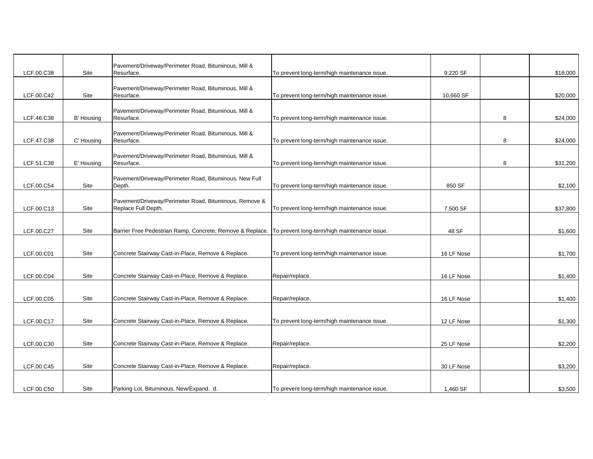|            |             | Pavement/Driveway/Perimeter Road, Bituminous, Mill &                                                     |                                              |            |   |          |
|------------|-------------|----------------------------------------------------------------------------------------------------------|----------------------------------------------|------------|---|----------|
| LCF.00.C38 | Site        | Resurface.                                                                                               | To prevent long-term/high maintenance issue. | 9,220 SF   |   | \$18,000 |
| LCF.00.C42 | Site        | Pavement/Driveway/Perimeter Road, Bituminous, Mill &<br>Resurface.                                       | To prevent long-term/high maintenance issue. | 10,660 SF  |   | \$20,000 |
| LCF.46.C38 | B' Housing  | Pavement/Driveway/Perimeter Road, Bituminous, Mill &<br>Resurface.                                       | To prevent long-term/high maintenance issue. |            | 8 | \$24,000 |
| LCF.47.C38 | C' Housing  | Pavement/Driveway/Perimeter Road, Bituminous, Mill &<br>Resurface.                                       | To prevent long-term/high maintenance issue. |            | 8 | \$24,000 |
| LCF.51.C38 | E' Housing  | Pavement/Driveway/Perimeter Road, Bituminous, Mill &<br>Resurface.                                       | To prevent long-term/high maintenance issue. |            | 8 | \$31,200 |
| LCF.00.C54 | Site        | Pavement/Driveway/Perimeter Road, Bituminous, New Full<br>Depth.                                         | To prevent long-term/high maintenance issue. | 850 SF     |   | \$2,100  |
| LCF.00.C13 | Site        | Pavement/Driveway/Perimeter Road, Bituminous, Remove &<br>Replace Full Depth.                            | To prevent long-term/high maintenance issue. | 7,500 SF   |   | \$37,800 |
| LCF.00.C27 | Site        | Barrier Free Pedestrian Ramp, Concrete, Remove & Replace.   To prevent long-term/high maintenance issue. |                                              | 48 SF      |   | \$1,600  |
| LCF.00.C01 | Site        | Concrete Stairway Cast-in-Place, Remove & Replace.                                                       | To prevent long-term/high maintenance issue. | 16 LF Nose |   | \$1,700  |
| LCF.00.C04 | Site        | Concrete Stairway Cast-in-Place, Remove & Replace.                                                       | Repair/replace.                              | 16 LF Nose |   | \$1,400  |
| LCF.00.C05 | Site        | Concrete Stairway Cast-in-Place, Remove & Replace.                                                       | Repair/replace.                              | 16 LF Nose |   | \$1,400  |
| LCF.00.C17 | Site        | Concrete Stairway Cast-in-Place, Remove & Replace.                                                       | To prevent long-term/high maintenance issue. | 12 LF Nose |   | \$1,300  |
| LCF.00.C30 | Site        | Concrete Stairway Cast-in-Place, Remove & Replace.                                                       | Repair/replace.                              | 25 LF Nose |   | \$2,200  |
| LCF.00.C45 | Site        | Concrete Stairway Cast-in-Place, Remove & Replace.                                                       | Repair/replace.                              | 30 LF Nose |   | \$3,200  |
| LCF.00.C50 | <b>Site</b> | Parking Lot, Bituminous, New/Expand. d.                                                                  | To prevent long-term/high maintenance issue. | 1.460 SF   |   | \$3,500  |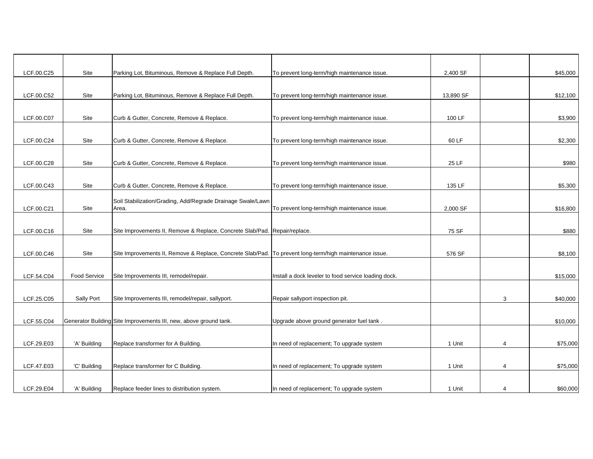| LCF.00.C25 | Site         | Parking Lot, Bituminous, Remove & Replace Full Depth.                                                   | To prevent long-term/high maintenance issue.         | 2,400 SF  |                | \$45,000 |
|------------|--------------|---------------------------------------------------------------------------------------------------------|------------------------------------------------------|-----------|----------------|----------|
| LCF.00.C52 | Site         | Parking Lot, Bituminous, Remove & Replace Full Depth.                                                   | To prevent long-term/high maintenance issue.         | 13,890 SF |                | \$12,100 |
| LCF.00.C07 | Site         | Curb & Gutter, Concrete, Remove & Replace.                                                              | To prevent long-term/high maintenance issue.         | 100 LF    |                | \$3,900  |
| LCF.00.C24 | Site         | Curb & Gutter, Concrete, Remove & Replace.                                                              | To prevent long-term/high maintenance issue.         | 60 LF     |                | \$2,300  |
| LCF.00.C28 | Site         | Curb & Gutter, Concrete, Remove & Replace.                                                              | To prevent long-term/high maintenance issue.         | 25 LF     |                | \$980    |
| LCF.00.C43 | Site         | Curb & Gutter, Concrete, Remove & Replace.                                                              | To prevent long-term/high maintenance issue.         | 135 LF    |                | \$5,300  |
| LCF.00.C21 | Site         | Soil Stabilization/Grading, Add/Regrade Drainage Swale/Lawn<br>Area.                                    | To prevent long-term/high maintenance issue.         | 2,000 SF  |                | \$16,800 |
| LCF.00.C16 | Site         | Site Improvements II, Remove & Replace, Concrete Slab/Pad. Repair/replace.                              |                                                      | 75 SF     |                | \$880    |
| LCF.00.C46 | Site         | Site Improvements II, Remove & Replace, Concrete Slab/Pad. To prevent long-term/high maintenance issue. |                                                      | 576 SF    |                | \$8,100  |
| LCF.54.C04 | Food Service | Site Improvements III, remodel/repair.                                                                  | Install a dock leveler to food service loading dock. |           |                | \$15,000 |
| LCF.25.C05 | Sally Port   | Site Improvements III, remodel/repair, sallyport.                                                       | Repair sallyport inspection pit.                     |           | 3              | \$40,000 |
| LCF.55.C04 |              | Generator Building Site Improvements III, new, above ground tank.                                       | Upgrade above ground generator fuel tank.            |           |                | \$10,000 |
| LCF.29.E03 | 'A' Building | Replace transformer for A Building.                                                                     | In need of replacement; To upgrade system            | 1 Unit    | $\overline{4}$ | \$75,000 |
| LCF.47.E03 | 'C' Building | Replace transformer for C Building.                                                                     | In need of replacement; To upgrade system            | 1 Unit    | $\overline{4}$ | \$75,000 |
| LCF.29.E04 | 'A' Building | Replace feeder lines to distribution system.                                                            | In need of replacement; To upgrade system            | 1 Unit    | 4              | \$60,000 |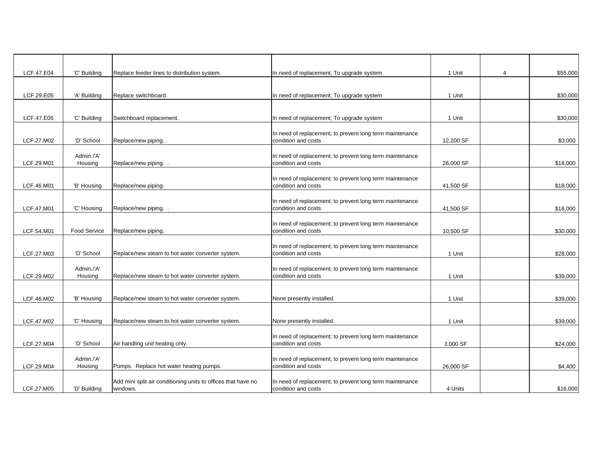| LCF.47.E04 | 'C' Building          | Replace feeder lines to distribution system.                  | In need of replacement; To upgrade system                                       | 1 Unit    | 4 | \$55,000 |
|------------|-----------------------|---------------------------------------------------------------|---------------------------------------------------------------------------------|-----------|---|----------|
|            |                       |                                                               |                                                                                 |           |   |          |
| LCF.29.E05 | 'A' Building          | Replace switchboard.                                          | In need of replacement; To upgrade system                                       | 1 Unit    |   | \$30,000 |
|            |                       |                                                               |                                                                                 |           |   |          |
| LCF.47.E05 | 'C' Building          | Switchboard replacement.                                      | In need of replacement; To upgrade system                                       | 1 Unit    |   | \$30,000 |
|            |                       |                                                               | In need of replacement; to prevent long term maintenance                        |           |   |          |
| LCF.27.M02 | 'D' School            | Replace/new piping                                            | condition and costs                                                             | 12,200 SF |   | \$3,000  |
|            |                       |                                                               |                                                                                 |           |   |          |
| LCF.29.M01 | Admin./'A'<br>Housing | Replace/new piping                                            | In need of replacement; to prevent long term maintenance<br>condition and costs | 26,000 SF |   | \$18,000 |
|            |                       |                                                               |                                                                                 |           |   |          |
| LCF.46.M01 | 'B' Housing           | Replace/new piping.                                           | In need of replacement; to prevent long term maintenance<br>condition and costs | 41,500 SF |   | \$18,000 |
|            |                       |                                                               |                                                                                 |           |   |          |
| LCF.47.M01 | 'C' Housing           | Replace/new piping                                            | In need of replacement; to prevent long term maintenance<br>condition and costs | 41,500 SF |   | \$18,000 |
|            |                       |                                                               |                                                                                 |           |   |          |
| LCF.54.M01 | <b>Food Service</b>   | Replace/new piping.                                           | In need of replacement; to prevent long term maintenance<br>condition and costs | 10,500 SF |   | \$30,000 |
|            |                       |                                                               |                                                                                 |           |   |          |
| LCF.27.M03 | 'D' School            | Replace/new steam to hot water converter system.              | In need of replacement; to prevent long term maintenance<br>condition and costs | 1 Unit    |   | \$28,000 |
|            |                       |                                                               |                                                                                 |           |   |          |
|            | Admin./'A'            |                                                               | In need of replacement; to prevent long term maintenance                        |           |   |          |
| LCF.29.M02 | Housing               | Replace/new steam to hot water converter system.              | condition and costs                                                             | 1 Unit    |   | \$39,000 |
|            |                       |                                                               |                                                                                 |           |   |          |
| LCF.46.M02 | 'B' Housing           | Replace/new steam to hot water converter system.              | None presently installed.                                                       | 1 Unit    |   | \$39,000 |
|            |                       |                                                               |                                                                                 |           |   |          |
| LCF.47.M02 | 'C' Housing           | Replace/new steam to hot water converter system.              | None presently installed.                                                       | 1 Unit    |   | \$39,000 |
|            |                       |                                                               | In need of replacement; to prevent long term maintenance                        |           |   |          |
| LCF.27.M04 | 'D' School            | Air handling unit heating only.                               | condition and costs                                                             | 3,000 SF  |   | \$24,000 |
|            | Admin./'A'            |                                                               | In need of replacement; to prevent long term maintenance                        |           |   |          |
| LCF.29.M04 | Housing               | Pumps. Replace hot water heating pumps.                       | condition and costs                                                             | 26,000 SF |   | \$4,400  |
|            |                       | Add mini split air conditioning units to offices that have no | In need of replacement; to prevent long term maintenance                        |           |   |          |
| LCF.27.M05 | 'D' Building          | windows.                                                      | condition and costs                                                             | 4 Units   |   | \$16,000 |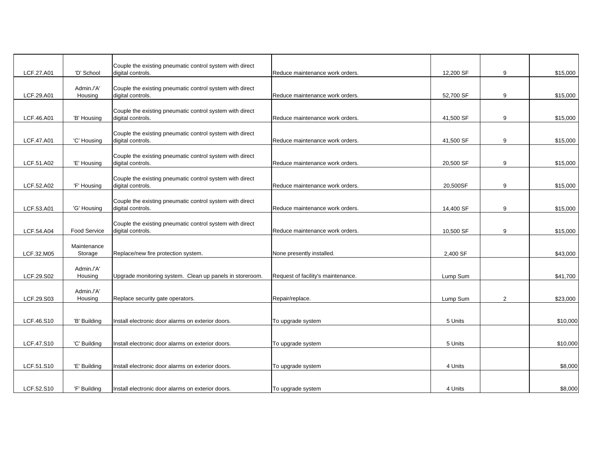| LCF.27.A01 | 'D' School             | Couple the existing pneumatic control system with direct<br>digital controls. | Reduce maintenance work orders.    | 12,200 SF | 9              | \$15,000 |
|------------|------------------------|-------------------------------------------------------------------------------|------------------------------------|-----------|----------------|----------|
|            | Admin./'A'             | Couple the existing pneumatic control system with direct                      |                                    |           |                |          |
| LCF.29.A01 | Housing                | digital controls.                                                             | Reduce maintenance work orders.    | 52,700 SF | 9              | \$15,000 |
| LCF.46.A01 | 'B' Housing            | Couple the existing pneumatic control system with direct<br>digital controls. | Reduce maintenance work orders.    | 41,500 SF | 9              | \$15,000 |
| LCF.47.A01 | 'C' Housing            | Couple the existing pneumatic control system with direct<br>digital controls. | Reduce maintenance work orders.    | 41,500 SF | 9              | \$15,000 |
| LCF.51.A02 | 'E' Housing            | Couple the existing pneumatic control system with direct<br>digital controls. | Reduce maintenance work orders.    | 20,500 SF | 9              | \$15,000 |
| LCF.52.A02 | 'F' Housing            | Couple the existing pneumatic control system with direct<br>digital controls. | Reduce maintenance work orders.    | 20,500SF  | 9              | \$15,000 |
| LCF.53.A01 | 'G' Housing            | Couple the existing pneumatic control system with direct<br>digital controls. | Reduce maintenance work orders.    | 14,400 SF | 9              | \$15,000 |
| LCF.54.A04 | <b>Food Service</b>    | Couple the existing pneumatic control system with direct<br>digital controls. | Reduce maintenance work orders.    | 10,500 SF | 9              | \$15,000 |
| LCF.32.M05 | Maintenance<br>Storage | Replace/new fire protection system.                                           | None presently installed.          | 2,400 SF  |                | \$43,000 |
| LCF.29.S02 | Admin./'A'<br>Housing  | Upgrade monitoring system. Clean up panels in storeroom.                      | Request of facility's maintenance. | Lump Sum  |                | \$41,700 |
| LCF.29.S03 | Admin./'A'<br>Housing  | Replace security gate operators.                                              | Repair/replace.                    | Lump Sum  | $\overline{2}$ | \$23,000 |
|            |                        |                                                                               |                                    |           |                |          |
| LCF.46.S10 | 'B' Building           | Install electronic door alarms on exterior doors.                             | To upgrade system                  | 5 Units   |                | \$10,000 |
| LCF.47.S10 | 'C' Building           | Install electronic door alarms on exterior doors.                             | To upgrade system                  | 5 Units   |                | \$10,000 |
| LCF.51.S10 | 'E' Building           | Install electronic door alarms on exterior doors.                             | To upgrade system                  | 4 Units   |                | \$8,000  |
| LCF.52.S10 | 'F' Building           | Install electronic door alarms on exterior doors.                             | To upgrade system                  | 4 Units   |                | \$8,000  |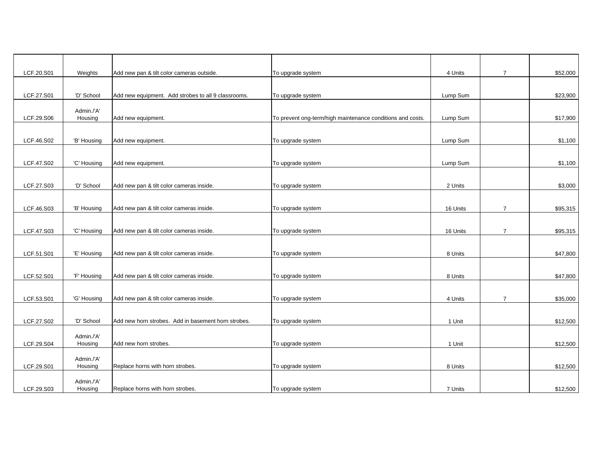| LCF.20.S01<br>Weights<br>Add new pan & tilt color cameras outside.<br>To upgrade system<br>4 Units<br>$\overline{7}$<br>'D' School<br>LCF.27.S01<br>Add new equipment. Add strobes to all 9 classrooms.<br>To upgrade system<br>Lump Sum<br>Admin./'A'<br>LCF.29.S06<br>Housing<br>To prevent ong-term/high maintenance conditions and costs.<br>Add new equipment.<br>Lump Sum<br>\$17,900<br>LCF.46.S02<br>'B' Housing<br>Add new equipment.<br>To upgrade system<br>Lump Sum<br>\$1,100<br>LCF.47.S02<br>'C' Housing<br>Add new equipment.<br>To upgrade system<br>Lump Sum<br>\$1,100<br>'D' School<br>Add new pan & tilt color cameras inside.<br>LCF.27.S03<br>To upgrade system<br>2 Units<br>LCF.46.S03<br>'B' Housing<br>Add new pan & tilt color cameras inside.<br>To upgrade system<br>16 Units<br>$\overline{7}$<br>LCF.47.S03<br>'C' Housing<br>Add new pan & tilt color cameras inside.<br>16 Units<br>$\overline{7}$<br>To upgrade system<br>LCF.51.S01<br>'E' Housing<br>Add new pan & tilt color cameras inside.<br>To upgrade system<br>8 Units<br>\$47,800<br>LCF.52.S01<br>'F' Housing<br>Add new pan & tilt color cameras inside.<br>To upgrade system<br>8 Units<br>\$47,800<br>LCF.53.S01<br>'G' Housing<br>Add new pan & tilt color cameras inside.<br>To upgrade system<br>4 Units<br>$\overline{7}$<br>\$35,000<br>'D' School<br>Add new horn strobes. Add in basement horn strobes.<br>LCF.27.S02<br>To upgrade system<br>1 Unit<br>Admin./'A'<br>LCF.29.S04<br>Housing<br>To upgrade system<br>1 Unit<br>Add new horn strobes.<br>Admin./'A'<br>LCF.29.S01<br>Housing<br>Replace horns with horn strobes.<br>8 Units<br>To upgrade system |  |  |  |          |
|------------------------------------------------------------------------------------------------------------------------------------------------------------------------------------------------------------------------------------------------------------------------------------------------------------------------------------------------------------------------------------------------------------------------------------------------------------------------------------------------------------------------------------------------------------------------------------------------------------------------------------------------------------------------------------------------------------------------------------------------------------------------------------------------------------------------------------------------------------------------------------------------------------------------------------------------------------------------------------------------------------------------------------------------------------------------------------------------------------------------------------------------------------------------------------------------------------------------------------------------------------------------------------------------------------------------------------------------------------------------------------------------------------------------------------------------------------------------------------------------------------------------------------------------------------------------------------------------------------------------------------------------------------------------|--|--|--|----------|
|                                                                                                                                                                                                                                                                                                                                                                                                                                                                                                                                                                                                                                                                                                                                                                                                                                                                                                                                                                                                                                                                                                                                                                                                                                                                                                                                                                                                                                                                                                                                                                                                                                                                        |  |  |  | \$52,000 |
|                                                                                                                                                                                                                                                                                                                                                                                                                                                                                                                                                                                                                                                                                                                                                                                                                                                                                                                                                                                                                                                                                                                                                                                                                                                                                                                                                                                                                                                                                                                                                                                                                                                                        |  |  |  |          |
|                                                                                                                                                                                                                                                                                                                                                                                                                                                                                                                                                                                                                                                                                                                                                                                                                                                                                                                                                                                                                                                                                                                                                                                                                                                                                                                                                                                                                                                                                                                                                                                                                                                                        |  |  |  | \$23,900 |
|                                                                                                                                                                                                                                                                                                                                                                                                                                                                                                                                                                                                                                                                                                                                                                                                                                                                                                                                                                                                                                                                                                                                                                                                                                                                                                                                                                                                                                                                                                                                                                                                                                                                        |  |  |  |          |
|                                                                                                                                                                                                                                                                                                                                                                                                                                                                                                                                                                                                                                                                                                                                                                                                                                                                                                                                                                                                                                                                                                                                                                                                                                                                                                                                                                                                                                                                                                                                                                                                                                                                        |  |  |  |          |
|                                                                                                                                                                                                                                                                                                                                                                                                                                                                                                                                                                                                                                                                                                                                                                                                                                                                                                                                                                                                                                                                                                                                                                                                                                                                                                                                                                                                                                                                                                                                                                                                                                                                        |  |  |  |          |
|                                                                                                                                                                                                                                                                                                                                                                                                                                                                                                                                                                                                                                                                                                                                                                                                                                                                                                                                                                                                                                                                                                                                                                                                                                                                                                                                                                                                                                                                                                                                                                                                                                                                        |  |  |  |          |
|                                                                                                                                                                                                                                                                                                                                                                                                                                                                                                                                                                                                                                                                                                                                                                                                                                                                                                                                                                                                                                                                                                                                                                                                                                                                                                                                                                                                                                                                                                                                                                                                                                                                        |  |  |  |          |
|                                                                                                                                                                                                                                                                                                                                                                                                                                                                                                                                                                                                                                                                                                                                                                                                                                                                                                                                                                                                                                                                                                                                                                                                                                                                                                                                                                                                                                                                                                                                                                                                                                                                        |  |  |  |          |
|                                                                                                                                                                                                                                                                                                                                                                                                                                                                                                                                                                                                                                                                                                                                                                                                                                                                                                                                                                                                                                                                                                                                                                                                                                                                                                                                                                                                                                                                                                                                                                                                                                                                        |  |  |  |          |
|                                                                                                                                                                                                                                                                                                                                                                                                                                                                                                                                                                                                                                                                                                                                                                                                                                                                                                                                                                                                                                                                                                                                                                                                                                                                                                                                                                                                                                                                                                                                                                                                                                                                        |  |  |  |          |
|                                                                                                                                                                                                                                                                                                                                                                                                                                                                                                                                                                                                                                                                                                                                                                                                                                                                                                                                                                                                                                                                                                                                                                                                                                                                                                                                                                                                                                                                                                                                                                                                                                                                        |  |  |  | \$3,000  |
|                                                                                                                                                                                                                                                                                                                                                                                                                                                                                                                                                                                                                                                                                                                                                                                                                                                                                                                                                                                                                                                                                                                                                                                                                                                                                                                                                                                                                                                                                                                                                                                                                                                                        |  |  |  |          |
|                                                                                                                                                                                                                                                                                                                                                                                                                                                                                                                                                                                                                                                                                                                                                                                                                                                                                                                                                                                                                                                                                                                                                                                                                                                                                                                                                                                                                                                                                                                                                                                                                                                                        |  |  |  | \$95,315 |
|                                                                                                                                                                                                                                                                                                                                                                                                                                                                                                                                                                                                                                                                                                                                                                                                                                                                                                                                                                                                                                                                                                                                                                                                                                                                                                                                                                                                                                                                                                                                                                                                                                                                        |  |  |  |          |
|                                                                                                                                                                                                                                                                                                                                                                                                                                                                                                                                                                                                                                                                                                                                                                                                                                                                                                                                                                                                                                                                                                                                                                                                                                                                                                                                                                                                                                                                                                                                                                                                                                                                        |  |  |  | \$95,315 |
|                                                                                                                                                                                                                                                                                                                                                                                                                                                                                                                                                                                                                                                                                                                                                                                                                                                                                                                                                                                                                                                                                                                                                                                                                                                                                                                                                                                                                                                                                                                                                                                                                                                                        |  |  |  |          |
|                                                                                                                                                                                                                                                                                                                                                                                                                                                                                                                                                                                                                                                                                                                                                                                                                                                                                                                                                                                                                                                                                                                                                                                                                                                                                                                                                                                                                                                                                                                                                                                                                                                                        |  |  |  |          |
|                                                                                                                                                                                                                                                                                                                                                                                                                                                                                                                                                                                                                                                                                                                                                                                                                                                                                                                                                                                                                                                                                                                                                                                                                                                                                                                                                                                                                                                                                                                                                                                                                                                                        |  |  |  |          |
|                                                                                                                                                                                                                                                                                                                                                                                                                                                                                                                                                                                                                                                                                                                                                                                                                                                                                                                                                                                                                                                                                                                                                                                                                                                                                                                                                                                                                                                                                                                                                                                                                                                                        |  |  |  |          |
|                                                                                                                                                                                                                                                                                                                                                                                                                                                                                                                                                                                                                                                                                                                                                                                                                                                                                                                                                                                                                                                                                                                                                                                                                                                                                                                                                                                                                                                                                                                                                                                                                                                                        |  |  |  |          |
|                                                                                                                                                                                                                                                                                                                                                                                                                                                                                                                                                                                                                                                                                                                                                                                                                                                                                                                                                                                                                                                                                                                                                                                                                                                                                                                                                                                                                                                                                                                                                                                                                                                                        |  |  |  |          |
|                                                                                                                                                                                                                                                                                                                                                                                                                                                                                                                                                                                                                                                                                                                                                                                                                                                                                                                                                                                                                                                                                                                                                                                                                                                                                                                                                                                                                                                                                                                                                                                                                                                                        |  |  |  |          |
|                                                                                                                                                                                                                                                                                                                                                                                                                                                                                                                                                                                                                                                                                                                                                                                                                                                                                                                                                                                                                                                                                                                                                                                                                                                                                                                                                                                                                                                                                                                                                                                                                                                                        |  |  |  |          |
|                                                                                                                                                                                                                                                                                                                                                                                                                                                                                                                                                                                                                                                                                                                                                                                                                                                                                                                                                                                                                                                                                                                                                                                                                                                                                                                                                                                                                                                                                                                                                                                                                                                                        |  |  |  | \$12,500 |
|                                                                                                                                                                                                                                                                                                                                                                                                                                                                                                                                                                                                                                                                                                                                                                                                                                                                                                                                                                                                                                                                                                                                                                                                                                                                                                                                                                                                                                                                                                                                                                                                                                                                        |  |  |  |          |
|                                                                                                                                                                                                                                                                                                                                                                                                                                                                                                                                                                                                                                                                                                                                                                                                                                                                                                                                                                                                                                                                                                                                                                                                                                                                                                                                                                                                                                                                                                                                                                                                                                                                        |  |  |  | \$12,500 |
|                                                                                                                                                                                                                                                                                                                                                                                                                                                                                                                                                                                                                                                                                                                                                                                                                                                                                                                                                                                                                                                                                                                                                                                                                                                                                                                                                                                                                                                                                                                                                                                                                                                                        |  |  |  |          |
|                                                                                                                                                                                                                                                                                                                                                                                                                                                                                                                                                                                                                                                                                                                                                                                                                                                                                                                                                                                                                                                                                                                                                                                                                                                                                                                                                                                                                                                                                                                                                                                                                                                                        |  |  |  | \$12,500 |
|                                                                                                                                                                                                                                                                                                                                                                                                                                                                                                                                                                                                                                                                                                                                                                                                                                                                                                                                                                                                                                                                                                                                                                                                                                                                                                                                                                                                                                                                                                                                                                                                                                                                        |  |  |  |          |
| Admin./'A'<br>LCF.29.S03<br>Housing<br>Replace horns with horn strobes.<br>To upgrade system<br>7 Units                                                                                                                                                                                                                                                                                                                                                                                                                                                                                                                                                                                                                                                                                                                                                                                                                                                                                                                                                                                                                                                                                                                                                                                                                                                                                                                                                                                                                                                                                                                                                                |  |  |  | \$12,500 |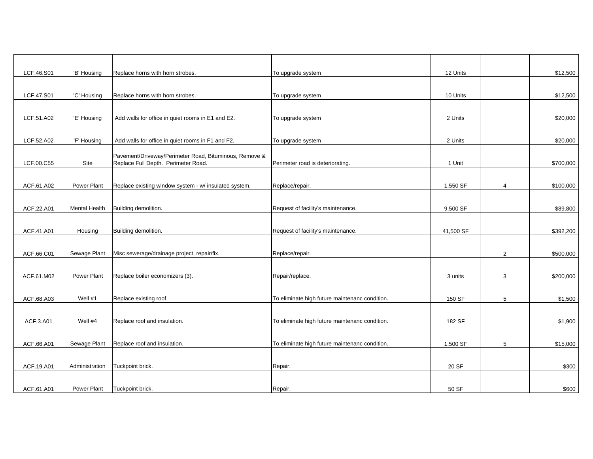| LCF.46.S01 | 'B' Housing          | Replace horns with horn strobes.                                                              | To upgrade system                              | 12 Units  |   | \$12,500  |
|------------|----------------------|-----------------------------------------------------------------------------------------------|------------------------------------------------|-----------|---|-----------|
|            |                      |                                                                                               |                                                |           |   |           |
| LCF.47.S01 | 'C' Housing          | Replace horns with horn strobes.                                                              | To upgrade system                              | 10 Units  |   | \$12,500  |
|            |                      |                                                                                               |                                                |           |   |           |
| LCF.51.A02 | 'E' Housing          | Add walls for office in quiet rooms in E1 and E2.                                             | To upgrade system                              | 2 Units   |   | \$20,000  |
|            |                      |                                                                                               |                                                |           |   |           |
| LCF.52.A02 | 'F' Housing          | Add walls for office in quiet rooms in F1 and F2.                                             | To upgrade system                              | 2 Units   |   | \$20,000  |
| LCF.00.C55 | Site                 | Pavement/Driveway/Perimeter Road, Bituminous, Remove &<br>Replace Full Depth. Perimeter Road. | Perimeter road is deteriorating.               | 1 Unit    |   | \$700,000 |
|            |                      |                                                                                               |                                                |           |   |           |
| ACF.61.A02 | Power Plant          | Replace existing window system - w/ insulated system.                                         | Replace/repair.                                | 1,550 SF  | 4 | \$100,000 |
|            |                      |                                                                                               |                                                |           |   |           |
| ACF.22.A01 | <b>Mental Health</b> | Building demolition.                                                                          | Request of facility's maintenance.             | 9,500 SF  |   | \$89,800  |
|            |                      |                                                                                               |                                                |           |   |           |
| ACF.41.A01 | Housing              | Building demolition.                                                                          | Request of facility's maintenance.             | 41,500 SF |   | \$392,200 |
|            |                      |                                                                                               |                                                |           |   |           |
| ACF.66.C01 | Sewage Plant         | Misc sewerage/drainage project, repair/fix.                                                   | Replace/repair.                                |           | 2 | \$500,000 |
|            |                      |                                                                                               |                                                |           |   |           |
| ACF.61.M02 | Power Plant          | Replace boiler economizers (3).                                                               | Repair/replace.                                | 3 units   | 3 | \$200,000 |
|            |                      |                                                                                               |                                                |           |   |           |
| ACF.68.A03 | Well #1              | Replace existing roof.                                                                        | To eliminate high future maintenanc condition. | 150 SF    | 5 | \$1,500   |
| ACF.3.A01  | Well #4              | Replace roof and insulation.                                                                  | To eliminate high future maintenanc condition. | 182 SF    |   | \$1,900   |
|            |                      |                                                                                               |                                                |           |   |           |
| ACF.66.A01 | Sewage Plant         | Replace roof and insulation.                                                                  | To eliminate high future maintenanc condition. | 1,500 SF  | 5 | \$15,000  |
|            |                      |                                                                                               |                                                |           |   |           |
| ACF.19.A01 | Administration       | Tuckpoint brick.                                                                              | Repair.                                        | 20 SF     |   | \$300     |
|            |                      |                                                                                               |                                                |           |   |           |
| ACF.61.A01 | Power Plant          | Tuckpoint brick.                                                                              | Repair.                                        | 50 SF     |   | \$600     |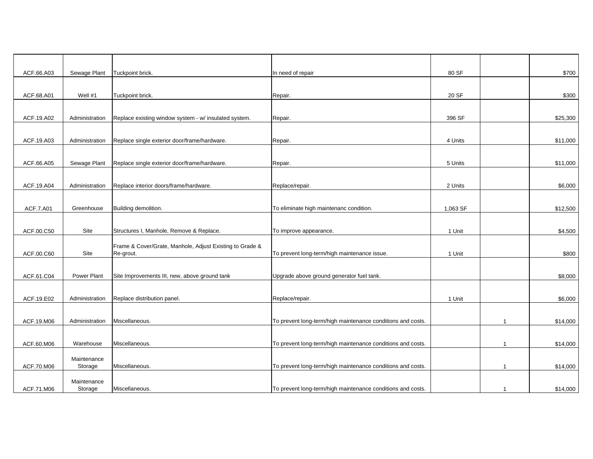| ACF.66.A03 | Sewage Plant   | Tuckpoint brick.                                         | In need of repair                                           | 80 SF    |                | \$700    |
|------------|----------------|----------------------------------------------------------|-------------------------------------------------------------|----------|----------------|----------|
|            |                |                                                          |                                                             |          |                |          |
| ACF.68.A01 | Well #1        | Tuckpoint brick.                                         | Repair.                                                     | 20 SF    |                | \$300    |
|            |                |                                                          |                                                             |          |                |          |
| ACF.19.A02 | Administration | Replace existing window system - w/ insulated system.    | Repair.                                                     | 396 SF   |                | \$25,300 |
|            |                |                                                          |                                                             |          |                |          |
| ACF.19.A03 | Administration | Replace single exterior door/frame/hardware.             | Repair.                                                     | 4 Units  |                | \$11,000 |
|            |                |                                                          |                                                             |          |                |          |
| ACF.66.A05 | Sewage Plant   | Replace single exterior door/frame/hardware.             | Repair.                                                     | 5 Units  |                | \$11,000 |
|            |                |                                                          |                                                             |          |                |          |
| ACF.19.A04 | Administration | Replace interior doors/frame/hardware.                   | Replace/repair.                                             | 2 Units  |                | \$6,000  |
|            |                |                                                          |                                                             |          |                |          |
| ACF.7.A01  | Greenhouse     | Building demolition.                                     | To eliminate high maintenanc condition.                     | 1,063 SF |                | \$12,500 |
|            |                |                                                          |                                                             |          |                |          |
| ACF.00.C50 | Site           | Structures I, Manhole, Remove & Replace.                 | To improve appearance.                                      | 1 Unit   |                | \$4,500  |
|            |                | Frame & Cover/Grate, Manhole, Adjust Existing to Grade & |                                                             |          |                |          |
| ACF.00.C60 | Site           | Re-grout.                                                | To prevent long-term/high maintenance issue.                | 1 Unit   |                | \$800    |
|            |                |                                                          |                                                             |          |                |          |
| ACF.61.C04 | Power Plant    | Site Improvements III, new, above ground tank            | Upgrade above ground generator fuel tank.                   |          |                | \$8,000  |
|            |                |                                                          |                                                             |          |                |          |
| ACF.19.E02 | Administration | Replace distribution panel.                              | Replace/repair.                                             | 1 Unit   |                | \$6,000  |
|            |                |                                                          |                                                             |          |                |          |
| ACF.19.M06 | Administration | Miscellaneous.                                           | To prevent long-term/high maintenance conditions and costs. |          | $\mathbf{1}$   | \$14,000 |
|            |                |                                                          |                                                             |          |                |          |
| ACF.60.M06 | Warehouse      | Miscellaneous.                                           | To prevent long-term/high maintenance conditions and costs. |          | $\overline{1}$ | \$14,000 |
|            | Maintenance    |                                                          |                                                             |          |                |          |
| ACF.70.M06 | Storage        | Miscellaneous.                                           | To prevent long-term/high maintenance conditions and costs. |          | $\mathbf{1}$   | \$14,000 |
|            | Maintenance    |                                                          |                                                             |          |                |          |
| ACF.71.M06 | Storage        | Miscellaneous.                                           | To prevent long-term/high maintenance conditions and costs. |          | $\overline{1}$ | \$14,000 |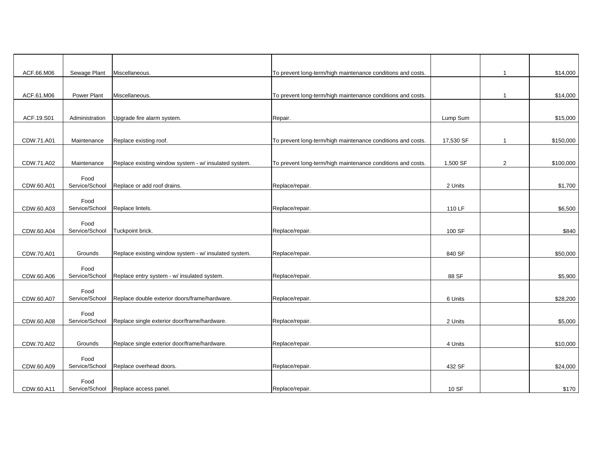| ACF.66.M06 | Sewage Plant           | Miscellaneous.                                        | To prevent long-term/high maintenance conditions and costs. |           | $\mathbf{1}$   | \$14,000  |
|------------|------------------------|-------------------------------------------------------|-------------------------------------------------------------|-----------|----------------|-----------|
|            |                        |                                                       |                                                             |           |                |           |
| ACF.61.M06 | Power Plant            | Miscellaneous.                                        | To prevent long-term/high maintenance conditions and costs. |           | $\mathbf{1}$   | \$14,000  |
|            |                        |                                                       |                                                             |           |                |           |
| ACF.19.S01 | Administration         | Upgrade fire alarm system.                            | Repair.                                                     | Lump Sum  |                | \$15,000  |
|            |                        |                                                       |                                                             |           |                |           |
| CDW.71.A01 |                        |                                                       |                                                             |           | $\mathbf{1}$   |           |
|            | Maintenance            | Replace existing roof.                                | To prevent long-term/high maintenance conditions and costs. | 17,530 SF |                | \$150,000 |
|            |                        |                                                       |                                                             |           |                |           |
| CDW.71.A02 | Maintenance            | Replace existing window system - w/ insulated system. | To prevent long-term/high maintenance conditions and costs. | 1,500 SF  | $\overline{2}$ | \$100,000 |
|            | Food                   |                                                       |                                                             |           |                |           |
| CDW.60.A01 | Service/School         | Replace or add roof drains.                           | Replace/repair.                                             | 2 Units   |                | \$1,700   |
|            | Food                   |                                                       |                                                             |           |                |           |
| CDW.60.A03 | Service/School         | Replace lintels.                                      | Replace/repair.                                             | 110 LF    |                | \$6,500   |
|            |                        |                                                       |                                                             |           |                |           |
| CDW.60.A04 | Food<br>Service/School | Tuckpoint brick.                                      | Replace/repair.                                             | 100 SF    |                | \$840     |
|            |                        |                                                       |                                                             |           |                |           |
|            |                        |                                                       |                                                             |           |                |           |
| CDW.70.A01 | Grounds                | Replace existing window system - w/ insulated system. | Replace/repair.                                             | 840 SF    |                | \$50,000  |
|            | Food                   |                                                       |                                                             |           |                |           |
| CDW.60.A06 | Service/School         | Replace entry system - w/ insulated system.           | Replace/repair.                                             | 88 SF     |                | \$5,900   |
|            | Food                   |                                                       |                                                             |           |                |           |
| CDW.60.A07 | Service/School         | Replace double exterior doors/frame/hardware.         | Replace/repair.                                             | 6 Units   |                | \$28,200  |
|            |                        |                                                       |                                                             |           |                |           |
| CDW.60.A08 | Food<br>Service/School | Replace single exterior door/frame/hardware.          | Replace/repair.                                             | 2 Units   |                | \$5,000   |
|            |                        |                                                       |                                                             |           |                |           |
|            |                        |                                                       |                                                             |           |                |           |
| CDW.70.A02 | Grounds                | Replace single exterior door/frame/hardware.          | Replace/repair.                                             | 4 Units   |                | \$10,000  |
|            | Food                   |                                                       |                                                             |           |                |           |
| CDW.60.A09 | Service/School         | Replace overhead doors.                               | Replace/repair.                                             | 432 SF    |                | \$24,000  |
|            | Food                   |                                                       |                                                             |           |                |           |
| CDW.60.A11 | Service/School         | Replace access panel.                                 | Replace/repair.                                             | 10 SF     |                | \$170     |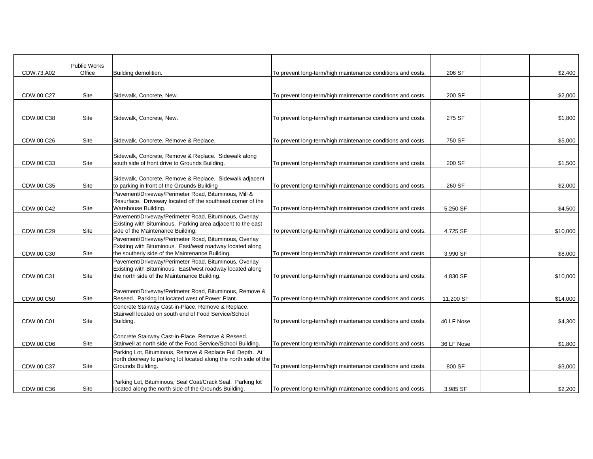|            | <b>Public Works</b> |                                                                                                                    |                                                             |            |          |
|------------|---------------------|--------------------------------------------------------------------------------------------------------------------|-------------------------------------------------------------|------------|----------|
| CDW.73.A02 | Office              | Building demolition.                                                                                               | To prevent long-term/high maintenance conditions and costs. | 206 SF     | \$2,400  |
|            |                     |                                                                                                                    |                                                             |            |          |
| CDW.00.C27 | Site                | Sidewalk, Concrete, New.                                                                                           | To prevent long-term/high maintenance conditions and costs. | 200 SF     | \$2,000  |
|            |                     |                                                                                                                    |                                                             |            |          |
|            |                     |                                                                                                                    |                                                             |            |          |
| CDW.00.C38 | Site                | Sidewalk, Concrete, New.                                                                                           | To prevent long-term/high maintenance conditions and costs. | 275 SF     | \$1,800  |
|            |                     |                                                                                                                    |                                                             |            |          |
| CDW.00.C26 | Site                | Sidewalk, Concrete, Remove & Replace.                                                                              | To prevent long-term/high maintenance conditions and costs. | 750 SF     | \$5,000  |
|            |                     |                                                                                                                    |                                                             |            |          |
| CDW.00.C33 | Site                | Sidewalk, Concrete, Remove & Replace. Sidewalk along<br>south side of front drive to Grounds Building.             | To prevent long-term/high maintenance conditions and costs. | 200 SF     | \$1,500  |
|            |                     |                                                                                                                    |                                                             |            |          |
|            |                     | Sidewalk, Concrete, Remove & Replace. Sidewalk adjacent                                                            |                                                             |            |          |
| CDW.00.C35 | Site                | to parking in front of the Grounds Building<br>Pavement/Driveway/Perimeter Road, Bituminous, Mill &                | To prevent long-term/high maintenance conditions and costs. | 260 SF     | \$2,000  |
|            |                     | Resurface. Driveway located off the southeast corner of the                                                        |                                                             |            |          |
| CDW.00.C42 | Site                | Warehouse Building.                                                                                                | To prevent long-term/high maintenance conditions and costs. | 5,250 SF   | \$4,500  |
|            |                     | Pavement/Driveway/Perimeter Road, Bituminous, Overlay                                                              |                                                             |            |          |
| CDW.00.C29 | Site                | Existing with Bituminous. Parking area adjacent to the east<br>side of the Maintenance Building.                   | To prevent long-term/high maintenance conditions and costs. | 4,725 SF   | \$10,000 |
|            |                     | Pavement/Driveway/Perimeter Road, Bituminous, Overlay                                                              |                                                             |            |          |
|            |                     | Existing with Bituminous. East/west roadway located along                                                          |                                                             |            |          |
| CDW.00.C30 | Site                | the southerly side of the Maintenance Building.                                                                    | To prevent long-term/high maintenance conditions and costs. | 3,990 SF   | \$8,000  |
|            |                     | Pavement/Driveway/Perimeter Road, Bituminous, Overlay<br>Existing with Bituminous. East/west roadway located along |                                                             |            |          |
| CDW.00.C31 | Site                | the north side of the Maintenance Building.                                                                        | To prevent long-term/high maintenance conditions and costs. | 4,830 SF   | \$10,000 |
|            |                     |                                                                                                                    |                                                             |            |          |
| CDW.00.C50 | Site                | Pavement/Driveway/Perimeter Road, Bituminous, Remove &<br>Reseed. Parking lot located west of Power Plant.         | To prevent long-term/high maintenance conditions and costs. | 11,200 SF  | \$14,000 |
|            |                     | Concrete Stairway Cast-in-Place, Remove & Replace.                                                                 |                                                             |            |          |
|            |                     | Stairwell located on south end of Food Service/School                                                              |                                                             |            |          |
| CDW.00.C01 | Site                | Building.                                                                                                          | To prevent long-term/high maintenance conditions and costs. | 40 LF Nose | \$4,300  |
|            |                     | Concrete Stairway Cast-in-Place, Remove & Reseed.                                                                  |                                                             |            |          |
| CDW.00.C06 | Site                | Stairwell at north side of the Food Service/School Building.                                                       | To prevent long-term/high maintenance conditions and costs. | 36 LF Nose | \$1,800  |
|            |                     | Parking Lot, Bituminous, Remove & Replace Full Depth. At                                                           |                                                             |            |          |
|            |                     | north doorway to parking lot located along the north side of the<br>Grounds Building.                              |                                                             |            |          |
| CDW.00.C37 | Site                |                                                                                                                    | To prevent long-term/high maintenance conditions and costs. | 800 SF     | \$3,000  |
|            |                     | Parking Lot, Bituminous, Seal Coat/Crack Seal. Parking lot                                                         |                                                             |            |          |
| CDW.00.C36 | <b>Site</b>         | located along the north side of the Grounds Building.                                                              | To prevent long-term/high maintenance conditions and costs. | 3,985 SF   | \$2,200  |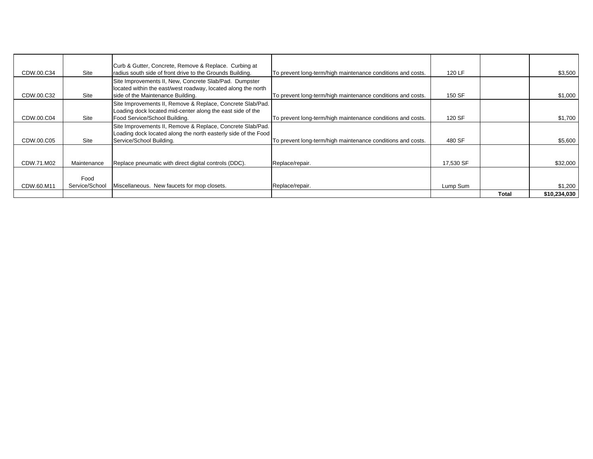| CDW.00.C34 | Site           | Curb & Gutter, Concrete, Remove & Replace. Curbing at<br>radius south side of front drive to the Grounds Building.                                        | To prevent long-term/high maintenance conditions and costs. | 120 LF    |       | \$3,500      |
|------------|----------------|-----------------------------------------------------------------------------------------------------------------------------------------------------------|-------------------------------------------------------------|-----------|-------|--------------|
|            |                | Site Improvements II, New, Concrete Slab/Pad. Dumpster<br>located within the east/west roadway, located along the north                                   |                                                             |           |       |              |
| CDW.00.C32 | Site           | side of the Maintenance Building.                                                                                                                         | To prevent long-term/high maintenance conditions and costs. | 150 SF    |       | \$1,000      |
| CDW.00.C04 | Site           | Site Improvements II, Remove & Replace, Concrete Slab/Pad.<br>Loading dock located mid-center along the east side of the<br>Food Service/School Building. | To prevent long-term/high maintenance conditions and costs. | 120 SF    |       | \$1,700      |
|            |                | Site Improvements II, Remove & Replace, Concrete Slab/Pad.                                                                                                |                                                             |           |       |              |
|            |                | Loading dock located along the north easterly side of the Food                                                                                            |                                                             |           |       |              |
| CDW.00.C05 | Site           | Service/School Building.                                                                                                                                  | To prevent long-term/high maintenance conditions and costs. | 480 SF    |       | \$5,600      |
| CDW.71.M02 | Maintenance    | Replace pneumatic with direct digital controls (DDC).                                                                                                     | Replace/repair.                                             | 17,530 SF |       | \$32,000     |
|            |                |                                                                                                                                                           |                                                             |           |       |              |
|            | Food           |                                                                                                                                                           |                                                             |           |       |              |
| CDW.60.M11 | Service/School | Miscellaneous. New faucets for mop closets.                                                                                                               | Replace/repair.                                             | Lump Sum  |       | \$1,200      |
|            |                |                                                                                                                                                           |                                                             |           | Total | \$10,234,030 |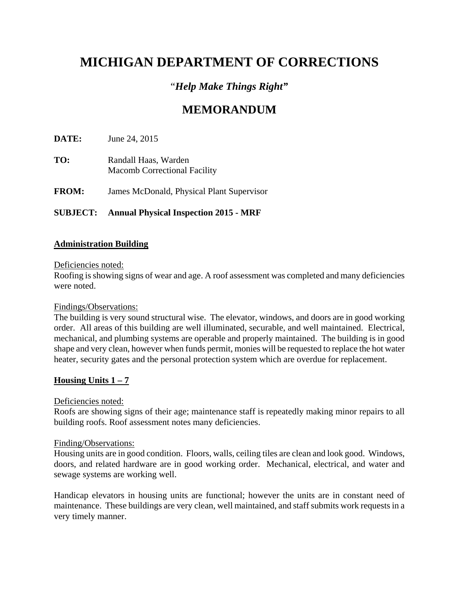# **MICHIGAN DEPARTMENT OF CORRECTIONS**

## "*Help Make Things Right"*

# **MEMORANDUM**

**DATE:** June 24, 2015

- **TO:** Randall Haas, Warden Macomb Correctional Facility
- **FROM:** James McDonald, Physical Plant Supervisor

## **SUBJECT: Annual Physical Inspection 2015 - MRF**

#### **Administration Building**

#### Deficiencies noted:

Roofing is showing signs of wear and age. A roof assessment was completed and many deficiencies were noted.

#### Findings/Observations:

The building is very sound structural wise. The elevator, windows, and doors are in good working order. All areas of this building are well illuminated, securable, and well maintained. Electrical, mechanical, and plumbing systems are operable and properly maintained. The building is in good shape and very clean, however when funds permit, monies will be requested to replace the hot water heater, security gates and the personal protection system which are overdue for replacement.

#### **Housing Units 1 – 7**

#### Deficiencies noted:

Roofs are showing signs of their age; maintenance staff is repeatedly making minor repairs to all building roofs. Roof assessment notes many deficiencies.

#### Finding/Observations:

Housing units are in good condition. Floors, walls, ceiling tiles are clean and look good. Windows, doors, and related hardware are in good working order. Mechanical, electrical, and water and sewage systems are working well.

Handicap elevators in housing units are functional; however the units are in constant need of maintenance. These buildings are very clean, well maintained, and staff submits work requests in a very timely manner.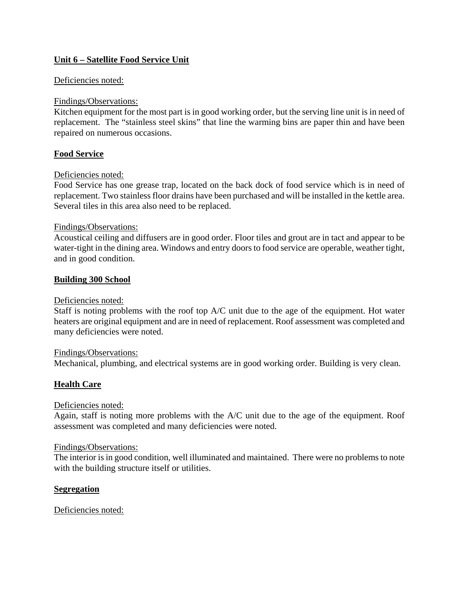## **Unit 6 – Satellite Food Service Unit**

#### Deficiencies noted:

#### Findings/Observations:

Kitchen equipment for the most part is in good working order, but the serving line unit is in need of replacement. The "stainless steel skins" that line the warming bins are paper thin and have been repaired on numerous occasions.

#### **Food Service**

#### Deficiencies noted:

Food Service has one grease trap, located on the back dock of food service which is in need of replacement. Two stainless floor drains have been purchased and will be installed in the kettle area. Several tiles in this area also need to be replaced.

#### Findings/Observations:

Acoustical ceiling and diffusers are in good order. Floor tiles and grout are in tact and appear to be water-tight in the dining area. Windows and entry doors to food service are operable, weather tight, and in good condition.

#### **Building 300 School**

#### Deficiencies noted:

Staff is noting problems with the roof top A/C unit due to the age of the equipment. Hot water heaters are original equipment and are in need of replacement. Roof assessment was completed and many deficiencies were noted.

#### Findings/Observations:

Mechanical, plumbing, and electrical systems are in good working order. Building is very clean.

#### **Health Care**

#### Deficiencies noted:

Again, staff is noting more problems with the A/C unit due to the age of the equipment. Roof assessment was completed and many deficiencies were noted.

#### Findings/Observations:

The interior is in good condition, well illuminated and maintained. There were no problems to note with the building structure itself or utilities.

#### **Segregation**

#### Deficiencies noted: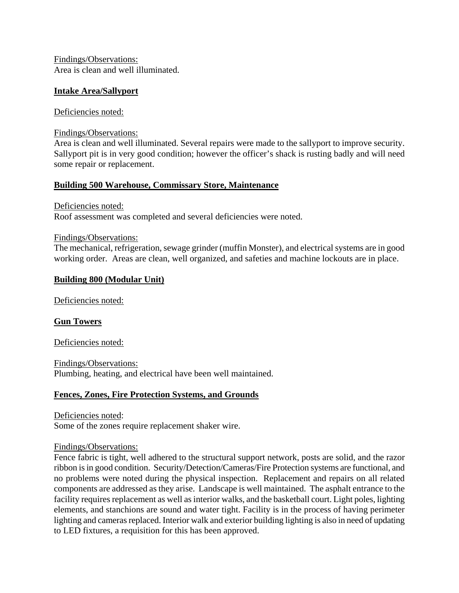Findings/Observations: Area is clean and well illuminated.

#### **Intake Area/Sallyport**

#### Deficiencies noted:

Findings/Observations:

Area is clean and well illuminated. Several repairs were made to the sallyport to improve security. Sallyport pit is in very good condition; however the officer's shack is rusting badly and will need some repair or replacement.

#### **Building 500 Warehouse, Commissary Store, Maintenance**

Deficiencies noted:

Roof assessment was completed and several deficiencies were noted.

#### Findings/Observations:

The mechanical, refrigeration, sewage grinder (muffin Monster), and electrical systems are in good working order. Areas are clean, well organized, and safeties and machine lockouts are in place.

#### **Building 800 (Modular Unit)**

Deficiencies noted:

#### **Gun Towers**

Deficiencies noted:

Findings/Observations: Plumbing, heating, and electrical have been well maintained.

#### **Fences, Zones, Fire Protection Systems, and Grounds**

Deficiencies noted: Some of the zones require replacement shaker wire.

#### Findings/Observations:

Fence fabric is tight, well adhered to the structural support network, posts are solid, and the razor ribbon is in good condition. Security/Detection/Cameras/Fire Protection systems are functional, and no problems were noted during the physical inspection. Replacement and repairs on all related components are addressed as they arise. Landscape is well maintained. The asphalt entrance to the facility requires replacement as well as interior walks, and the basketball court. Light poles, lighting elements, and stanchions are sound and water tight. Facility is in the process of having perimeter lighting and cameras replaced. Interior walk and exterior building lighting is also in need of updating to LED fixtures, a requisition for this has been approved.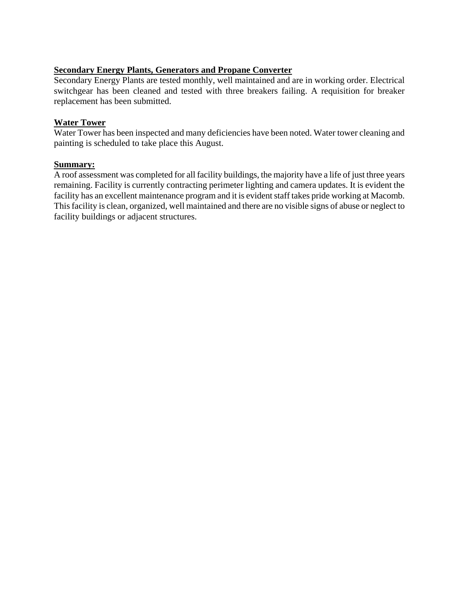## **Secondary Energy Plants, Generators and Propane Converter**

Secondary Energy Plants are tested monthly, well maintained and are in working order. Electrical switchgear has been cleaned and tested with three breakers failing. A requisition for breaker replacement has been submitted.

#### **Water Tower**

Water Tower has been inspected and many deficiencies have been noted. Water tower cleaning and painting is scheduled to take place this August.

#### **Summary:**

A roof assessment was completed for all facility buildings, the majority have a life of just three years remaining. Facility is currently contracting perimeter lighting and camera updates. It is evident the facility has an excellent maintenance program and it is evident staff takes pride working at Macomb. This facility is clean, organized, well maintained and there are no visible signs of abuse or neglect to facility buildings or adjacent structures.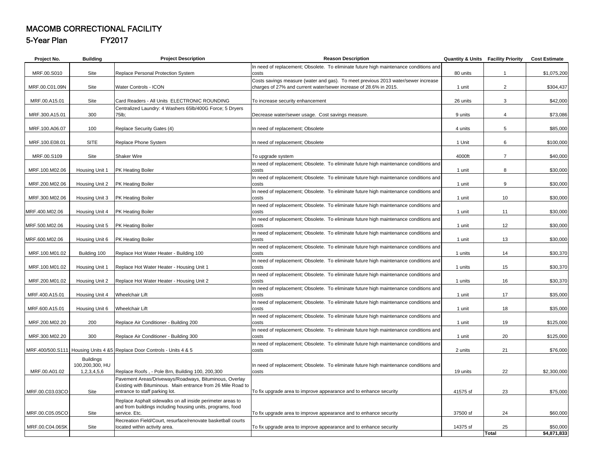#### MACOMB CORRECTIONAL FACILITY

5-Year Plan FY2017

| Project No.     | <b>Building</b>  | <b>Project Description</b>                                                                                             | <b>Reason Description</b>                                                                                                                              |          | <b>Quantity &amp; Units Facility Priority</b> | <b>Cost Estimate</b>    |
|-----------------|------------------|------------------------------------------------------------------------------------------------------------------------|--------------------------------------------------------------------------------------------------------------------------------------------------------|----------|-----------------------------------------------|-------------------------|
|                 |                  |                                                                                                                        | In need of replacement; Obsolete. To eliminate future high maintenance conditions and                                                                  |          |                                               |                         |
| MRF.00.S010     | Site             | Replace Personal Protection System                                                                                     | costs                                                                                                                                                  | 80 units | $\mathbf{1}$                                  | \$1,075,200             |
| MRF.00.C01.09N  | Site             | Water Controls - ICON                                                                                                  | Costs savings measure (water and gas). To meet previous 2013 water/sewer increase<br>charges of 27% and current water/sewer increase of 28.6% in 2015. | 1 unit   | $\overline{2}$                                | \$304,437               |
|                 |                  |                                                                                                                        |                                                                                                                                                        |          |                                               |                         |
| MRF.00.A15.01   | Site             | Card Readers - All Units ELECTRONIC ROUNDING                                                                           | To increase security enhancement                                                                                                                       | 26 units | 3                                             | \$42,000                |
|                 |                  | Centralized Laundry: 4 Washers 65lb/400G Force; 5 Dryers                                                               |                                                                                                                                                        |          |                                               |                         |
| MRF.300.A15.01  | 300              | 75lb:                                                                                                                  | Decrease water/sewer usage. Cost savings measure.                                                                                                      | 9 units  | 4                                             | \$73,086                |
|                 |                  |                                                                                                                        |                                                                                                                                                        |          |                                               |                         |
| MRF.100.A06.07  | 100              | Replace Security Gates (4)                                                                                             | In need of replacement; Obsolete                                                                                                                       | 4 units  | 5                                             | \$85,000                |
| MRF.100.E08.01  | <b>SITE</b>      | Replace Phone System                                                                                                   | In need of replacement; Obsolete                                                                                                                       | 1 Unit   | 6                                             | \$100,000               |
|                 |                  |                                                                                                                        |                                                                                                                                                        |          |                                               |                         |
| MRF.00.S109     | Site             | <b>Shaker Wire</b>                                                                                                     | To upgrade system                                                                                                                                      | 4000ft   | $\overline{7}$                                | \$40,000                |
|                 |                  |                                                                                                                        | In need of replacement; Obsolete. To eliminate future high maintenance conditions and                                                                  |          |                                               |                         |
| MRF.100.M02.06  | Housing Unit 1   | PK Heating Boiler                                                                                                      | costs                                                                                                                                                  | 1 unit   | 8                                             | \$30,000                |
| MRF.200.M02.06  | Housing Unit 2   | <b>PK Heating Boiler</b>                                                                                               | In need of replacement; Obsolete. To eliminate future high maintenance conditions and<br>costs                                                         | 1 unit   | 9                                             | \$30,000                |
|                 |                  |                                                                                                                        | In need of replacement; Obsolete. To eliminate future high maintenance conditions and                                                                  |          |                                               |                         |
| MRF.300.M02.06  | Housing Unit 3   | PK Heating Boiler                                                                                                      | costs                                                                                                                                                  | 1 unit   | 10                                            | \$30,000                |
|                 |                  |                                                                                                                        | In need of replacement; Obsolete. To eliminate future high maintenance conditions and                                                                  |          |                                               |                         |
| MRF.400.M02.06  | Housing Unit 4   | PK Heating Boiler                                                                                                      | costs                                                                                                                                                  | 1 unit   | 11                                            | \$30,000                |
|                 |                  |                                                                                                                        | In need of replacement; Obsolete. To eliminate future high maintenance conditions and                                                                  |          |                                               |                         |
| MRF.500.M02.06  | Housing Unit 5   | PK Heating Boiler                                                                                                      | costs                                                                                                                                                  | 1 unit   | 12                                            | \$30,000                |
| MRF.600.M02.06  | Housing Unit 6   | PK Heating Boiler                                                                                                      | In need of replacement; Obsolete. To eliminate future high maintenance conditions and<br>costs                                                         | 1 unit   | 13                                            | \$30,000                |
|                 |                  |                                                                                                                        | In need of replacement; Obsolete. To eliminate future high maintenance conditions and                                                                  |          |                                               |                         |
| MRF.100.M01.02  | Building 100     | Replace Hot Water Heater - Building 100                                                                                | costs                                                                                                                                                  | 1 units  | 14                                            | \$30,370                |
|                 |                  |                                                                                                                        | In need of replacement; Obsolete. To eliminate future high maintenance conditions and                                                                  |          |                                               |                         |
| MRF.100.M01.02  | Housing Unit 1   | Replace Hot Water Heater - Housing Unit 1                                                                              | costs                                                                                                                                                  | 1 units  | 15                                            | \$30,370                |
|                 |                  |                                                                                                                        | In need of replacement; Obsolete. To eliminate future high maintenance conditions and<br>costs                                                         |          |                                               |                         |
| MRF.200.M01.02  | Housing Unit 2   | Replace Hot Water Heater - Housing Unit 2                                                                              | In need of replacement; Obsolete. To eliminate future high maintenance conditions and                                                                  | 1 units  | 16                                            | \$30,370                |
| MRF.400.A15.01  | Housing Unit 4   | <b>Wheelchair Lift</b>                                                                                                 | costs                                                                                                                                                  | 1 unit   | 17                                            | \$35,000                |
|                 |                  |                                                                                                                        | In need of replacement; Obsolete. To eliminate future high maintenance conditions and                                                                  |          |                                               |                         |
| MRF.600.A15.01  | Housing Unit 6   | <b>Wheelchair Lift</b>                                                                                                 | costs                                                                                                                                                  | 1 unit   | 18                                            | \$35,000                |
|                 |                  |                                                                                                                        | In need of replacement; Obsolete. To eliminate future high maintenance conditions and                                                                  |          |                                               |                         |
| MRF.200.M02.20  | 200              | Replace Air Conditioner - Building 200                                                                                 | costs                                                                                                                                                  | 1 unit   | 19                                            | \$125,000               |
| MRF.300.M02.20  | 300              | Replace Air Conditioner - Building 300                                                                                 | In need of replacement; Obsolete. To eliminate future high maintenance conditions and<br>costs                                                         | 1 unit   | 20                                            | \$125,000               |
|                 |                  |                                                                                                                        | In need of replacement; Obsolete. To eliminate future high maintenance conditions and                                                                  |          |                                               |                         |
|                 |                  | MRF.400/500.S111 Housing Units 4 &5 Replace Door Controls - Units 4 & 5                                                | costs                                                                                                                                                  | 2 units  | 21                                            | \$76,000                |
|                 | <b>Buildings</b> |                                                                                                                        |                                                                                                                                                        |          |                                               |                         |
|                 | 100,200,300, HU  |                                                                                                                        | In need of replacement; Obsolete. To eliminate future high maintenance conditions and                                                                  |          |                                               |                         |
| MRF.00.A01.02   | 1,2,3,4,5,6      | Replace Roofs, - Pole Brn, Building 100, 200,300                                                                       | costs                                                                                                                                                  | 19 units | 22                                            | \$2,300,000             |
|                 |                  | Pavement Areas/Driveways/Roadways, Bituminous, Overlay<br>Existing with Bituminous. Main entrance from 26 Mile Road to |                                                                                                                                                        |          |                                               |                         |
| MRF.00.C03.03CO | Site             | entrance to staff parking lot.                                                                                         | To fix upgrade area to improve appearance and to enhance security                                                                                      | 41575 sf | 23                                            | \$75,000                |
|                 |                  | Replace Asphalt sidewalks on all inside perimeter areas to                                                             |                                                                                                                                                        |          |                                               |                         |
|                 |                  | and from buildings including housing units, programs, food                                                             |                                                                                                                                                        |          |                                               |                         |
| MRF.00.C05.05CO | Site             | service. Etc.                                                                                                          | To fix upgrade area to improve appearance and to enhance security                                                                                      | 37500 sf | 24                                            | \$60,000                |
|                 |                  | Recreation Field/Court, resurface/renovate basketball courts                                                           |                                                                                                                                                        |          |                                               |                         |
| MRF.00.C04.06SK | Site             | located within activity area.                                                                                          | To fix upgrade area to improve appearance and to enhance security                                                                                      | 14375 sf | 25<br>Total                                   | \$50,000<br>\$4,871,833 |
|                 |                  |                                                                                                                        |                                                                                                                                                        |          |                                               |                         |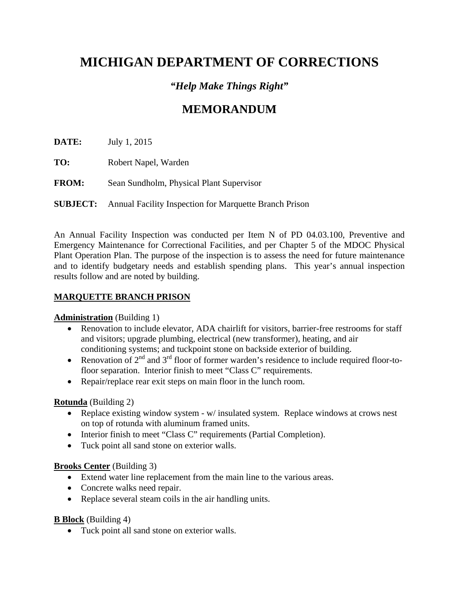# **MICHIGAN DEPARTMENT OF CORRECTIONS**

## *"Help Make Things Right"*

# **MEMORANDUM**

**DATE:** July 1, 2015

- **TO:** Robert Napel, Warden
- **FROM:** Sean Sundholm, Physical Plant Supervisor

## **SUBJECT:** Annual Facility Inspection for Marquette Branch Prison

An Annual Facility Inspection was conducted per Item N of PD 04.03.100, Preventive and Emergency Maintenance for Correctional Facilities, and per Chapter 5 of the MDOC Physical Plant Operation Plan. The purpose of the inspection is to assess the need for future maintenance and to identify budgetary needs and establish spending plans. This year's annual inspection results follow and are noted by building.

## **MARQUETTE BRANCH PRISON**

## **Administration** (Building 1)

- Renovation to include elevator, ADA chairlift for visitors, barrier-free restrooms for staff and visitors; upgrade plumbing, electrical (new transformer), heating, and air conditioning systems; and tuckpoint stone on backside exterior of building.
- Renovation of  $2^{nd}$  and  $3^{rd}$  floor of former warden's residence to include required floor-tofloor separation. Interior finish to meet "Class C" requirements.
- Repair/replace rear exit steps on main floor in the lunch room.

## **Rotunda** (Building 2)

- Replace existing window system w/ insulated system. Replace windows at crows nest on top of rotunda with aluminum framed units.
- Interior finish to meet "Class C" requirements (Partial Completion).
- Tuck point all sand stone on exterior walls.

## **Brooks Center** (Building 3)

- Extend water line replacement from the main line to the various areas.
- Concrete walks need repair.
- Replace several steam coils in the air handling units.

**B Block** (Building 4)

Tuck point all sand stone on exterior walls.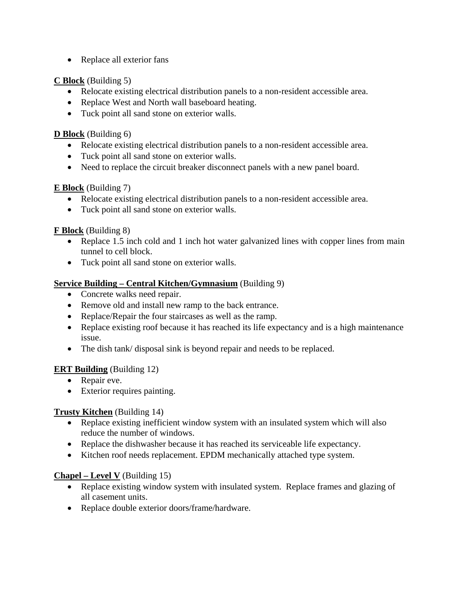• Replace all exterior fans

**C Block** (Building 5)

- Relocate existing electrical distribution panels to a non-resident accessible area.
- Replace West and North wall baseboard heating.
- Tuck point all sand stone on exterior walls.

**D Block** (Building 6)

- Relocate existing electrical distribution panels to a non-resident accessible area.
- Tuck point all sand stone on exterior walls.
- Need to replace the circuit breaker disconnect panels with a new panel board.

**E Block** (Building 7)

- Relocate existing electrical distribution panels to a non-resident accessible area.
- Tuck point all sand stone on exterior walls.

**F Block** (Building 8)

- Replace 1.5 inch cold and 1 inch hot water galvanized lines with copper lines from main tunnel to cell block.
- Tuck point all sand stone on exterior walls.

## **Service Building – Central Kitchen/Gymnasium** (Building 9)

- Concrete walks need repair.
- Remove old and install new ramp to the back entrance.
- Replace/Repair the four staircases as well as the ramp.
- Replace existing roof because it has reached its life expectancy and is a high maintenance issue.
- The dish tank/ disposal sink is beyond repair and needs to be replaced.

## **ERT Building** (Building 12)

- Repair eve.
- Exterior requires painting.

## **Trusty Kitchen** (Building 14)

- Replace existing inefficient window system with an insulated system which will also reduce the number of windows.
- Replace the dishwasher because it has reached its serviceable life expectancy.
- Kitchen roof needs replacement. EPDM mechanically attached type system.

## **Chapel – Level V** (Building 15)

- Replace existing window system with insulated system. Replace frames and glazing of all casement units.
- Replace double exterior doors/frame/hardware.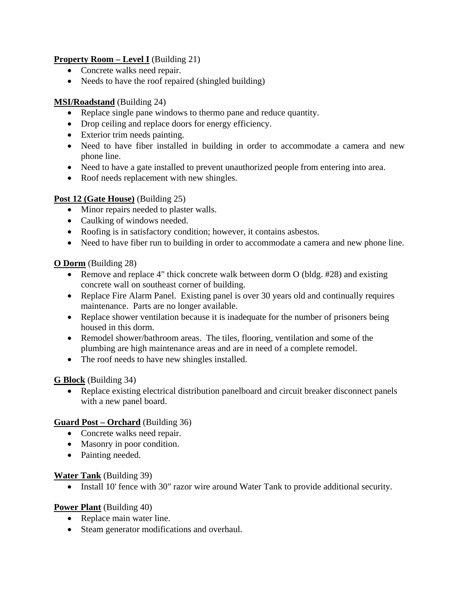## **Property Room – Level I** (Building 21)

- Concrete walks need repair.
- Needs to have the roof repaired (shingled building)

## **MSI/Roadstand** (Building 24)

- Replace single pane windows to thermo pane and reduce quantity.
- Drop ceiling and replace doors for energy efficiency.
- Exterior trim needs painting.
- Need to have fiber installed in building in order to accommodate a camera and new phone line.
- Need to have a gate installed to prevent unauthorized people from entering into area.
- Roof needs replacement with new shingles.

## **Post 12 (Gate House)** (Building 25)

- Minor repairs needed to plaster walls.
- Caulking of windows needed.
- Roofing is in satisfactory condition; however, it contains asbestos.
- Need to have fiber run to building in order to accommodate a camera and new phone line.

## **O Dorm** (Building 28)

- Remove and replace 4" thick concrete walk between dorm O (bldg. #28) and existing concrete wall on southeast corner of building.
- Replace Fire Alarm Panel. Existing panel is over 30 years old and continually requires maintenance. Parts are no longer available.
- Replace shower ventilation because it is inadequate for the number of prisoners being housed in this dorm.
- Remodel shower/bathroom areas. The tiles, flooring, ventilation and some of the plumbing are high maintenance areas and are in need of a complete remodel.
- The roof needs to have new shingles installed.

## **G Block** (Building 34)

 Replace existing electrical distribution panelboard and circuit breaker disconnect panels with a new panel board.

## **Guard Post – Orchard** (Building 36)

- Concrete walks need repair.
- Masonry in poor condition.
- Painting needed.

## **Water Tank** (Building 39)

• Install 10' fence with 30" razor wire around Water Tank to provide additional security.

## **Power Plant** (Building 40)

- Replace main water line.
- Steam generator modifications and overhaul.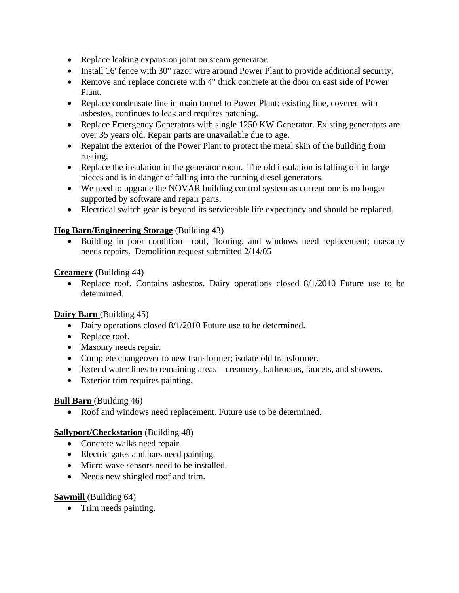- Replace leaking expansion joint on steam generator.
- Install 16' fence with 30" razor wire around Power Plant to provide additional security.
- Remove and replace concrete with 4" thick concrete at the door on east side of Power Plant.
- Replace condensate line in main tunnel to Power Plant; existing line, covered with asbestos, continues to leak and requires patching.
- Replace Emergency Generators with single 1250 KW Generator. Existing generators are over 35 years old. Repair parts are unavailable due to age.
- Repaint the exterior of the Power Plant to protect the metal skin of the building from rusting.
- Replace the insulation in the generator room. The old insulation is falling off in large pieces and is in danger of falling into the running diesel generators.
- We need to upgrade the NOVAR building control system as current one is no longer supported by software and repair parts.
- Electrical switch gear is beyond its serviceable life expectancy and should be replaced.

## **Hog Barn/Engineering Storage** (Building 43)

• Building in poor condition—roof, flooring, and windows need replacement; masonry needs repairs. Demolition request submitted 2/14/05

**Creamery** (Building 44)

• Replace roof. Contains asbestos. Dairy operations closed 8/1/2010 Future use to be determined.

## **Dairy Barn** (Building 45)

- Dairy operations closed 8/1/2010 Future use to be determined.
- Replace roof.
- Masonry needs repair.
- Complete changeover to new transformer; isolate old transformer.
- Extend water lines to remaining areas—creamery, bathrooms, faucets, and showers.
- Exterior trim requires painting.

## **Bull Barn** (Building 46)

Roof and windows need replacement. Future use to be determined.

## **Sallyport/Checkstation** (Building 48)

- Concrete walks need repair.
- Electric gates and bars need painting.
- Micro wave sensors need to be installed.
- Needs new shingled roof and trim.

## **Sawmill** (Building 64)

• Trim needs painting.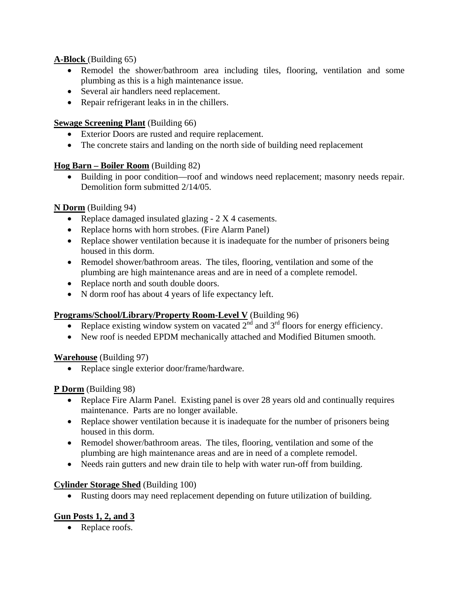## **A-Block** (Building 65)

- Remodel the shower/bathroom area including tiles, flooring, ventilation and some plumbing as this is a high maintenance issue.
- Several air handlers need replacement.
- Repair refrigerant leaks in in the chillers.

## **<u>Sewage Screening Plant</u>** (Building 66)

- Exterior Doors are rusted and require replacement.
- The concrete stairs and landing on the north side of building need replacement

## **Hog Barn – Boiler Room** (Building 82)

 Building in poor condition—roof and windows need replacement; masonry needs repair. Demolition form submitted 2/14/05.

## **N Dorm** (Building 94)

- Replace damaged insulated glazing 2 X 4 casements.
- Replace horns with horn strobes. (Fire Alarm Panel)
- Replace shower ventilation because it is inadequate for the number of prisoners being housed in this dorm.
- Remodel shower/bathroom areas. The tiles, flooring, ventilation and some of the plumbing are high maintenance areas and are in need of a complete remodel.
- Replace north and south double doors.
- N dorm roof has about 4 years of life expectancy left.

## **Programs/School/Library/Property Room-Level V** (Building 96)

- Replace existing window system on vacated  $2<sup>nd</sup>$  and  $3<sup>rd</sup>$  floors for energy efficiency.
- New roof is needed EPDM mechanically attached and Modified Bitumen smooth.

## **Warehouse** (Building 97)

• Replace single exterior door/frame/hardware.

## **P Dorm** (Building 98)

- Replace Fire Alarm Panel. Existing panel is over 28 years old and continually requires maintenance. Parts are no longer available.
- Replace shower ventilation because it is inadequate for the number of prisoners being housed in this dorm.
- Remodel shower/bathroom areas. The tiles, flooring, ventilation and some of the plumbing are high maintenance areas and are in need of a complete remodel.
- Needs rain gutters and new drain tile to help with water run-off from building.

## **Cylinder Storage Shed** (Building 100)

Rusting doors may need replacement depending on future utilization of building.

## **Gun Posts 1, 2, and 3**

• Replace roofs.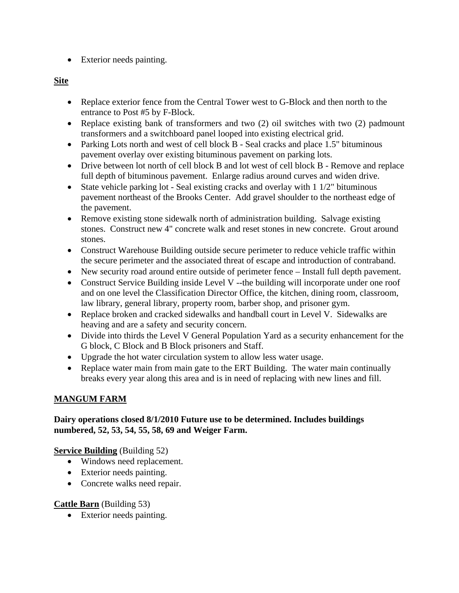Exterior needs painting.

## **Site**

- Replace exterior fence from the Central Tower west to G-Block and then north to the entrance to Post #5 by F-Block.
- Replace existing bank of transformers and two (2) oil switches with two (2) padmount transformers and a switchboard panel looped into existing electrical grid.
- Parking Lots north and west of cell block B Seal cracks and place 1.5" bituminous pavement overlay over existing bituminous pavement on parking lots.
- Drive between lot north of cell block B and lot west of cell block B Remove and replace full depth of bituminous pavement. Enlarge radius around curves and widen drive.
- State vehicle parking lot Seal existing cracks and overlay with  $1\frac{1}{2}$ " bituminous pavement northeast of the Brooks Center. Add gravel shoulder to the northeast edge of the pavement.
- Remove existing stone sidewalk north of administration building. Salvage existing stones. Construct new 4" concrete walk and reset stones in new concrete. Grout around stones.
- Construct Warehouse Building outside secure perimeter to reduce vehicle traffic within the secure perimeter and the associated threat of escape and introduction of contraband.
- New security road around entire outside of perimeter fence Install full depth pavement.
- Construct Service Building inside Level V --the building will incorporate under one roof and on one level the Classification Director Office, the kitchen, dining room, classroom, law library, general library, property room, barber shop, and prisoner gym.
- Replace broken and cracked sidewalks and handball court in Level V. Sidewalks are heaving and are a safety and security concern.
- Divide into thirds the Level V General Population Yard as a security enhancement for the G block, C Block and B Block prisoners and Staff.
- Upgrade the hot water circulation system to allow less water usage.
- Replace water main from main gate to the ERT Building. The water main continually breaks every year along this area and is in need of replacing with new lines and fill.

## **MANGUM FARM**

## **Dairy operations closed 8/1/2010 Future use to be determined. Includes buildings numbered, 52, 53, 54, 55, 58, 69 and Weiger Farm.**

## **Service Building** (Building 52)

- Windows need replacement.
- Exterior needs painting.
- Concrete walks need repair.

## **Cattle Barn** (Building 53)

• Exterior needs painting.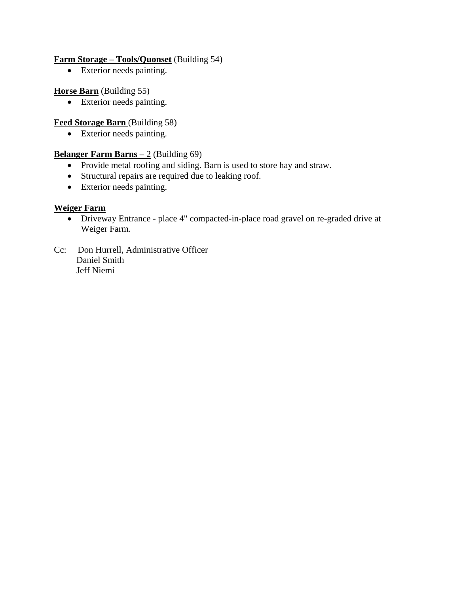#### **Farm Storage – Tools/Quonset** (Building 54)

• Exterior needs painting.

#### **Horse Barn** (Building 55)

Exterior needs painting.

## **Feed Storage Barn** (Building 58)

• Exterior needs painting.

#### **<u>Belanger Farm Barns – 2</u>** (Building 69)

- Provide metal roofing and siding. Barn is used to store hay and straw.
- Structural repairs are required due to leaking roof.
- Exterior needs painting.

#### **Weiger Farm**

- Driveway Entrance place 4" compacted-in-place road gravel on re-graded drive at Weiger Farm.
- Cc: Don Hurrell, Administrative Officer Daniel Smith Jeff Niemi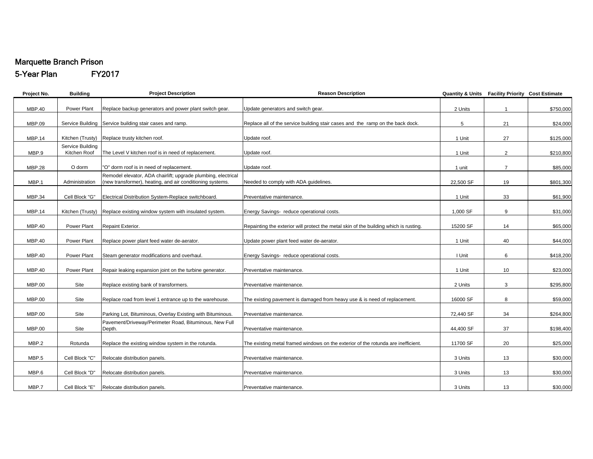## Marquette Branch Prison

5-Year Plan FY2017

| Project No.   | <b>Building</b>                  | <b>Project Description</b>                                                                                                 | <b>Reason Description</b>                                                             |           | Quantity & Units Facility Priority Cost Estimate |           |
|---------------|----------------------------------|----------------------------------------------------------------------------------------------------------------------------|---------------------------------------------------------------------------------------|-----------|--------------------------------------------------|-----------|
| <b>MBP.40</b> | Power Plant                      | Replace backup generators and power plant switch gear.                                                                     | Update generators and switch gear.                                                    | 2 Units   | $\overline{1}$                                   | \$750,000 |
| <b>MBP.09</b> |                                  | Service Building Service building stair cases and ramp.                                                                    | Replace all of the service building stair cases and the ramp on the back dock.        | 5         | 21                                               | \$24,000  |
| <b>MBP.14</b> |                                  | Kitchen (Trusty) Replace trusty kitchen roof.                                                                              | Update roof.                                                                          | 1 Unit    | 27                                               | \$125,000 |
| MBP.9         | Service Building<br>Kitchen Roof | The Level V kitchen roof is in need of replacement.                                                                        | Update roof.                                                                          | 1 Unit    | $\overline{2}$                                   | \$210,800 |
| <b>MBP.28</b> | O dorm                           | "O" dorm roof is in need of replacement.                                                                                   | Update roof.                                                                          | 1 unit    | $\overline{7}$                                   | \$85,000  |
| MBP.1         | Administration                   | Remodel elevator, ADA chairlift; upgrade plumbing, electrical<br>(new transformer), heating, and air conditioning systems. | Needed to comply with ADA guidelines.                                                 | 22,500 SF | 19                                               | \$801,300 |
| <b>MBP.34</b> | Cell Block "G"                   | Electrical Distribution System-Replace switchboard.                                                                        | Preventative maintenance.                                                             | 1 Unit    | 33                                               | \$61,900  |
| <b>MBP.14</b> |                                  | Kitchen (Trusty) Replace existing window system with insulated system.                                                     | Energy Savings- reduce operational costs.                                             | 1,000 SF  | 9                                                | \$31,000  |
| <b>MBP.40</b> | Power Plant                      | Repaint Exterior.                                                                                                          | Repainting the exterior will protect the metal skin of the building which is rusting. | 15200 SF  | 14                                               | \$65,000  |
| <b>MBP.40</b> | Power Plant                      | Replace power plant feed water de-aerator.                                                                                 | Update power plant feed water de-aerator.                                             | 1 Unit    | 40                                               | \$44,000  |
| <b>MBP.40</b> | Power Plant                      | Steam generator modifications and overhaul.                                                                                | Energy Savings- reduce operational costs.                                             | I Unit    | 6                                                | \$418,200 |
| <b>MBP.40</b> | Power Plant                      | Repair leaking expansion joint on the turbine generator.                                                                   | Preventative maintenance.                                                             | 1 Unit    | 10                                               | \$23,000  |
| <b>MBP.00</b> | Site                             | Replace existing bank of transformers.                                                                                     | Preventative maintenance.                                                             | 2 Units   | 3                                                | \$295,800 |
| MBP.00        | Site                             | Replace road from level 1 entrance up to the warehouse.                                                                    | The existing pavement is damaged from heavy use & is need of replacement.             | 16000 SF  | 8                                                | \$59,000  |
| <b>MBP.00</b> | Site                             | Parking Lot, Bituminous, Overlay Existing with Bituminous.                                                                 | Preventative maintenance.                                                             | 72,440 SF | 34                                               | \$264,800 |
| <b>MBP.00</b> | Site                             | Pavement/Driveway/Perimeter Road, Bituminous, New Full<br>Depth.                                                           | Preventative maintenance.                                                             | 44,400 SF | 37                                               | \$198,400 |
| MBP.2         | Rotunda                          | Replace the existing window system in the rotunda.                                                                         | The existing metal framed windows on the exterior of the rotunda are inefficient.     | 11700 SF  | 20                                               | \$25,000  |
| MBP.5         | Cell Block "C"                   | Relocate distribution panels.                                                                                              | Preventative maintenance.                                                             | 3 Units   | 13                                               | \$30,000  |
| MBP.6         | Cell Block "D"                   | Relocate distribution panels.                                                                                              | Preventative maintenance.                                                             | 3 Units   | 13                                               | \$30,000  |
| MBP.7         | Cell Block "E"                   | Relocate distribution panels.                                                                                              | Preventative maintenance.                                                             | 3 Units   | 13                                               | \$30,000  |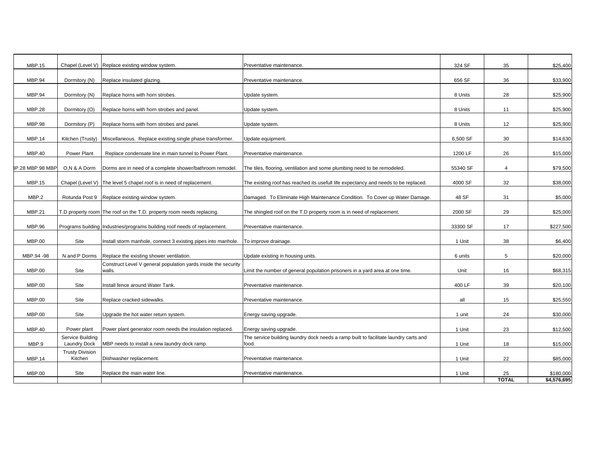| <b>MBP.15</b>           |                                         | Chapel (Level V) Replace existing window system.                          | Preventative maintenance.                                                                     | 324 SF   | 35             | \$25,400    |
|-------------------------|-----------------------------------------|---------------------------------------------------------------------------|-----------------------------------------------------------------------------------------------|----------|----------------|-------------|
| <b>MBP.94</b>           | Dormitory (N)                           | Replace insulated glazing.                                                | Preventative maintenance.                                                                     | 656 SF   | 36             | \$33,900    |
| <b>MBP.94</b>           | Dormitory (N)                           | Replace horns with horn strobes.                                          | Update system.                                                                                | 8 Units  | 28             | \$25,900    |
| <b>MBP.28</b>           | Dormitory (O)                           | Replace horns with horn strobes and panel.                                | Update system.                                                                                | 8 Units  | 11             | \$25,900    |
| <b>MBP.98</b>           | Dormitory (P)                           | Replace horns with horn strobes and panel.                                | Update system.                                                                                | 8 Units  | 12             | \$25,900    |
| <b>MBP.14</b>           | Kitchen (Trusty)                        | Miscellaneous. Replace existing single phase transformer.                 | Update equipment.                                                                             | 6,500 SF | 30             | \$14,630    |
| <b>MBP.40</b>           | Power Plant                             | Replace condensate line in main tunnel to Power Plant.                    | Preventative maintenance.                                                                     | 1200 LF  | 26             | \$15,000    |
| <b>8P.28 MBP.98 MBP</b> | O,N & A Dorm                            | Dorms are in need of a complete shower/bathroom remodel.                  | The tiles, flooring, ventilation and some plumbing need to be remodeled.                      | 55340 SF | $\overline{4}$ | \$79,500    |
| <b>MBP.15</b>           |                                         | Chapel (Level V) The level 5 chapel roof is in need of replacement.       | The existing roof has reached its usefull life expectancy and needs to be replaced.           | 4000 SF  | 32             | \$38,000    |
| MBP.2                   | Rotunda Post 9                          | Replace existing window system.                                           | Damaged. To Eliminate High Maintenance Condition. To Cover up Water Damage.                   | 48 SF    | 31             | \$5,000     |
| <b>MBP.21</b>           |                                         | T.D property room The roof on the T.D. property room needs replacing.     | The shingled roof on the T.D property room is in need of replacement.                         | 2000 SF  | 29             | \$25,000    |
| MBP.96                  |                                         | Programs building Industries/programs building roof needs of replacement. | Preventative maintenance.                                                                     | 33300 SF | 17             | \$227,500   |
| <b>MBP.00</b>           | Site                                    | Install storm manhole, connect 3 existing pipes into manhole.             | To improve drainage.                                                                          | 1 Unit   | 38             | \$6,400     |
| MBP.94 -98              | N and P Dorms                           | Replace the existing shower ventilation.                                  | Update existing in housing units.                                                             | 6 units  | 5              | \$20,000    |
| MBP.00                  | Site                                    | Construct Level V general population yards inside the security<br>walls.  | Limit the number of general population prisoners in a yard area at one time.                  | Unit     | 16             | \$68,315    |
| <b>MBP.00</b>           | Site                                    | Install fence around Water Tank.                                          | Preventative maintenance.                                                                     | 400 LF   | 39             | \$20,100    |
| <b>MBP.00</b>           | Site                                    | Replace cracked sidewalks.                                                | Preventative maintenance.                                                                     | all      | 15             | \$25,550    |
| <b>MBP.00</b>           | Site                                    | Upgrade the hot water return system.                                      | Energy saving upgrade.                                                                        | 1 unit   | 24             | \$30,000    |
| <b>MBP.40</b>           | Power plant                             | Power plant generator room needs the insulation replaced.                 | Energy saving upgrade.                                                                        | 1 Unit   | 23             | \$12,500    |
| MBP.9                   | Service Building<br><b>Laundry Dock</b> | MBP needs to install a new laundry dock ramp.                             | The service building laundry dock needs a ramp built to facilitate laundry carts and<br>food. | 1 Unit   | 18             | \$15,000    |
| <b>MBP.14</b>           | <b>Trusty Division</b><br>Kitchen       | Dishwasher replacement.                                                   | Preventative maintenance.                                                                     | 1 Unit   | 22             | \$85,000    |
| <b>MBP.00</b>           | Site                                    | Replace the main water line.                                              | Preventative maintenance.                                                                     | 1 Unit   | 25             | \$180,000   |
|                         |                                         |                                                                           |                                                                                               |          | <b>TOTAL</b>   | \$4,576,695 |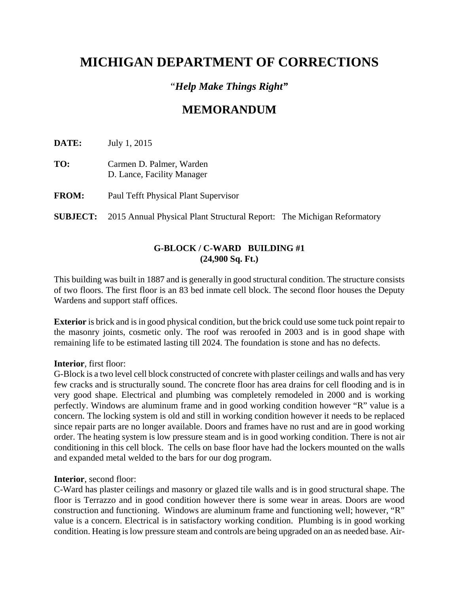# **MICHIGAN DEPARTMENT OF CORRECTIONS**

## "*Help Make Things Right"*

## **MEMORANDUM**

**DATE:** July 1, 2015

- **TO:** Carmen D. Palmer, Warden D. Lance, Facility Manager
- **FROM:** Paul Tefft Physical Plant Supervisor

**SUBJECT:** 2015 Annual Physical Plant Structural Report:The Michigan Reformatory

## **G-BLOCK / C-WARD BUILDING #1 (24,900 Sq. Ft.)**

This building was built in 1887 and is generally in good structural condition. The structure consists of two floors. The first floor is an 83 bed inmate cell block. The second floor houses the Deputy Wardens and support staff offices.

**Exterior** is brick and is in good physical condition, but the brick could use some tuck point repair to the masonry joints, cosmetic only. The roof was reroofed in 2003 and is in good shape with remaining life to be estimated lasting till 2024. The foundation is stone and has no defects.

#### **Interior**, first floor:

G-Block is a two level cell block constructed of concrete with plaster ceilings and walls and has very few cracks and is structurally sound. The concrete floor has area drains for cell flooding and is in very good shape. Electrical and plumbing was completely remodeled in 2000 and is working perfectly. Windows are aluminum frame and in good working condition however "R" value is a concern. The locking system is old and still in working condition however it needs to be replaced since repair parts are no longer available. Doors and frames have no rust and are in good working order. The heating system is low pressure steam and is in good working condition. There is not air conditioning in this cell block. The cells on base floor have had the lockers mounted on the walls and expanded metal welded to the bars for our dog program.

#### **Interior**, second floor:

C-Ward has plaster ceilings and masonry or glazed tile walls and is in good structural shape. The floor is Terrazzo and in good condition however there is some wear in areas. Doors are wood construction and functioning. Windows are aluminum frame and functioning well; however, "R" value is a concern. Electrical is in satisfactory working condition. Plumbing is in good working condition. Heating is low pressure steam and controls are being upgraded on an as needed base. Air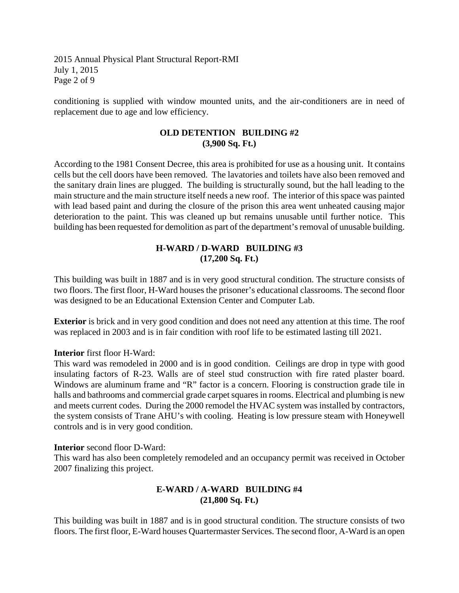2015 Annual Physical Plant Structural Report-RMI July 1, 2015 Page 2 of 9

conditioning is supplied with window mounted units, and the air-conditioners are in need of replacement due to age and low efficiency.

#### **OLD DETENTION BUILDING #2 (3,900 Sq. Ft.)**

According to the 1981 Consent Decree, this area is prohibited for use as a housing unit. It contains cells but the cell doors have been removed. The lavatories and toilets have also been removed and the sanitary drain lines are plugged. The building is structurally sound, but the hall leading to the main structure and the main structure itself needs a new roof. The interior of this space was painted with lead based paint and during the closure of the prison this area went unheated causing major deterioration to the paint. This was cleaned up but remains unusable until further notice. This building has been requested for demolition as part of the department's removal of unusable building.

## **H-WARD / D-WARD BUILDING #3 (17,200 Sq. Ft.)**

This building was built in 1887 and is in very good structural condition. The structure consists of two floors. The first floor, H-Ward houses the prisoner's educational classrooms. The second floor was designed to be an Educational Extension Center and Computer Lab.

**Exterior** is brick and in very good condition and does not need any attention at this time. The roof was replaced in 2003 and is in fair condition with roof life to be estimated lasting till 2021.

#### **Interior** first floor H-Ward:

This ward was remodeled in 2000 and is in good condition. Ceilings are drop in type with good insulating factors of R-23. Walls are of steel stud construction with fire rated plaster board. Windows are aluminum frame and "R" factor is a concern. Flooring is construction grade tile in halls and bathrooms and commercial grade carpet squares in rooms. Electrical and plumbing is new and meets current codes. During the 2000 remodel the HVAC system was installed by contractors, the system consists of Trane AHU's with cooling. Heating is low pressure steam with Honeywell controls and is in very good condition.

#### **Interior** second floor D-Ward:

This ward has also been completely remodeled and an occupancy permit was received in October 2007 finalizing this project.

## **E-WARD / A-WARD BUILDING #4 (21,800 Sq. Ft.)**

This building was built in 1887 and is in good structural condition. The structure consists of two floors. The first floor, E-Ward houses Quartermaster Services. The second floor, A-Ward is an open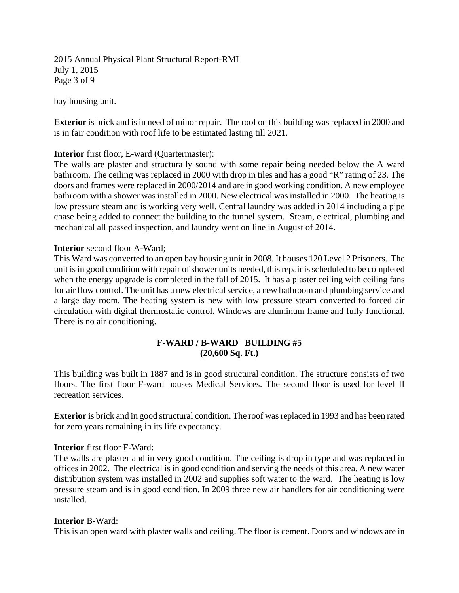2015 Annual Physical Plant Structural Report-RMI July 1, 2015 Page 3 of 9

bay housing unit.

**Exterior** is brick and is in need of minor repair. The roof on this building was replaced in 2000 and is in fair condition with roof life to be estimated lasting till 2021.

#### **Interior** first floor, E-ward (Quartermaster):

The walls are plaster and structurally sound with some repair being needed below the A ward bathroom. The ceiling was replaced in 2000 with drop in tiles and has a good "R" rating of 23. The doors and frames were replaced in 2000/2014 and are in good working condition. A new employee bathroom with a shower was installed in 2000. New electrical was installed in 2000. The heating is low pressure steam and is working very well. Central laundry was added in 2014 including a pipe chase being added to connect the building to the tunnel system. Steam, electrical, plumbing and mechanical all passed inspection, and laundry went on line in August of 2014.

#### **Interior** second floor A-Ward;

This Ward was converted to an open bay housing unit in 2008. It houses 120 Level 2 Prisoners. The unit is in good condition with repair of shower units needed, this repair is scheduled to be completed when the energy upgrade is completed in the fall of 2015. It has a plaster ceiling with ceiling fans for air flow control. The unit has a new electrical service, a new bathroom and plumbing service and a large day room. The heating system is new with low pressure steam converted to forced air circulation with digital thermostatic control. Windows are aluminum frame and fully functional. There is no air conditioning.

#### **F-WARD / B-WARD BUILDING #5 (20,600 Sq. Ft.)**

This building was built in 1887 and is in good structural condition. The structure consists of two floors. The first floor F-ward houses Medical Services. The second floor is used for level II recreation services.

**Exterior** is brick and in good structural condition. The roof was replaced in 1993 and has been rated for zero years remaining in its life expectancy.

#### **Interior** first floor F-Ward:

The walls are plaster and in very good condition. The ceiling is drop in type and was replaced in offices in 2002. The electrical is in good condition and serving the needs of this area. A new water distribution system was installed in 2002 and supplies soft water to the ward. The heating is low pressure steam and is in good condition. In 2009 three new air handlers for air conditioning were installed.

#### **Interior** B-Ward:

This is an open ward with plaster walls and ceiling. The floor is cement. Doors and windows are in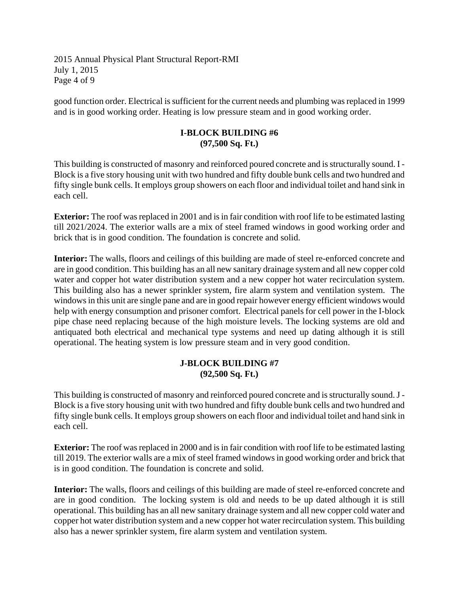2015 Annual Physical Plant Structural Report-RMI July 1, 2015 Page 4 of 9

good function order. Electrical is sufficient for the current needs and plumbing was replaced in 1999 and is in good working order. Heating is low pressure steam and in good working order.

#### **I-BLOCK BUILDING #6 (97,500 Sq. Ft.)**

This building is constructed of masonry and reinforced poured concrete and is structurally sound. I - Block is a five story housing unit with two hundred and fifty double bunk cells and two hundred and fifty single bunk cells. It employs group showers on each floor and individual toilet and hand sink in each cell.

**Exterior:** The roof was replaced in 2001 and is in fair condition with roof life to be estimated lasting till 2021/2024. The exterior walls are a mix of steel framed windows in good working order and brick that is in good condition. The foundation is concrete and solid.

**Interior:** The walls, floors and ceilings of this building are made of steel re-enforced concrete and are in good condition. This building has an all new sanitary drainage system and all new copper cold water and copper hot water distribution system and a new copper hot water recirculation system. This building also has a newer sprinkler system, fire alarm system and ventilation system. The windows in this unit are single pane and are in good repair however energy efficient windows would help with energy consumption and prisoner comfort. Electrical panels for cell power in the I-block pipe chase need replacing because of the high moisture levels. The locking systems are old and antiquated both electrical and mechanical type systems and need up dating although it is still operational. The heating system is low pressure steam and in very good condition.

#### **J-BLOCK BUILDING #7 (92,500 Sq. Ft.)**

This building is constructed of masonry and reinforced poured concrete and is structurally sound. J - Block is a five story housing unit with two hundred and fifty double bunk cells and two hundred and fifty single bunk cells. It employs group showers on each floor and individual toilet and hand sink in each cell.

**Exterior:** The roof was replaced in 2000 and is in fair condition with roof life to be estimated lasting till 2019. The exterior walls are a mix of steel framed windows in good working order and brick that is in good condition. The foundation is concrete and solid.

**Interior:** The walls, floors and ceilings of this building are made of steel re-enforced concrete and are in good condition. The locking system is old and needs to be up dated although it is still operational. This building has an all new sanitary drainage system and all new copper cold water and copper hot water distribution system and a new copper hot water recirculation system. This building also has a newer sprinkler system, fire alarm system and ventilation system.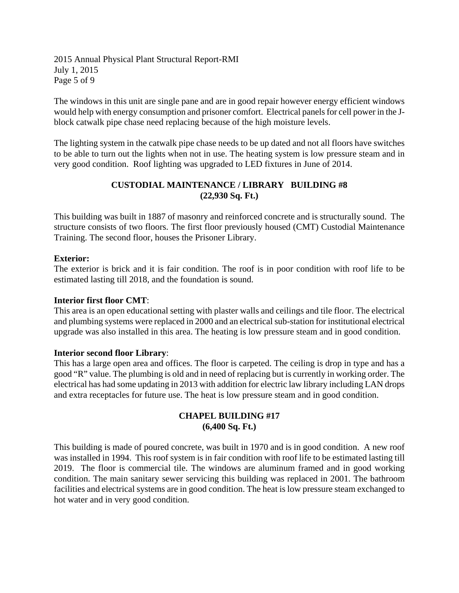2015 Annual Physical Plant Structural Report-RMI July 1, 2015 Page 5 of 9

The windows in this unit are single pane and are in good repair however energy efficient windows would help with energy consumption and prisoner comfort. Electrical panels for cell power in the Jblock catwalk pipe chase need replacing because of the high moisture levels.

The lighting system in the catwalk pipe chase needs to be up dated and not all floors have switches to be able to turn out the lights when not in use. The heating system is low pressure steam and in very good condition. Roof lighting was upgraded to LED fixtures in June of 2014.

## **CUSTODIAL MAINTENANCE / LIBRARY BUILDING #8 (22,930 Sq. Ft.)**

This building was built in 1887 of masonry and reinforced concrete and is structurally sound. The structure consists of two floors. The first floor previously housed (CMT) Custodial Maintenance Training. The second floor, houses the Prisoner Library.

## **Exterior:**

The exterior is brick and it is fair condition. The roof is in poor condition with roof life to be estimated lasting till 2018, and the foundation is sound.

## **Interior first floor CMT**:

This area is an open educational setting with plaster walls and ceilings and tile floor. The electrical and plumbing systems were replaced in 2000 and an electrical sub-station for institutional electrical upgrade was also installed in this area. The heating is low pressure steam and in good condition.

#### **Interior second floor Library**:

This has a large open area and offices. The floor is carpeted. The ceiling is drop in type and has a good "R" value. The plumbing is old and in need of replacing but is currently in working order. The electrical has had some updating in 2013 with addition for electric law library including LAN drops and extra receptacles for future use. The heat is low pressure steam and in good condition.

## **CHAPEL BUILDING #17 (6,400 Sq. Ft.)**

This building is made of poured concrete, was built in 1970 and is in good condition. A new roof was installed in 1994. This roof system is in fair condition with roof life to be estimated lasting till 2019. The floor is commercial tile. The windows are aluminum framed and in good working condition. The main sanitary sewer servicing this building was replaced in 2001. The bathroom facilities and electrical systems are in good condition. The heat is low pressure steam exchanged to hot water and in very good condition.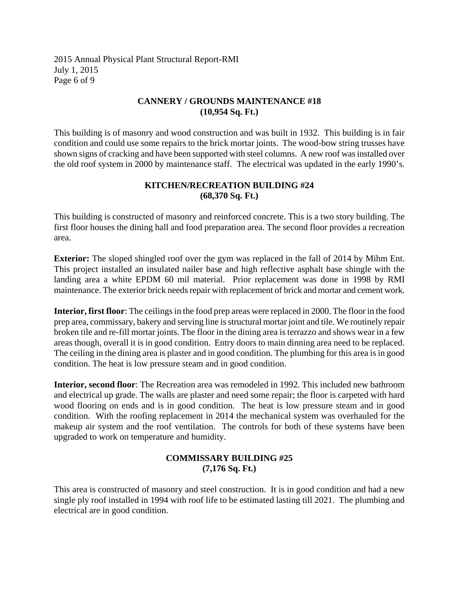2015 Annual Physical Plant Structural Report-RMI July 1, 2015 Page 6 of 9

#### **CANNERY / GROUNDS MAINTENANCE #18 (10,954 Sq. Ft.)**

This building is of masonry and wood construction and was built in 1932. This building is in fair condition and could use some repairs to the brick mortar joints. The wood-bow string trusses have shown signs of cracking and have been supported with steel columns. A new roof was installed over the old roof system in 2000 by maintenance staff. The electrical was updated in the early 1990's.

### **KITCHEN/RECREATION BUILDING #24 (68,370 Sq. Ft.)**

This building is constructed of masonry and reinforced concrete. This is a two story building. The first floor houses the dining hall and food preparation area. The second floor provides a recreation area.

**Exterior:** The sloped shingled roof over the gym was replaced in the fall of 2014 by Mihm Ent. This project installed an insulated nailer base and high reflective asphalt base shingle with the landing area a white EPDM 60 mil material. Prior replacement was done in 1998 by RMI maintenance. The exterior brick needs repair with replacement of brick and mortar and cement work.

**Interior, first floor**: The ceilings in the food prep areas were replaced in 2000. The floor in the food prep area, commissary, bakery and serving line is structural mortar joint and tile. We routinely repair broken tile and re-fill mortar joints. The floor in the dining area is terrazzo and shows wear in a few areas though, overall it is in good condition. Entry doors to main dinning area need to be replaced. The ceiling in the dining area is plaster and in good condition. The plumbing for this area is in good condition. The heat is low pressure steam and in good condition.

**Interior, second floor**: The Recreation area was remodeled in 1992. This included new bathroom and electrical up grade. The walls are plaster and need some repair; the floor is carpeted with hard wood flooring on ends and is in good condition. The heat is low pressure steam and in good condition. With the roofing replacement in 2014 the mechanical system was overhauled for the makeup air system and the roof ventilation. The controls for both of these systems have been upgraded to work on temperature and humidity.

### **COMMISSARY BUILDING #25 (7,176 Sq. Ft.)**

This area is constructed of masonry and steel construction. It is in good condition and had a new single ply roof installed in 1994 with roof life to be estimated lasting till 2021. The plumbing and electrical are in good condition.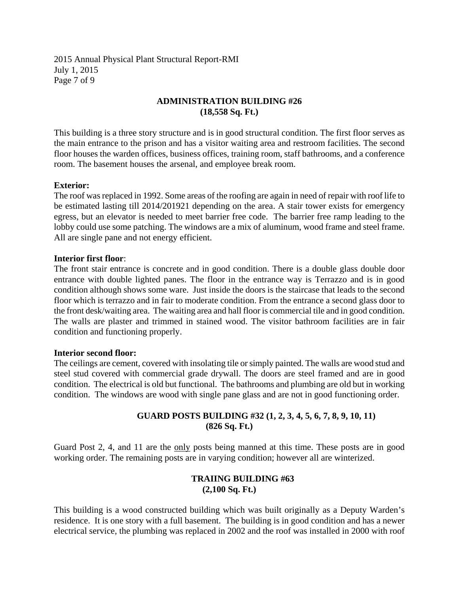2015 Annual Physical Plant Structural Report-RMI July 1, 2015 Page 7 of 9

#### **ADMINISTRATION BUILDING #26 (18,558 Sq. Ft.)**

This building is a three story structure and is in good structural condition. The first floor serves as the main entrance to the prison and has a visitor waiting area and restroom facilities. The second floor houses the warden offices, business offices, training room, staff bathrooms, and a conference room. The basement houses the arsenal, and employee break room.

#### **Exterior:**

The roof was replaced in 1992. Some areas of the roofing are again in need of repair with roof life to be estimated lasting till 2014/201921 depending on the area. A stair tower exists for emergency egress, but an elevator is needed to meet barrier free code. The barrier free ramp leading to the lobby could use some patching. The windows are a mix of aluminum, wood frame and steel frame. All are single pane and not energy efficient.

#### **Interior first floor**:

The front stair entrance is concrete and in good condition. There is a double glass double door entrance with double lighted panes. The floor in the entrance way is Terrazzo and is in good condition although shows some ware. Just inside the doors is the staircase that leads to the second floor which is terrazzo and in fair to moderate condition. From the entrance a second glass door to the front desk/waiting area. The waiting area and hall floor is commercial tile and in good condition. The walls are plaster and trimmed in stained wood. The visitor bathroom facilities are in fair condition and functioning properly.

#### **Interior second floor:**

The ceilings are cement, covered with insolating tile or simply painted. The walls are wood stud and steel stud covered with commercial grade drywall. The doors are steel framed and are in good condition. The electrical is old but functional. The bathrooms and plumbing are old but in working condition. The windows are wood with single pane glass and are not in good functioning order.

#### **GUARD POSTS BUILDING #32 (1, 2, 3, 4, 5, 6, 7, 8, 9, 10, 11) (826 Sq. Ft.)**

Guard Post 2, 4, and 11 are the only posts being manned at this time. These posts are in good working order. The remaining posts are in varying condition; however all are winterized.

#### **TRAIING BUILDING #63 (2,100 Sq. Ft.)**

This building is a wood constructed building which was built originally as a Deputy Warden's residence. It is one story with a full basement. The building is in good condition and has a newer electrical service, the plumbing was replaced in 2002 and the roof was installed in 2000 with roof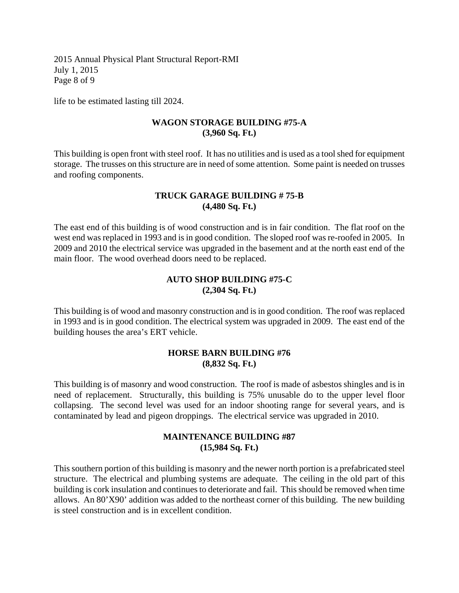2015 Annual Physical Plant Structural Report-RMI July 1, 2015 Page 8 of 9

life to be estimated lasting till 2024.

#### **WAGON STORAGE BUILDING #75-A (3,960 Sq. Ft.)**

This building is open front with steel roof. It has no utilities and is used as a tool shed for equipment storage. The trusses on this structure are in need of some attention. Some paint is needed on trusses and roofing components.

#### **TRUCK GARAGE BUILDING # 75-B (4,480 Sq. Ft.)**

The east end of this building is of wood construction and is in fair condition. The flat roof on the west end was replaced in 1993 and is in good condition. The sloped roof was re-roofed in 2005. In 2009 and 2010 the electrical service was upgraded in the basement and at the north east end of the main floor. The wood overhead doors need to be replaced.

#### **AUTO SHOP BUILDING #75-C (2,304 Sq. Ft.)**

This building is of wood and masonry construction and is in good condition. The roof was replaced in 1993 and is in good condition. The electrical system was upgraded in 2009. The east end of the building houses the area's ERT vehicle.

#### **HORSE BARN BUILDING #76 (8,832 Sq. Ft.)**

This building is of masonry and wood construction. The roof is made of asbestos shingles and is in need of replacement. Structurally, this building is 75% unusable do to the upper level floor collapsing. The second level was used for an indoor shooting range for several years, and is contaminated by lead and pigeon droppings. The electrical service was upgraded in 2010.

### **MAINTENANCE BUILDING #87 (15,984 Sq. Ft.)**

This southern portion of this building is masonry and the newer north portion is a prefabricated steel structure. The electrical and plumbing systems are adequate. The ceiling in the old part of this building is cork insulation and continues to deteriorate and fail. This should be removed when time allows. An 80'X90' addition was added to the northeast corner of this building. The new building is steel construction and is in excellent condition.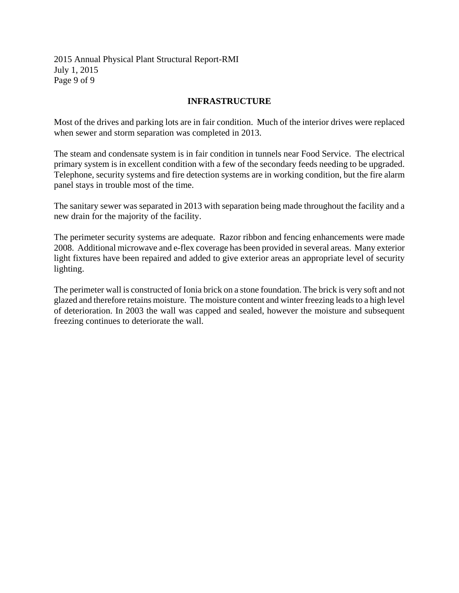2015 Annual Physical Plant Structural Report-RMI July 1, 2015 Page 9 of 9

#### **INFRASTRUCTURE**

Most of the drives and parking lots are in fair condition. Much of the interior drives were replaced when sewer and storm separation was completed in 2013.

The steam and condensate system is in fair condition in tunnels near Food Service. The electrical primary system is in excellent condition with a few of the secondary feeds needing to be upgraded. Telephone, security systems and fire detection systems are in working condition, but the fire alarm panel stays in trouble most of the time.

The sanitary sewer was separated in 2013 with separation being made throughout the facility and a new drain for the majority of the facility.

The perimeter security systems are adequate. Razor ribbon and fencing enhancements were made 2008. Additional microwave and e-flex coverage has been provided in several areas. Many exterior light fixtures have been repaired and added to give exterior areas an appropriate level of security lighting.

The perimeter wall is constructed of Ionia brick on a stone foundation. The brick is very soft and not glazed and therefore retains moisture. The moisture content and winter freezing leads to a high level of deterioration. In 2003 the wall was capped and sealed, however the moisture and subsequent freezing continues to deteriorate the wall.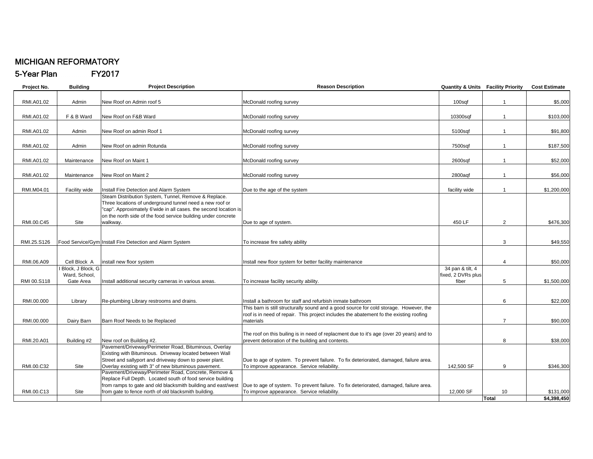#### MICHIGAN REFORMATORY

5-Year Plan FY2017

| Project No. | <b>Building</b>   | <b>Project Description</b>                                       | <b>Reason Description</b>                                                                                                                     |                    | <b>Quantity &amp; Units Facility Priority</b> | <b>Cost Estimate</b> |
|-------------|-------------------|------------------------------------------------------------------|-----------------------------------------------------------------------------------------------------------------------------------------------|--------------------|-----------------------------------------------|----------------------|
|             |                   |                                                                  |                                                                                                                                               |                    |                                               |                      |
| RMI.A01.02  | Admin             | New Roof on Admin roof 5                                         | McDonald roofing survey                                                                                                                       | 100sqf             | $\overline{1}$                                | \$5,000              |
| RMI.A01.02  | F & B Ward        | New Roof on F&B Ward                                             | McDonald roofing survey                                                                                                                       | 10300sqf           | $\overline{1}$                                | \$103,000            |
|             |                   |                                                                  |                                                                                                                                               |                    |                                               |                      |
| RMI.A01.02  | Admin             | New Roof on admin Roof 1                                         | McDonald roofing survey                                                                                                                       | 5100sqf            | $\mathbf{1}$                                  | \$91,800             |
|             |                   |                                                                  |                                                                                                                                               |                    |                                               |                      |
| RMI.A01.02  | Admin             | New Roof on admin Rotunda                                        | McDonald roofing survey                                                                                                                       | 7500sqf            | $\overline{1}$                                | \$187,500            |
|             |                   |                                                                  |                                                                                                                                               |                    |                                               |                      |
| RMI.A01.02  | Maintenance       | New Roof on Maint 1                                              | McDonald roofing survey                                                                                                                       | 2600sqf            | $\overline{1}$                                | \$52,000             |
|             |                   |                                                                  |                                                                                                                                               |                    |                                               |                      |
| RMI.A01.02  | Maintenance       | New Roof on Maint 2                                              | McDonald roofing survey                                                                                                                       | 2800aqf            | $\mathbf{1}$                                  | \$56,000             |
| RMI.M04.01  | Facility wide     | Install Fire Detection and Alarm System                          | Due to the age of the system                                                                                                                  | facility wide      |                                               | \$1,200,000          |
|             |                   | Steam Distribution System, Tunnel, Remove & Replace.             |                                                                                                                                               |                    |                                               |                      |
|             |                   | Three locations of underground tunnel need a new roof or         |                                                                                                                                               |                    |                                               |                      |
|             |                   | "cap". Approximately 6'wide in all cases. the second location is |                                                                                                                                               |                    |                                               |                      |
|             |                   | on the north side of the food service building under concrete    |                                                                                                                                               |                    |                                               |                      |
| RMI.00.C45  | Site              | walkway.                                                         | Due to age of system.                                                                                                                         | 450 LF             | $\overline{2}$                                | \$476,300            |
|             |                   |                                                                  |                                                                                                                                               |                    |                                               |                      |
|             |                   |                                                                  |                                                                                                                                               |                    |                                               |                      |
| RMI.25.S126 |                   | Food Service/Gym Install Fire Detection and Alarm System         | To increase fire safety ability                                                                                                               |                    | 3                                             | \$49,550             |
|             |                   |                                                                  |                                                                                                                                               |                    |                                               |                      |
| RMI.06.A09  | Cell Block A      | install new floor system                                         | Install new floor system for better facility maintenance                                                                                      |                    | 4                                             | \$50,000             |
|             | Block, J Block, G |                                                                  |                                                                                                                                               | 34 pan & tilt, 4   |                                               |                      |
|             | Ward, School,     |                                                                  |                                                                                                                                               | fixed, 2 DVRs plus |                                               |                      |
| RMI 00.S118 | Gate Area         | Install additional security cameras in various areas.            | To increase facility security ability.                                                                                                        | fiber              | 5                                             | \$1,500,000          |
|             |                   |                                                                  |                                                                                                                                               |                    |                                               |                      |
|             |                   |                                                                  |                                                                                                                                               |                    |                                               |                      |
| RMI.00.000  | Library           | Re-plumbing Library restrooms and drains.                        | Install a bathroom for staff and refurbish inmate bathroom                                                                                    |                    | 6                                             | \$22,000             |
|             |                   |                                                                  | This barn is still structurally sound and a good source for cold storage. However, the                                                        |                    |                                               |                      |
|             |                   |                                                                  | roof is in need of repair. This project includes the abatement fo the existing roofing                                                        |                    |                                               |                      |
| RMI.00.000  | Dairy Barn        | Barn Roof Needs to be Replaced                                   | materials                                                                                                                                     |                    | $\overline{7}$                                | \$90,000             |
|             |                   |                                                                  |                                                                                                                                               |                    |                                               |                      |
| RMI.20.A01  | Building #2       | New roof on Building #2.                                         | The roof on this builing is in need of replacment due to it's age (over 20 years) and to<br>prevent detioration of the building and contents. |                    | 8                                             | \$38,000             |
|             |                   | Pavement/Driveway/Perimeter Road, Bituminous, Overlay            |                                                                                                                                               |                    |                                               |                      |
|             |                   | Existing with Bituminous. Driveway located between Wall          |                                                                                                                                               |                    |                                               |                      |
|             |                   | Street and sallyport and driveway down to power plant.           | Due to age of system. To prevent failure. To fix deteriorated, damaged, failure area.                                                         |                    |                                               |                      |
| RMI.00.C32  | Site              | Overlay existing with 3" of new bituminous pavement.             | To improve appearance. Service reliability.                                                                                                   | 142,500 SF         | 9                                             | \$346.300            |
|             |                   | Pavement/Driveway/Perimeter Road, Concrete, Remove &             |                                                                                                                                               |                    |                                               |                      |
|             |                   | Replace Full Depth. Located south of food service building       |                                                                                                                                               |                    |                                               |                      |
|             |                   | from ramps to gate and old blacksmith building and east/west     | Due to age of system. To prevent failure. To fix deteriorated, damaged, failure area.                                                         |                    |                                               |                      |
| RMI.00.C13  | Site              | from gate to fence north of old blacksmith building.             | To improve appearance. Service reliability.                                                                                                   | 12,000 SF          | 10                                            | \$131,000            |
|             |                   |                                                                  |                                                                                                                                               |                    | Total                                         | \$4,398,450          |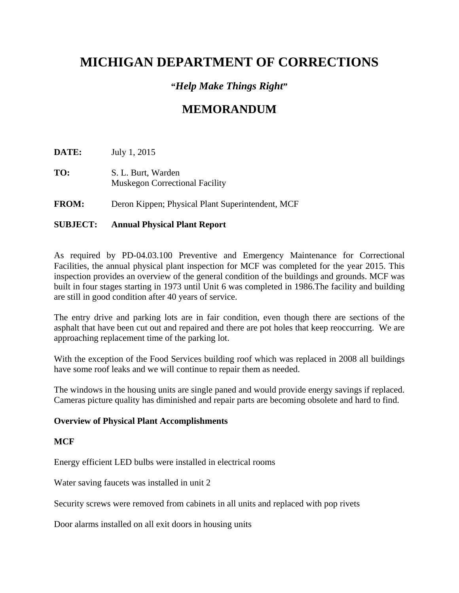# **MICHIGAN DEPARTMENT OF CORRECTIONS**

### **"***Help Make Things Right***"**

## **MEMORANDUM**

**DATE:** July 1, 2015

**TO:** S. L. Burt, Warden Muskegon Correctional Facility

**FROM:** Deron Kippen; Physical Plant Superintendent, MCF

#### **SUBJECT: Annual Physical Plant Report**

As required by PD-04.03.100 Preventive and Emergency Maintenance for Correctional Facilities, the annual physical plant inspection for MCF was completed for the year 2015. This inspection provides an overview of the general condition of the buildings and grounds. MCF was built in four stages starting in 1973 until Unit 6 was completed in 1986.The facility and building are still in good condition after 40 years of service.

The entry drive and parking lots are in fair condition, even though there are sections of the asphalt that have been cut out and repaired and there are pot holes that keep reoccurring. We are approaching replacement time of the parking lot.

With the exception of the Food Services building roof which was replaced in 2008 all buildings have some roof leaks and we will continue to repair them as needed.

The windows in the housing units are single paned and would provide energy savings if replaced. Cameras picture quality has diminished and repair parts are becoming obsolete and hard to find.

#### **Overview of Physical Plant Accomplishments**

#### **MCF**

Energy efficient LED bulbs were installed in electrical rooms

Water saving faucets was installed in unit 2

Security screws were removed from cabinets in all units and replaced with pop rivets

Door alarms installed on all exit doors in housing units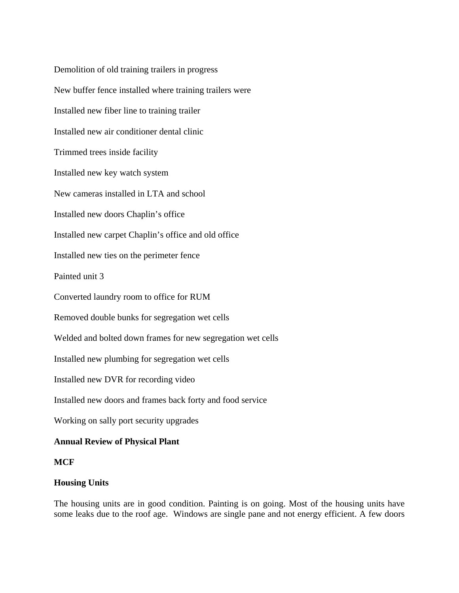Demolition of old training trailers in progress New buffer fence installed where training trailers were Installed new fiber line to training trailer Installed new air conditioner dental clinic Trimmed trees inside facility Installed new key watch system New cameras installed in LTA and school Installed new doors Chaplin's office Installed new carpet Chaplin's office and old office Installed new ties on the perimeter fence Painted unit 3 Converted laundry room to office for RUM Removed double bunks for segregation wet cells Welded and bolted down frames for new segregation wet cells Installed new plumbing for segregation wet cells Installed new DVR for recording video Installed new doors and frames back forty and food service Working on sally port security upgrades

### **Annual Review of Physical Plant**

#### **MCF**

#### **Housing Units**

The housing units are in good condition. Painting is on going. Most of the housing units have some leaks due to the roof age. Windows are single pane and not energy efficient. A few doors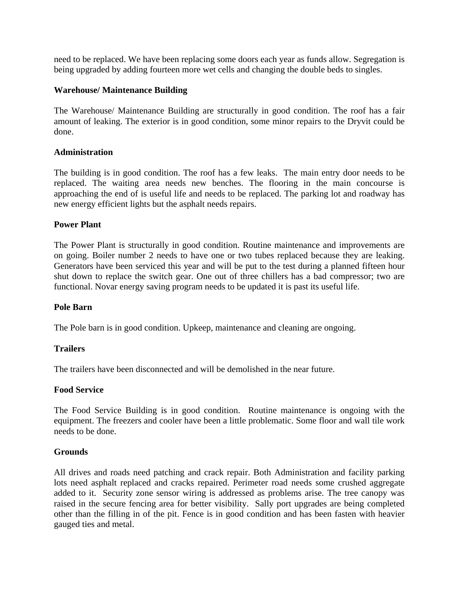need to be replaced. We have been replacing some doors each year as funds allow. Segregation is being upgraded by adding fourteen more wet cells and changing the double beds to singles.

#### **Warehouse/ Maintenance Building**

The Warehouse/ Maintenance Building are structurally in good condition. The roof has a fair amount of leaking. The exterior is in good condition, some minor repairs to the Dryvit could be done.

#### **Administration**

The building is in good condition. The roof has a few leaks. The main entry door needs to be replaced. The waiting area needs new benches. The flooring in the main concourse is approaching the end of is useful life and needs to be replaced. The parking lot and roadway has new energy efficient lights but the asphalt needs repairs.

#### **Power Plant**

The Power Plant is structurally in good condition. Routine maintenance and improvements are on going. Boiler number 2 needs to have one or two tubes replaced because they are leaking. Generators have been serviced this year and will be put to the test during a planned fifteen hour shut down to replace the switch gear. One out of three chillers has a bad compressor; two are functional. Novar energy saving program needs to be updated it is past its useful life.

#### **Pole Barn**

The Pole barn is in good condition. Upkeep, maintenance and cleaning are ongoing.

#### **Trailers**

The trailers have been disconnected and will be demolished in the near future.

#### **Food Service**

The Food Service Building is in good condition. Routine maintenance is ongoing with the equipment. The freezers and cooler have been a little problematic. Some floor and wall tile work needs to be done.

#### **Grounds**

All drives and roads need patching and crack repair. Both Administration and facility parking lots need asphalt replaced and cracks repaired. Perimeter road needs some crushed aggregate added to it. Security zone sensor wiring is addressed as problems arise. The tree canopy was raised in the secure fencing area for better visibility. Sally port upgrades are being completed other than the filling in of the pit. Fence is in good condition and has been fasten with heavier gauged ties and metal.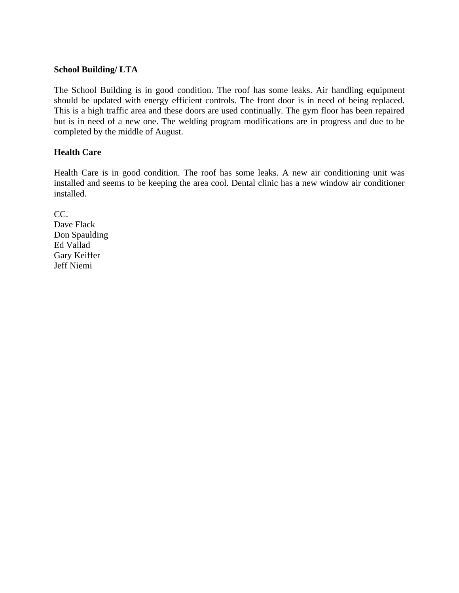#### **School Building/ LTA**

The School Building is in good condition. The roof has some leaks. Air handling equipment should be updated with energy efficient controls. The front door is in need of being replaced. This is a high traffic area and these doors are used continually. The gym floor has been repaired but is in need of a new one. The welding program modifications are in progress and due to be completed by the middle of August.

#### **Health Care**

Health Care is in good condition. The roof has some leaks. A new air conditioning unit was installed and seems to be keeping the area cool. Dental clinic has a new window air conditioner installed.

CC. Dave Flack Don Spaulding Ed Vallad Gary Keiffer Jeff Niemi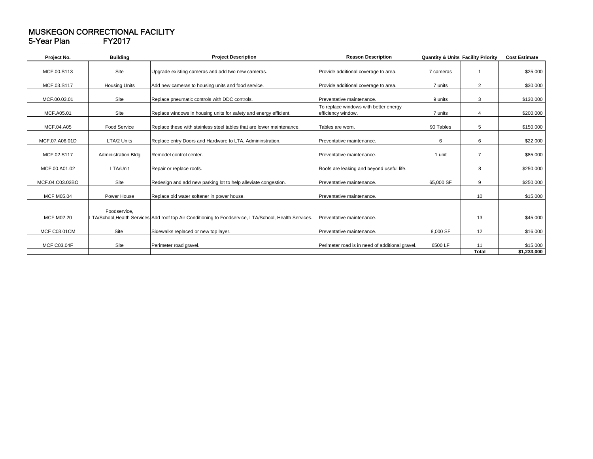#### MUSKEGON CORRECTIONAL FACILITY 5-Year Plan FY2017

| Project No.         | <b>Building</b>            | <b>Project Description</b>                                                                             | <b>Reason Description</b>                                   | <b>Quantity &amp; Units Facility Priority</b> |                | <b>Cost Estimate</b>    |
|---------------------|----------------------------|--------------------------------------------------------------------------------------------------------|-------------------------------------------------------------|-----------------------------------------------|----------------|-------------------------|
| MCF.00.S113         | Site                       | Upgrade existing cameras and add two new cameras.                                                      | Provide additional coverage to area.                        | 7 cameras                                     |                | \$25,000                |
| MCF.03.S117         | <b>Housing Units</b>       | Add new cameras to housing units and food service.                                                     | Provide additional coverage to area.                        | 7 units                                       | $\overline{2}$ | \$30,000                |
| MCF.00.03.01        | Site                       | Replace pneumatic controls with DDC controls.                                                          | Preventative maintenance.                                   | 9 units                                       | 3              | \$130,000               |
| MCF.A05.01          | Site                       | Replace windows in housing units for safety and energy efficient.                                      | To replace windows with better energy<br>efficiency window. | 7 units                                       | 4              | \$200,000               |
| MCF.04.A05          | Food Service               | Replace these with stainless steel tables that are lower maintenance.                                  | Tables are worn.                                            | 90 Tables                                     | 5              | \$150,000               |
| MCF.07.A06.01D      | LTA/2 Units                | Replace entry Doors and Hardware to LTA, Admininstration.                                              | Preventative maintenance.                                   | 6                                             | 6              | \$22,000                |
| MCF.02.S117         | <b>Administration Bldg</b> | Remodel control center.                                                                                | Preventative maintenance.                                   | 1 unit                                        | $\overline{7}$ | \$85,000                |
| MCF.00.A01.02       | LTA/Unit                   | Repair or replace roofs.                                                                               | Roofs are leaking and beyond useful life.                   |                                               | 8              | \$250,000               |
| MCF.04.C03.03BO     | Site                       | Redesign and add new parking lot to help alleviate congestion.                                         | Preventative maintenance                                    | 65,000 SF                                     | 9              | \$250,000               |
| <b>MCF M05.04</b>   | Power House                | Replace old water softener in power house.                                                             | Preventative maintenance.                                   |                                               | 10             | \$15,000                |
| <b>MCF M02.20</b>   | Foodservice.               | LTA/School, Health Services Add roof top Air Conditioning to Foodservice, LTA/School, Health Services. | Preventative maintenance.                                   |                                               | 13             | \$45,000                |
| <b>MCF C03.01CM</b> | Site                       | Sidewalks replaced or new top layer.                                                                   | Preventative maintenance.                                   | 8,000 SF                                      | 12             | \$16,000                |
| <b>MCF C03.04F</b>  | Site                       | Perimeter road gravel.                                                                                 | Perimeter road is in need of additional gravel.             | 6500 LF                                       | 11<br>Total    | \$15,000<br>\$1,233,000 |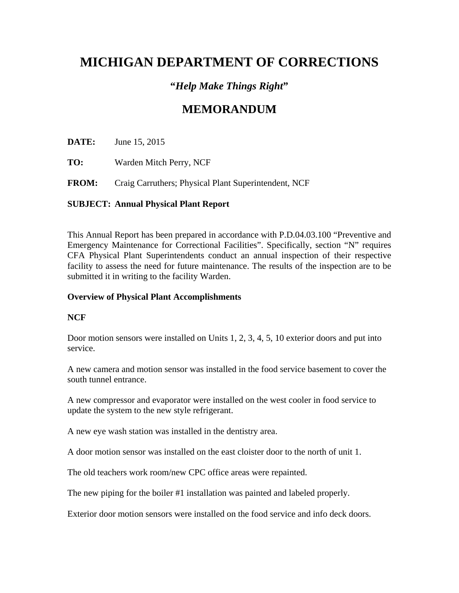# **MICHIGAN DEPARTMENT OF CORRECTIONS**

### **"***Help Make Things Right***"**

## **MEMORANDUM**

**DATE:** June 15, 2015

**TO:** Warden Mitch Perry, NCF

**FROM:** Craig Carruthers; Physical Plant Superintendent, NCF

### **SUBJECT: Annual Physical Plant Report**

This Annual Report has been prepared in accordance with P.D.04.03.100 "Preventive and Emergency Maintenance for Correctional Facilities". Specifically, section "N" requires CFA Physical Plant Superintendents conduct an annual inspection of their respective facility to assess the need for future maintenance. The results of the inspection are to be submitted it in writing to the facility Warden.

#### **Overview of Physical Plant Accomplishments**

### **NCF**

Door motion sensors were installed on Units 1, 2, 3, 4, 5, 10 exterior doors and put into service.

A new camera and motion sensor was installed in the food service basement to cover the south tunnel entrance.

A new compressor and evaporator were installed on the west cooler in food service to update the system to the new style refrigerant.

A new eye wash station was installed in the dentistry area.

A door motion sensor was installed on the east cloister door to the north of unit 1.

The old teachers work room/new CPC office areas were repainted.

The new piping for the boiler #1 installation was painted and labeled properly.

Exterior door motion sensors were installed on the food service and info deck doors.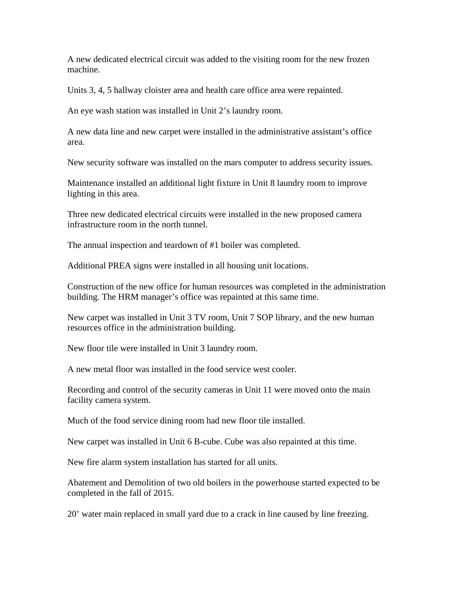A new dedicated electrical circuit was added to the visiting room for the new frozen machine.

Units 3, 4, 5 hallway cloister area and health care office area were repainted.

An eye wash station was installed in Unit 2's laundry room.

A new data line and new carpet were installed in the administrative assistant's office area.

New security software was installed on the mars computer to address security issues.

Maintenance installed an additional light fixture in Unit 8 laundry room to improve lighting in this area.

Three new dedicated electrical circuits were installed in the new proposed camera infrastructure room in the north tunnel.

The annual inspection and teardown of #1 boiler was completed.

Additional PREA signs were installed in all housing unit locations.

Construction of the new office for human resources was completed in the administration building. The HRM manager's office was repainted at this same time.

New carpet was installed in Unit 3 TV room, Unit 7 SOP library, and the new human resources office in the administration building.

New floor tile were installed in Unit 3 laundry room.

A new metal floor was installed in the food service west cooler.

Recording and control of the security cameras in Unit 11 were moved onto the main facility camera system.

Much of the food service dining room had new floor tile installed.

New carpet was installed in Unit 6 B-cube. Cube was also repainted at this time.

New fire alarm system installation has started for all units.

Abatement and Demolition of two old boilers in the powerhouse started expected to be completed in the fall of 2015.

20' water main replaced in small yard due to a crack in line caused by line freezing.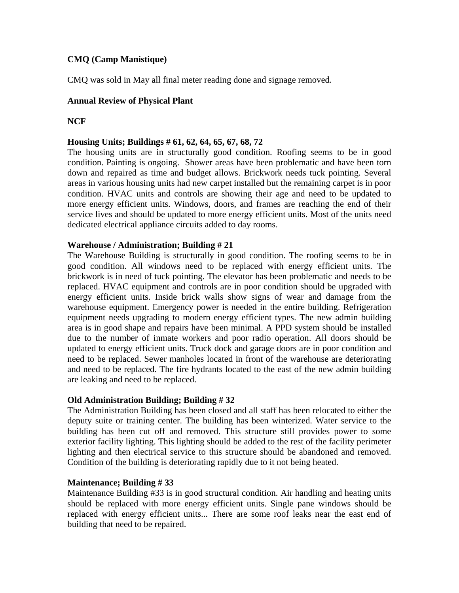### **CMQ (Camp Manistique)**

CMQ was sold in May all final meter reading done and signage removed.

#### **Annual Review of Physical Plant**

#### **NCF**

#### **Housing Units; Buildings # 61, 62, 64, 65, 67, 68, 72**

The housing units are in structurally good condition. Roofing seems to be in good condition. Painting is ongoing. Shower areas have been problematic and have been torn down and repaired as time and budget allows. Brickwork needs tuck pointing. Several areas in various housing units had new carpet installed but the remaining carpet is in poor condition. HVAC units and controls are showing their age and need to be updated to more energy efficient units. Windows, doors, and frames are reaching the end of their service lives and should be updated to more energy efficient units. Most of the units need dedicated electrical appliance circuits added to day rooms.

#### **Warehouse / Administration; Building # 21**

The Warehouse Building is structurally in good condition. The roofing seems to be in good condition. All windows need to be replaced with energy efficient units. The brickwork is in need of tuck pointing. The elevator has been problematic and needs to be replaced. HVAC equipment and controls are in poor condition should be upgraded with energy efficient units. Inside brick walls show signs of wear and damage from the warehouse equipment. Emergency power is needed in the entire building. Refrigeration equipment needs upgrading to modern energy efficient types. The new admin building area is in good shape and repairs have been minimal. A PPD system should be installed due to the number of inmate workers and poor radio operation. All doors should be updated to energy efficient units. Truck dock and garage doors are in poor condition and need to be replaced. Sewer manholes located in front of the warehouse are deteriorating and need to be replaced. The fire hydrants located to the east of the new admin building are leaking and need to be replaced.

#### **Old Administration Building; Building # 32**

The Administration Building has been closed and all staff has been relocated to either the deputy suite or training center. The building has been winterized. Water service to the building has been cut off and removed. This structure still provides power to some exterior facility lighting. This lighting should be added to the rest of the facility perimeter lighting and then electrical service to this structure should be abandoned and removed. Condition of the building is deteriorating rapidly due to it not being heated.

#### **Maintenance; Building # 33**

Maintenance Building #33 is in good structural condition. Air handling and heating units should be replaced with more energy efficient units. Single pane windows should be replaced with energy efficient units... There are some roof leaks near the east end of building that need to be repaired.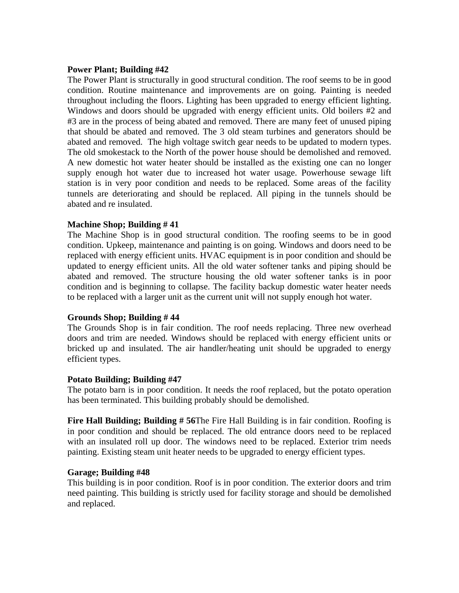#### **Power Plant; Building #42**

The Power Plant is structurally in good structural condition. The roof seems to be in good condition. Routine maintenance and improvements are on going. Painting is needed throughout including the floors. Lighting has been upgraded to energy efficient lighting. Windows and doors should be upgraded with energy efficient units. Old boilers #2 and #3 are in the process of being abated and removed. There are many feet of unused piping that should be abated and removed. The 3 old steam turbines and generators should be abated and removed. The high voltage switch gear needs to be updated to modern types. The old smokestack to the North of the power house should be demolished and removed. A new domestic hot water heater should be installed as the existing one can no longer supply enough hot water due to increased hot water usage. Powerhouse sewage lift station is in very poor condition and needs to be replaced. Some areas of the facility tunnels are deteriorating and should be replaced. All piping in the tunnels should be abated and re insulated.

#### **Machine Shop; Building # 41**

The Machine Shop is in good structural condition. The roofing seems to be in good condition. Upkeep, maintenance and painting is on going. Windows and doors need to be replaced with energy efficient units. HVAC equipment is in poor condition and should be updated to energy efficient units. All the old water softener tanks and piping should be abated and removed. The structure housing the old water softener tanks is in poor condition and is beginning to collapse. The facility backup domestic water heater needs to be replaced with a larger unit as the current unit will not supply enough hot water.

#### **Grounds Shop; Building # 44**

The Grounds Shop is in fair condition. The roof needs replacing. Three new overhead doors and trim are needed. Windows should be replaced with energy efficient units or bricked up and insulated. The air handler/heating unit should be upgraded to energy efficient types.

#### **Potato Building; Building #47**

The potato barn is in poor condition. It needs the roof replaced, but the potato operation has been terminated. This building probably should be demolished.

**Fire Hall Building; Building # 56**The Fire Hall Building is in fair condition. Roofing is in poor condition and should be replaced. The old entrance doors need to be replaced with an insulated roll up door. The windows need to be replaced. Exterior trim needs painting. Existing steam unit heater needs to be upgraded to energy efficient types.

#### **Garage; Building #48**

This building is in poor condition. Roof is in poor condition. The exterior doors and trim need painting. This building is strictly used for facility storage and should be demolished and replaced.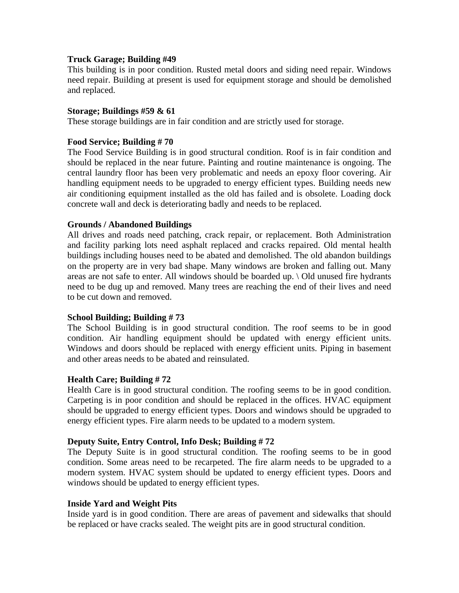#### **Truck Garage; Building #49**

This building is in poor condition. Rusted metal doors and siding need repair. Windows need repair. Building at present is used for equipment storage and should be demolished and replaced.

#### **Storage; Buildings #59 & 61**

These storage buildings are in fair condition and are strictly used for storage.

#### **Food Service; Building # 70**

The Food Service Building is in good structural condition. Roof is in fair condition and should be replaced in the near future. Painting and routine maintenance is ongoing. The central laundry floor has been very problematic and needs an epoxy floor covering. Air handling equipment needs to be upgraded to energy efficient types. Building needs new air conditioning equipment installed as the old has failed and is obsolete. Loading dock concrete wall and deck is deteriorating badly and needs to be replaced.

#### **Grounds / Abandoned Buildings**

All drives and roads need patching, crack repair, or replacement. Both Administration and facility parking lots need asphalt replaced and cracks repaired. Old mental health buildings including houses need to be abated and demolished. The old abandon buildings on the property are in very bad shape. Many windows are broken and falling out. Many areas are not safe to enter. All windows should be boarded up. \ Old unused fire hydrants need to be dug up and removed. Many trees are reaching the end of their lives and need to be cut down and removed.

#### **School Building; Building # 73**

The School Building is in good structural condition. The roof seems to be in good condition. Air handling equipment should be updated with energy efficient units. Windows and doors should be replaced with energy efficient units. Piping in basement and other areas needs to be abated and reinsulated.

#### **Health Care; Building # 72**

Health Care is in good structural condition. The roofing seems to be in good condition. Carpeting is in poor condition and should be replaced in the offices. HVAC equipment should be upgraded to energy efficient types. Doors and windows should be upgraded to energy efficient types. Fire alarm needs to be updated to a modern system.

#### **Deputy Suite, Entry Control, Info Desk; Building # 72**

The Deputy Suite is in good structural condition. The roofing seems to be in good condition. Some areas need to be recarpeted. The fire alarm needs to be upgraded to a modern system. HVAC system should be updated to energy efficient types. Doors and windows should be updated to energy efficient types.

#### **Inside Yard and Weight Pits**

Inside yard is in good condition. There are areas of pavement and sidewalks that should be replaced or have cracks sealed. The weight pits are in good structural condition.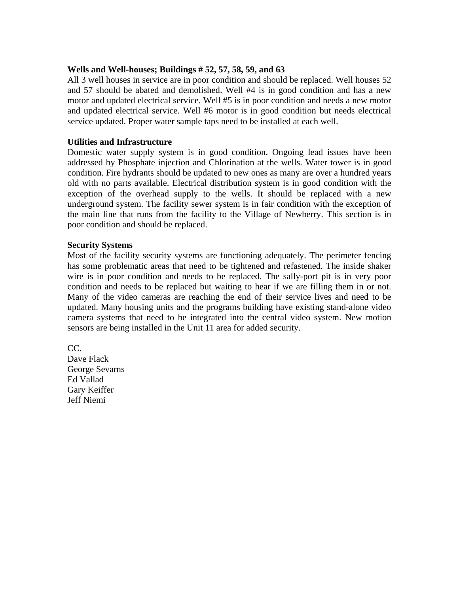#### **Wells and Well-houses; Buildings # 52, 57, 58, 59, and 63**

All 3 well houses in service are in poor condition and should be replaced. Well houses 52 and 57 should be abated and demolished. Well #4 is in good condition and has a new motor and updated electrical service. Well #5 is in poor condition and needs a new motor and updated electrical service. Well #6 motor is in good condition but needs electrical service updated. Proper water sample taps need to be installed at each well.

#### **Utilities and Infrastructure**

Domestic water supply system is in good condition. Ongoing lead issues have been addressed by Phosphate injection and Chlorination at the wells. Water tower is in good condition. Fire hydrants should be updated to new ones as many are over a hundred years old with no parts available. Electrical distribution system is in good condition with the exception of the overhead supply to the wells. It should be replaced with a new underground system. The facility sewer system is in fair condition with the exception of the main line that runs from the facility to the Village of Newberry. This section is in poor condition and should be replaced.

#### **Security Systems**

Most of the facility security systems are functioning adequately. The perimeter fencing has some problematic areas that need to be tightened and refastened. The inside shaker wire is in poor condition and needs to be replaced. The sally-port pit is in very poor condition and needs to be replaced but waiting to hear if we are filling them in or not. Many of the video cameras are reaching the end of their service lives and need to be updated. Many housing units and the programs building have existing stand-alone video camera systems that need to be integrated into the central video system. New motion sensors are being installed in the Unit 11 area for added security.

CC. Dave Flack George Sevarns Ed Vallad Gary Keiffer Jeff Niemi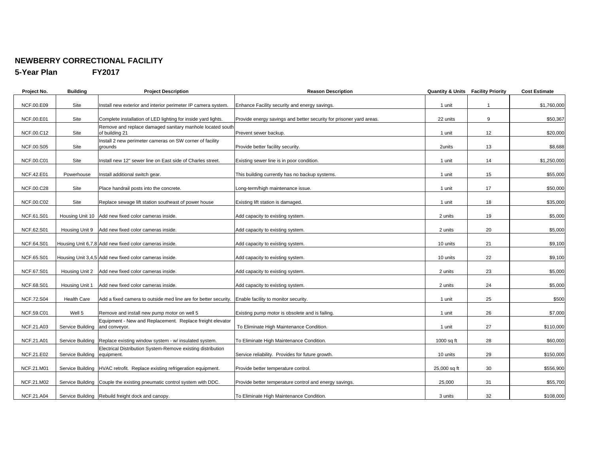#### **NEWBERRY CORRECTIONAL FACILITY**

**5-Year Plan FY2017** 

| Project No.       | <b>Building</b>    | <b>Project Description</b>                                                  | <b>Reason Description</b>                                           |              | <b>Quantity &amp; Units Facility Priority</b> | <b>Cost Estimate</b> |
|-------------------|--------------------|-----------------------------------------------------------------------------|---------------------------------------------------------------------|--------------|-----------------------------------------------|----------------------|
| NCF.00.E09        | Site               | Install new exterior and interior perimeter IP camera system.               | Enhance Facility security and energy savings.                       | 1 unit       | $\overline{1}$                                | \$1,760,000          |
| NCF.00.E01        | Site               | Complete installation of LED lighting for inside yard lights.               | Provide energy savings and better security for prisoner yard areas. | 22 units     | 9                                             | \$50,367             |
| NCF.00.C12        | Site               | Remove and replace damaged sanitary manhole located south<br>of building 21 | Prevent sewer backup.                                               | 1 unit       | 12                                            | \$20,000             |
| <b>NCF.00.S05</b> | Site               | Install 2 new perimeter cameras on SW corner of facility<br>grounds         | Provide better facility security.                                   | 2units       | 13                                            | \$8,688              |
| NCF.00.C01        | Site               | Install new 12" sewer line on East side of Charles street.                  | Existing sewer line is in poor condition.                           | 1 unit       | 14                                            | \$1,250,000          |
| NCF.42.E01        | Powerhouse         | Install additional switch gear.                                             | This building currently has no backup systems.                      | 1 unit       | 15                                            | \$55,000             |
| NCF.00.C28        | Site               | Place handrail posts into the concrete.                                     | Long-term/high maintenance issue.                                   | 1 unit       | 17                                            | \$50,000             |
| NCF.00.C02        | Site               | Replace sewage lift station southeast of power house                        | Existing lift station is damaged.                                   | 1 unit       | 18                                            | \$35,000             |
| NCF.61.S01        |                    | Housing Unit 10 Add new fixed color cameras inside.                         | Add capacity to existing system.                                    | 2 units      | 19                                            | \$5,000              |
| NCF.62.S01        | Housing Unit 9     | Add new fixed color cameras inside.                                         | Add capacity to existing system.                                    | 2 units      | 20                                            | \$5,000              |
| NCF.64.S01        |                    | Housing Unit 6,7,8 Add new fixed color cameras inside.                      | Add capacity to existing system.                                    | 10 units     | 21                                            | \$9,100              |
| NCF.65.S01        |                    | Housing Unit 3,4,5 Add new fixed color cameras inside.                      | Add capacity to existing system.                                    | 10 units     | 22                                            | \$9,100              |
| NCF.67.S01        |                    | Housing Unit 2 Add new fixed color cameras inside.                          | Add capacity to existing system.                                    | 2 units      | 23                                            | \$5,000              |
| <b>NCF.68.S01</b> | Housing Unit 1     | Add new fixed color cameras inside.                                         | Add capacity to existing system.                                    | 2 units      | 24                                            | \$5,000              |
| <b>NCF.72.S04</b> | <b>Health Care</b> | Add a fixed camera to outside med line are for better security.             | Enable facility to monitor security.                                | 1 unit       | 25                                            | \$500                |
| <b>NCF.59.C01</b> | Well 5             | Remove and install new pump motor on well 5                                 | Existing pump motor is obsolete and is failing.                     | 1 unit       | 26                                            | \$7,000              |
| NCF.21.A03        | Service Building   | Equipment - New and Replacement. Replace freight elevator<br>and conveyor.  | To Eliminate High Maintenance Condition.                            | 1 unit       | 27                                            | \$110,000            |
| NCF.21.A01        | Service Building   | Replace existing window system - w/ insulated system.                       | To Eliminate High Maintenance Condition.                            | $1000$ sq ft | 28                                            | \$60,000             |
| NCF.21.E02        | Service Building   | Electrical Distribution System-Remove existing distribution<br>equipment.   | Service reliability. Provides for future growth.                    | 10 units     | 29                                            | \$150,000            |
| NCF.21.M01        |                    | Service Building  HVAC retrofit. Replace existing refrigeration equipment.  | Provide better temperature control.                                 | 25,000 sq ft | 30                                            | \$556,900            |
| NCF.21.M02        |                    | Service Building Couple the existing pneumatic control system with DDC.     | Provide better temperature control and energy savings.              | 25,000       | 31                                            | \$55,700             |
| NCF.21.A04        |                    | Service Building Rebuild freight dock and canopy.                           | To Eliminate High Maintenance Condition.                            | 3 units      | 32                                            | \$108,000            |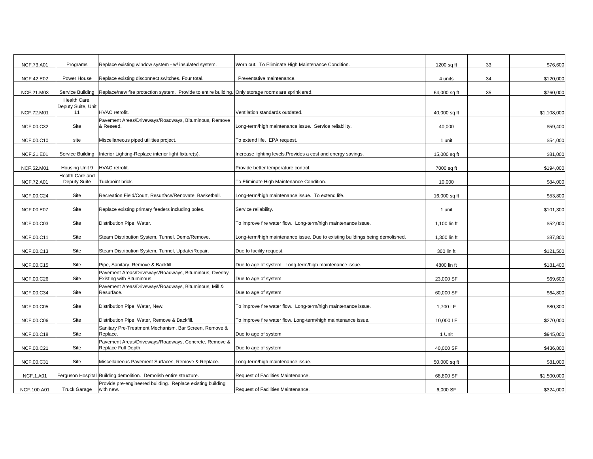| <b>NCF.73.A01</b> | Programs                           | Replace existing window system - w/ insulated system.                                               | Worn out. To Eliminate High Maintenance Condition.                            | 1200 sq ft   | 33 | \$76,600    |
|-------------------|------------------------------------|-----------------------------------------------------------------------------------------------------|-------------------------------------------------------------------------------|--------------|----|-------------|
| <b>NCF.42.E02</b> | Power House                        | Replace existing disconnect switches. Four total                                                    | Preventative maintenance.                                                     | 4 units      | 34 | \$120,000   |
| NCF.21.M03        | Service Building                   | Replace/new fire protection system. Provide to entire building. Only storage rooms are sprinklered. |                                                                               | 64,000 sq ft | 35 | \$760,000   |
|                   | Health Care.<br>Deputy Suite, Unit |                                                                                                     |                                                                               |              |    |             |
| NCF.72.M01        | 11                                 | HVAC retrofit.                                                                                      | Ventilation standards outdated.                                               | 40,000 sq ft |    | \$1,108,000 |
|                   |                                    | Pavement Areas/Driveways/Roadways, Bituminous, Remove                                               |                                                                               |              |    |             |
| NCF.00.C32        | Site                               | & Reseed.                                                                                           | Long-term/high maintenance issue. Service reliability.                        | 40,000       |    | \$59,400    |
| NCF.00.C10        | site                               | Miscellaneous piped utilities project.                                                              | To extend life. EPA request.                                                  | 1 unit       |    | \$54,000    |
| NCF.21.E01        |                                    | Service Building Interior Lighting-Replace interior light fixture(s).                               | Increase lighting levels. Provides a cost and energy savings.                 | 15,000 sq ft |    | \$81,000    |
| NCF.62.M01        | Housing Unit 9                     | HVAC retrofit.                                                                                      | Provide better temperature control                                            | 7000 sq ft   |    | \$194,000   |
| <b>NCF.72.A01</b> | Health Care and<br>Deputy Suite    | Tuckpoint brick.                                                                                    | To Eliminate High Maintenance Condition.                                      | 10,000       |    | \$84,000    |
| NCF.00.C24        | Site                               | Recreation Field/Court, Resurface/Renovate, Basketball.                                             | Long-term/high maintenance issue. To extend life.                             | 16,000 sq ft |    | \$53,800    |
| NCF.00.E07        | Site                               | Replace existing primary feeders including poles.                                                   | Service reliability.                                                          | 1 unit       |    | \$101,300   |
| NCF.00.C03        | Site                               | Distribution Pipe, Water.                                                                           | To improve fire water flow. Long-term/high maintenance issue.                 | 1,100 lin ft |    | \$52,000    |
| NCF.00.C11        | Site                               | Steam Distribution System, Tunnel, Demo/Remove.                                                     | Long-term/high maintenance issue. Due to existing buildings being demolished. | 1,300 lin ft |    | \$87,800    |
| NCF.00.C13        | Site                               | Steam Distribution System, Tunnel, Update/Repair.                                                   | Due to facility request.                                                      | 300 lin ft   |    | \$121,500   |
| NCF.00.C15        | Site                               | Pipe, Sanitary, Remove & Backfill.                                                                  | Due to age of system. Long-term/high maintenance issue.                       | 4800 lin ft  |    | \$181,400   |
| NCF.00.C26        | Site                               | Pavement Areas/Driveways/Roadways, Bituminous, Overlay<br>Existing with Bituminous.                 | Due to age of system.                                                         | 23,000 SF    |    | \$69,600    |
| NCF.00.C34        | Site                               | Pavement Areas/Driveways/Roadways, Bituminous, Mill &<br>Resurface.                                 | Due to age of system.                                                         | 60,000 SF    |    | \$64,800    |
| <b>NCF.00.C05</b> | Site                               | Distribution Pipe, Water, New.                                                                      | To improve fire water flow. Long-term/high maintenance issue.                 | 1,700 LF     |    | \$80,300    |
| <b>NCF.00.C06</b> | Site                               | Distribution Pipe, Water, Remove & Backfill.                                                        | To improve fire water flow. Long-term/high maintenance issue.                 | 10,000 LF    |    | \$270,000   |
| NCF.00.C18        | Site                               | Sanitary Pre-Treatment Mechanism, Bar Screen, Remove &<br>Replace.                                  | Due to age of system.                                                         | 1 Unit       |    | \$945,000   |
| NCF.00.C21        | Site                               | Pavement Areas/Driveways/Roadways, Concrete, Remove &<br>Replace Full Depth.                        | Due to age of system.                                                         | 40,000 SF    |    | \$436,800   |
|                   |                                    |                                                                                                     |                                                                               |              |    |             |
| NCF.00.C31        | Site                               | Miscellaneous Pavement Surfaces, Remove & Replace.                                                  | Long-term/high maintenance issue.                                             | 50,000 sq ft |    | \$81,000    |
| <b>NCF.1.A01</b>  |                                    | Ferguson Hospital Building demolition. Demolish entire structure.                                   | Request of Facilities Maintenance.                                            | 68,800 SF    |    | \$1,500,000 |
| NCF.100.A01       | <b>Truck Garage</b>                | Provide pre-engineered building. Replace existing building<br>with new.                             | Request of Facilities Maintenance.                                            | 6,000 SF     |    | \$324,000   |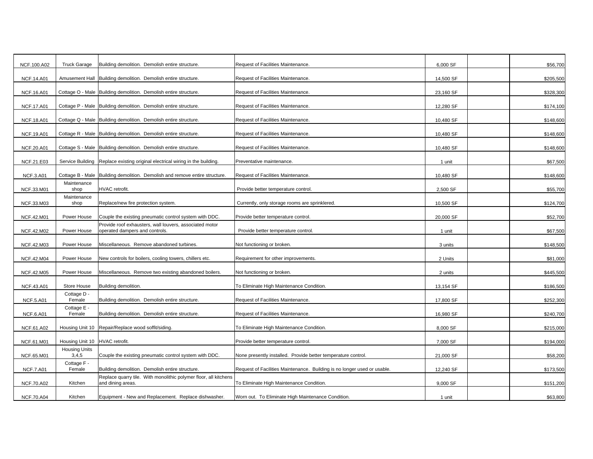|                   | <b>Truck Garage</b>            |                                                                                           |                                                                          |           |           |
|-------------------|--------------------------------|-------------------------------------------------------------------------------------------|--------------------------------------------------------------------------|-----------|-----------|
| NCF.100.A02       |                                | Building demolition. Demolish entire structure.                                           | Request of Facilities Maintenance.                                       | 6,000 SF  | \$56,700  |
| <b>NCF.14.A01</b> | Amusement Hall                 | Building demolition. Demolish entire structure.                                           | Request of Facilities Maintenance.                                       | 14,500 SF | \$205,500 |
| <b>NCF.16.A01</b> |                                | Cottage O - Male Building demolition. Demolish entire structure.                          | Request of Facilities Maintenance.                                       | 23,160 SF | \$328,300 |
| <b>NCF.17.A01</b> |                                | Cottage P - Male Building demolition. Demolish entire structure.                          | Request of Facilities Maintenance.                                       | 12,280 SF | \$174,100 |
| <b>NCF.18.A01</b> |                                | Cottage Q - Male Building demolition. Demolish entire structure.                          | Request of Facilities Maintenance.                                       | 10,480 SF | \$148,600 |
| NCF.19.A01        |                                | Cottage R - Male Building demolition. Demolish entire structure.                          | Request of Facilities Maintenance.                                       | 10,480 SF | \$148,600 |
| NCF.20.A01        | Cottage S - Male               | Building demolition. Demolish entire structure.                                           | Request of Facilities Maintenance.                                       | 10,480 SF | \$148,600 |
| NCF.21.E03        | Service Building               | Replace existing original electrical wiring in the building.                              | Preventative maintenance.                                                | 1 unit    | \$67,500  |
| <b>NCF.3.A01</b>  | Cottage B - Male               | Building demolition. Demolish and remove entire structure.                                | Request of Facilities Maintenance.                                       | 10,480 SF | \$148,600 |
| NCF.33.M01        | Maintenance<br>shop            | HVAC retrofit.                                                                            | Provide better temperature control.                                      | 2,500 SF  | \$55,700  |
| NCF.33.M03        | Maintenance<br>shop            | Replace/new fire protection system.                                                       | Currently, only storage rooms are sprinklered.                           | 10,500 SF | \$124,700 |
| NCF.42.M01        | Power House                    | Couple the existing pneumatic control system with DDC.                                    | Provide better temperature control                                       | 20,000 SF | \$52,700  |
| NCF.42.M02        | Power House                    | Provide roof exhausters, wall louvers, associated motor<br>operated dampers and controls. | Provide better temperature control.                                      | 1 unit    | \$67,500  |
| NCF.42.M03        | Power House                    | Miscellaneous. Remove abandoned turbines.                                                 | Not functioning or broken.                                               | 3 units   | \$148,500 |
| NCF.42.M04        | Power House                    | New controls for boilers, cooling towers, chillers etc.                                   | Requirement for other improvements.                                      | 2 Units   | \$81,000  |
| NCF.42.M05        | Power House                    | Miscellaneous. Remove two existing abandoned boilers.                                     | Not functioning or broken.                                               | 2 units   | \$445,500 |
| NCF.43.A01        | Store House                    | Building demolition.                                                                      | To Eliminate High Maintenance Condition.                                 | 13,154 SF | \$186,500 |
| <b>NCF.5.A01</b>  | Cottage D -<br>Female          | Building demolition. Demolish entire structure.                                           | Request of Facilities Maintenance.                                       | 17,800 SF | \$252,300 |
| <b>NCF.6.A01</b>  | Cottage E -<br>Female          | Building demolition. Demolish entire structure.                                           | Request of Facilities Maintenance.                                       | 16,980 SF | \$240,700 |
| NCF.61.A02        | Housing Unit 10                | Repair/Replace wood soffit/siding.                                                        | To Eliminate High Maintenance Condition.                                 | 8,000 SF  | \$215,000 |
| NCF.61.M01        | Housing Unit 10 HVAC retrofit. |                                                                                           | Provide better temperature control.                                      | 7,000 SF  | \$194,000 |
| NCF.65.M01        | <b>Housing Units</b><br>3,4,5  | Couple the existing pneumatic control system with DDC.                                    | None presently installed. Provide better temperature control.            | 21,000 SF | \$58,200  |
| <b>NCF.7.A01</b>  | Cottage F -<br>Female          | Building demolition. Demolish entire structure.                                           | Request of Facilities Maintenance. Building is no longer used or usable. | 12,240 SF | \$173,500 |
| <b>NCF.70.A02</b> | Kitchen                        | Replace quarry tile. With monolithic polymer floor, all kitchens<br>and dining areas.     | To Eliminate High Maintenance Condition.                                 | 9,000 SF  | \$151,200 |
| <b>NCF.70.A04</b> | Kitchen                        | Equipment - New and Replacement. Replace dishwasher.                                      | Worn out. To Eliminate High Maintenance Condition.                       | 1 unit    | \$63,800  |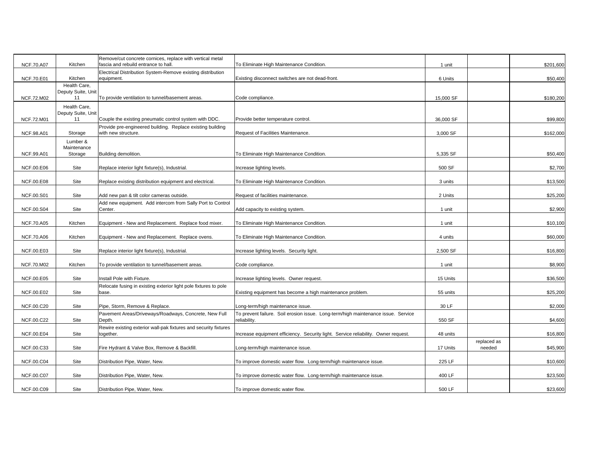|                   |                                    | Remove/cut concrete cornices, replace with vertical metal<br>fascia and rebuild entrance to hall. |                                                                                                   |           |             |           |
|-------------------|------------------------------------|---------------------------------------------------------------------------------------------------|---------------------------------------------------------------------------------------------------|-----------|-------------|-----------|
| <b>NCF.70.A07</b> | Kitchen                            | Electrical Distribution System-Remove existing distribution                                       | To Eliminate High Maintenance Condition.                                                          | 1 unit    |             | \$201,600 |
| <b>NCF.70.E01</b> | Kitchen                            | equipment.                                                                                        | Existing disconnect switches are not dead-front.                                                  | 6 Units   |             | \$50,400  |
|                   | Health Care,<br>Deputy Suite, Unit |                                                                                                   |                                                                                                   |           |             |           |
| <b>NCF.72.M02</b> | 11                                 | To provide ventilation to tunnel/basement areas.                                                  | Code compliance.                                                                                  | 15,000 SF |             | \$180,200 |
|                   | Health Care,                       |                                                                                                   |                                                                                                   |           |             |           |
|                   | Deputy Suite, Unit                 |                                                                                                   |                                                                                                   |           |             |           |
| <b>NCF.72.M01</b> | 11                                 | Couple the existing pneumatic control system with DDC.                                            | Provide better temperature control.                                                               | 36,000 SF |             | \$99,800  |
| NCF.98.A01        | Storage                            | Provide pre-engineered building. Replace existing building<br>with new structure.                 | Request of Facilities Maintenance.                                                                | 3,000 SF  |             | \$162,000 |
|                   | Lumber &                           |                                                                                                   |                                                                                                   |           |             |           |
|                   | Maintenance                        |                                                                                                   |                                                                                                   |           |             |           |
| NCF.99.A01        | Storage                            | Building demolition.                                                                              | To Eliminate High Maintenance Condition.                                                          | 5,335 SF  |             | \$50,400  |
|                   |                                    |                                                                                                   |                                                                                                   |           |             |           |
| <b>NCF.00.E06</b> | Site                               | Replace interior light fixture(s), Industrial.                                                    | Increase lighting levels.                                                                         | 500 SF    |             | \$2,700   |
| NCF.00.E08        | Site                               | Replace existing distribution equipment and electrical.                                           | To Eliminate High Maintenance Condition.                                                          | 3 units   |             | \$13,500  |
|                   |                                    |                                                                                                   |                                                                                                   |           |             |           |
| NCF.00.S01        | Site                               | Add new pan & tilt color cameras outside.                                                         | Request of facilities maintenance.                                                                | 2 Units   |             | \$25,200  |
|                   |                                    | Add new equipment. Add intercom from Sally Port to Control                                        |                                                                                                   |           |             |           |
| NCF.00.S04        | Site                               | Center.                                                                                           | Add capacity to existing system.                                                                  | 1 unit    |             | \$2,900   |
|                   |                                    |                                                                                                   |                                                                                                   |           |             |           |
| <b>NCF.70.A05</b> | Kitchen                            | Equipment - New and Replacement. Replace food mixer.                                              | To Eliminate High Maintenance Condition.                                                          | 1 unit    |             | \$10,100  |
| <b>NCF.70.A06</b> | Kitchen                            | Equipment - New and Replacement. Replace ovens.                                                   | To Eliminate High Maintenance Condition.                                                          | 4 units   |             | \$60,000  |
|                   |                                    |                                                                                                   |                                                                                                   |           |             |           |
| NCF.00.E03        | Site                               | Replace interior light fixture(s), Industrial.                                                    | Increase lighting levels. Security light.                                                         | 2,500 SF  |             | \$16,800  |
|                   |                                    |                                                                                                   |                                                                                                   |           |             |           |
| NCF.70.M02        | Kitchen                            | To provide ventilation to tunnel/basement areas.                                                  | Code compliance.                                                                                  | 1 unit    |             | \$8,900   |
| NCF.00.E05        | Site                               | Install Pole with Fixture.                                                                        | Increase lighting levels. Owner request.                                                          | 15 Units  |             | \$36,500  |
|                   |                                    | Relocate fusing in existing exterior light pole fixtures to pole                                  |                                                                                                   |           |             |           |
| NCF.00.E02        | Site                               | base.                                                                                             | Existing equipment has become a high maintenance problem.                                         | 55 units  |             | \$25,200  |
|                   |                                    |                                                                                                   |                                                                                                   |           |             |           |
| NCF.00.C20        | Site                               | Pipe, Storm, Remove & Replace.                                                                    | Long-term/high maintenance issue.                                                                 | 30 LF     |             | \$2,000   |
| NCF.00.C22        | Site                               | Pavement Areas/Driveways/Roadways, Concrete, New Full<br>Depth.                                   | To prevent failure. Soil erosion issue. Long-term/high maintenance issue. Service<br>reliability. | 550 SF    |             | \$4,600   |
|                   |                                    | Rewire existing exterior wall-pak fixtures and security fixtures                                  |                                                                                                   |           |             |           |
| NCF.00.E04        | Site                               | together.                                                                                         | Increase equipment efficiency. Security light. Service reliability. Owner request.                | 48 units  |             | \$16,800  |
|                   |                                    |                                                                                                   |                                                                                                   |           | replaced as |           |
| NCF.00.C33        | Site                               | Fire Hydrant & Valve Box, Remove & Backfill.                                                      | Long-term/high maintenance issue.                                                                 | 17 Units  | needed      | \$45,900  |
| NCF.00.C04        | Site                               | Distribution Pipe, Water, New.                                                                    | To improve domestic water flow. Long-term/high maintenance issue.                                 | 225 LF    |             | \$10,600  |
|                   |                                    |                                                                                                   |                                                                                                   |           |             |           |
| NCF.00.C07        | Site                               | Distribution Pipe, Water, New.                                                                    | To improve domestic water flow. Long-term/high maintenance issue.                                 | 400 LF    |             | \$23,500  |
|                   |                                    |                                                                                                   |                                                                                                   |           |             |           |
| <b>NCF.00.C09</b> | Site                               | Distribution Pipe, Water, New.                                                                    | To improve domestic water flow.                                                                   | 500 LF    |             | \$23,600  |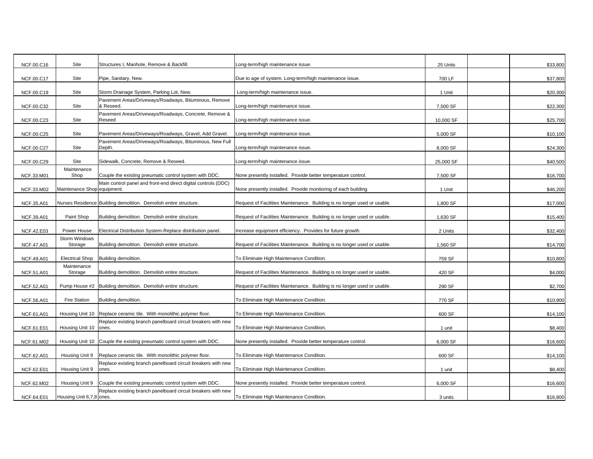| NCF.00.C16        | Site                         | Structures I, Manhole, Remove & Backfill                              | Long-term/high maintenance issue.                                        | 25 Units  | \$33,800 |
|-------------------|------------------------------|-----------------------------------------------------------------------|--------------------------------------------------------------------------|-----------|----------|
| NCF.00.C17        | Site                         | Pipe, Sanitary, New.                                                  | Due to age of system. Long-term/high maintenance issue.                  | 700 LF    | \$37,800 |
|                   |                              |                                                                       |                                                                          |           |          |
| NCF.00.C19        | Site                         | Storm Drainage System, Parking Lot, New.                              | Long-term/high maintenance issue.                                        | 1 Unit    | \$20,300 |
| NCF.00.C32        | Site                         | Pavement Areas/Driveways/Roadways, Bituminous, Remove<br>& Reseed.    | Long-term/high maintenance issue.                                        | 7,500 SF  | \$22,300 |
|                   |                              | Pavement Areas/Driveways/Roadways, Concrete, Remove &                 |                                                                          |           |          |
| NCF.00.C23        | Site                         | Reseed                                                                | Long-term/high maintenance issue.                                        | 10,000 SF | \$25,700 |
|                   |                              |                                                                       |                                                                          |           |          |
| NCF.00.C25        | Site                         | Pavement Areas/Driveways/Roadways, Gravel, Add Gravel.                | Long-term/high maintenance issue.                                        | 5,000 SF  | \$10,100 |
| NCF.00.C27        | Site                         | Pavement Areas/Driveways/Roadways, Bituminous, New Full<br>Depth.     | Long-term/high maintenance issue.                                        | 8,000 SF  | \$24,300 |
|                   |                              |                                                                       |                                                                          |           |          |
| NCF.00.C29        | Site                         | Sidewalk, Concrete, Remove & Reseed.                                  | Long-term/high maintenance issue.                                        | 25,000 SF | \$40,500 |
|                   | Maintenance                  |                                                                       |                                                                          |           |          |
| NCF.33.M01        | Shop                         | Couple the existing pneumatic control system with DDC.                | None presently installed. Provide better temperature control.            | 7,500 SF  | \$16,700 |
| NCF.33.M02        | Maintenance Shop equipment.  | Main control panel and front-end direct digital controls (DDC)        |                                                                          | 1 Unit    | \$46,200 |
|                   |                              |                                                                       | None presently installed. Provide monitoring of each building.           |           |          |
| NCF.35.A01        |                              | Nurses Residence Building demolition. Demolish entire structure.      | Request of Facilities Maintenance. Building is no longer used or usable. | 1,800 SF  | \$17,000 |
|                   |                              |                                                                       |                                                                          |           |          |
| NCF.39.A01        | Paint Shop                   | Building demolition. Demolish entire structure.                       | Request of Facilities Maintenance. Building is no longer used or usable. | 1,630 SF  | \$15,400 |
|                   |                              |                                                                       |                                                                          |           |          |
| <b>NCF.42.E03</b> | Power House<br>Storm Windows | Electrical Distribution System-Replace distribution panel.            | Increase equipment efficiency. Provides for future growth.               | 2 Units   | \$32,400 |
| NCF.47.A01        | Storage                      | Building demolition. Demolish entire structure.                       | Request of Facilities Maintenance. Building is no longer used or usable. | 1,560 SF  | \$14,700 |
|                   |                              |                                                                       |                                                                          |           |          |
| NCF.49.A01        | <b>Electrical Shop</b>       | Building demolition.                                                  | To Eliminate High Maintenance Condition.                                 | 759 SF    | \$10,800 |
|                   | Maintenance                  |                                                                       |                                                                          |           |          |
| NCF.51.A01        | Storage                      | Building demolition. Demolish entire structure.                       | Request of Facilities Maintenance. Building is no longer used or usable. | 420 SF    | \$4,000  |
| NCF.52.A01        | Pump House #2                | Building demolition. Demolish entire structure.                       | Request of Facilities Maintenance. Building is no longer used or usable. | 290 SF    | \$2,700  |
|                   |                              |                                                                       |                                                                          |           |          |
| NCF.56.A01        | <b>Fire Station</b>          | Building demolition.                                                  | To Eliminate High Maintenance Condition.                                 | 770 SF    | \$10,900 |
|                   |                              |                                                                       |                                                                          |           |          |
| NCF.61.A01        | Housing Unit 10              | Replace ceramic tile. With monolithic polymer floor.                  | To Eliminate High Maintenance Condition.                                 | 600 SF    | \$14,100 |
| NCF.61.E01        | Housing Unit 10              | Replace existing branch panelboard circuit breakers with new<br>ones. | To Eliminate High Maintenance Condition.                                 | 1 unit    | \$8,400  |
|                   |                              |                                                                       |                                                                          |           |          |
| NCF.61.M02        | Housing Unit 10              | Couple the existing pneumatic control system with DDC.                | None presently installed. Provide better temperature control.            | 6,000 SF  | \$16,600 |
|                   |                              |                                                                       |                                                                          |           |          |
| NCF.62.A01        | Housing Unit 9               | Replace ceramic tile. With monolithic polymer floor.                  | To Eliminate High Maintenance Condition.                                 | 600 SF    | \$14,100 |
| NCF.62.E01        | Housing Unit 9               | Replace existing branch panelboard circuit breakers with new<br>ones. | To Eliminate High Maintenance Condition.                                 | 1 unit    | \$8,400  |
|                   |                              |                                                                       |                                                                          |           |          |
| NCF.62.M02        | Housing Unit 9               | Couple the existing pneumatic control system with DDC.                | None presently installed. Provide better temperature control.            | 6,000 SF  | \$16,600 |
|                   |                              | Replace existing branch panelboard circuit breakers with new          |                                                                          |           |          |
| <b>NCF.64.E01</b> | Housing Unit 6,7,8 ones.     |                                                                       | To Eliminate High Maintenance Condition.                                 | 3 units   | \$16,800 |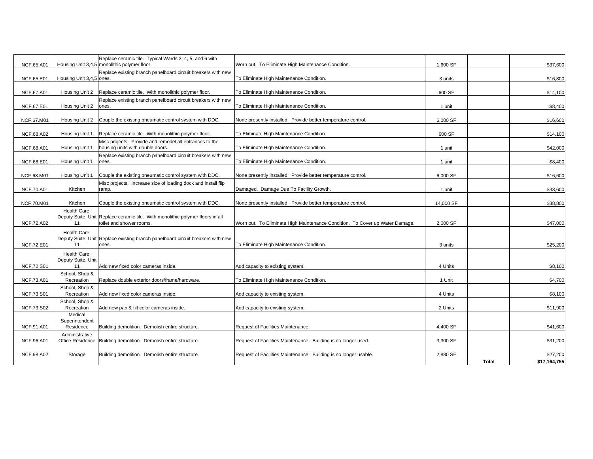| <b>NCF.65.A01</b> |                                        | Replace ceramic tile. Typical Wards 3, 4, 5, and 6 with<br>Housing Unit 3,4,5 monolithic polymer floor.    | Worn out. To Eliminate High Maintenance Condition.                           | 1,600 SF  |              | \$37,600                 |
|-------------------|----------------------------------------|------------------------------------------------------------------------------------------------------------|------------------------------------------------------------------------------|-----------|--------------|--------------------------|
| NCF.65.E01        | Housing Unit 3,4,5 ones.               | Replace existing branch panelboard circuit breakers with new                                               | To Eliminate High Maintenance Condition.                                     | 3 units   |              | \$16,800                 |
| NCF.67.A01        |                                        | Housing Unit 2 Replace ceramic tile. With monolithic polymer floor.                                        | To Eliminate High Maintenance Condition.                                     | 600 SF    |              | \$14,100                 |
| NCF.67.E01        | Housing Unit 2                         | Replace existing branch panelboard circuit breakers with new<br>ones.                                      | To Eliminate High Maintenance Condition.                                     | 1 unit    |              | \$8,400                  |
| NCF.67.M01        |                                        | Housing Unit 2 Couple the existing pneumatic control system with DDC.                                      | None presently installed. Provide better temperature control.                | 6,000 SF  |              | \$16,600                 |
| NCF.68.A02        | Housing Unit 1                         | Replace ceramic tile. With monolithic polymer floor.                                                       | To Eliminate High Maintenance Condition.                                     | 600 SF    |              | \$14,100                 |
| NCF.68.A01        | Housing Unit 1                         | Misc projects. Provide and remodel all entrances to the<br>housing units with double doors.                | To Eliminate High Maintenance Condition.                                     | 1 unit    |              | \$42,000                 |
| NCF.68.E01        | Housing Unit 1                         | Replace existing branch panelboard circuit breakers with new<br>ones.                                      | To Eliminate High Maintenance Condition.                                     | 1 unit    |              | \$8,400                  |
| NCF.68.M01        | Housing Unit 1                         | Couple the existing pneumatic control system with DDC.                                                     | None presently installed. Provide better temperature control.                | 6,000 SF  |              | \$16,600                 |
| <b>NCF.70.A01</b> | Kitchen                                | Misc projects. Increase size of loading dock and install flip<br>ramp.                                     | Damaged. Damage Due To Facility Growth.                                      | 1 unit    |              | \$33,600                 |
| NCF.70.M01        | Kitchen                                | Couple the existing pneumatic control system with DDC.                                                     | None presently installed. Provide better temperature control.                | 14,000 SF |              | \$38,800                 |
| <b>NCF.72.A02</b> | Health Care,<br>11                     | Deputy Suite, Unit Replace ceramic tile. With monolithic polymer floors in all<br>toilet and shower rooms. | Worn out. To Eliminate High Maintenance Condition. To Cover up Water Damage. | 2,000 SF  |              | \$47,000                 |
| <b>NCF.72.E01</b> | Health Care.<br>11                     | Deputy Suite, Unit Replace existing branch panelboard circuit breakers with new<br>ones.                   | To Eliminate High Maintenance Condition.                                     | 3 units   |              | \$25,200                 |
|                   | Health Care.                           |                                                                                                            |                                                                              |           |              |                          |
| <b>NCF.72.S01</b> | Deputy Suite, Unit<br>11               | Add new fixed color cameras inside.                                                                        | Add capacity to existing system.                                             | 4 Units   |              | \$8,100                  |
| <b>NCF.73.A01</b> | School, Shop &<br>Recreation           | Replace double exterior doors/frame/hardware.                                                              | To Eliminate High Maintenance Condition.                                     | 1 Unit    |              | \$4,700                  |
| <b>NCF.73.S01</b> | School, Shop &<br>Recreation           | Add new fixed color cameras inside.                                                                        | Add capacity to existing system.                                             | 4 Units   |              | \$8,100                  |
| NCF.73.S02        | School, Shop &<br>Recreation           | Add new pan & tilt color cameras inside.                                                                   | Add capacity to existing system.                                             | 2 Units   |              | \$11,900                 |
| NCF.91.A01        | Medical<br>Superintendent<br>Residence | Building demolition. Demolish entire structure.                                                            | Request of Facilities Maintenance.                                           | 4,400 SF  |              | \$41,600                 |
| NCF.96.A01        | Administrative                         | Office Residence Building demolition. Demolish entire structure.                                           | Request of Facilities Maintenance. Building is no longer used.               | 3,300 SF  |              | \$31,200                 |
| NCF.98.A02        | Storage                                | Building demolition. Demolish entire structure.                                                            | Request of Facilities Maintenance. Building is no longer usable.             | 2,880 SF  | <b>Total</b> | \$27,200<br>\$17,164,755 |
|                   |                                        |                                                                                                            |                                                                              |           |              |                          |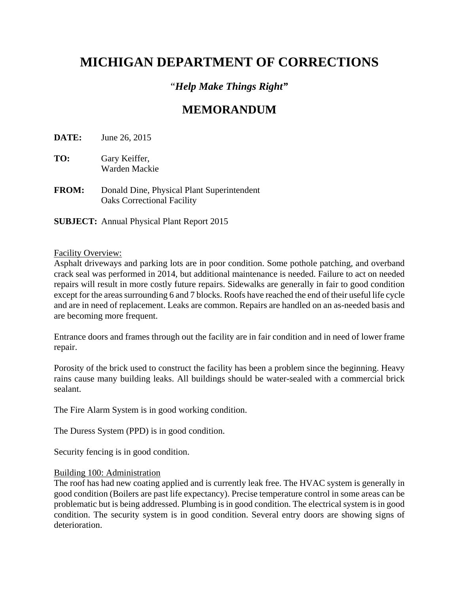# **MICHIGAN DEPARTMENT OF CORRECTIONS**

### "*Help Make Things Right"*

## **MEMORANDUM**

**DATE:** June 26, 2015

- **TO:** Gary Keiffer, Warden Mackie
- **FROM:** Donald Dine, Physical Plant Superintendent Oaks Correctional Facility

**SUBJECT:** Annual Physical Plant Report 2015

#### Facility Overview:

Asphalt driveways and parking lots are in poor condition. Some pothole patching, and overband crack seal was performed in 2014, but additional maintenance is needed. Failure to act on needed repairs will result in more costly future repairs. Sidewalks are generally in fair to good condition except for the areas surrounding 6 and 7 blocks. Roofs have reached the end of their useful life cycle and are in need of replacement. Leaks are common. Repairs are handled on an as-needed basis and are becoming more frequent.

Entrance doors and frames through out the facility are in fair condition and in need of lower frame repair.

Porosity of the brick used to construct the facility has been a problem since the beginning. Heavy rains cause many building leaks. All buildings should be water-sealed with a commercial brick sealant.

The Fire Alarm System is in good working condition.

The Duress System (PPD) is in good condition.

Security fencing is in good condition.

#### Building 100: Administration

The roof has had new coating applied and is currently leak free. The HVAC system is generally in good condition (Boilers are past life expectancy). Precise temperature control in some areas can be problematic but is being addressed. Plumbing is in good condition. The electrical system is in good condition. The security system is in good condition. Several entry doors are showing signs of deterioration.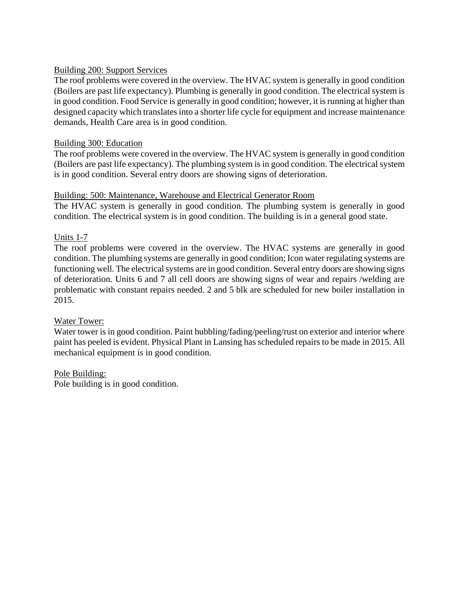#### Building 200: Support Services

The roof problems were covered in the overview. The HVAC system is generally in good condition (Boilers are past life expectancy). Plumbing is generally in good condition. The electrical system is in good condition. Food Service is generally in good condition; however, it is running at higher than designed capacity which translates into a shorter life cycle for equipment and increase maintenance demands, Health Care area is in good condition.

#### Building 300: Education

The roof problems were covered in the overview. The HVAC system is generally in good condition (Boilers are past life expectancy). The plumbing system is in good condition. The electrical system is in good condition. Several entry doors are showing signs of deterioration.

#### Building: 500: Maintenance, Warehouse and Electrical Generator Room

The HVAC system is generally in good condition. The plumbing system is generally in good condition. The electrical system is in good condition. The building is in a general good state.

#### Units 1-7

The roof problems were covered in the overview. The HVAC systems are generally in good condition. The plumbing systems are generally in good condition; Icon water regulating systems are functioning well. The electrical systems are in good condition. Several entry doors are showing signs of deterioration. Units 6 and 7 all cell doors are showing signs of wear and repairs /welding are problematic with constant repairs needed. 2 and 5 blk are scheduled for new boiler installation in 2015.

### Water Tower:

Water tower is in good condition. Paint bubbling/fading/peeling/rust on exterior and interior where paint has peeled is evident. Physical Plant in Lansing has scheduled repairs to be made in 2015. All mechanical equipment is in good condition.

#### Pole Building:

Pole building is in good condition.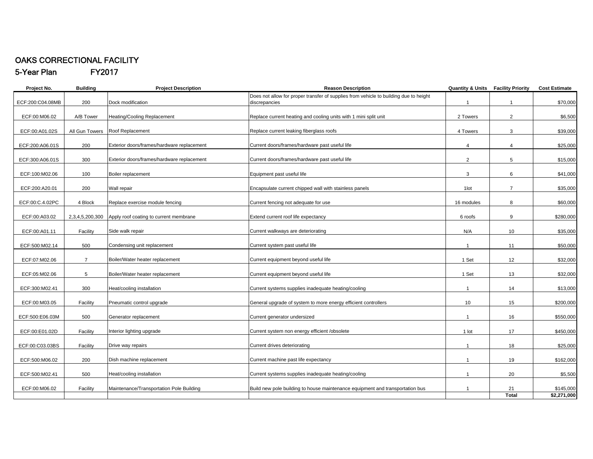#### OAKS CORRECTIONAL FACILITY5-Year Plan FY2017

**Project No. Building Project Description <b>Reason Description Cost Estimate Project Description Project Description Project Algebra Project Description Project Algebra 2016 Cost Estimate** ECF:200:C04.08MB 200 Dock modification Does not allow for proper transfer of supplies from vehicle to building due to height discrepancies 1 1 \$70,000 ECF:00:M06.02 A/B TowerHeating/Cooling Replacement example and Replace current heating and cooling units with 1 mini split unit and the set of the set of the set of the set of the set of the set of the set of the set of the set of the set of the ECF:00:A01.02S | All Gun Towers Roof Replacement Contract Contract Replace current leaking fiberglass roofs and the contract of the S39,000 and S39,000 ECF:200:A06.01S 200Exterior doors/frames/hardware replacement current coors/frames/hardware past useful life exterior control and the state of the state of the state of the state of the state of the state of the state of the state of the sta ECF:300:A06.01S 300 Exterior doors/frames/hardware replacement Current doors/frames/hardware past useful life 2 2 5 \$15,000 ECF:100:M02.06 | 100 Boiler replacement **Equipment past useful life** 3 6 541,000 ECF:200:A20.01 200Wall repair **Encapsulate current chipped wall with stainless panels** 1lot 1lot 7 7 \$35,000 ECF:00:C.4.02PC 4 Block Replace exercise module fencing exercise module fencing current fencing not adequate for use 16 modules 16 modules 8 modules 8 modules \$60,000 ECF:00:A03.02 2,3,4,5,200,300 Apply roof coating to current membrane Extend current roof life expectancy 6 roofs 6 roofs 9 \$280,000 ECF:00:A01.11 Facility Side walk repair example and the second current walkways are deteriorating N/A 10 10 \$35,000 ECF:500:M02.14 500 Condensing unit replacement and the current system past useful life 1 1 1 1 1 1 1 1 1 1 1 550,000 ECF:07:M02.06 7Boiler/Water heater replacement examples and the current equipment beyond useful life 1 Set 1 Set 12 12 \$32,000 ECF:05:M02.06 5Boiler/Water heater replacement examples that the current equipment beyond useful life the theoretic network of the theoretic state of the state of the state of the state of the state of the state of the state of the state ECF:300:M02.41 300 Heat/cooling installation Current systems supplies inadequate heating/cooling 1 14 \$13,000 ECF:00:M03.05 Facility Pneumatic control upgrade Second Upgrade Ceneral upgrade of system to more energy efficient controllers 10 10 15 \$200,000 ECF:500:E06.03M 500 Generator replacement example of the current generator undersized and the current generator of the current of the current of the current of the current of the current of the current of the current of the current of the cur ECF:00:E01.02D Facility Interior lighting upgrade Current system non energy efficient /obsolete 1 1 lot 17 1 3450,000 ECF:00:C03.03BS Facility Drive way repairs Current drives deteriorating 1 18 \$25,000 ECF:500:M06.02 200Dish machine replacement and the current machine past life expectancy and the control of the state of the state of the state of the state of the state of the state of the state of the state of the state of the state of the ECF:500:M02.41 500 Heat/cooling installation examples and the current systems supplies inadequate heating/cooling 1 1 1 20 35,500 ECF:00:M06.02 | Facility Maintenance/Transportation Pole Building Build new pole building to house maintenance equipment and transportation bus 1 1 21 \$145,000 **Total \$2,271,000**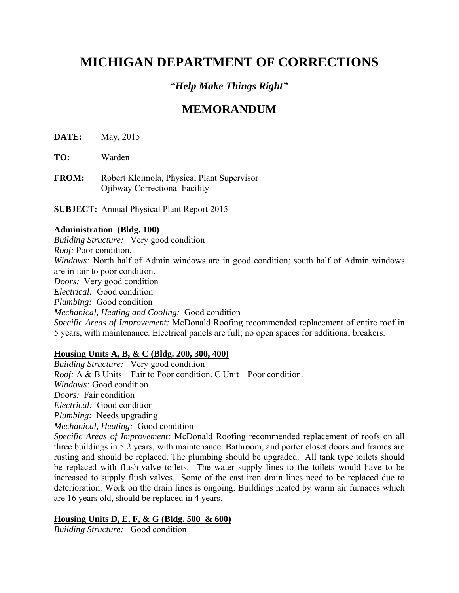# **MICHIGAN DEPARTMENT OF CORRECTIONS**

### "*Help Make Things Right"*

### **MEMORANDUM**

**DATE:** May, 2015

**TO:** Warden

**FROM:** Robert Kleimola, Physical Plant Supervisor Ojibway Correctional Facility

**SUBJECT:** Annual Physical Plant Report 2015

#### **Administration (Bldg. 100)**

*Building Structure:* Very good condition *Roof:* Poor condition. *Windows:* North half of Admin windows are in good condition; south half of Admin windows are in fair to poor condition. *Doors:* Very good condition *Electrical:* Good condition *Plumbing:* Good condition *Mechanical, Heating and Cooling:* Good condition *Specific Areas of Improvement:* McDonald Roofing recommended replacement of entire roof in 5 years, with maintenance. Electrical panels are full; no open spaces for additional breakers.

### **Housing Units A, B, & C (Bldg. 200, 300, 400)**

*Building Structure:* Very good condition *Roof:* A & B Units – Fair to Poor condition. C Unit – Poor condition. *Windows:* Good condition *Doors:* Fair condition *Electrical:* Good condition *Plumbing:* Needs upgrading *Mechanical, Heating:* Good condition *Specific Areas of Improvement:* McDonald Roofing recommended replacement of roofs on all three buildings in 5.2 years, with maintenance. Bathroom, and porter closet doors and frames are rusting and should be replaced. The plumbing should be upgraded. All tank type toilets should be replaced with flush-valve toilets. The water supply lines to the toilets would have to be increased to supply flush valves. Some of the cast iron drain lines need to be replaced due to deterioration. Work on the drain lines is ongoing. Buildings heated by warm air furnaces which are 16 years old, should be replaced in 4 years.

### **Housing Units D, E, F, & G (Bldg. 500 & 600)**

*Building Structure:* Good condition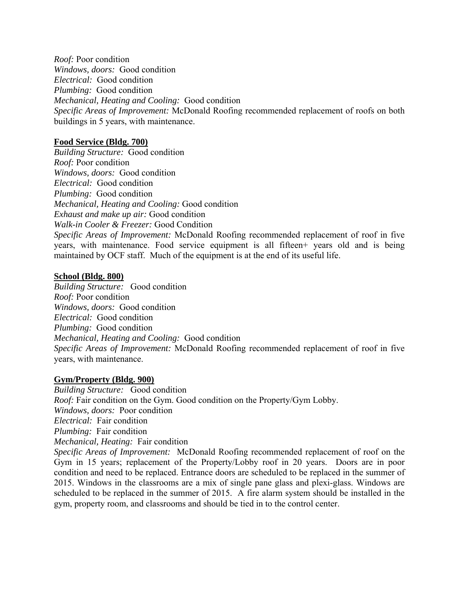*Roof:* Poor condition *Windows, doors:* Good condition *Electrical:* Good condition *Plumbing:* Good condition *Mechanical, Heating and Cooling:* Good condition *Specific Areas of Improvement:* McDonald Roofing recommended replacement of roofs on both buildings in 5 years, with maintenance.

#### **Food Service (Bldg. 700)**

*Building Structure:* Good condition *Roof:* Poor condition *Windows, doors:* Good condition *Electrical:* Good condition *Plumbing:* Good condition *Mechanical, Heating and Cooling:* Good condition *Exhaust and make up air:* Good condition *Walk-in Cooler & Freezer:* Good Condition *Specific Areas of Improvement:* McDonald Roofing recommended replacement of roof in five years, with maintenance. Food service equipment is all fifteen+ years old and is being maintained by OCF staff. Much of the equipment is at the end of its useful life.

#### **School (Bldg. 800)**

*Building Structure:* Good condition *Roof:* Poor condition *Windows, doors:* Good condition *Electrical:* Good condition *Plumbing:* Good condition *Mechanical, Heating and Cooling:* Good condition *Specific Areas of Improvement:* McDonald Roofing recommended replacement of roof in five years, with maintenance.

#### **Gym/Property (Bldg. 900)**

*Building Structure:* Good condition *Roof:* Fair condition on the Gym. Good condition on the Property/Gym Lobby. *Windows, doors:* Poor condition *Electrical:* Fair condition *Plumbing:* Fair condition *Mechanical, Heating:* Fair condition *Specific Areas of Improvement:* McDonald Roofing recommended replacement of roof on the

Gym in 15 years; replacement of the Property/Lobby roof in 20 years. Doors are in poor condition and need to be replaced. Entrance doors are scheduled to be replaced in the summer of 2015. Windows in the classrooms are a mix of single pane glass and plexi-glass. Windows are scheduled to be replaced in the summer of 2015. A fire alarm system should be installed in the gym, property room, and classrooms and should be tied in to the control center.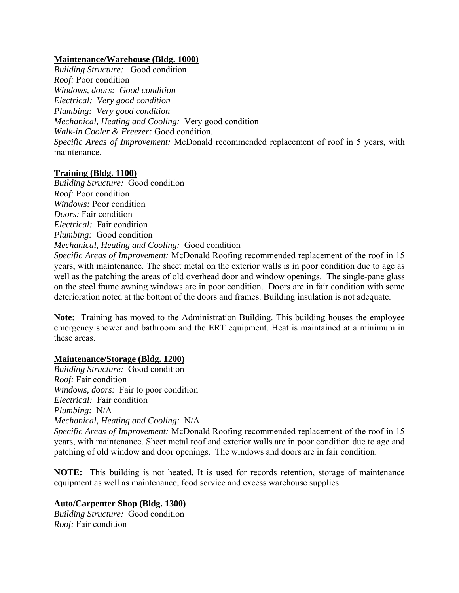#### **Maintenance/Warehouse (Bldg. 1000)**

*Building Structure:* Good condition *Roof:* Poor condition *Windows, doors: Good condition Electrical: Very good condition Plumbing: Very good condition Mechanical, Heating and Cooling:* Very good condition *Walk-in Cooler & Freezer:* Good condition. *Specific Areas of Improvement:* McDonald recommended replacement of roof in 5 years, with maintenance.

#### **Training (Bldg. 1100)**

*Building Structure:* Good condition *Roof:* Poor condition *Windows:* Poor condition *Doors:* Fair condition *Electrical:* Fair condition *Plumbing:* Good condition *Mechanical, Heating and Cooling:* Good condition

*Specific Areas of Improvement:* McDonald Roofing recommended replacement of the roof in 15 years, with maintenance. The sheet metal on the exterior walls is in poor condition due to age as well as the patching the areas of old overhead door and window openings. The single-pane glass on the steel frame awning windows are in poor condition. Doors are in fair condition with some deterioration noted at the bottom of the doors and frames. Building insulation is not adequate.

**Note:** Training has moved to the Administration Building. This building houses the employee emergency shower and bathroom and the ERT equipment. Heat is maintained at a minimum in these areas.

### **Maintenance/Storage (Bldg. 1200)**

*Building Structure:* Good condition *Roof:* Fair condition *Windows, doors:* Fair to poor condition *Electrical:* Fair condition *Plumbing:* N/A *Mechanical, Heating and Cooling:* N/A

*Specific Areas of Improvement:* McDonald Roofing recommended replacement of the roof in 15 years, with maintenance. Sheet metal roof and exterior walls are in poor condition due to age and patching of old window and door openings. The windows and doors are in fair condition.

**NOTE:** This building is not heated. It is used for records retention, storage of maintenance equipment as well as maintenance, food service and excess warehouse supplies.

### **Auto/Carpenter Shop (Bldg. 1300)**

*Building Structure:* Good condition *Roof:* Fair condition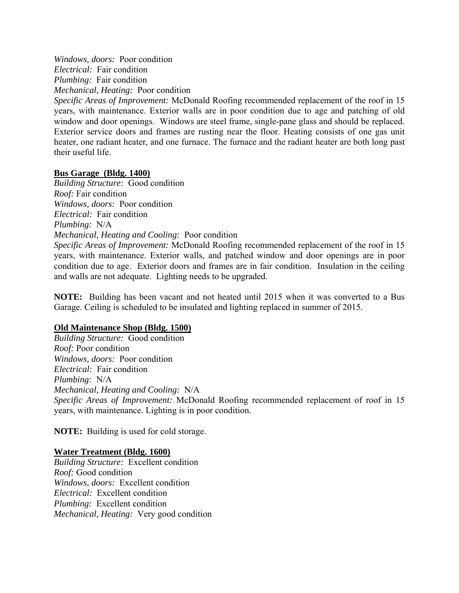*Windows, doors:* Poor condition *Electrical:* Fair condition *Plumbing:* Fair condition *Mechanical, Heating:* Poor condition

*Specific Areas of Improvement:* McDonald Roofing recommended replacement of the roof in 15 years, with maintenance. Exterior walls are in poor condition due to age and patching of old window and door openings. Windows are steel frame, single-pane glass and should be replaced. Exterior service doors and frames are rusting near the floor. Heating consists of one gas unit heater, one radiant heater, and one furnace. The furnace and the radiant heater are both long past their useful life.

#### **Bus Garage (Bldg. 1400)**

*Building Structure:* Good condition *Roof:* Fair condition *Windows, doors:* Poor condition *Electrical:* Fair condition *Plumbing:* N/A *Mechanical, Heating and Cooling:* Poor condition

*Specific Areas of Improvement:* McDonald Roofing recommended replacement of the roof in 15 years, with maintenance. Exterior walls, and patched window and door openings are in poor condition due to age. Exterior doors and frames are in fair condition. Insulation in the ceiling and walls are not adequate. Lighting needs to be upgraded.

**NOTE:** Building has been vacant and not heated until 2015 when it was converted to a Bus Garage. Ceiling is scheduled to be insulated and lighting replaced in summer of 2015.

#### **Old Maintenance Shop (Bldg. 1500)**

*Building Structure:* Good condition *Roof:* Poor condition *Windows, doors:* Poor condition *Electrical:* Fair condition *Plumbing:* N/A *Mechanical, Heating and Cooling:* N/A *Specific Areas of Improvement:* McDonald Roofing recommended replacement of roof in 15 years, with maintenance. Lighting is in poor condition.

**NOTE:** Building is used for cold storage.

#### **Water Treatment (Bldg. 1600)**

*Building Structure:* Excellent condition *Roof:* Good condition *Windows, doors:* Excellent condition *Electrical:* Excellent condition *Plumbing:* Excellent condition *Mechanical, Heating:* Very good condition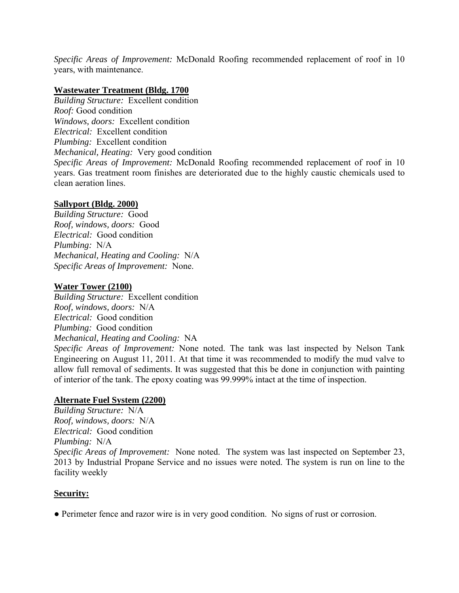*Specific Areas of Improvement:* McDonald Roofing recommended replacement of roof in 10 years, with maintenance.

#### **Wastewater Treatment (Bldg. 1700**

*Building Structure:* Excellent condition *Roof:* Good condition *Windows, doors:* Excellent condition *Electrical:* Excellent condition *Plumbing:* Excellent condition *Mechanical, Heating:* Very good condition *Specific Areas of Improvement:* McDonald Roofing recommended replacement of roof in 10 years. Gas treatment room finishes are deteriorated due to the highly caustic chemicals used to clean aeration lines.

### **Sallyport (Bldg. 2000)**

*Building Structure:* Good *Roof, windows, doors:* Good *Electrical:* Good condition *Plumbing:* N/A *Mechanical, Heating and Cooling:* N/A *Specific Areas of Improvement:* None.

#### **Water Tower (2100)**

*Building Structure:* Excellent condition *Roof, windows, doors:* N/A *Electrical:* Good condition *Plumbing:* Good condition *Mechanical, Heating and Cooling:* NA

*Specific Areas of Improvement:* None noted. The tank was last inspected by Nelson Tank Engineering on August 11, 2011. At that time it was recommended to modify the mud valve to allow full removal of sediments. It was suggested that this be done in conjunction with painting of interior of the tank. The epoxy coating was 99.999% intact at the time of inspection.

### **Alternate Fuel System (2200)**

*Building Structure:* N/A *Roof, windows, doors:* N/A *Electrical:* Good condition *Plumbing:* N/A *Specific Areas of Improvement:* None noted. The system was last inspected on September 23, 2013 by Industrial Propane Service and no issues were noted. The system is run on line to the facility weekly

#### **Security:**

● Perimeter fence and razor wire is in very good condition. No signs of rust or corrosion.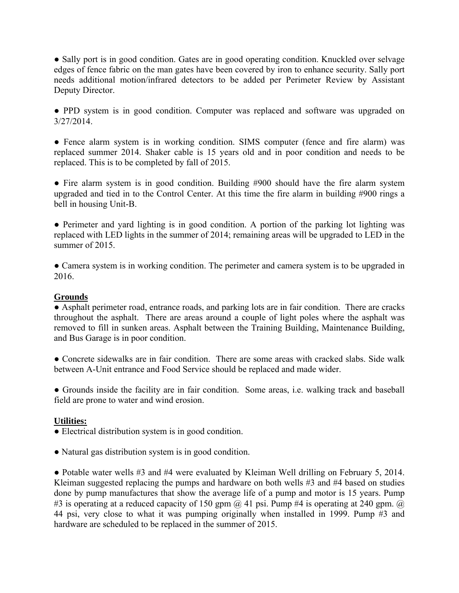• Sally port is in good condition. Gates are in good operating condition. Knuckled over selvage edges of fence fabric on the man gates have been covered by iron to enhance security. Sally port needs additional motion/infrared detectors to be added per Perimeter Review by Assistant Deputy Director.

● PPD system is in good condition. Computer was replaced and software was upgraded on 3/27/2014.

• Fence alarm system is in working condition. SIMS computer (fence and fire alarm) was replaced summer 2014. Shaker cable is 15 years old and in poor condition and needs to be replaced. This is to be completed by fall of 2015.

• Fire alarm system is in good condition. Building #900 should have the fire alarm system upgraded and tied in to the Control Center. At this time the fire alarm in building #900 rings a bell in housing Unit-B.

• Perimeter and yard lighting is in good condition. A portion of the parking lot lighting was replaced with LED lights in the summer of 2014; remaining areas will be upgraded to LED in the summer of 2015

• Camera system is in working condition. The perimeter and camera system is to be upgraded in 2016.

#### **Grounds**

● Asphalt perimeter road, entrance roads, and parking lots are in fair condition. There are cracks throughout the asphalt. There are areas around a couple of light poles where the asphalt was removed to fill in sunken areas. Asphalt between the Training Building, Maintenance Building, and Bus Garage is in poor condition.

• Concrete sidewalks are in fair condition. There are some areas with cracked slabs. Side walk between A-Unit entrance and Food Service should be replaced and made wider.

• Grounds inside the facility are in fair condition. Some areas, i.e. walking track and baseball field are prone to water and wind erosion.

#### **Utilities:**

• Electrical distribution system is in good condition.

● Natural gas distribution system is in good condition.

● Potable water wells #3 and #4 were evaluated by Kleiman Well drilling on February 5, 2014. Kleiman suggested replacing the pumps and hardware on both wells #3 and #4 based on studies done by pump manufactures that show the average life of a pump and motor is 15 years. Pump #3 is operating at a reduced capacity of 150 gpm  $(a)$  41 psi. Pump #4 is operating at 240 gpm.  $(a)$ 44 psi, very close to what it was pumping originally when installed in 1999. Pump #3 and hardware are scheduled to be replaced in the summer of 2015.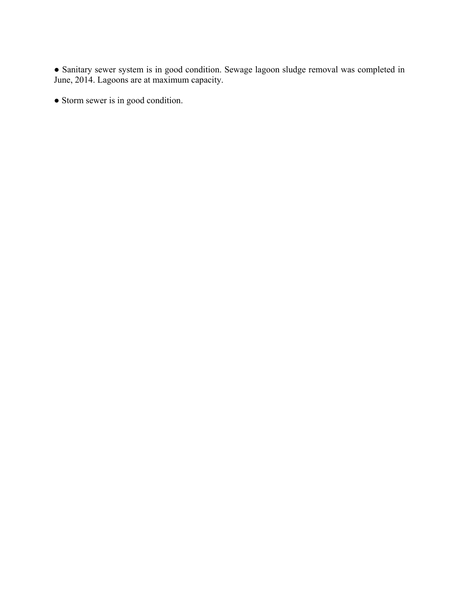● Sanitary sewer system is in good condition. Sewage lagoon sludge removal was completed in June, 2014. Lagoons are at maximum capacity.

● Storm sewer is in good condition.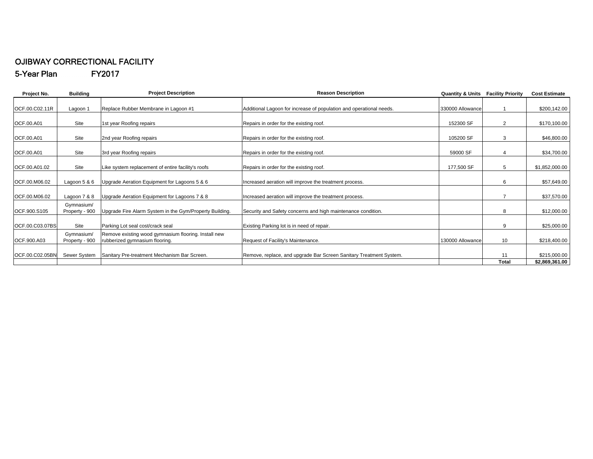#### OJIBWAY CORRECTIONAL FACILITY 5-Year Plan FY2017

| <b>Building</b>              | <b>Project Description</b>                                                             | <b>Reason Description</b>                                           |                  |                | <b>Cost Estimate</b>                                          |
|------------------------------|----------------------------------------------------------------------------------------|---------------------------------------------------------------------|------------------|----------------|---------------------------------------------------------------|
| Lagoon 1                     | Replace Rubber Membrane in Lagoon #1                                                   | Additional Lagoon for increase of population and operational needs. | 330000 Allowance |                | \$200,142.00                                                  |
| Site                         | 1st year Roofing repairs                                                               | Repairs in order for the existing roof.                             | 152300 SF        | $\overline{2}$ | \$170,100.00                                                  |
| Site                         | 2nd year Roofing repairs                                                               | Repairs in order for the existing roof.                             | 105200 SF        | 3              | \$46,800.00                                                   |
| Site                         | 3rd year Roofing repairs                                                               | Repairs in order for the existing roof.                             | 59000 SF         |                | \$34,700.00                                                   |
| Site                         | Like system replacement of entire facility's roofs                                     | Repairs in order for the existing roof.                             | 177,500 SF       | 5              | \$1,852,000.00                                                |
| Lagoon $5 & 6$               | Upgrade Aeration Equipment for Lagoons 5 & 6                                           | Increased aeration will improve the treatment process.              |                  | 6              | \$57,649.00                                                   |
| Lagoon 7 & 8                 | Upgrade Aeration Equipment for Lagoons 7 & 8                                           | Increased aeration will improve the treatment process.              |                  |                | \$37,570.00                                                   |
| Gymnasium/<br>Property - 900 | Upgrade Fire Alarm System in the Gym/Property Building.                                | Security and Safety concerns and high maintenance condition.        |                  | 8              | \$12,000.00                                                   |
| Site                         | Parking Lot seal cost/crack seal                                                       | Existing Parking lot is in need of repair.                          |                  | 9              | \$25,000.00                                                   |
| Gymnasium/<br>Property - 900 | Remove existing wood gymnasium flooring. Install new<br>rubberized gymnasium flooring. | Request of Facility's Maintenance.                                  | 130000 Allowance | 10             | \$218,400.00                                                  |
| <b>Sewer System</b>          | Sanitary Pre-treatment Mechanism Bar Screen.                                           | Remove, replace, and upgrade Bar Screen Sanitary Treatment System.  |                  | 11             | \$215,000.00<br>\$2,869,361.00                                |
|                              |                                                                                        |                                                                     |                  |                | <b>Quantity &amp; Units Facility Priority</b><br><b>Total</b> |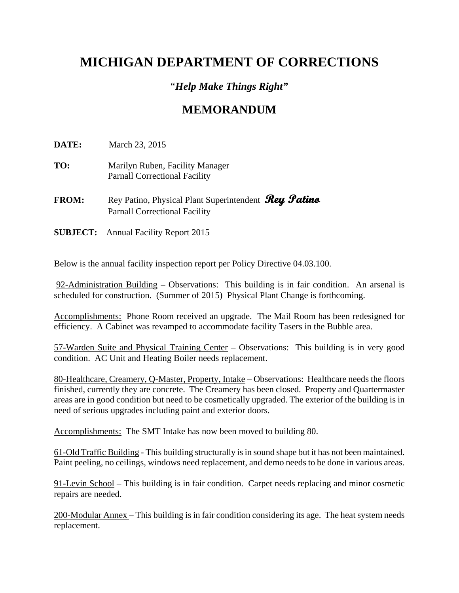# **MICHIGAN DEPARTMENT OF CORRECTIONS**

### "*Help Make Things Right"*

### **MEMORANDUM**

**DATE:** March 23, 2015

- **TO:** Marilyn Ruben, Facility Manager Parnall Correctional Facility
- **FROM:** Rey Patino, Physical Plant Superintendent **Rey Patino** Parnall Correctional Facility
- **SUBJECT:** Annual Facility Report 2015

Below is the annual facility inspection report per Policy Directive 04.03.100.

 92-Administration Building – Observations: This building is in fair condition. An arsenal is scheduled for construction. (Summer of 2015) Physical Plant Change is forthcoming.

Accomplishments: Phone Room received an upgrade. The Mail Room has been redesigned for efficiency. A Cabinet was revamped to accommodate facility Tasers in the Bubble area.

57-Warden Suite and Physical Training Center – Observations: This building is in very good condition. AC Unit and Heating Boiler needs replacement.

80-Healthcare, Creamery, Q-Master, Property, Intake – Observations: Healthcare needs the floors finished, currently they are concrete. The Creamery has been closed. Property and Quartermaster areas are in good condition but need to be cosmetically upgraded. The exterior of the building is in need of serious upgrades including paint and exterior doors.

Accomplishments: The SMT Intake has now been moved to building 80.

61-Old Traffic Building - This building structurally is in sound shape but it has not been maintained. Paint peeling, no ceilings, windows need replacement, and demo needs to be done in various areas.

91-Levin School – This building is in fair condition. Carpet needs replacing and minor cosmetic repairs are needed.

200-Modular Annex – This building is in fair condition considering its age. The heat system needs replacement.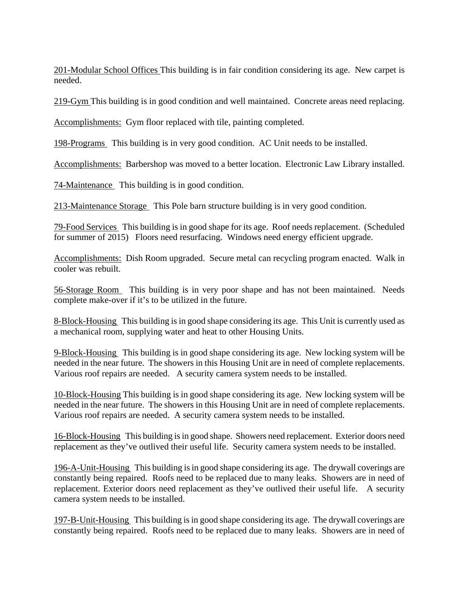201-Modular School Offices This building is in fair condition considering its age. New carpet is needed.

219-Gym This building is in good condition and well maintained. Concrete areas need replacing.

Accomplishments: Gym floor replaced with tile, painting completed.

198-Programs This building is in very good condition. AC Unit needs to be installed.

Accomplishments: Barbershop was moved to a better location. Electronic Law Library installed.

74-Maintenance This building is in good condition.

213-Maintenance Storage This Pole barn structure building is in very good condition.

79-Food Services This building is in good shape for its age. Roof needs replacement. (Scheduled for summer of 2015) Floors need resurfacing. Windows need energy efficient upgrade.

Accomplishments: Dish Room upgraded. Secure metal can recycling program enacted. Walk in cooler was rebuilt.

56-Storage Room This building is in very poor shape and has not been maintained. Needs complete make-over if it's to be utilized in the future.

8-Block-Housing This building is in good shape considering its age. This Unit is currently used as a mechanical room, supplying water and heat to other Housing Units.

9-Block-Housing This building is in good shape considering its age. New locking system will be needed in the near future. The showers in this Housing Unit are in need of complete replacements. Various roof repairs are needed. A security camera system needs to be installed.

10-Block-Housing This building is in good shape considering its age. New locking system will be needed in the near future. The showers in this Housing Unit are in need of complete replacements. Various roof repairs are needed. A security camera system needs to be installed.

16-Block-Housing This building is in good shape. Showers need replacement. Exterior doors need replacement as they've outlived their useful life. Security camera system needs to be installed.

196-A-Unit-Housing This building is in good shape considering its age. The drywall coverings are constantly being repaired. Roofs need to be replaced due to many leaks. Showers are in need of replacement. Exterior doors need replacement as they've outlived their useful life. A security camera system needs to be installed.

197-B-Unit-Housing This building is in good shape considering its age. The drywall coverings are constantly being repaired. Roofs need to be replaced due to many leaks. Showers are in need of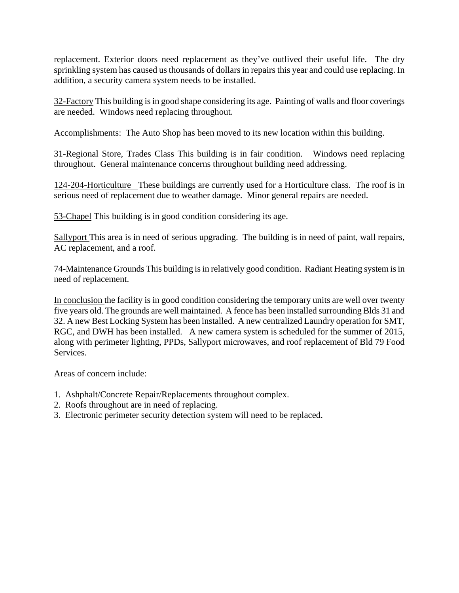replacement. Exterior doors need replacement as they've outlived their useful life. The dry sprinkling system has caused us thousands of dollars in repairs this year and could use replacing. In addition, a security camera system needs to be installed.

32-Factory This building is in good shape considering its age. Painting of walls and floor coverings are needed. Windows need replacing throughout.

Accomplishments: The Auto Shop has been moved to its new location within this building.

31-Regional Store, Trades Class This building is in fair condition. Windows need replacing throughout. General maintenance concerns throughout building need addressing.

124-204-Horticulture These buildings are currently used for a Horticulture class. The roof is in serious need of replacement due to weather damage. Minor general repairs are needed.

53-Chapel This building is in good condition considering its age.

Sallyport This area is in need of serious upgrading. The building is in need of paint, wall repairs, AC replacement, and a roof.

74-Maintenance Grounds This building is in relatively good condition. Radiant Heating system is in need of replacement.

In conclusion the facility is in good condition considering the temporary units are well over twenty five years old. The grounds are well maintained. A fence has been installed surrounding Blds 31 and 32. A new Best Locking System has been installed. A new centralized Laundry operation for SMT, RGC, and DWH has been installed. A new camera system is scheduled for the summer of 2015, along with perimeter lighting, PPDs, Sallyport microwaves, and roof replacement of Bld 79 Food Services.

Areas of concern include:

- 1. Ashphalt/Concrete Repair/Replacements throughout complex.
- 2. Roofs throughout are in need of replacing.
- 3. Electronic perimeter security detection system will need to be replaced.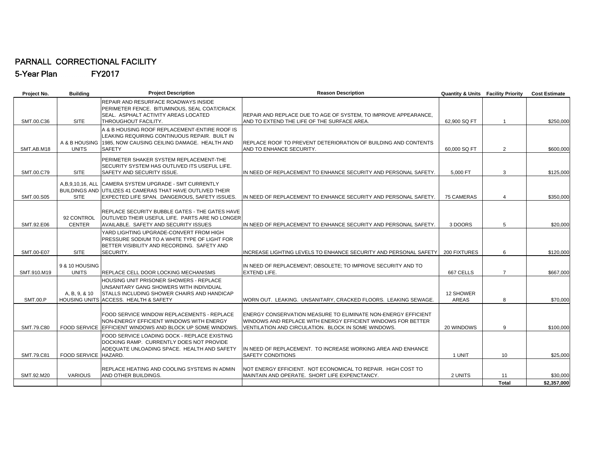#### PARNALL CORRECTIONAL FACILITY 5-Year Plan FY2017

| Project No.     | <b>Building</b>                     | <b>Project Description</b>                                                                                                                                                        | <b>Reason Description</b>                                                                                                                                                            | <b>Quantity &amp; Units Facility Priority</b> |                    | <b>Cost Estimate</b>    |
|-----------------|-------------------------------------|-----------------------------------------------------------------------------------------------------------------------------------------------------------------------------------|--------------------------------------------------------------------------------------------------------------------------------------------------------------------------------------|-----------------------------------------------|--------------------|-------------------------|
| SMT.00.C36      | <b>SITE</b>                         | REPAIR AND RESURFACE ROADWAYS INSIDE<br>PERIMETER FENCE. BITUMINOUS, SEAL COAT/CRACK<br>SEAL. ASPHALT ACTIVITY AREAS LOCATED<br>THROUGHOUT FACILITY.                              | REPAIR AND REPLACE DUE TO AGE OF SYSTEM, TO IMPROVE APPEARANCE,<br>AND TO EXTEND THE LIFE OF THE SURFACE AREA.                                                                       | 62,900 SQ FT                                  |                    | \$250,000               |
| SMT.AB.M18      | A & B HOUSING<br><b>UNITS</b>       | A & B HOUSING ROOF REPLACEMENT-ENTIRE ROOF IS<br>LEAKING REQUIRING CONTINUOUS REPAIR. BUILT IN<br>1985, NOW CAUSING CEILING DAMAGE. HEALTH AND<br><b>SAFETY</b>                   | REPLACE ROOF TO PREVENT DETERIORATION OF BUILDING AND CONTENTS<br>AND TO ENHANCE SECURITY.                                                                                           | 60,000 SQ FT                                  | $\overline{2}$     | \$600,000               |
| SMT.00.C79      | <b>SITE</b>                         | PERIMETER SHAKER SYSTEM REPLACEMENT-THE<br>SECURITY SYSTEM HAS OUTLIVED ITS USEFUL LIFE.<br>SAFETY AND SECURITY ISSUE.                                                            | IN NEED OF REPLACEMENT TO ENHANCE SECURITY AND PERSONAL SAFETY.                                                                                                                      | 5,000 FT                                      | 3                  | \$125,000               |
| SMT.00.S05      | A, B, 9, 10, 16, ALL<br><b>SITE</b> | CAMERA SYSTEM UPGRADE - SMT CURRENTLY<br>BUILDINGS AND UTILIZES 41 CAMERAS THAT HAVE OUTLIVED THEIR<br>EXPECTED LIFE SPAN. DANGEROUS, SAFETY ISSUES.                              | IN NEED OF REPLACEMENT TO ENHANCE SECURITY AND PERSONAL SAFETY.                                                                                                                      | 75 CAMERAS                                    | 4                  | \$350,000               |
| SMT.92.E06      | 92 CONTROL<br><b>CENTER</b>         | REPLACE SECURITY BUBBLE GATES - THE GATES HAVE<br>OUTLIVED THEIR USEFUL LIFE. PARTS ARE NO LONGER<br>AVAILABLE. SAFETY AND SECURITY ISSUES                                        | IN NEED OF REPLACEMENT TO ENHANCE SECURITY AND PERSONAL SAFETY.                                                                                                                      | 3 DOORS                                       | 5                  | \$20,000                |
| SMT.00-E07      | <b>SITE</b>                         | YARD LIGHTING UPGRADE-CONVERT FROM HIGH<br>PRESSURE SODIUM TO A WHITE TYPE OF LIGHT FOR<br>BETTER VISIBILITY AND RECORDING. SAFETY AND<br>SECURITY.                               | INCREASE LIGHTING LEVELS TO ENHANCE SECURITY AND PERSONAL SAFETY                                                                                                                     | 200 FIXTURES                                  | 6                  | \$120,000               |
| SMT.910.M19     | 9 & 10 HOUSING<br><b>UNITS</b>      | REPLACE CELL DOOR LOCKING MECHANISMS                                                                                                                                              | IN NEED OF REPLACEMENT; OBSOLETE; TO IMPROVE SECURITY AND TO<br>EXTEND LIFE.                                                                                                         | 667 CELLS                                     | $\overline{7}$     | \$667,000               |
| <b>SMT.00.P</b> | A, B, 9, & 10                       | <b>HOUSING UNIT PRISONER SHOWERS - REPLACE</b><br>UNSANITARY GANG SHOWERS WITH INDIVIDUAL<br>STALLS INCLUDING SHOWER CHAIRS AND HANDICAP<br>HOUSING UNITS ACCESS. HEALTH & SAFETY | WORN OUT. LEAKING. UNSANITARY, CRACKED FLOORS. LEAKING SEWAGE.                                                                                                                       | 12 SHOWER<br><b>AREAS</b>                     | 8                  | \$70,000                |
| SMT.79.C80      |                                     | FOOD SERVICE WINDOW REPLACEMENTS - REPLACE<br>NON-ENERGY EFFICIENT WINDOWS WITH ENERGY<br>FOOD SERVICE LEFFICIENT WINDOWS AND BLOCK UP SOME WINDOWS.                              | ENERGY CONSERVATION MEASURE TO ELIMINATE NON-ENERGY EFFICIENT<br>WINDOWS AND REPLACE WITH ENERGY EFFICIENT WINDOWS FOR BETTER<br>VENTILATION AND CIRCULATION. BLOCK IN SOME WINDOWS. | 20 WINDOWS                                    | 9                  | \$100,000               |
| SMT.79.C81      | FOOD SERVICE HAZARD.                | FOOD SERVICE LOADING DOCK - REPLACE EXISTING<br>DOCKING RAMP. CURRENTLY DOES NOT PROVIDE<br>ADEQUATE UNLOADING SPACE. HEALTH AND SAFETY                                           | IN NEED OF REPLACEMENT. TO INCREASE WORKING AREA AND ENHANCE<br><b>SAFETY CONDITIONS</b>                                                                                             | 1 UNIT                                        | 10                 | \$25,000                |
| SMT.92.M20      | <b>VARIOUS</b>                      | REPLACE HEATING AND COOLING SYSTEMS IN ADMIN<br>AND OTHER BUILDINGS.                                                                                                              | NOT ENERGY EFFICIENT. NOT ECONOMICAL TO REPAIR. HIGH COST TO<br>MAINTAIN AND OPERATE. SHORT LIFE EXPENCTANCY.                                                                        | 2 UNITS                                       | 11<br><b>Total</b> | \$30,000<br>\$2,357,000 |
|                 |                                     |                                                                                                                                                                                   |                                                                                                                                                                                      |                                               |                    |                         |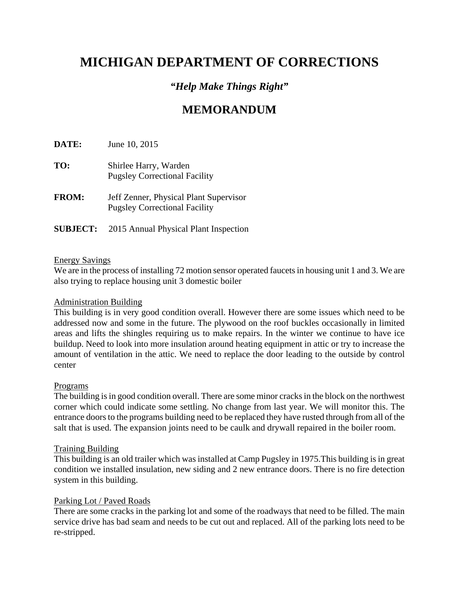# **MICHIGAN DEPARTMENT OF CORRECTIONS**

### *"Help Make Things Right"*

# **MEMORANDUM**

**DATE:** June 10, 2015

- **TO:** Shirlee Harry, Warden Pugsley Correctional Facility
- **FROM:** Jeff Zenner, Physical Plant Supervisor Pugsley Correctional Facility
- **SUBJECT:** 2015 Annual Physical Plant Inspection

#### Energy Savings

We are in the process of installing 72 motion sensor operated faucets in housing unit 1 and 3. We are also trying to replace housing unit 3 domestic boiler

#### Administration Building

This building is in very good condition overall. However there are some issues which need to be addressed now and some in the future. The plywood on the roof buckles occasionally in limited areas and lifts the shingles requiring us to make repairs. In the winter we continue to have ice buildup. Need to look into more insulation around heating equipment in attic or try to increase the amount of ventilation in the attic. We need to replace the door leading to the outside by control center

#### Programs

The building is in good condition overall. There are some minor cracks in the block on the northwest corner which could indicate some settling. No change from last year. We will monitor this. The entrance doors to the programs building need to be replaced they have rusted through from all of the salt that is used. The expansion joints need to be caulk and drywall repaired in the boiler room.

#### Training Building

This building is an old trailer which was installed at Camp Pugsley in 1975.This building is in great condition we installed insulation, new siding and 2 new entrance doors. There is no fire detection system in this building.

#### Parking Lot / Paved Roads

There are some cracks in the parking lot and some of the roadways that need to be filled. The main service drive has bad seam and needs to be cut out and replaced. All of the parking lots need to be re-stripped.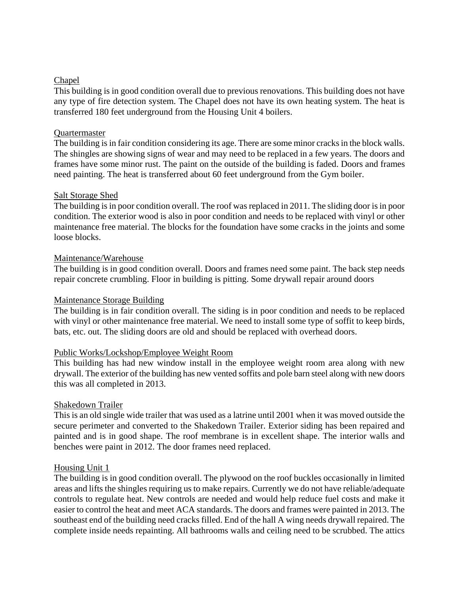#### Chapel

This building is in good condition overall due to previous renovations. This building does not have any type of fire detection system. The Chapel does not have its own heating system. The heat is transferred 180 feet underground from the Housing Unit 4 boilers.

#### Quartermaster

The building is in fair condition considering its age. There are some minor cracks in the block walls. The shingles are showing signs of wear and may need to be replaced in a few years. The doors and frames have some minor rust. The paint on the outside of the building is faded. Doors and frames need painting. The heat is transferred about 60 feet underground from the Gym boiler.

#### Salt Storage Shed

The building is in poor condition overall. The roof was replaced in 2011. The sliding door is in poor condition. The exterior wood is also in poor condition and needs to be replaced with vinyl or other maintenance free material. The blocks for the foundation have some cracks in the joints and some loose blocks.

#### Maintenance/Warehouse

The building is in good condition overall. Doors and frames need some paint. The back step needs repair concrete crumbling. Floor in building is pitting. Some drywall repair around doors

#### Maintenance Storage Building

The building is in fair condition overall. The siding is in poor condition and needs to be replaced with vinyl or other maintenance free material. We need to install some type of soffit to keep birds, bats, etc. out. The sliding doors are old and should be replaced with overhead doors.

#### Public Works/Lockshop/Employee Weight Room

This building has had new window install in the employee weight room area along with new drywall. The exterior of the building has new vented soffits and pole barn steel along with new doors this was all completed in 2013.

#### Shakedown Trailer

This is an old single wide trailer that was used as a latrine until 2001 when it was moved outside the secure perimeter and converted to the Shakedown Trailer. Exterior siding has been repaired and painted and is in good shape. The roof membrane is in excellent shape. The interior walls and benches were paint in 2012. The door frames need replaced.

#### Housing Unit 1

The building is in good condition overall. The plywood on the roof buckles occasionally in limited areas and lifts the shingles requiring us to make repairs. Currently we do not have reliable/adequate controls to regulate heat. New controls are needed and would help reduce fuel costs and make it easier to control the heat and meet ACA standards. The doors and frames were painted in 2013. The southeast end of the building need cracks filled. End of the hall A wing needs drywall repaired. The complete inside needs repainting. All bathrooms walls and ceiling need to be scrubbed. The attics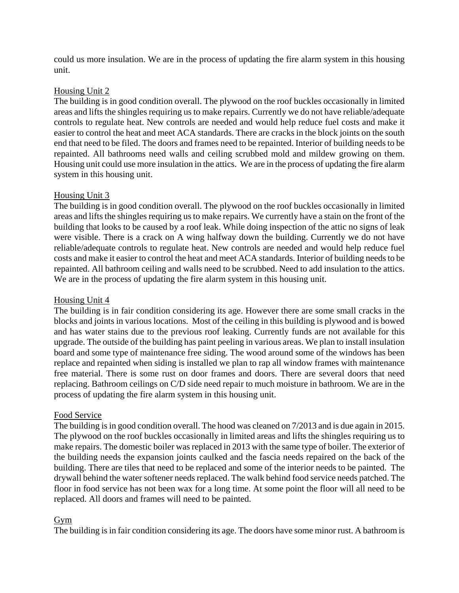could us more insulation. We are in the process of updating the fire alarm system in this housing unit.

#### Housing Unit 2

The building is in good condition overall. The plywood on the roof buckles occasionally in limited areas and lifts the shingles requiring us to make repairs. Currently we do not have reliable/adequate controls to regulate heat. New controls are needed and would help reduce fuel costs and make it easier to control the heat and meet ACA standards. There are cracks in the block joints on the south end that need to be filed. The doors and frames need to be repainted. Interior of building needs to be repainted. All bathrooms need walls and ceiling scrubbed mold and mildew growing on them. Housing unit could use more insulation in the attics. We are in the process of updating the fire alarm system in this housing unit.

#### Housing Unit 3

The building is in good condition overall. The plywood on the roof buckles occasionally in limited areas and lifts the shingles requiring us to make repairs. We currently have a stain on the front of the building that looks to be caused by a roof leak. While doing inspection of the attic no signs of leak were visible. There is a crack on A wing halfway down the building. Currently we do not have reliable/adequate controls to regulate heat. New controls are needed and would help reduce fuel costs and make it easier to control the heat and meet ACA standards. Interior of building needs to be repainted. All bathroom ceiling and walls need to be scrubbed. Need to add insulation to the attics. We are in the process of updating the fire alarm system in this housing unit.

#### Housing Unit 4

The building is in fair condition considering its age. However there are some small cracks in the blocks and joints in various locations. Most of the ceiling in this building is plywood and is bowed and has water stains due to the previous roof leaking. Currently funds are not available for this upgrade. The outside of the building has paint peeling in various areas. We plan to install insulation board and some type of maintenance free siding. The wood around some of the windows has been replace and repainted when siding is installed we plan to rap all window frames with maintenance free material. There is some rust on door frames and doors. There are several doors that need replacing. Bathroom ceilings on C/D side need repair to much moisture in bathroom. We are in the process of updating the fire alarm system in this housing unit.

#### Food Service

The building is in good condition overall. The hood was cleaned on 7/2013 and is due again in 2015. The plywood on the roof buckles occasionally in limited areas and lifts the shingles requiring us to make repairs. The domestic boiler was replaced in 2013 with the same type of boiler. The exterior of the building needs the expansion joints caulked and the fascia needs repaired on the back of the building. There are tiles that need to be replaced and some of the interior needs to be painted. The drywall behind the water softener needs replaced. The walk behind food service needs patched. The floor in food service has not been wax for a long time. At some point the floor will all need to be replaced. All doors and frames will need to be painted.

#### Gym

The building is in fair condition considering its age. The doors have some minor rust. A bathroom is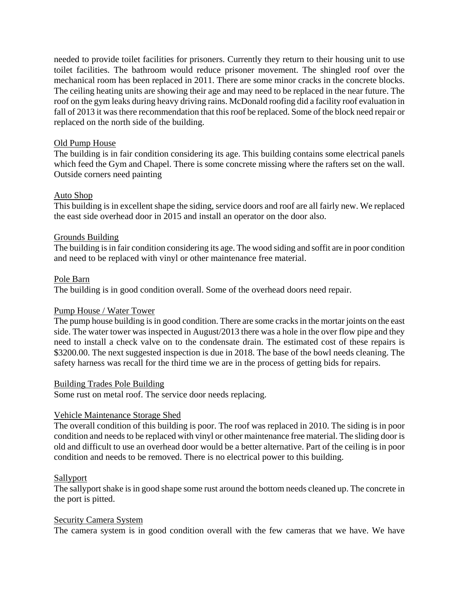needed to provide toilet facilities for prisoners. Currently they return to their housing unit to use toilet facilities. The bathroom would reduce prisoner movement. The shingled roof over the mechanical room has been replaced in 2011. There are some minor cracks in the concrete blocks. The ceiling heating units are showing their age and may need to be replaced in the near future. The roof on the gym leaks during heavy driving rains. McDonald roofing did a facility roof evaluation in fall of 2013 it was there recommendation that this roof be replaced. Some of the block need repair or replaced on the north side of the building.

#### Old Pump House

The building is in fair condition considering its age. This building contains some electrical panels which feed the Gym and Chapel. There is some concrete missing where the rafters set on the wall. Outside corners need painting

#### Auto Shop

This building is in excellent shape the siding, service doors and roof are all fairly new. We replaced the east side overhead door in 2015 and install an operator on the door also.

#### Grounds Building

The building is in fair condition considering its age. The wood siding and soffit are in poor condition and need to be replaced with vinyl or other maintenance free material.

#### Pole Barn

The building is in good condition overall. Some of the overhead doors need repair.

#### Pump House / Water Tower

The pump house building is in good condition. There are some cracks in the mortar joints on the east side. The water tower was inspected in August/2013 there was a hole in the over flow pipe and they need to install a check valve on to the condensate drain. The estimated cost of these repairs is \$3200.00. The next suggested inspection is due in 2018. The base of the bowl needs cleaning. The safety harness was recall for the third time we are in the process of getting bids for repairs.

#### Building Trades Pole Building

Some rust on metal roof. The service door needs replacing.

#### Vehicle Maintenance Storage Shed

The overall condition of this building is poor. The roof was replaced in 2010. The siding is in poor condition and needs to be replaced with vinyl or other maintenance free material. The sliding door is old and difficult to use an overhead door would be a better alternative. Part of the ceiling is in poor condition and needs to be removed. There is no electrical power to this building.

#### Sallyport

The sallyport shake is in good shape some rust around the bottom needs cleaned up. The concrete in the port is pitted.

#### Security Camera System

The camera system is in good condition overall with the few cameras that we have. We have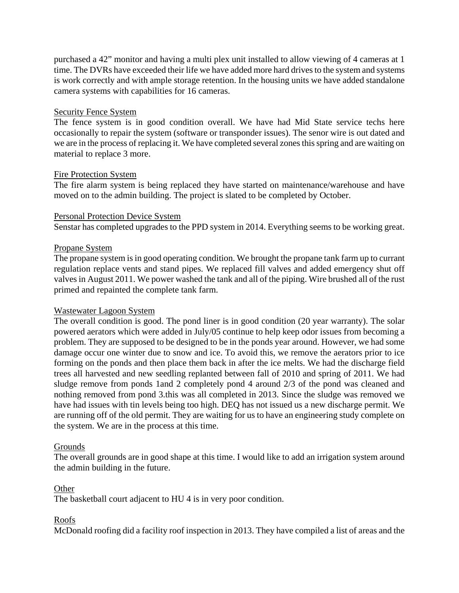purchased a 42" monitor and having a multi plex unit installed to allow viewing of 4 cameras at 1 time. The DVRs have exceeded their life we have added more hard drives to the system and systems is work correctly and with ample storage retention. In the housing units we have added standalone camera systems with capabilities for 16 cameras.

#### Security Fence System

The fence system is in good condition overall. We have had Mid State service techs here occasionally to repair the system (software or transponder issues). The senor wire is out dated and we are in the process of replacing it. We have completed several zones this spring and are waiting on material to replace 3 more.

#### Fire Protection System

The fire alarm system is being replaced they have started on maintenance/warehouse and have moved on to the admin building. The project is slated to be completed by October.

#### Personal Protection Device System

Senstar has completed upgrades to the PPD system in 2014. Everything seems to be working great.

#### Propane System

The propane system is in good operating condition. We brought the propane tank farm up to currant regulation replace vents and stand pipes. We replaced fill valves and added emergency shut off valves in August 2011. We power washed the tank and all of the piping. Wire brushed all of the rust primed and repainted the complete tank farm.

#### Wastewater Lagoon System

The overall condition is good. The pond liner is in good condition (20 year warranty). The solar powered aerators which were added in July/05 continue to help keep odor issues from becoming a problem. They are supposed to be designed to be in the ponds year around. However, we had some damage occur one winter due to snow and ice. To avoid this, we remove the aerators prior to ice forming on the ponds and then place them back in after the ice melts. We had the discharge field trees all harvested and new seedling replanted between fall of 2010 and spring of 2011. We had sludge remove from ponds 1and 2 completely pond 4 around 2/3 of the pond was cleaned and nothing removed from pond 3.this was all completed in 2013. Since the sludge was removed we have had issues with tin levels being too high. DEQ has not issued us a new discharge permit. We are running off of the old permit. They are waiting for us to have an engineering study complete on the system. We are in the process at this time.

#### Grounds

The overall grounds are in good shape at this time. I would like to add an irrigation system around the admin building in the future.

#### **Other**

The basketball court adjacent to HU 4 is in very poor condition.

#### Roofs

McDonald roofing did a facility roof inspection in 2013. They have compiled a list of areas and the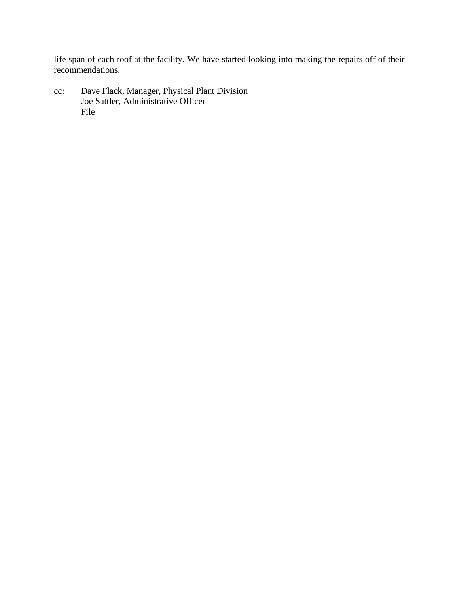life span of each roof at the facility. We have started looking into making the repairs off of their recommendations.

cc: Dave Flack, Manager, Physical Plant Division Joe Sattler, Administrative Officer File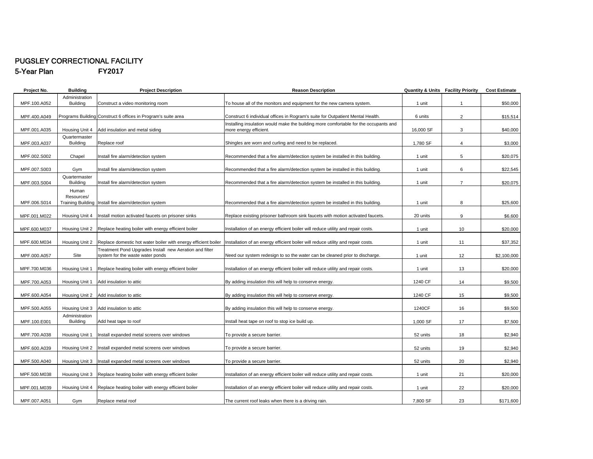### PUGSLEY CORRECTIONAL FACILITY

5-Year Plan **FY2017**

| Project No.  | <b>Building</b> | <b>Project Description</b>                                     | <b>Reason Description</b>                                                            |           | <b>Quantity &amp; Units Facility Priority</b> | <b>Cost Estimate</b> |
|--------------|-----------------|----------------------------------------------------------------|--------------------------------------------------------------------------------------|-----------|-----------------------------------------------|----------------------|
|              | Administration  |                                                                |                                                                                      |           |                                               |                      |
| MPF.100.A052 | <b>Building</b> | Construct a video monitoring room                              | To house all of the monitors and equipment for the new camera system.                | 1 unit    | $\mathbf{1}$                                  | \$50,000             |
|              |                 |                                                                |                                                                                      |           |                                               |                      |
| MPF.400.A049 |                 | Programs Building Construct 6 offices in Program's suite area  | Construct 6 individual offices in Rogram's suite for Outpatient Mental Health.       | 6 units   | $\overline{2}$                                | \$15,514             |
|              |                 |                                                                | Installing insulation would make the building more comfortable for the occupants and |           |                                               |                      |
| MPF.001.A035 | Housing Unit 4  | Add insulation and metal siding                                | more energy efficient.                                                               | 16,000 SF | 3                                             | \$40,000             |
|              |                 |                                                                |                                                                                      |           |                                               |                      |
|              | Quartermaster   |                                                                |                                                                                      |           |                                               |                      |
| MPF.003.A037 | <b>Building</b> | Replace roof                                                   | Shingles are worn and curling and need to be replaced.                               | 1,780 SF  | 4                                             | \$3,000              |
|              |                 |                                                                |                                                                                      |           |                                               |                      |
| MPF.002.S002 | Chapel          | Install fire alarm/detection system                            | Recommended that a fire alarm/detection system be installed in this building.        | 1 unit    | 5                                             | \$20,075             |
|              |                 |                                                                |                                                                                      |           |                                               |                      |
| MPF.007.S003 | Gym             | Install fire alarm/detection system                            | Recommended that a fire alarm/detection system be installed in this building.        | 1 unit    | 6                                             | \$22,545             |
|              | Quartermaster   |                                                                |                                                                                      |           |                                               |                      |
| MPF.003.S004 | <b>Building</b> | Install fire alarm/detection system                            | Recommended that a fire alarm/detection system be installed in this building.        | 1 unit    | $\overline{7}$                                | \$20,075             |
|              | Human           |                                                                |                                                                                      |           |                                               |                      |
|              | Resources/      |                                                                |                                                                                      |           |                                               |                      |
| MPF.006.S014 |                 | Training Building Install fire alarm/detection system          | Recommended that a fire alarm/detection system be installed in this building.        | 1 unit    | 8                                             | \$25,600             |
|              |                 |                                                                |                                                                                      |           |                                               |                      |
| MPF.001.M022 | Housing Unit 4  | Install motion activated faucets on prisoner sinks             | Replace existing prisoner bathroom sink faucets with motion activated faucets.       | 20 units  | 9                                             | \$6,600              |
|              |                 |                                                                |                                                                                      |           |                                               |                      |
|              |                 |                                                                |                                                                                      |           |                                               |                      |
| MPF.600.M037 | Housing Unit 2  | Replace heating boiler with energy efficient boiler            | nstallation of an energy efficient boiler will reduce utility and repair costs.      | 1 unit    | 10                                            | \$20,000             |
|              |                 |                                                                |                                                                                      |           |                                               |                      |
| MPF.600.M034 | Housing Unit 2  | Replace domestic hot water boiler with energy efficient boiler | nstallation of an energy efficient boiler will reduce utility and repair costs.      | 1 unit    | 11                                            | \$37,352             |
|              |                 | Treatment Pond Upgrades Install new Aeration and filter        |                                                                                      |           |                                               |                      |
| MPF.000.A057 | Site            | system for the waste water ponds                               | Need our system redesign to so the water can be cleaned prior to discharge.          | 1 unit    | 12                                            | \$2,100,000          |
|              |                 |                                                                |                                                                                      |           |                                               |                      |
| MPF.700.M036 | Housing Unit 1  | Replace heating boiler with energy efficient boiler            | nstallation of an energy efficient boiler will reduce utility and repair costs.      | 1 unit    | 13                                            | \$20,000             |
|              |                 |                                                                |                                                                                      |           |                                               |                      |
| MPF.700.A053 | Housing Unit 1  | Add insulation to attic                                        | By adding insulation this will help to conserve energy.                              | 1240 CF   | 14                                            | \$9,500              |
|              |                 |                                                                |                                                                                      |           |                                               |                      |
| MPF.600.A054 | Housing Unit 2  | Add insulation to attic                                        | By adding insulation this will help to conserve energy.                              | 1240 CF   | 15                                            | \$9,500              |
|              |                 |                                                                |                                                                                      |           |                                               |                      |
| MPF.500.A055 | Housing Unit 3  | Add insulation to attic                                        | By adding insulation this will help to conserve energy.                              | 1240CF    | 16                                            | \$9,500              |
|              |                 |                                                                |                                                                                      |           |                                               |                      |
|              | Administration  |                                                                |                                                                                      |           |                                               |                      |
| MPF.100.E001 | <b>Building</b> | Add heat tape to roof                                          | nstall heat tape on roof to stop ice build up.                                       | 1,000 SF  | 17                                            | \$7,500              |
|              |                 |                                                                |                                                                                      |           |                                               |                      |
| MPF.700.A038 | Housing Unit 1  | Install expanded metal screens over windows                    | To provide a secure barrier.                                                         | 52 units  | 18                                            | \$2,940              |
|              |                 |                                                                |                                                                                      |           |                                               |                      |
| MPF.600.A039 | Housing Unit 2  | Install expanded metal screens over windows                    | To provide a secure barrier.                                                         | 52 units  | 19                                            | \$2,940              |
|              |                 |                                                                |                                                                                      |           |                                               |                      |
| MPF.500.A040 | Housing Unit 3  | Install expanded metal screens over windows                    | To provide a secure barrier.                                                         | 52 units  | 20                                            | \$2,940              |
|              |                 |                                                                |                                                                                      |           |                                               |                      |
| MPF.500.M038 | Housing Unit 3  | Replace heating boiler with energy efficient boiler            | nstallation of an energy efficient boiler will reduce utility and repair costs.      | 1 unit    | 21                                            | \$20,000             |
|              |                 |                                                                |                                                                                      |           |                                               |                      |
| MPF.001.M039 | Housing Unit 4  | Replace heating boiler with energy efficient boiler            | nstallation of an energy efficient boiler will reduce utility and repair costs.      | 1 unit    | 22                                            | \$20,000             |
|              |                 |                                                                |                                                                                      |           |                                               |                      |
| MPF.007.A051 | Gym             | Replace metal roof                                             | The current roof leaks when there is a driving rain.                                 | 7,800 SF  | 23                                            | \$171,600            |
|              |                 |                                                                |                                                                                      |           |                                               |                      |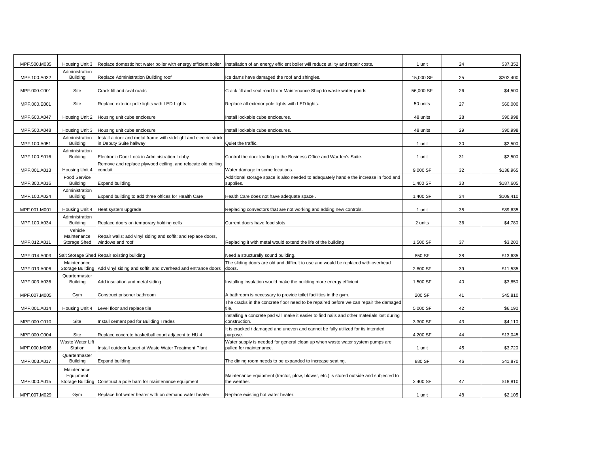| MPF.500.M035 | Housing Unit 3                    | Replace domestic hot water boiler with energy efficient boiler   | Installation of an energy efficient boiler will reduce utility and repair costs.             | 1 unit    | 24 | \$37,352  |
|--------------|-----------------------------------|------------------------------------------------------------------|----------------------------------------------------------------------------------------------|-----------|----|-----------|
|              | Administration                    |                                                                  |                                                                                              |           |    |           |
| MPF.100.A032 | <b>Building</b>                   | Replace Administration Building roof                             | Ice dams have damaged the roof and shingles.                                                 | 15,000 SF | 25 | \$202,400 |
| MPF.000.C001 | Site                              | Crack fill and seal roads                                        | Crack fill and seal road from Maintenance Shop to waste water ponds.                         | 56,000 SF | 26 | \$4,500   |
|              |                                   |                                                                  |                                                                                              |           |    |           |
| MPF.000.E001 | Site                              | Replace exterior pole lights with LED Lights                     | Replace all exterior pole lights with LED lights.                                            | 50 units  | 27 | \$60,000  |
|              |                                   |                                                                  |                                                                                              |           |    |           |
| MPF.600.A047 | Housing Unit 2                    | Housing unit cube enclosure                                      | Install lockable cube enclosures.                                                            | 48 units  | 28 | \$90,998  |
| MPF.500.A048 | Housing Unit 3                    | Housing unit cube enclosure                                      | Install lockable cube enclosures.                                                            | 48 units  | 29 | \$90,998  |
|              | Administration                    | nstall a door and metal frame with sidelight and electric strick |                                                                                              |           |    |           |
| MPF.100.A051 | <b>Building</b>                   | in Deputy Suite hallway                                          | Quiet the traffic.                                                                           | 1 unit    | 30 | \$2,500   |
| MPF.100.S016 | Administration<br><b>Building</b> | Electronic Door Lock in Administration Lobby                     | Control the door leading to the Business Office and Warden's Suite.                          | 1 unit    | 31 | \$2,500   |
|              |                                   | Remove and replace plywood ceiling, and relocate old ceiling     |                                                                                              |           |    |           |
| MPF.001.A013 | Housing Unit 4                    | conduit                                                          | Water damage in some locations.                                                              | 9,000 SF  | 32 | \$138,965 |
|              | Food Service                      |                                                                  | Additional storage space is also needed to adequately handle the increase in food and        |           |    |           |
| MPF.300.A016 | <b>Building</b>                   | Expand building.                                                 | supplies.                                                                                    | 1,400 SF  | 33 | \$187,605 |
| MPF.100.A024 | Administration<br><b>Building</b> | Expand building to add three offices for Health Care             | Health Care does not have adequate space                                                     | 1,400 SF  | 34 | \$109,410 |
|              |                                   |                                                                  |                                                                                              |           |    |           |
| MPF.001.M001 | Housing Unit 4                    | Heat system upgrade                                              | Replacing convectors that are not working and adding new controls.                           | 1 unit    | 35 | \$89,635  |
|              | Administration                    |                                                                  |                                                                                              |           |    |           |
| MPF.100.A034 | <b>Building</b>                   | Replace doors on temporary holding cells                         | Current doors have food slots.                                                               | 2 units   | 36 | \$4,780   |
|              | Vehicle<br>Maintenance            | Repair walls; add vinyl siding and soffit; and replace doors,    |                                                                                              |           |    |           |
| MPF.012.A011 | Storage Shed                      | windows and roof                                                 | Replacing it with metal would extend the life of the building                                | 1,500 SF  | 37 | \$3,200   |
|              |                                   |                                                                  |                                                                                              |           |    |           |
| MPF.014.A003 |                                   | Salt Storage Shed Repair existing building                       | Need a structurally sound building.                                                          | 850 SF    | 38 | \$13,635  |
| MPF.013.A006 | Maintenance<br>Storage Building   | Add vinyl siding and soffit, and overhead and entrance doors     | The sliding doors are old and difficult to use and would be replaced with overhead<br>doors. | 2,800 SF  | 39 | \$11,535  |
|              | Quartermaster                     |                                                                  |                                                                                              |           |    |           |
| MPF.003.A036 | <b>Building</b>                   | Add insulation and metal siding                                  | Installing insulation would make the building more energy efficient.                         | 1,500 SF  | 40 | \$3,850   |
| MPF.007.M005 | Gym                               | Construct prisoner bathroom                                      | A bathroom is necessary to provide toilet facilities in the gym.                             | 200 SF    | 41 | \$45,810  |
|              |                                   |                                                                  | The cracks in the concrete floor need to be repaired before we can repair the damaged        |           |    |           |
| MPF.001.A014 | Housing Unit 4                    | Level floor and replace tile                                     | tile.                                                                                        | 5,000 SF  | 42 | \$6,190   |
|              |                                   |                                                                  | Installing a concrete pad will make it easier to find nails and other materials lost during  |           |    |           |
| MPF.000.C010 | Site                              | nstall cement pad for Building Trades                            | construction.                                                                                | 3,300 SF  | 43 | \$4,110   |
| MPF.000.C004 | Site                              | Replace concrete basketball court adjacent to HU 4               | It is cracked / damaged and uneven and cannot be fully utilized for its intended<br>purpose. | 4,200 SF  | 44 | \$13,045  |
|              | Waste Water Lift                  |                                                                  | Water supply is needed for general clean up when waste water system pumps are                |           |    |           |
| MPF.000.M006 | Station                           | Install outdoor faucet at Waste Water Treatment Plant            | pulled for maintenance.                                                                      | 1 unit    | 45 | \$3,720   |
|              | Quartermaster                     |                                                                  |                                                                                              |           |    |           |
| MPF.003.A017 | <b>Building</b>                   | <b>Expand building</b>                                           | The dining room needs to be expanded to increase seating.                                    | 880 SF    | 46 | \$41,870  |
|              | Maintenance<br>Equipment          |                                                                  | Maintenance equipment (tractor, plow, blower, etc.) is stored outside and subjected to       |           |    |           |
| MPF.000.A015 | Storage Building                  | Construct a pole barn for maintenance equipment                  | the weather.                                                                                 | 2,400 SF  | 47 | \$18,810  |
|              |                                   |                                                                  |                                                                                              |           |    |           |
| MPF.007.M029 | Gym                               | Replace hot water heater with on demand water heater             | Replace existing hot water heater.                                                           | 1 unit    | 48 | \$2,105   |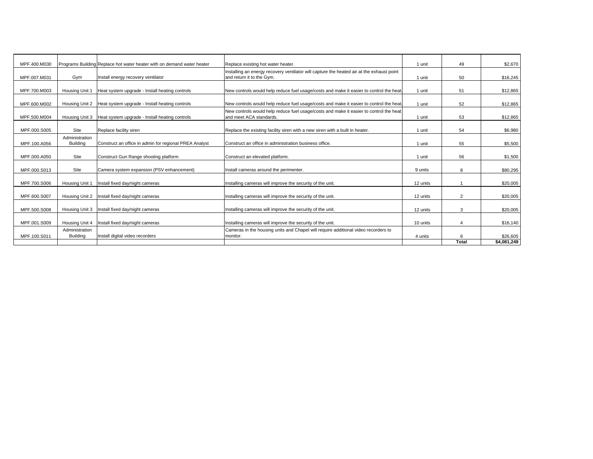| MPF.400.M030 |                                   | Programs Building Replace hot water heater with on demand water heater | Replace existing hot water heater.                                                                                     | 1 unit   | 49             | \$2,670     |
|--------------|-----------------------------------|------------------------------------------------------------------------|------------------------------------------------------------------------------------------------------------------------|----------|----------------|-------------|
| MPF.007.M031 | Gym                               | Install energy recovery ventilator                                     | Installing an energy recovery ventilator will capture the heated air at the exhaust point<br>and return it to the Gym. | 1 unit   | 50             | \$16,245    |
| MPF.700.M003 | Housing Unit 1                    | Heat system upgrade - Install heating controls                         | New controls would help reduce fuel usage/costs and make it easier to control the heat                                 | 1 unit   | 51             | \$12,865    |
| MPF.600.M002 |                                   | Housing Unit 2 Heat system upgrade - Install heating controls          | New controls would help reduce fuel usage/costs and make it easier to control the heat                                 | 1 unit   | 52             | \$12,865    |
| MPF.500.M004 | Housing Unit 3                    | Heat system upgrade - Install heating controls                         | New controls would help reduce fuel usage/costs and make it easier to control the heat<br>and meet ACA standards.      | 1 unit   | 53             | \$12,865    |
| MPF.000.S005 | Site                              | Replace facility siren                                                 | Replace the existing facility siren with a new siren with a built in heater.                                           | 1 unit   | 54             | \$6,980     |
| MPF.100.A056 | Administration<br><b>Building</b> | Construct an office in admin for regional PREA Analyst                 | Construct an office in administration business office.                                                                 | 1 unit   | 55             | \$5,500     |
| MPF.000.A050 | Site                              | Construct Gun Range shooting platform                                  | Construct an elevated platform.                                                                                        | 1 unit   | 56             | \$1,500     |
| MPF.000.S013 | Site                              | Camera system expansion (PSV enhancement)                              | Install cameras around the perimenter.                                                                                 | 9 units  | 8              | \$80,295    |
| MPF.700.S006 | Housing Unit 1                    | Install fixed day/night cameras                                        | Installing cameras will improve the security of the unit.                                                              | 12 units |                | \$20,005    |
| MPF.600.S007 | Housing Unit 2                    | Install fixed day/night cameras                                        | Installing cameras will improve the security of the unit.                                                              | 12 units | $\overline{2}$ | \$20,005    |
| MPF.500.S008 | Housing Unit 3                    | Install fixed day/night cameras                                        | Installing cameras will improve the security of the unit.                                                              | 12 units | 3              | \$20,005    |
| MPF.001.S009 | Housing Unit 4                    | Install fixed day/night cameras                                        | Installing cameras will improve the security of the unit.                                                              | 10 units | 4              | \$16,140    |
| MPF.100.S011 | Administration<br><b>Building</b> | Install digital video recorders                                        | Cameras in the housing units and Chapel will require additional video recorders to<br>monitor.                         | 4 units  | 6              | \$26,605    |
|              |                                   |                                                                        |                                                                                                                        |          | Total          | \$4,081,249 |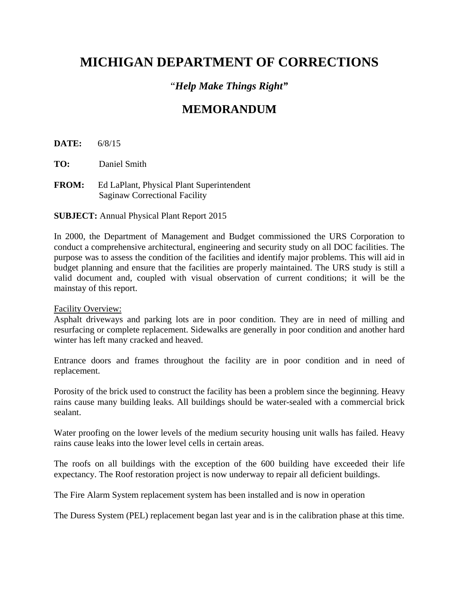# **MICHIGAN DEPARTMENT OF CORRECTIONS**

## "*Help Make Things Right"*

# **MEMORANDUM**

**DATE:** 6/8/15

**TO:** Daniel Smith

**FROM:** Ed LaPlant, Physical Plant Superintendent Saginaw Correctional Facility

**SUBJECT:** Annual Physical Plant Report 2015

In 2000, the Department of Management and Budget commissioned the URS Corporation to conduct a comprehensive architectural, engineering and security study on all DOC facilities. The purpose was to assess the condition of the facilities and identify major problems. This will aid in budget planning and ensure that the facilities are properly maintained. The URS study is still a valid document and, coupled with visual observation of current conditions; it will be the mainstay of this report.

#### Facility Overview:

Asphalt driveways and parking lots are in poor condition. They are in need of milling and resurfacing or complete replacement. Sidewalks are generally in poor condition and another hard winter has left many cracked and heaved.

Entrance doors and frames throughout the facility are in poor condition and in need of replacement.

Porosity of the brick used to construct the facility has been a problem since the beginning. Heavy rains cause many building leaks. All buildings should be water-sealed with a commercial brick sealant.

Water proofing on the lower levels of the medium security housing unit walls has failed. Heavy rains cause leaks into the lower level cells in certain areas.

The roofs on all buildings with the exception of the 600 building have exceeded their life expectancy. The Roof restoration project is now underway to repair all deficient buildings.

The Fire Alarm System replacement system has been installed and is now in operation

The Duress System (PEL) replacement began last year and is in the calibration phase at this time.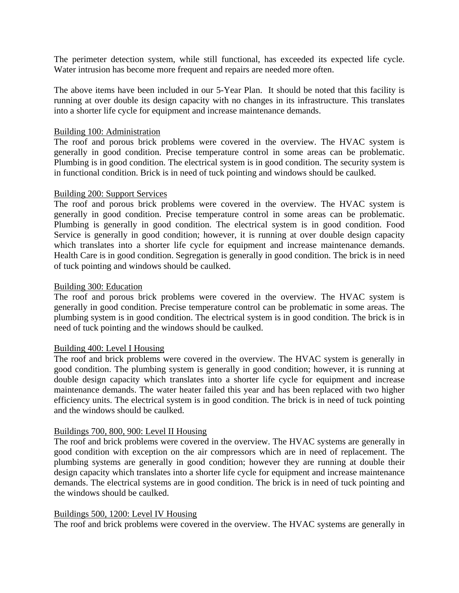The perimeter detection system, while still functional, has exceeded its expected life cycle. Water intrusion has become more frequent and repairs are needed more often.

The above items have been included in our 5-Year Plan. It should be noted that this facility is running at over double its design capacity with no changes in its infrastructure. This translates into a shorter life cycle for equipment and increase maintenance demands.

#### Building 100: Administration

The roof and porous brick problems were covered in the overview. The HVAC system is generally in good condition. Precise temperature control in some areas can be problematic. Plumbing is in good condition. The electrical system is in good condition. The security system is in functional condition. Brick is in need of tuck pointing and windows should be caulked.

#### Building 200: Support Services

The roof and porous brick problems were covered in the overview. The HVAC system is generally in good condition. Precise temperature control in some areas can be problematic. Plumbing is generally in good condition. The electrical system is in good condition. Food Service is generally in good condition; however, it is running at over double design capacity which translates into a shorter life cycle for equipment and increase maintenance demands. Health Care is in good condition. Segregation is generally in good condition. The brick is in need of tuck pointing and windows should be caulked.

#### Building 300: Education

The roof and porous brick problems were covered in the overview. The HVAC system is generally in good condition. Precise temperature control can be problematic in some areas. The plumbing system is in good condition. The electrical system is in good condition. The brick is in need of tuck pointing and the windows should be caulked.

#### Building 400: Level I Housing

The roof and brick problems were covered in the overview. The HVAC system is generally in good condition. The plumbing system is generally in good condition; however, it is running at double design capacity which translates into a shorter life cycle for equipment and increase maintenance demands. The water heater failed this year and has been replaced with two higher efficiency units. The electrical system is in good condition. The brick is in need of tuck pointing and the windows should be caulked.

#### Buildings 700, 800, 900: Level II Housing

The roof and brick problems were covered in the overview. The HVAC systems are generally in good condition with exception on the air compressors which are in need of replacement. The plumbing systems are generally in good condition; however they are running at double their design capacity which translates into a shorter life cycle for equipment and increase maintenance demands. The electrical systems are in good condition. The brick is in need of tuck pointing and the windows should be caulked.

#### Buildings 500, 1200: Level IV Housing

The roof and brick problems were covered in the overview. The HVAC systems are generally in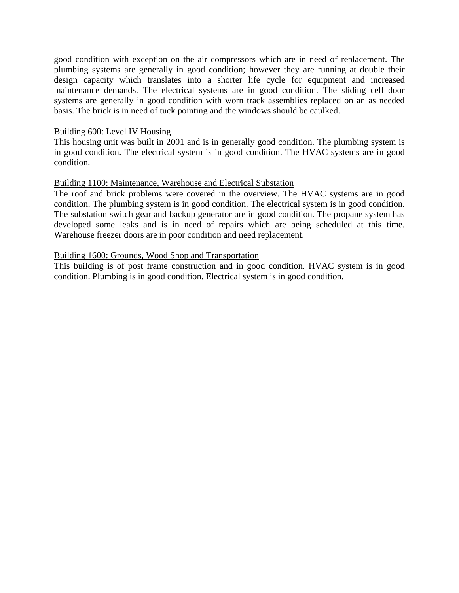good condition with exception on the air compressors which are in need of replacement. The plumbing systems are generally in good condition; however they are running at double their design capacity which translates into a shorter life cycle for equipment and increased maintenance demands. The electrical systems are in good condition. The sliding cell door systems are generally in good condition with worn track assemblies replaced on an as needed basis. The brick is in need of tuck pointing and the windows should be caulked.

#### Building 600: Level IV Housing

This housing unit was built in 2001 and is in generally good condition. The plumbing system is in good condition. The electrical system is in good condition. The HVAC systems are in good condition.

#### Building 1100: Maintenance, Warehouse and Electrical Substation

The roof and brick problems were covered in the overview. The HVAC systems are in good condition. The plumbing system is in good condition. The electrical system is in good condition. The substation switch gear and backup generator are in good condition. The propane system has developed some leaks and is in need of repairs which are being scheduled at this time. Warehouse freezer doors are in poor condition and need replacement.

#### Building 1600: Grounds, Wood Shop and Transportation

This building is of post frame construction and in good condition. HVAC system is in good condition. Plumbing is in good condition. Electrical system is in good condition.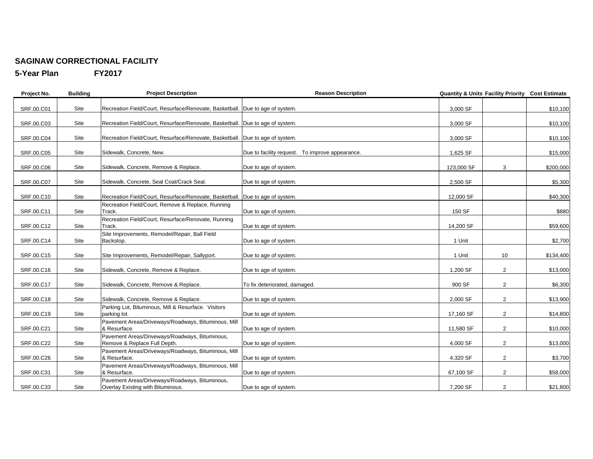#### **SAGINAW CORRECTIONAL FACILITY**

**5-Year Plan FY2017**

| Project No. | <b>Building</b> | <b>Project Description</b>                                                          | <b>Reason Description</b>                       | Quantity & Units Facility Priority Cost Estimate |                |           |
|-------------|-----------------|-------------------------------------------------------------------------------------|-------------------------------------------------|--------------------------------------------------|----------------|-----------|
| SRF.00.C01  | Site            | Recreation Field/Court, Resurface/Renovate, Basketball. Due to age of system.       |                                                 | 3,000 SF                                         |                | \$10,100  |
| SRF.00.C03  | Site            | Recreation Field/Court, Resurface/Renovate, Basketball.   Due to age of system.     |                                                 | 3,000 SF                                         |                | \$10,100  |
| SRF.00.C04  | Site            | Recreation Field/Court, Resurface/Renovate, Basketball.   Due to age of system.     |                                                 | 3,000 SF                                         |                | \$10,100  |
| SRF.00.C05  | Site            | Sidewalk, Concrete, New.                                                            | Due to facility request. To improve appearance. | 1,625 SF                                         |                | \$15,000  |
| SRF.00.C06  | Site            | Sidewalk, Concrete, Remove & Replace.                                               | Due to age of system.                           | 123,000 SF                                       | 3              | \$200,000 |
| SRF.00.C07  | Site            | Sidewalk, Concrete, Seal Coat/Crack Seal.                                           | Due to age of system.                           | 2,500 SF                                         |                | \$5,300   |
| SRF.00.C10  | Site            | Recreation Field/Court, Resurface/Renovate, Basketball. Due to age of system.       |                                                 | 12,000 SF                                        |                | \$40,300  |
| SRF.00.C11  | Site            | Recreation Field/Court, Remove & Replace, Running<br>Track.                         | Due to age of system.                           | 150 SF                                           |                | \$880     |
| SRF.00.C12  | Site            | Recreation Field/Court, Resurface/Renovate, Running<br>Track.                       | Due to age of system.                           | 14,200 SF                                        |                | \$59,600  |
| SRF.00.C14  | Site            | Site Improvements, Remodel/Repair, Ball Field<br>Backstop.                          | Due to age of system.                           | 1 Unit                                           |                | \$2,700   |
| SRF.00.C15  | Site            | Site Improvements, Remodel/Repair, Sallyport.                                       | Due to age of system.                           | 1 Unit                                           | 10             | \$134,400 |
| SRF.00.C16  | Site            | Sidewalk, Concrete, Remove & Replace.                                               | Due to age of system.                           | 1,200 SF                                         | $\overline{2}$ | \$13,000  |
| SRF.00.C17  | Site            | Sidewalk, Concrete, Remove & Replace.                                               | To fix deteriorated, damaged.                   | 900 SF                                           | $\overline{2}$ | \$6,300   |
| SRF.00.C18  | Site            | Sidewalk, Concrete, Remove & Replace.                                               | Due to age of system.                           | 2,000 SF                                         | $\overline{2}$ | \$13,900  |
| SRF.00.C19  | Site            | Parking Lot, Bituminous, Mill & Resurface. Visitors<br>parking lot.                 | Due to age of system.                           | 17,160 SF                                        | $\overline{2}$ | \$14,800  |
| SRF.00.C21  | Site            | Pavement Areas/Driveways/Roadways, Bituminous, Mill<br>& Resurface.                 | Due to age of system.                           | 11,580 SF                                        | $\overline{2}$ | \$10,000  |
| SRF.00.C22  | Site            | Pavement Areas/Driveways/Roadways, Bituminous,<br>Remove & Replace Full Depth.      | Due to age of system.                           | 4,000 SF                                         | $\overline{2}$ | \$13,000  |
| SRF.00.C26  | Site            | Pavement Areas/Driveways/Roadways, Bituminous, Mill<br>& Resurface.                 | Due to age of system.                           | 4,320 SF                                         | $\overline{2}$ | \$3,700   |
| SRF.00.C31  | Site            | Pavement Areas/Driveways/Roadways, Bituminous, Mill<br>& Resurface.                 | Due to age of system.                           | 67,100 SF                                        | $\overline{2}$ | \$58,000  |
| SRF.00.C33  | Site            | Pavement Areas/Driveways/Roadways, Bituminous,<br>Overlay Existing with Bituminous. | Due to age of system.                           | 7,200 SF                                         | $\overline{2}$ | \$21,800  |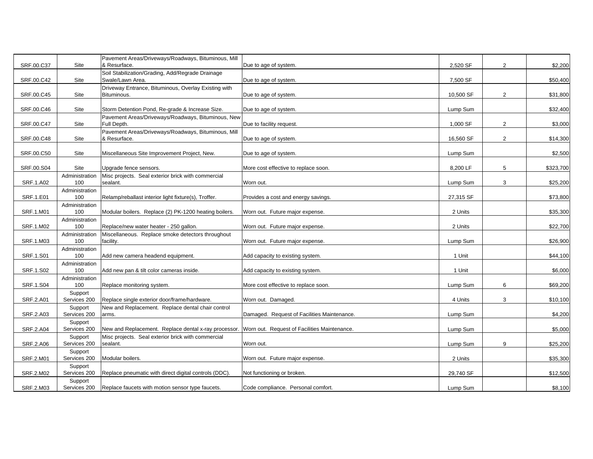| SRF.00.C37 | Site           | Pavement Areas/Driveways/Roadways, Bituminous, Mill<br>& Resurface.                               | Due to age of system.                       | 2,520 SF  | $\overline{2}$ | \$2,200   |
|------------|----------------|---------------------------------------------------------------------------------------------------|---------------------------------------------|-----------|----------------|-----------|
|            |                | Soil Stabilization/Grading, Add/Regrade Drainage                                                  |                                             |           |                |           |
| SRF.00.C42 | Site           | Swale/Lawn Area.                                                                                  | Due to age of system.                       | 7,500 SF  |                | \$50,400  |
|            |                | Driveway Entrance, Bituminous, Overlay Existing with                                              |                                             |           |                |           |
| SRF.00.C45 | Site           | Bituminous.                                                                                       | Due to age of system.                       | 10,500 SF | $\overline{2}$ | \$31,800  |
|            |                |                                                                                                   |                                             |           |                |           |
| SRF.00.C46 | Site           | Storm Detention Pond, Re-grade & Increase Size.                                                   | Due to age of system.                       | Lump Sum  |                | \$32,400  |
|            |                | Pavement Areas/Driveways/Roadways, Bituminous, New                                                |                                             |           |                |           |
| SRF.00.C47 | Site           | Full Depth.                                                                                       | Due to facility request.                    | 1,000 SF  | $\overline{2}$ | \$3,000   |
|            |                | Pavement Areas/Driveways/Roadways, Bituminous, Mill                                               |                                             |           |                |           |
| SRF.00.C48 | Site           | & Resurface.                                                                                      | Due to age of system.                       | 16,560 SF | $\overline{2}$ | \$14,300  |
|            |                |                                                                                                   |                                             |           |                |           |
| SRF.00.C50 | Site           | Miscellaneous Site Improvement Project, New.                                                      | Due to age of system.                       | Lump Sum  |                | \$2,500   |
|            |                |                                                                                                   |                                             |           |                |           |
| SRF.00.S04 | Site           | Upgrade fence sensors.                                                                            | More cost effective to replace soon.        | 8,200 LF  | 5              | \$323,700 |
|            | Administration | Misc projects. Seal exterior brick with commercial                                                |                                             |           |                |           |
| SRF.1.A02  | 100            | sealant.                                                                                          | Worn out.                                   | Lump Sum  | 3              | \$25,200  |
|            | Administration |                                                                                                   |                                             |           |                |           |
| SRF.1.E01  | 100            | Relamp/reballast interior light fixture(s), Troffer.                                              | Provides a cost and energy savings.         | 27,315 SF |                | \$73,800  |
|            | Administration |                                                                                                   |                                             |           |                |           |
| SRF.1.M01  | 100            | Modular boilers. Replace (2) PK-1200 heating boilers.                                             | Worn out. Future major expense.             | 2 Units   |                | \$35,300  |
|            | Administration |                                                                                                   |                                             |           |                |           |
| SRF.1.M02  | 100            | Replace/new water heater - 250 gallon.                                                            | Worn out. Future major expense.             | 2 Units   |                | \$22,700  |
|            | Administration | Miscellaneous. Replace smoke detectors throughout                                                 |                                             |           |                |           |
| SRF.1.M03  | 100            | facility.                                                                                         | Worn out. Future major expense.             | Lump Sum  |                | \$26,900  |
|            | Administration |                                                                                                   |                                             |           |                |           |
| SRF.1.S01  | 100            | Add new camera headend equipment.                                                                 | Add capacity to existing system.            | 1 Unit    |                | \$44,100  |
|            | Administration |                                                                                                   |                                             |           |                |           |
| SRF.1.S02  | 100            | Add new pan & tilt color cameras inside.                                                          | Add capacity to existing system.            | 1 Unit    |                | \$6,000   |
|            | Administration |                                                                                                   |                                             |           |                |           |
| SRF.1.S04  | 100            | Replace monitoring system.                                                                        | More cost effective to replace soon.        | Lump Sum  | 6              | \$69,200  |
|            | Support        |                                                                                                   |                                             |           |                |           |
| SRF.2.A01  | Services 200   | Replace single exterior door/frame/hardware.                                                      | Worn out. Damaged.                          | 4 Units   | 3              | \$10,100  |
|            | Support        | New and Replacement. Replace dental chair control                                                 |                                             |           |                |           |
| SRF.2.A03  | Services 200   | arms.                                                                                             | Damaged. Request of Facilities Maintenance. | Lump Sum  |                | \$4,200   |
|            | Support        |                                                                                                   |                                             |           |                |           |
| SRF.2.A04  | Services 200   | New and Replacement. Replace dental x-ray processor. Worn out. Request of Facilities Maintenance. |                                             | Lump Sum  |                | \$5,000   |
|            | Support        | Misc projects. Seal exterior brick with commercial                                                |                                             |           |                |           |
| SRF.2.A06  | Services 200   | sealant.                                                                                          | Worn out.                                   | Lump Sum  | 9              | \$25,200  |
|            | Support        |                                                                                                   |                                             |           |                |           |
| SRF.2.M01  | Services 200   | Modular boilers.                                                                                  | Worn out. Future major expense.             | 2 Units   |                | \$35,300  |
|            | Support        |                                                                                                   |                                             |           |                |           |
| SRF.2.M02  | Services 200   | Replace pneumatic with direct digital controls (DDC).                                             | Not functioning or broken.                  | 29,740 SF |                | \$12,500  |
|            | Support        |                                                                                                   |                                             |           |                |           |
| SRF.2.M03  | Services 200   | Replace faucets with motion sensor type faucets.                                                  | Code compliance. Personal comfort.          | Lump Sum  |                | \$8,100   |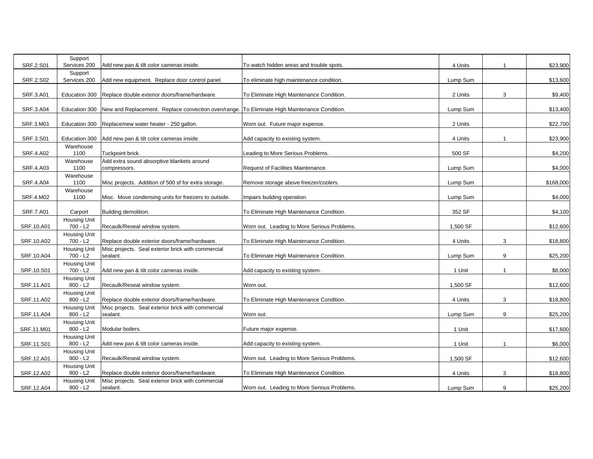| <b>SRF.2.S01</b> | Support<br>Services 200           | Add new pan & tilt color cameras inside.                                                     | To watch hidden areas and trouble spots.    | 4 Units  |   | \$23,900  |
|------------------|-----------------------------------|----------------------------------------------------------------------------------------------|---------------------------------------------|----------|---|-----------|
| SRF.2.S02        | Support<br>Services 200           |                                                                                              |                                             | Lump Sum |   |           |
|                  |                                   | Add new equipment. Replace door control panel.                                               | To eliminate high maintenance condition.    |          |   | \$13,600  |
| SRF.3.A01        | Education 300                     | Replace double exterior doors/frame/hardware.                                                | To Eliminate High Maintenance Condition.    | 2 Units  | 3 | \$9,400   |
| SRF.3.A04        | Education 300                     | New and Replacement. Replace convection oven/range. To Eliminate High Maintenance Condition. |                                             | Lump Sum |   | \$13,400  |
| SRF.3.M01        | Education 300                     | Replace/new water heater - 250 gallon.                                                       | Worn out. Future major expense.             | 2 Units  |   | \$22,700  |
| SRF.3.S01        | Education 300                     | Add new pan & tilt color cameras inside.                                                     | Add capacity to existing system.            | 4 Units  |   | \$23,900  |
| SRF.4.A02        | Warehouse<br>1100                 | Tuckpoint brick.                                                                             | Leading to More Serious Problems.           | 500 SF   |   | \$4,200   |
| SRF.4.A03        | Warehouse<br>1100                 | Add extra sound absorptive blankets around<br>compressors.                                   | Request of Facilities Maintenance.          | Lump Sum |   | \$4,000   |
|                  | Warehouse                         |                                                                                              |                                             |          |   |           |
| <b>SRF.4.A04</b> | 1100                              | Misc projects. Addition of 500 sf for extra storage.                                         | Remove storage above freezer/coolers.       | Lump Sum |   | \$168,000 |
|                  | Warehouse                         |                                                                                              |                                             |          |   |           |
| <b>SRF.4.M02</b> | 1100                              | Misc. Move condensing units for freezers to outside.                                         | Impairs building operation.                 | Lump Sum |   | \$4,000   |
|                  |                                   |                                                                                              |                                             |          |   |           |
| <b>SRF.7.A01</b> | Carport                           | Building demolition.                                                                         | To Eliminate High Maintenance Condition.    | 352 SF   |   | \$4,100   |
|                  | <b>Housing Unit</b>               |                                                                                              |                                             |          |   |           |
| SRF.10.A01       | $700 - L2$                        | Recaulk/Reseal window system.                                                                | Worn out. Leading to More Serious Problems. | 1,500 SF |   | \$12,600  |
| SRF.10.A02       | <b>Housing Unit</b><br>$700 - L2$ | Replace double exterior doors/frame/hardware.                                                | To Eliminate High Maintenance Condition.    | 4 Units  | 3 | \$18,800  |
| SRF.10.A04       | <b>Housing Unit</b><br>700 - L2   | Misc projects. Seal exterior brick with commercial<br>sealant.                               | To Eliminate High Maintenance Condition.    | Lump Sum | 9 | \$25,200  |
|                  | Housing Unit                      |                                                                                              |                                             |          |   |           |
| SRF.10.S01       | $700 - L2$<br><b>Housing Unit</b> | Add new pan & tilt color cameras inside.                                                     | Add capacity to existing system.            | 1 Unit   |   | \$6,000   |
| SRF.11.A01       | $800 - L2$                        | Recaulk/Reseal window system.                                                                | Worn out.                                   | 1,500 SF |   | \$12,600  |
| SRF.11.A02       | <b>Housing Unit</b><br>$800 - L2$ | Replace double exterior doors/frame/hardware.                                                | To Eliminate High Maintenance Condition.    | 4 Units  | 3 | \$18,800  |
| SRF.11.A04       | Housing Unit<br>$800 - L2$        | Misc projects. Seal exterior brick with commercial<br>sealant.                               | Worn out.                                   | Lump Sum | 9 | \$25,200  |
| SRF.11.M01       | <b>Housing Unit</b><br>$800 - L2$ | Modular boilers.                                                                             | Future major expense.                       | 1 Unit   |   | \$17,600  |
|                  | <b>Housing Unit</b>               |                                                                                              |                                             |          |   |           |
| SRF.11.S01       | $800 - L2$                        | Add new pan & tilt color cameras inside.                                                     | Add capacity to existing system.            | 1 Unit   |   | \$6,000   |
| SRF.12.A01       | Housing Unit<br>$900 - L2$        | Recaulk/Reseal window system.                                                                | Worn out. Leading to More Serious Problems. | 1,500 SF |   | \$12,600  |
|                  | <b>Housing Unit</b>               |                                                                                              |                                             |          |   |           |
| SRF.12.A02       | $900 - L2$                        | Replace double exterior doors/frame/hardware.                                                | To Eliminate High Maintenance Condition.    | 4 Units  | 3 | \$18,800  |
|                  | Housing Unit                      | Misc projects. Seal exterior brick with commercial                                           |                                             |          |   |           |
| SRF.12.A04       | $900 - L2$                        | sealant.                                                                                     | Worn out. Leading to More Serious Problems. | Lump Sum | 9 | \$25,200  |
|                  |                                   |                                                                                              |                                             |          |   |           |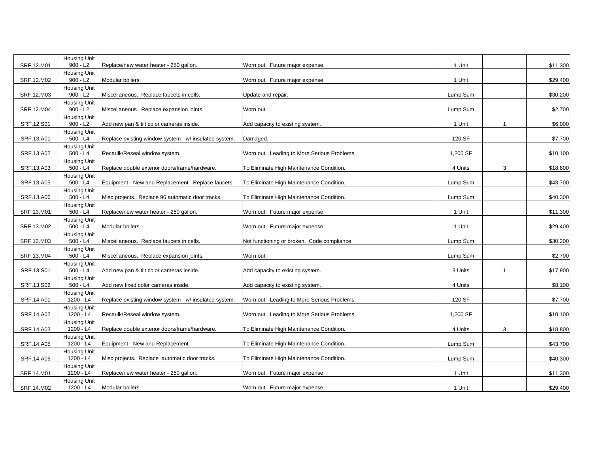|            | Housing Unit                      |                                                       |                                             |          |              |          |
|------------|-----------------------------------|-------------------------------------------------------|---------------------------------------------|----------|--------------|----------|
| SRF.12.M01 | $900 - L2$                        | Replace/new water heater - 250 gallon.                | Worn out. Future major expense.             | 1 Unit   |              | \$11,300 |
| SRF.12.M02 | <b>Housing Unit</b><br>$900 - L2$ | Modular boilers.                                      | Worn out. Future major expense.             | 1 Unit   |              | \$29,400 |
|            | <b>Housing Unit</b>               |                                                       |                                             |          |              |          |
| SRF.12.M03 | $900 - L2$                        | Miscellaneous. Replace faucets in cells.              | Update and repair.                          | Lump Sum |              | \$30,200 |
| SRF.12.M04 | <b>Housing Unit</b><br>$900 - L2$ | Miscellaneous. Replace expansion joints.              | Worn out.                                   | Lump Sum |              | \$2,700  |
| SRF.12.S01 | <b>Housing Unit</b><br>$900 - L2$ | Add new pan & tilt color cameras inside.              | Add capacity to existing system.            | 1 Unit   | $\mathbf{1}$ | \$6,000  |
| SRF.13.A01 | <b>Housing Unit</b><br>$500 - L4$ | Replace existing window system - w/ insulated system. | Damaged.                                    | 120 SF   |              | \$7,700  |
| SRF.13.A02 | <b>Housing Unit</b><br>$500 - L4$ | Recaulk/Reseal window system.                         | Worn out. Leading to More Serious Problems. | 1,200 SF |              | \$10,100 |
| SRF.13.A03 | <b>Housing Unit</b><br>$500 - L4$ | Replace double exterior doors/frame/hardware.         | To Eliminate High Maintenance Condition.    | 4 Units  | 3            | \$18,800 |
| SRF.13.A05 | <b>Housing Unit</b><br>$500 - L4$ | Equipment - New and Replacement. Replace faucets.     | To Eliminate High Maintenance Condition.    | Lump Sum |              | \$43,700 |
|            | <b>Housing Unit</b>               |                                                       |                                             |          |              |          |
| SRF.13.A06 | $500 - L4$                        | Misc projects. Replace 96 automatic door tracks.      | To Eliminate High Maintenance Condition.    | Lump Sum |              | \$40,300 |
| SRF.13.M01 | <b>Housing Unit</b><br>$500 - L4$ | Replace/new water heater - 250 gallon.                | Worn out. Future major expense.             | 1 Unit   |              | \$11,300 |
| SRF.13.M02 | <b>Housing Unit</b><br>$500 - L4$ | Modular boilers.                                      | Worn out. Future major expense.             | 1 Unit   |              | \$29,400 |
| SRF.13.M03 | <b>Housing Unit</b><br>$500 - L4$ | Miscellaneous. Replace faucets in cells.              | Not functioning or broken. Code compliance. | Lump Sum |              | \$30,200 |
| SRF.13.M04 | <b>Housing Unit</b><br>500 - L4   | Miscellaneous. Replace expansion joints.              | Worn out.                                   | Lump Sum |              | \$2,700  |
| SRF.13.S01 | <b>Housing Unit</b><br>$500 - L4$ | Add new pan & tilt color cameras inside.              | Add capacity to existing system.            | 3 Units  | 1            | \$17,900 |
| SRF.13.S02 | <b>Housing Unit</b><br>$500 - L4$ | Add new fixed color cameras inside.                   | Add capacity to existing system.            | 4 Units  |              | \$8,100  |
| SRF.14.A01 | <b>Housing Unit</b><br>1200 - L4  | Replace existing window system - w/ insulated system. | Worn out. Leading to More Serious Problems. | 120 SF   |              | \$7,700  |
| SRF.14.A02 | <b>Housing Unit</b><br>1200 - L4  | Recaulk/Reseal window system.                         | Worn out. Leading to More Serious Problems. | 1,200 SF |              | \$10,100 |
| SRF.14.A03 | <b>Housing Unit</b><br>1200 - L4  | Replace double exterior doors/frame/hardware.         | To Eliminate High Maintenance Condition.    | 4 Units  | 3            | \$18,800 |
| SRF.14.A05 | <b>Housing Unit</b><br>1200 - L4  | Equipment - New and Replacement.                      | To Eliminate High Maintenance Condition.    | Lump Sum |              | \$43,700 |
| SRF.14.A06 | <b>Housing Unit</b><br>1200 - L4  | Misc projects. Replace automatic door tracks.         | To Eliminate High Maintenance Condition.    | Lump Sum |              | \$40,300 |
|            | <b>Housing Unit</b>               |                                                       |                                             |          |              |          |
| SRF.14.M01 | 1200 - L4                         | Replace/new water heater - 250 gallon.                | Worn out. Future major expense.             | 1 Unit   |              | \$11,300 |
| SRF.14.M02 | <b>Housing Unit</b><br>1200 - L4  | Modular boilers.                                      | Worn out. Future major expense.             | 1 Unit   |              | \$29,400 |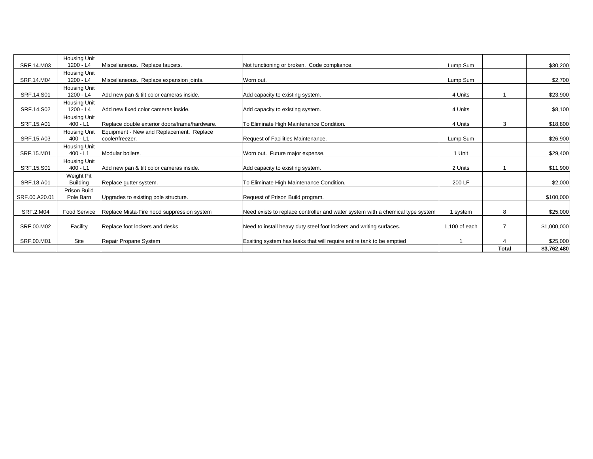|               | <b>Housing Unit</b> |                                               |                                                                                |                 |                |             |
|---------------|---------------------|-----------------------------------------------|--------------------------------------------------------------------------------|-----------------|----------------|-------------|
| SRF.14, M03   | 1200 - L4           | Miscellaneous. Replace faucets.               | Not functioning or broken. Code compliance.                                    | Lump Sum        |                | \$30,200    |
|               | <b>Housing Unit</b> |                                               |                                                                                |                 |                |             |
| SRF.14.M04    | 1200 - L4           | Miscellaneous. Replace expansion joints.      | Worn out.                                                                      | Lump Sum        |                | \$2,700     |
|               | <b>Housing Unit</b> |                                               |                                                                                |                 |                |             |
| SRF.14.S01    | 1200 - L4           | Add new pan & tilt color cameras inside.      | Add capacity to existing system.                                               | 4 Units         |                | \$23,900    |
|               | <b>Housing Unit</b> |                                               |                                                                                |                 |                |             |
| SRF.14.S02    | $1200 - L4$         | Add new fixed color cameras inside.           | Add capacity to existing system.                                               | 4 Units         |                | \$8,100     |
|               | Housing Unit        |                                               |                                                                                |                 |                |             |
| SRF.15.A01    | $400 - L1$          | Replace double exterior doors/frame/hardware. | To Eliminate High Maintenance Condition.                                       | 4 Units         | 3              | \$18,800    |
|               | <b>Housing Unit</b> | Equipment - New and Replacement. Replace      |                                                                                |                 |                |             |
| SRF.15.A03    | $400 - L1$          | cooler/freezer.                               | Request of Facilities Maintenance.                                             | Lump Sum        |                | \$26,900    |
|               | <b>Housing Unit</b> |                                               |                                                                                |                 |                |             |
| SRF.15.M01    | $400 - L1$          | Modular boilers.                              | Worn out. Future major expense.                                                | 1 Unit          |                | \$29,400    |
|               | <b>Housing Unit</b> |                                               |                                                                                |                 |                |             |
| SRF.15.S01    | $400 - L1$          | Add new pan & tilt color cameras inside.      | Add capacity to existing system.                                               | 2 Units         |                | \$11,900    |
|               | Weight Pit          |                                               |                                                                                |                 |                |             |
| SRF.18.A01    | <b>Building</b>     | Replace qutter system.                        | To Eliminate High Maintenance Condition.                                       | 200 LF          |                | \$2,000     |
|               | <b>Prison Build</b> |                                               |                                                                                |                 |                |             |
| SRF.00.A20.01 | Pole Barn           | Upgrades to existing pole structure.          | Request of Prison Build program.                                               |                 |                | \$100,000   |
|               |                     |                                               |                                                                                |                 |                |             |
| SRF.2.M04     | <b>Food Service</b> | Replace Mista-Fire hood suppression system    | Need exists to replace controller and water system with a chemical type system | 1 system        | 8              | \$25,000    |
|               |                     |                                               |                                                                                |                 |                |             |
| SRF.00.M02    | Facility            | Replace foot lockers and desks                | Need to install heavy duty steel foot lockers and writing surfaces.            | $1,100$ of each | $\overline{7}$ | \$1,000,000 |
|               |                     |                                               |                                                                                |                 |                |             |
| SRF.00.M01    | Site                | Repair Propane System                         | Exsiting system has leaks that will require entire tank to be emptied          |                 |                | \$25,000    |
|               |                     |                                               |                                                                                |                 | <b>Total</b>   | \$3,762,480 |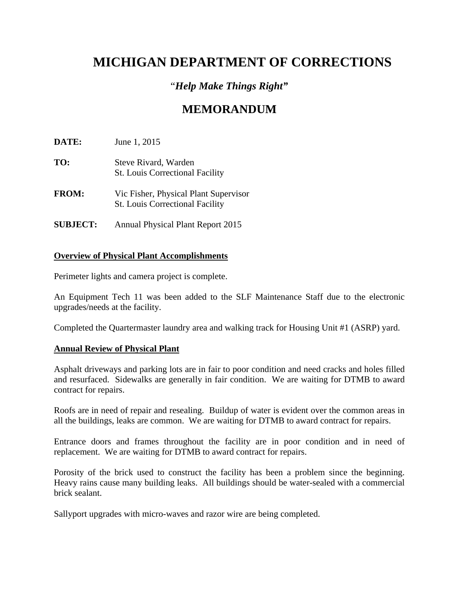# **MICHIGAN DEPARTMENT OF CORRECTIONS**

## "*Help Make Things Right"*

# **MEMORANDUM**

**DATE:** June 1, 2015

- **TO:** Steve Rivard, Warden St. Louis Correctional Facility
- **FROM:** Vic Fisher, Physical Plant Supervisor St. Louis Correctional Facility
- **SUBJECT:** Annual Physical Plant Report 2015

### **Overview of Physical Plant Accomplishments**

Perimeter lights and camera project is complete.

An Equipment Tech 11 was been added to the SLF Maintenance Staff due to the electronic upgrades/needs at the facility.

Completed the Quartermaster laundry area and walking track for Housing Unit #1 (ASRP) yard.

### **Annual Review of Physical Plant**

Asphalt driveways and parking lots are in fair to poor condition and need cracks and holes filled and resurfaced. Sidewalks are generally in fair condition. We are waiting for DTMB to award contract for repairs.

Roofs are in need of repair and resealing. Buildup of water is evident over the common areas in all the buildings, leaks are common. We are waiting for DTMB to award contract for repairs.

Entrance doors and frames throughout the facility are in poor condition and in need of replacement. We are waiting for DTMB to award contract for repairs.

Porosity of the brick used to construct the facility has been a problem since the beginning. Heavy rains cause many building leaks. All buildings should be water-sealed with a commercial brick sealant.

Sallyport upgrades with micro-waves and razor wire are being completed.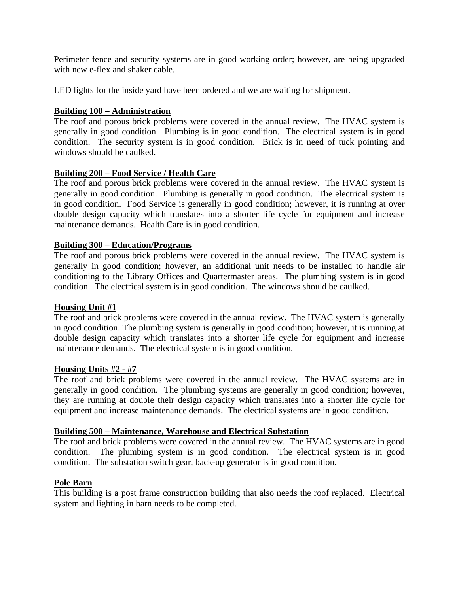Perimeter fence and security systems are in good working order; however, are being upgraded with new e-flex and shaker cable.

LED lights for the inside yard have been ordered and we are waiting for shipment.

#### **Building 100 – Administration**

The roof and porous brick problems were covered in the annual review. The HVAC system is generally in good condition. Plumbing is in good condition. The electrical system is in good condition. The security system is in good condition. Brick is in need of tuck pointing and windows should be caulked.

#### **Building 200 – Food Service / Health Care**

The roof and porous brick problems were covered in the annual review. The HVAC system is generally in good condition. Plumbing is generally in good condition. The electrical system is in good condition. Food Service is generally in good condition; however, it is running at over double design capacity which translates into a shorter life cycle for equipment and increase maintenance demands. Health Care is in good condition.

#### **Building 300 – Education/Programs**

The roof and porous brick problems were covered in the annual review. The HVAC system is generally in good condition; however, an additional unit needs to be installed to handle air conditioning to the Library Offices and Quartermaster areas. The plumbing system is in good condition. The electrical system is in good condition. The windows should be caulked.

#### **Housing Unit #1**

The roof and brick problems were covered in the annual review. The HVAC system is generally in good condition. The plumbing system is generally in good condition; however, it is running at double design capacity which translates into a shorter life cycle for equipment and increase maintenance demands. The electrical system is in good condition.

#### **Housing Units #2 - #7**

The roof and brick problems were covered in the annual review. The HVAC systems are in generally in good condition. The plumbing systems are generally in good condition; however, they are running at double their design capacity which translates into a shorter life cycle for equipment and increase maintenance demands. The electrical systems are in good condition.

#### **Building 500 – Maintenance, Warehouse and Electrical Substation**

The roof and brick problems were covered in the annual review. The HVAC systems are in good condition. The plumbing system is in good condition. The electrical system is in good condition. The substation switch gear, back-up generator is in good condition.

#### **Pole Barn**

This building is a post frame construction building that also needs the roof replaced. Electrical system and lighting in barn needs to be completed.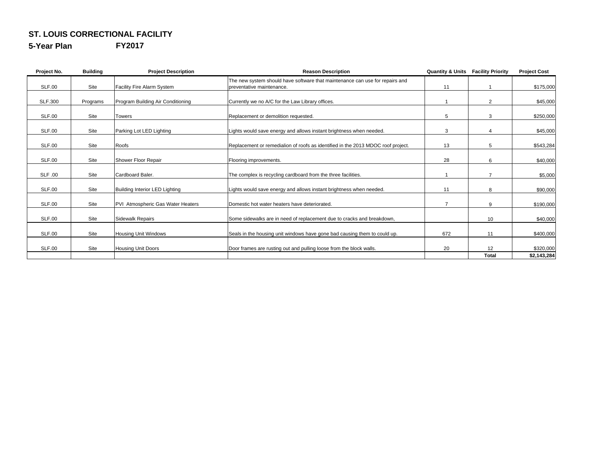#### **ST. LOUIS CORRECTIONAL FACILITY**

**5-Year Plan FY2017**

| Project No.    | <b>Building</b> | <b>Project Description</b>        | <b>Reason Description</b>                                                        | <b>Quantity &amp; Units</b> | <b>Facility Priority</b> | <b>Project Cost</b> |
|----------------|-----------------|-----------------------------------|----------------------------------------------------------------------------------|-----------------------------|--------------------------|---------------------|
|                |                 |                                   | The new system should have software that maintenance can use for repairs and     |                             |                          |                     |
| <b>SLF.00</b>  | Site            | Facility Fire Alarm System        | preventative maintenance.                                                        | 11                          |                          | \$175,000           |
| <b>SLF.300</b> | Programs        | Program Building Air Conditioning | Currently we no A/C for the Law Library offices.                                 |                             | $\overline{2}$           | \$45,000            |
| <b>SLF.00</b>  | Site            | <b>Towers</b>                     | Replacement or demolition requested.                                             | 5                           | 3                        | \$250,000           |
| <b>SLF.00</b>  | Site            | Parking Lot LED Lighting          | Lights would save energy and allows instant brightness when needed.              | 3                           | 4                        | \$45,000            |
| SLF.00         | Site            | Roofs                             | Replacement or remedialion of roofs as identified in the 2013 MDOC roof project. | 13                          | 5                        | \$543,284           |
| SLF.00         | Site            | Shower Floor Repair               | Flooring improvements.                                                           | 28                          | 6                        | \$40,000            |
| <b>SLF .00</b> | Site            | Cardboard Baler.                  | The complex is recycling cardboard from the three facilities.                    |                             | $\overline{7}$           | \$5,000             |
| <b>SLF.00</b>  | Site            | Building Interior LED Lighting    | Lights would save energy and allows instant brightness when needed.              | 11                          | 8                        | \$90,000            |
| <b>SLF.00</b>  | Site            | PVI Atmospheric Gas Water Heaters | Domestic hot water heaters have deteriorated.                                    |                             | 9                        | \$190,000           |
| <b>SLF.00</b>  | Site            | <b>Sidewalk Repairs</b>           | Some sidewalks are in need of replacement due to cracks and breakdown,           |                             | 10                       | \$40,000            |
| <b>SLF.00</b>  | Site            | <b>Housing Unit Windows</b>       | Seals in the housing unit windows have gone bad causing them to could up.        | 672                         | 11                       | \$400,000           |
| SLF.00         | Site            | Housing Unit Doors                | Door frames are rusting out and pulling loose from the block walls.              | 20                          | 12                       | \$320,000           |
|                |                 |                                   |                                                                                  |                             | <b>Total</b>             | \$2,143,284         |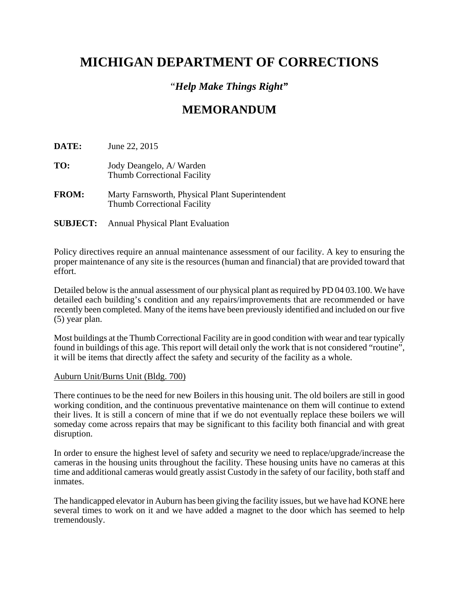# **MICHIGAN DEPARTMENT OF CORRECTIONS**

### "*Help Make Things Right"*

# **MEMORANDUM**

**DATE:** June 22, 2015

- **TO:** Jody Deangelo, A/ Warden Thumb Correctional Facility
- **FROM:** Marty Farnsworth, Physical Plant Superintendent Thumb Correctional Facility
- **SUBJECT:** Annual Physical Plant Evaluation

Policy directives require an annual maintenance assessment of our facility. A key to ensuring the proper maintenance of any site is the resources (human and financial) that are provided toward that effort.

Detailed below is the annual assessment of our physical plant as required by PD 04 03.100. We have detailed each building's condition and any repairs/improvements that are recommended or have recently been completed. Many of the items have been previously identified and included on our five (5) year plan.

Most buildings at the Thumb Correctional Facility are in good condition with wear and tear typically found in buildings of this age. This report will detail only the work that is not considered "routine", it will be items that directly affect the safety and security of the facility as a whole.

#### Auburn Unit/Burns Unit (Bldg. 700)

There continues to be the need for new Boilers in this housing unit. The old boilers are still in good working condition, and the continuous preventative maintenance on them will continue to extend their lives. It is still a concern of mine that if we do not eventually replace these boilers we will someday come across repairs that may be significant to this facility both financial and with great disruption.

In order to ensure the highest level of safety and security we need to replace/upgrade/increase the cameras in the housing units throughout the facility. These housing units have no cameras at this time and additional cameras would greatly assist Custody in the safety of our facility, both staff and inmates.

The handicapped elevator in Auburn has been giving the facility issues, but we have had KONE here several times to work on it and we have added a magnet to the door which has seemed to help tremendously.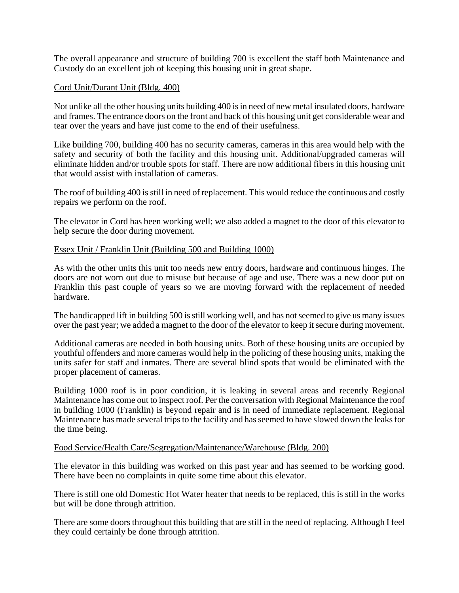The overall appearance and structure of building 700 is excellent the staff both Maintenance and Custody do an excellent job of keeping this housing unit in great shape.

#### Cord Unit/Durant Unit (Bldg. 400)

Not unlike all the other housing units building 400 is in need of new metal insulated doors, hardware and frames. The entrance doors on the front and back of this housing unit get considerable wear and tear over the years and have just come to the end of their usefulness.

Like building 700, building 400 has no security cameras, cameras in this area would help with the safety and security of both the facility and this housing unit. Additional/upgraded cameras will eliminate hidden and/or trouble spots for staff. There are now additional fibers in this housing unit that would assist with installation of cameras.

The roof of building 400 is still in need of replacement. This would reduce the continuous and costly repairs we perform on the roof.

The elevator in Cord has been working well; we also added a magnet to the door of this elevator to help secure the door during movement.

#### Essex Unit / Franklin Unit (Building 500 and Building 1000)

As with the other units this unit too needs new entry doors, hardware and continuous hinges. The doors are not worn out due to misuse but because of age and use. There was a new door put on Franklin this past couple of years so we are moving forward with the replacement of needed hardware.

The handicapped lift in building 500 is still working well, and has not seemed to give us many issues over the past year; we added a magnet to the door of the elevator to keep it secure during movement.

Additional cameras are needed in both housing units. Both of these housing units are occupied by youthful offenders and more cameras would help in the policing of these housing units, making the units safer for staff and inmates. There are several blind spots that would be eliminated with the proper placement of cameras.

Building 1000 roof is in poor condition, it is leaking in several areas and recently Regional Maintenance has come out to inspect roof. Per the conversation with Regional Maintenance the roof in building 1000 (Franklin) is beyond repair and is in need of immediate replacement. Regional Maintenance has made several trips to the facility and has seemed to have slowed down the leaks for the time being.

#### Food Service/Health Care/Segregation/Maintenance/Warehouse (Bldg. 200)

The elevator in this building was worked on this past year and has seemed to be working good. There have been no complaints in quite some time about this elevator.

There is still one old Domestic Hot Water heater that needs to be replaced, this is still in the works but will be done through attrition.

There are some doors throughout this building that are still in the need of replacing. Although I feel they could certainly be done through attrition.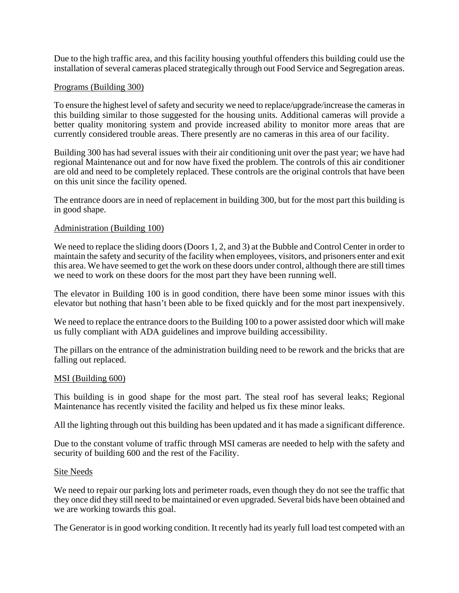Due to the high traffic area, and this facility housing youthful offenders this building could use the installation of several cameras placed strategically through out Food Service and Segregation areas.

#### Programs (Building 300)

To ensure the highest level of safety and security we need to replace/upgrade/increase the cameras in this building similar to those suggested for the housing units. Additional cameras will provide a better quality monitoring system and provide increased ability to monitor more areas that are currently considered trouble areas. There presently are no cameras in this area of our facility.

Building 300 has had several issues with their air conditioning unit over the past year; we have had regional Maintenance out and for now have fixed the problem. The controls of this air conditioner are old and need to be completely replaced. These controls are the original controls that have been on this unit since the facility opened.

The entrance doors are in need of replacement in building 300, but for the most part this building is in good shape.

#### Administration (Building 100)

We need to replace the sliding doors (Doors 1, 2, and 3) at the Bubble and Control Center in order to maintain the safety and security of the facility when employees, visitors, and prisoners enter and exit this area. We have seemed to get the work on these doors under control, although there are still times we need to work on these doors for the most part they have been running well.

The elevator in Building 100 is in good condition, there have been some minor issues with this elevator but nothing that hasn't been able to be fixed quickly and for the most part inexpensively.

We need to replace the entrance doors to the Building 100 to a power assisted door which will make us fully compliant with ADA guidelines and improve building accessibility.

The pillars on the entrance of the administration building need to be rework and the bricks that are falling out replaced.

#### MSI (Building 600)

This building is in good shape for the most part. The steal roof has several leaks; Regional Maintenance has recently visited the facility and helped us fix these minor leaks.

All the lighting through out this building has been updated and it has made a significant difference.

Due to the constant volume of traffic through MSI cameras are needed to help with the safety and security of building 600 and the rest of the Facility.

#### Site Needs

We need to repair our parking lots and perimeter roads, even though they do not see the traffic that they once did they still need to be maintained or even upgraded. Several bids have been obtained and we are working towards this goal.

The Generator is in good working condition. It recently had its yearly full load test competed with an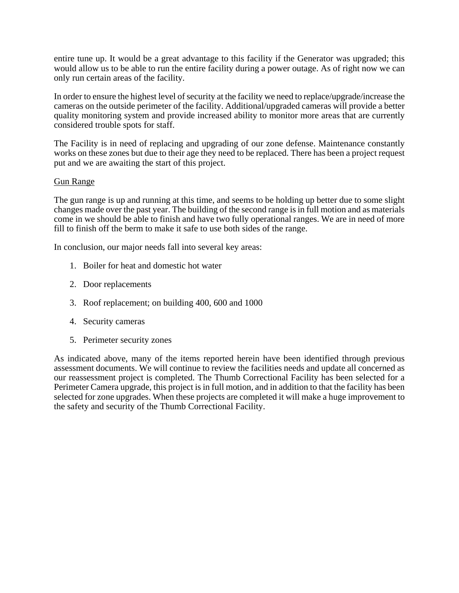entire tune up. It would be a great advantage to this facility if the Generator was upgraded; this would allow us to be able to run the entire facility during a power outage. As of right now we can only run certain areas of the facility.

In order to ensure the highest level of security at the facility we need to replace/upgrade/increase the cameras on the outside perimeter of the facility. Additional/upgraded cameras will provide a better quality monitoring system and provide increased ability to monitor more areas that are currently considered trouble spots for staff.

The Facility is in need of replacing and upgrading of our zone defense. Maintenance constantly works on these zones but due to their age they need to be replaced. There has been a project request put and we are awaiting the start of this project.

#### Gun Range

The gun range is up and running at this time, and seems to be holding up better due to some slight changes made over the past year. The building of the second range is in full motion and as materials come in we should be able to finish and have two fully operational ranges. We are in need of more fill to finish off the berm to make it safe to use both sides of the range.

In conclusion, our major needs fall into several key areas:

- 1. Boiler for heat and domestic hot water
- 2. Door replacements
- 3. Roof replacement; on building 400, 600 and 1000
- 4. Security cameras
- 5. Perimeter security zones

As indicated above, many of the items reported herein have been identified through previous assessment documents. We will continue to review the facilities needs and update all concerned as our reassessment project is completed. The Thumb Correctional Facility has been selected for a Perimeter Camera upgrade, this project is in full motion, and in addition to that the facility has been selected for zone upgrades. When these projects are completed it will make a huge improvement to the safety and security of the Thumb Correctional Facility.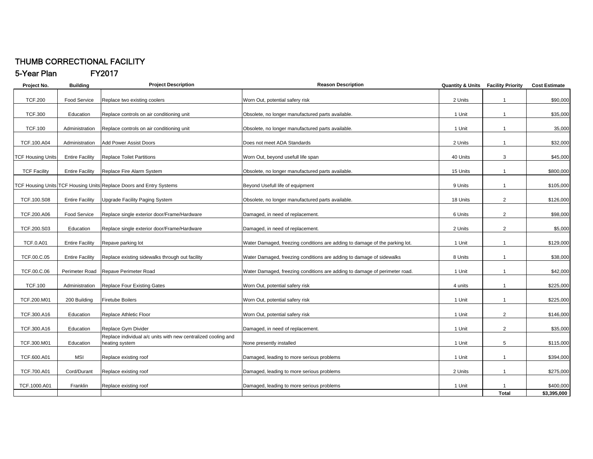#### THUMB CORRECTIONAL FACILITY

#### 5-Year Plan FY2017

| Project No.              | <b>Building</b>        | <b>Project Description</b>                                                      | <b>Reason Description</b>                                                   | <b>Quantity &amp; Units</b> | <b>Facility Priority</b> | <b>Cost Estimate</b> |
|--------------------------|------------------------|---------------------------------------------------------------------------------|-----------------------------------------------------------------------------|-----------------------------|--------------------------|----------------------|
| <b>TCF.200</b>           | <b>Food Service</b>    | Replace two existing coolers                                                    | Worn Out, potential safery risk                                             | 2 Units                     | $\mathbf{1}$             | \$90,000             |
| <b>TCF.300</b>           | Education              | Replace controls on air conditioning unit                                       | Obsolete, no longer manufactured parts available.                           | 1 Unit                      | $\mathbf{1}$             | \$35,000             |
| <b>TCF.100</b>           | Administration         | Replace controls on air conditioning unit                                       | Obsolete, no longer manufactured parts available.                           | 1 Unit                      | $\mathbf{1}$             | 35,000               |
| TCF.100.A04              | Administration         | <b>Add Power Assist Doors</b>                                                   | Does not meet ADA Standards                                                 | 2 Units                     | $\mathbf{1}$             | \$32,000             |
| <b>TCF Housing Units</b> | <b>Entire Facility</b> | <b>Replace Toilet Partitions</b>                                                | Worn Out, beyond usefull life span                                          | 40 Units                    | 3                        | \$45,000             |
| <b>TCF Facility</b>      | <b>Entire Facility</b> | Replace Fire Alarm System                                                       | Obsolete, no longer manufactured parts available.                           | 15 Units                    | $\mathbf{1}$             | \$800,000            |
|                          |                        | TCF Housing Units TCF Housing Units Replace Doors and Entry Systems             | Beyond Usefull life of equipment                                            | 9 Units                     | $\mathbf{1}$             | \$105,000            |
| TCF.100.S08              | <b>Entire Facility</b> | <b>Upgrade Facility Paging System</b>                                           | Obsolete, no longer manufactured parts available.                           | 18 Units                    | $\overline{2}$           | \$126,000            |
| TCF.200.A06              | <b>Food Service</b>    | Replace single exterior door/Frame/Hardware                                     | Damaged, in need of replacement.                                            | 6 Units                     | $\overline{2}$           | \$98,000             |
| TCF.200.S03              | Education              | Replace single exterior door/Frame/Hardware                                     | Damaged, in need of replacement.                                            | 2 Units                     | $\overline{2}$           | \$5,000              |
| <b>TCF.0.A01</b>         | <b>Entire Facility</b> | Repave parking lot                                                              | Water Damaged, freezing conditions are adding to damage of the parking lot. | 1 Unit                      | $\mathbf{1}$             | \$129,000            |
| TCF.00.C.05              | <b>Entire Facility</b> | Replace existing sidewalks through out facility                                 | Water Damaged, freezing conditions are adding to damage of sidewalks        | 8 Units                     | $\mathbf{1}$             | \$38,000             |
| TCF.00.C.06              | Perimeter Road         | Repave Perimeter Road                                                           | Water Damaged, freezing conditions are adding to damage of perimeter road.  | 1 Unit                      | $\mathbf{1}$             | \$42,000             |
| <b>TCF.100</b>           | Administration         | Replace Four Existing Gates                                                     | Worn Out, potential safery risk                                             | 4 units                     | $\mathbf{1}$             | \$225,000            |
| TCF.200.M01              | 200 Building           | Firetube Boilers                                                                | Worn Out, potential safery risk                                             | 1 Unit                      | $\mathbf{1}$             | \$225,000            |
| TCF.300.A16              | Education              | Replace Athletic Floor                                                          | Worn Out, potential safery risk                                             | 1 Unit                      | $\overline{2}$           | \$146,000            |
| TCF.300.A16              | Education              | Replace Gym Divider                                                             | Damaged, in need of replacement.                                            | 1 Unit                      | $\overline{2}$           | \$35,000             |
| TCF.300.M01              | Education              | Replace individual a/c units with new centralized cooling and<br>heating system | None presently installed                                                    | 1 Unit                      | 5                        | \$115,000            |
| TCF.600.A01              | MSI                    | Replace existing roof                                                           | Damaged, leading to more serious problems                                   | 1 Unit                      | $\mathbf{1}$             | \$394,000            |
| TCF.700.A01              | Cord/Durant            | Replace existing roof                                                           | Damaged, leading to more serious problems                                   | 2 Units                     | $\mathbf{1}$             | \$275,000            |
| TCF.1000.A01             | Franklin               | Replace existing roof                                                           | Damaged, leading to more serious problems                                   | 1 Unit                      |                          | \$400,000            |
|                          |                        |                                                                                 |                                                                             |                             | <b>Total</b>             | \$3,395,000          |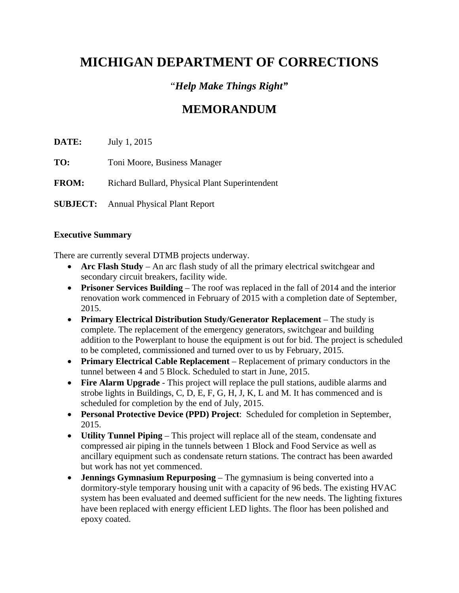# **MICHIGAN DEPARTMENT OF CORRECTIONS**

## "*Help Make Things Right"*

# **MEMORANDUM**

**DATE:** July 1, 2015

**TO:** Toni Moore, Business Manager

**FROM:** Richard Bullard, Physical Plant Superintendent

**SUBJECT:** Annual Physical Plant Report

#### **Executive Summary**

There are currently several DTMB projects underway.

- **Arc Flash Study** An arc flash study of all the primary electrical switchgear and secondary circuit breakers, facility wide.
- **Prisoner Services Building**  The roof was replaced in the fall of 2014 and the interior renovation work commenced in February of 2015 with a completion date of September, 2015.
- **Primary Electrical Distribution Study/Generator Replacement** The study is complete. The replacement of the emergency generators, switchgear and building addition to the Powerplant to house the equipment is out for bid. The project is scheduled to be completed, commissioned and turned over to us by February, 2015.
- **Primary Electrical Cable Replacement** Replacement of primary conductors in the tunnel between 4 and 5 Block. Scheduled to start in June, 2015.
- **Fire Alarm Upgrade**  This project will replace the pull stations, audible alarms and strobe lights in Buildings, C, D, E, F, G, H, J, K, L and M. It has commenced and is scheduled for completion by the end of July, 2015.
- **Personal Protective Device (PPD) Project**: Scheduled for completion in September, 2015.
- **Utility Tunnel Piping**  This project will replace all of the steam, condensate and compressed air piping in the tunnels between 1 Block and Food Service as well as ancillary equipment such as condensate return stations. The contract has been awarded but work has not yet commenced.
- **Jennings Gymnasium Repurposing**  The gymnasium is being converted into a dormitory-style temporary housing unit with a capacity of 96 beds. The existing HVAC system has been evaluated and deemed sufficient for the new needs. The lighting fixtures have been replaced with energy efficient LED lights. The floor has been polished and epoxy coated.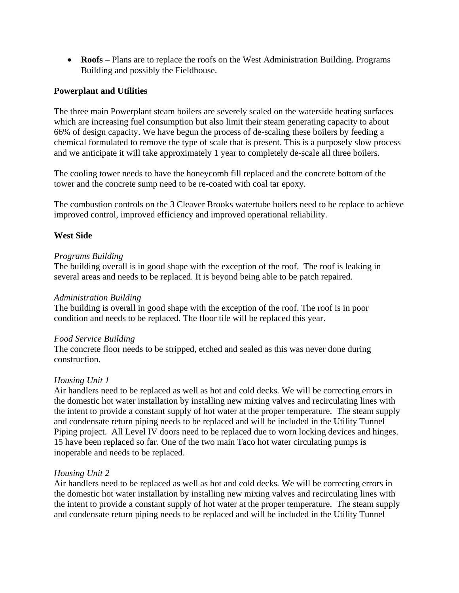**Roofs** – Plans are to replace the roofs on the West Administration Building. Programs Building and possibly the Fieldhouse.

#### **Powerplant and Utilities**

The three main Powerplant steam boilers are severely scaled on the waterside heating surfaces which are increasing fuel consumption but also limit their steam generating capacity to about 66% of design capacity. We have begun the process of de-scaling these boilers by feeding a chemical formulated to remove the type of scale that is present. This is a purposely slow process and we anticipate it will take approximately 1 year to completely de-scale all three boilers.

The cooling tower needs to have the honeycomb fill replaced and the concrete bottom of the tower and the concrete sump need to be re-coated with coal tar epoxy.

The combustion controls on the 3 Cleaver Brooks watertube boilers need to be replace to achieve improved control, improved efficiency and improved operational reliability.

#### **West Side**

#### *Programs Building*

The building overall is in good shape with the exception of the roof. The roof is leaking in several areas and needs to be replaced. It is beyond being able to be patch repaired.

#### *Administration Building*

The building is overall in good shape with the exception of the roof. The roof is in poor condition and needs to be replaced. The floor tile will be replaced this year.

#### *Food Service Building*

The concrete floor needs to be stripped, etched and sealed as this was never done during construction.

#### *Housing Unit 1*

Air handlers need to be replaced as well as hot and cold decks*.* We will be correcting errors in the domestic hot water installation by installing new mixing valves and recirculating lines with the intent to provide a constant supply of hot water at the proper temperature. The steam supply and condensate return piping needs to be replaced and will be included in the Utility Tunnel Piping project. All Level IV doors need to be replaced due to worn locking devices and hinges. 15 have been replaced so far. One of the two main Taco hot water circulating pumps is inoperable and needs to be replaced.

#### *Housing Unit 2*

Air handlers need to be replaced as well as hot and cold decks*.* We will be correcting errors in the domestic hot water installation by installing new mixing valves and recirculating lines with the intent to provide a constant supply of hot water at the proper temperature. The steam supply and condensate return piping needs to be replaced and will be included in the Utility Tunnel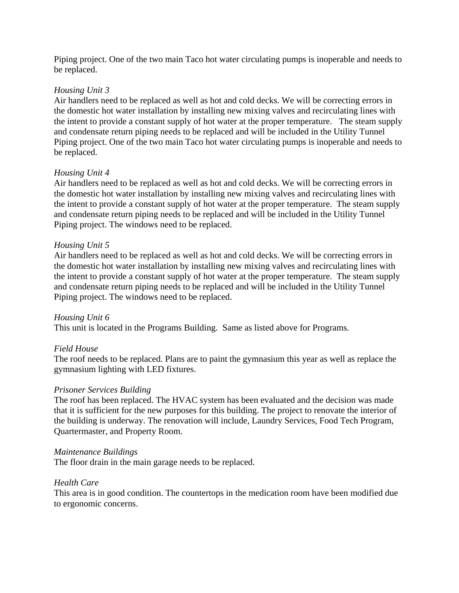Piping project. One of the two main Taco hot water circulating pumps is inoperable and needs to be replaced.

#### *Housing Unit 3*

Air handlers need to be replaced as well as hot and cold decks. We will be correcting errors in the domestic hot water installation by installing new mixing valves and recirculating lines with the intent to provide a constant supply of hot water at the proper temperature. The steam supply and condensate return piping needs to be replaced and will be included in the Utility Tunnel Piping project. One of the two main Taco hot water circulating pumps is inoperable and needs to be replaced.

#### *Housing Unit 4*

Air handlers need to be replaced as well as hot and cold decks. We will be correcting errors in the domestic hot water installation by installing new mixing valves and recirculating lines with the intent to provide a constant supply of hot water at the proper temperature. The steam supply and condensate return piping needs to be replaced and will be included in the Utility Tunnel Piping project. The windows need to be replaced.

#### *Housing Unit 5*

Air handlers need to be replaced as well as hot and cold decks. We will be correcting errors in the domestic hot water installation by installing new mixing valves and recirculating lines with the intent to provide a constant supply of hot water at the proper temperature. The steam supply and condensate return piping needs to be replaced and will be included in the Utility Tunnel Piping project. The windows need to be replaced.

#### *Housing Unit 6*

This unit is located in the Programs Building. Same as listed above for Programs.

#### *Field House*

The roof needs to be replaced. Plans are to paint the gymnasium this year as well as replace the gymnasium lighting with LED fixtures.

#### *Prisoner Services Building*

The roof has been replaced. The HVAC system has been evaluated and the decision was made that it is sufficient for the new purposes for this building. The project to renovate the interior of the building is underway. The renovation will include, Laundry Services, Food Tech Program, Quartermaster, and Property Room.

#### *Maintenance Buildings*

The floor drain in the main garage needs to be replaced.

#### *Health Care*

This area is in good condition. The countertops in the medication room have been modified due to ergonomic concerns.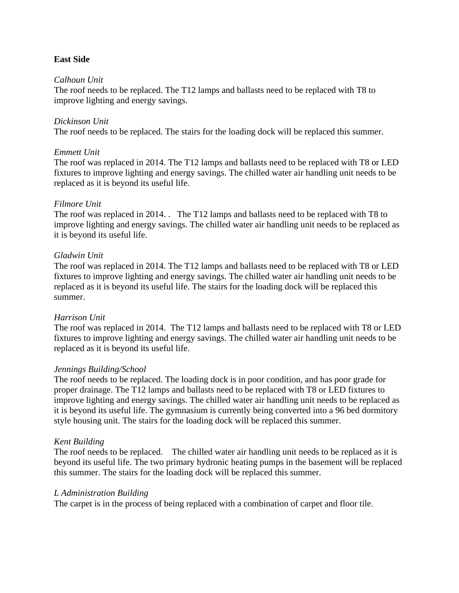#### **East Side**

#### *Calhoun Unit*

The roof needs to be replaced. The T12 lamps and ballasts need to be replaced with T8 to improve lighting and energy savings.

#### *Dickinson Unit*

The roof needs to be replaced. The stairs for the loading dock will be replaced this summer.

#### *Emmett Unit*

The roof was replaced in 2014. The T12 lamps and ballasts need to be replaced with T8 or LED fixtures to improve lighting and energy savings. The chilled water air handling unit needs to be replaced as it is beyond its useful life.

#### *Filmore Unit*

The roof was replaced in 2014. . The T12 lamps and ballasts need to be replaced with T8 to improve lighting and energy savings. The chilled water air handling unit needs to be replaced as it is beyond its useful life.

#### *Gladwin Unit*

The roof was replaced in 2014. The T12 lamps and ballasts need to be replaced with T8 or LED fixtures to improve lighting and energy savings. The chilled water air handling unit needs to be replaced as it is beyond its useful life. The stairs for the loading dock will be replaced this summer.

#### *Harrison Unit*

The roof was replaced in 2014. The T12 lamps and ballasts need to be replaced with T8 or LED fixtures to improve lighting and energy savings. The chilled water air handling unit needs to be replaced as it is beyond its useful life.

#### *Jennings Building/School*

The roof needs to be replaced. The loading dock is in poor condition, and has poor grade for proper drainage. The T12 lamps and ballasts need to be replaced with T8 or LED fixtures to improve lighting and energy savings. The chilled water air handling unit needs to be replaced as it is beyond its useful life. The gymnasium is currently being converted into a 96 bed dormitory style housing unit. The stairs for the loading dock will be replaced this summer.

#### *Kent Building*

The roof needs to be replaced. The chilled water air handling unit needs to be replaced as it is beyond its useful life. The two primary hydronic heating pumps in the basement will be replaced this summer. The stairs for the loading dock will be replaced this summer.

#### *L Administration Building*

The carpet is in the process of being replaced with a combination of carpet and floor tile.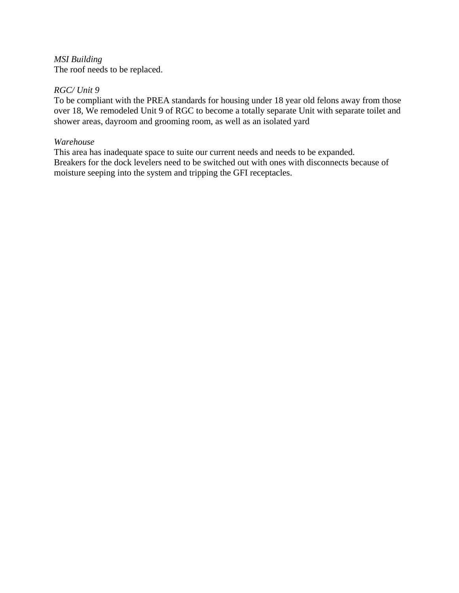*MSI Building*  The roof needs to be replaced.

#### *RGC/ Unit 9*

To be compliant with the PREA standards for housing under 18 year old felons away from those over 18, We remodeled Unit 9 of RGC to become a totally separate Unit with separate toilet and shower areas, dayroom and grooming room, as well as an isolated yard

#### *Warehouse*

This area has inadequate space to suite our current needs and needs to be expanded. Breakers for the dock levelers need to be switched out with ones with disconnects because of moisture seeping into the system and tripping the GFI receptacles.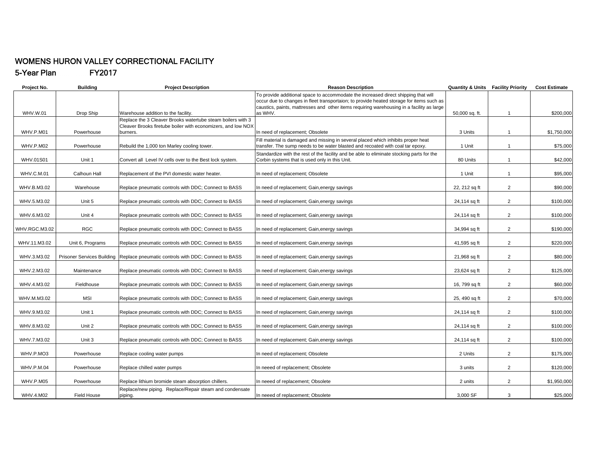#### WOMENS HURON VALLEY CORRECTIONAL FACILITY 5-Year Plan FY2017

| Project No.       | <b>Building</b>    | <b>Project Description</b>                                                      | <b>Reason Description</b>                                                                                                                                                                                                                                                   | <b>Quantity &amp; Units Facility Priority</b> |                | <b>Cost Estimate</b> |
|-------------------|--------------------|---------------------------------------------------------------------------------|-----------------------------------------------------------------------------------------------------------------------------------------------------------------------------------------------------------------------------------------------------------------------------|-----------------------------------------------|----------------|----------------------|
|                   |                    |                                                                                 | To provide additional space to accommodate the increased direct shipping that will<br>occur due to changes in fleet transportaion; to provide heated storage for items such as<br>caustics, paints, mattresses and other items requiring warehousing in a facility as large |                                               |                |                      |
| WHV.W.01          | Drop Ship          | Warehouse addition to the facility.                                             | as WHV.                                                                                                                                                                                                                                                                     | 50,000 sq. ft.                                | $\mathbf{1}$   | \$200,000            |
|                   |                    | Replace the 3 Cleaver Brooks watertube steam boilers with 3                     |                                                                                                                                                                                                                                                                             |                                               |                |                      |
|                   |                    | Cleaver Brooks firetube boiler with economizers, and low NOX                    |                                                                                                                                                                                                                                                                             |                                               |                |                      |
| WHV.P.M01         | Powerhouse         | burners.                                                                        | In need of replacement; Obsolete                                                                                                                                                                                                                                            | 3 Units                                       | $\overline{1}$ | \$1,750,000          |
|                   |                    |                                                                                 | Fill material is damaged and missing in several placed which inhibits proper heat                                                                                                                                                                                           |                                               |                |                      |
| WHV.P.M02         | Powerhouse         | Rebuild the 1,000 ton Marley cooling tower.                                     | transfer. The sump needs to be water blasted and recoated with coal tar epoxy.                                                                                                                                                                                              | 1 Unit                                        | $\mathbf{1}$   | \$75,000             |
|                   |                    |                                                                                 | Standardize with the rest of the facility and be able to eliminate stocking parts for the                                                                                                                                                                                   |                                               |                |                      |
| <b>WHV.01S01</b>  | Unit 1             | Convert all Level IV cells over to the Best lock system.                        | Corbin systems that is used only in this Unit.                                                                                                                                                                                                                              | 80 Units                                      | $\mathbf{1}$   | \$42,000             |
| <b>WHV.C.M.01</b> | Calhoun Hall       | Replacement of the PVI domestic water heater.                                   | In need of replacement; Obsolete                                                                                                                                                                                                                                            | 1 Unit                                        | $\mathbf{1}$   | \$95,000             |
| WHV.B.M3.02       | Warehouse          | Replace pneumatic controls with DDC; Connect to BASS                            | In need of replacement; Gain, energy savings                                                                                                                                                                                                                                | 22, 212 sq ft                                 | 2              | \$90,000             |
| WHV.5.M3.02       | Unit 5             | Replace pneumatic controls with DDC; Connect to BASS                            | In need of replacement; Gain, energy savings                                                                                                                                                                                                                                | 24,114 sq ft                                  | $\overline{2}$ | \$100,000            |
| WHV.6.M3.02       | Unit 4             | Replace pneumatic controls with DDC; Connect to BASS                            | In need of replacement; Gain, energy savings                                                                                                                                                                                                                                | 24,114 sq ft                                  | $\overline{2}$ | \$100,000            |
| WHV.RGC.M3.02     | <b>RGC</b>         | Replace pneumatic controls with DDC; Connect to BASS                            | In need of replacement; Gain, energy savings                                                                                                                                                                                                                                | 34,994 sq ft                                  | 2              | \$190,000            |
| WHV.11.M3.02      | Unit 6, Programs   | Replace pneumatic controls with DDC; Connect to BASS                            | In need of replacement; Gain, energy savings                                                                                                                                                                                                                                | 41,595 sq ft                                  | $\overline{2}$ | \$220,000            |
| WHV.3.M3.02       |                    | Prisoner Services Building Replace pneumatic controls with DDC; Connect to BASS | In need of replacement; Gain, energy savings                                                                                                                                                                                                                                | 21,968 sq ft                                  | $\overline{2}$ | \$80,000             |
| WHV.2.M3.02       | Maintenance        | Replace pneumatic controls with DDC; Connect to BASS                            | In need of replacement; Gain, energy savings                                                                                                                                                                                                                                | 23,624 sq ft                                  | 2              | \$125,000            |
|                   |                    |                                                                                 |                                                                                                                                                                                                                                                                             |                                               |                |                      |
| WHV.4.M3.02       | Fieldhouse         | Replace pneumatic controls with DDC; Connect to BASS                            | In need of replacement; Gain, energy savings                                                                                                                                                                                                                                | 16, 799 sq ft                                 | $\overline{2}$ | \$60,000             |
|                   |                    |                                                                                 |                                                                                                                                                                                                                                                                             |                                               |                |                      |
| WHV.M.M3.02       | MSI                | Replace pneumatic controls with DDC; Connect to BASS                            | In need of replacement; Gain, energy savings                                                                                                                                                                                                                                | 25, 490 sq ft                                 | $\overline{2}$ | \$70,000             |
| WHV.9.M3.02       | Unit 1             | Replace pneumatic controls with DDC; Connect to BASS                            | In need of replacement; Gain, energy savings                                                                                                                                                                                                                                | 24,114 sq ft                                  | $\overline{2}$ | \$100,000            |
| WHV.8.M3.02       | Unit 2             | Replace pneumatic controls with DDC; Connect to BASS                            | In need of replacement; Gain, energy savings                                                                                                                                                                                                                                | 24,114 sq ft                                  | 2              | \$100,000            |
| WHV.7.M3.02       | Unit 3             | Replace pneumatic controls with DDC; Connect to BASS                            | In need of replacement; Gain, energy savings                                                                                                                                                                                                                                | 24,114 sq ft                                  | $\overline{2}$ | \$100,000            |
| WHV.P.MO3         | Powerhouse         | Replace cooling water pumps                                                     | In need of replacement; Obsolete                                                                                                                                                                                                                                            | 2 Units                                       | $\overline{2}$ | \$175,000            |
| <b>WHV.P.M.04</b> | Powerhouse         | Replace chilled water pumps                                                     | In neeed of replacement; Obsolete                                                                                                                                                                                                                                           | 3 units                                       | 2              | \$120,000            |
|                   |                    |                                                                                 |                                                                                                                                                                                                                                                                             |                                               |                |                      |
| WHV.P.M05         | Powerhouse         | Replace lithium bromide steam absorption chillers.                              | In neeed of replacement; Obsolete                                                                                                                                                                                                                                           | 2 units                                       | $\overline{2}$ | \$1,950,000          |
| WHV.4.M02         | <b>Field House</b> | Replace/new piping. Replace/Repair steam and condensate<br>piping.              | In neeed of replacement; Obsolete                                                                                                                                                                                                                                           | 3.000 SF                                      | 3              | \$25,000             |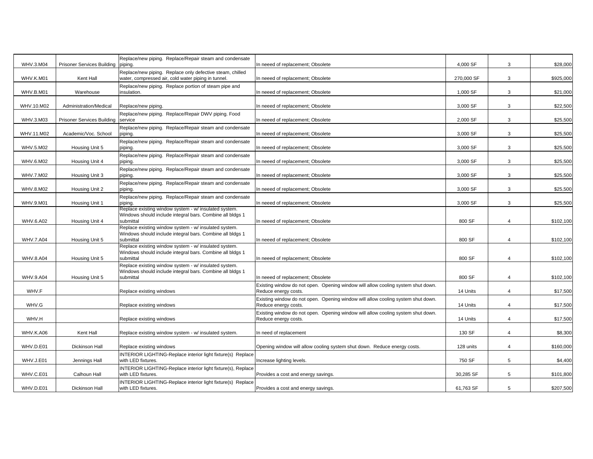| <b>WHV.3.M04</b> | <b>Prisoner Services Building</b> | Replace/new piping. Replace/Repair steam and condensate<br>piping.                                                              | In neeed of replacement; Obsolete                                                                        | 4,000 SF   | 3              | \$28,000  |
|------------------|-----------------------------------|---------------------------------------------------------------------------------------------------------------------------------|----------------------------------------------------------------------------------------------------------|------------|----------------|-----------|
| WHV.K.M01        | Kent Hall                         | Replace/new piping. Replace only defective steam, chilled<br>water, compressed air, cold water piping in tunnel.                | n neeed of replacement; Obsolete                                                                         | 270,000 SF | 3              | \$925,000 |
| WHV.B.M01        | Warehouse                         | Replace/new piping. Replace portion of steam pipe and<br>insulation.                                                            | n neeed of replacement; Obsolete                                                                         | 1,000 SF   | 3              | \$21,000  |
| WHV.10.M02       | Administration/Medical            | Replace/new piping.                                                                                                             | In neeed of replacement; Obsolete                                                                        | 3,000 SF   | 3              | \$22,500  |
| WHV.3.M03        | <b>Prisoner Services Building</b> | Replace/new piping. Replace/Repair DWV piping. Food<br>service                                                                  | n neeed of replacement; Obsolete                                                                         | 2,000 SF   | 3              | \$25,500  |
| WHV.11.M02       | Academic/Voc. School              | Replace/new piping. Replace/Repair steam and condensate<br>piping.                                                              | n neeed of replacement; Obsolete                                                                         | 3,000 SF   | 3              | \$25,500  |
| WHV.5.M02        | Housing Unit 5                    | Replace/new piping. Replace/Repair steam and condensate<br>piping.                                                              | n neeed of replacement; Obsolete                                                                         | 3,000 SF   | 3              | \$25,500  |
| WHV.6.M02        | Housing Unit 4                    | Replace/new piping. Replace/Repair steam and condensate<br>piping.                                                              | n neeed of replacement; Obsolete                                                                         | 3,000 SF   | 3              | \$25,500  |
| WHV.7.M02        | Housing Unit 3                    | Replace/new piping. Replace/Repair steam and condensate<br>piping.                                                              | n neeed of replacement; Obsolete                                                                         | 3,000 SF   | 3              | \$25,500  |
| WHV.8.M02        | Housing Unit 2                    | Replace/new piping. Replace/Repair steam and condensate<br>piping.                                                              | n neeed of replacement; Obsolete                                                                         | 3,000 SF   | 3              | \$25,500  |
| WHV.9.M01        | Housing Unit 1                    | Replace/new piping. Replace/Repair steam and condensate<br>piping.<br>Replace existing window system - w/ insulated system.     | n neeed of replacement; Obsolete                                                                         | 3,000 SF   | 3              | \$25,500  |
| <b>WHV.6.A02</b> | Housing Unit 4                    | Windows should include integral bars. Combine all bldgs 1<br>submittal                                                          | n neeed of replacement; Obsolete                                                                         | 800 SF     | $\overline{4}$ | \$102,100 |
|                  |                                   | Replace existing window system - w/ insulated system.<br>Windows should include integral bars. Combine all bldgs 1<br>submittal |                                                                                                          | 800 SF     | $\overline{4}$ |           |
| <b>WHV.7.A04</b> | Housing Unit 5                    | Replace existing window system - w/ insulated system.<br>Windows should include integral bars. Combine all bldgs 1              | n neeed of replacement; Obsolete                                                                         |            |                | \$102,100 |
| <b>WHV.8.A04</b> | Housing Unit 5                    | submittal<br>Replace existing window system - w/ insulated system.                                                              | n neeed of replacement; Obsolete                                                                         | 800 SF     | 4              | \$102,100 |
| <b>WHV.9.A04</b> | Housing Unit 5                    | Windows should include integral bars. Combine all bldgs 1<br>submittal                                                          | n neeed of replacement; Obsolete                                                                         | 800 SF     | $\overline{4}$ | \$102,100 |
| WHV.F            |                                   | Replace existing windows                                                                                                        | Existing window do not open. Opening window will allow cooling system shut down.<br>Reduce energy costs. | 14 Units   | 4              | \$17,500  |
| WHV.G            |                                   | Replace existing windows                                                                                                        | Existing window do not open. Opening window will allow cooling system shut down.<br>Reduce energy costs. | 14 Units   | 4              | \$17,500  |
| WHV.H            |                                   | Replace existing windows                                                                                                        | Existing window do not open. Opening window will allow cooling system shut down.<br>Reduce energy costs. | 14 Units   | 4              | \$17,500  |
| WHV.K.A06        | Kent Hall                         | Replace existing window system - w/ insulated system.                                                                           | n need of replacement                                                                                    | 130 SF     | $\overline{4}$ | \$8,300   |
| WHV.D.E01        | Dickinson Hall                    | Replace existing windows                                                                                                        | Opening window will allow cooling system shut down. Reduce energy costs.                                 | 128 units  | $\overline{4}$ | \$160,000 |
| WHV.J.E01        | Jennings Hall                     | INTERIOR LIGHTING-Replace interior light fixture(s) Replace<br>with LED fixtures.                                               | ncrease lighting levels.                                                                                 | 750 SF     | 5              | \$4,400   |
| WHV.C.E01        | Calhoun Hall                      | INTERIOR LIGHTING-Replace interior light fixture(s), Replace<br>with LED fixtures                                               | Provides a cost and energy savings.                                                                      | 30,285 SF  | 5              | \$101,800 |
| WHV.D.E01        | Dickinson Hall                    | INTERIOR LIGHTING-Replace interior light fixture(s) Replace<br>with LED fixtures.                                               | Provides a cost and energy savings.                                                                      | 61,763 SF  | 5              | \$207,500 |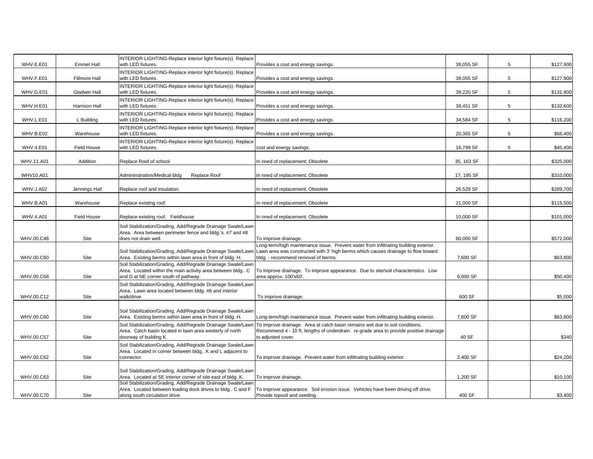| WHV.E.E01        | <b>Emmet Hall</b>   | INTERIOR LIGHTING-Replace interior light fixture(s). Replace<br>with LED fixtures.                                          | Provides a cost and energy savings.                                                                                                                                       | 38,055 SF  | 5 | \$127,900 |
|------------------|---------------------|-----------------------------------------------------------------------------------------------------------------------------|---------------------------------------------------------------------------------------------------------------------------------------------------------------------------|------------|---|-----------|
|                  |                     | INTERIOR LIGHTING-Replace interior light fixture(s). Replace                                                                |                                                                                                                                                                           |            |   |           |
| WHV.F.E01        | Fillmore Hall       | with LED fixtures                                                                                                           | Provides a cost and energy savings.                                                                                                                                       | 38,055 SF  | 5 | \$127,900 |
| WHV.G.E01        | <b>Gladwin Hall</b> | INTERIOR LIGHTING-Replace interior light fixture(s). Replace<br>with LED fixtures.                                          | Provides a cost and energy savings.                                                                                                                                       | 39,220 SF  | 5 | \$131,800 |
|                  |                     | INTERIOR LIGHTING-Replace interior light fixture(s). Replace                                                                |                                                                                                                                                                           |            |   |           |
| WHV.H.E01        | Harrison Hall       | with LED fixtures.<br>INTERIOR LIGHTING-Replace interior light fixture(s). Replace                                          | Provides a cost and energy savings.                                                                                                                                       | 39,451 SF  | 5 | \$132,600 |
| WHV.L.E01        | L Building          | with LED fixtures.                                                                                                          | Provides a cost and energy savings.                                                                                                                                       | 34,584 SF  | 5 | \$116,200 |
| WHV.B.E02        | Warehouse           | INTERIOR LIGHTING-Replace interior light fixture(s). Replace<br>with LED fixtures.                                          | Provides a cost and energy savings.                                                                                                                                       | 20,365 SF  | 5 | \$68,400  |
| WHV.4.E01        | Field House         | INTERIOR LIGHTING-Replace interior light fixture(s). Replace<br>with LED fixtures.                                          | cost and energy savings.                                                                                                                                                  | 16,799 SF  | 5 | \$45,400  |
| WHV.11.A01       | Addition            | Replace Roof of school                                                                                                      | n nned of replacement; Obsolete                                                                                                                                           | 35, 163 SF |   | \$325,000 |
| WHV10.A01        |                     | Admininstration/Medical bldg<br>Replace Roof                                                                                | n nned of replacement; Obsolete                                                                                                                                           | 17, 195 SF |   | \$310,000 |
| WHV.J.A02        | Jennings Hall       | Replace roof and insulation.                                                                                                | n nned of replacement; Obsolete                                                                                                                                           | 26,529 SF  |   | \$289,700 |
| WHV.B.A01        | Warehouse           | Replace existing roof.                                                                                                      | n nned of replacement; Obsolete                                                                                                                                           | 21,000 SF  |   | \$115,500 |
| <b>WHV.4.A01</b> | Field House         | Replace existing roof. Fieldhouse                                                                                           | n nned of replacement; Obsolete                                                                                                                                           | 10,000 SF  |   | \$101,000 |
|                  |                     | Soil Stabilization/Grading, Add/Regrade Drainage Swale/Lawn                                                                 |                                                                                                                                                                           |            |   |           |
| WHV.00.C48       | Site                | Area. Area between perimeter fence and bldg.'s. #7 and #8<br>does not drain well.                                           | To improve drainage.                                                                                                                                                      | 80,000 SF  |   | \$572,000 |
|                  |                     | Soil Stabilization/Grading, Add/Regrade Drainage Swale/Lawn                                                                 | Long-term/high maintenance issue. Prevent water from infiltrating building exterior.<br>Lawn area was constructed with 3' high berms which causes drainage to flow toward |            |   |           |
| WHV.00.C60       | Site                | Area. Existing berms within lawn area in front of bldg. H.<br>Soil Stabilization/Grading, Add/Regrade Drainage Swale/Lawn   | bldg. - recommend removal of berms.                                                                                                                                       | 7,600 SF   |   | \$63,800  |
| WHV.00.C68       | Site                | Area. Located within the main activity area between bldg C<br>and D at NE corner south of pathway.                          | To improve drainage. To improve appearance. Due to site/soil characteristics. Low<br>area approx. 100'x60'.                                                               | 6,000 SF   |   | \$50,400  |
|                  |                     | Soil Stabilization/Grading, Add/Regrade Drainage Swale/Lawn<br>Area. Lawn area located between bldg. #6 and interior        |                                                                                                                                                                           |            |   |           |
| WHV.00.C12       | Site                | walk/drive.                                                                                                                 | To improve drainage.                                                                                                                                                      | 600 SF     |   | \$5,000   |
|                  |                     | Soil Stabilization/Grading, Add/Regrade Drainage Swale/Lawn                                                                 |                                                                                                                                                                           |            |   |           |
| WHV.00.C60       | Site                | Area. Existing berms within lawn area in front of bldg. H.                                                                  | Long-term/high maintenance issue. Prevent water from infiltrating building exterior.                                                                                      | 7,600 SF   |   | \$63,800  |
|                  |                     | Soil Stabilization/Grading, Add/Regrade Drainage Swale/Lawn<br>Area. Catch basin located in lawn area westerly of north     | To improve drainage. Area at catch basin remains wet due to soil conditions.<br>Recommend 4 - 10 ft. lengths of underdrain. re-grade area to provide positive drainage    |            |   |           |
| WHV.00.C57       | Site                | doorway of building K.                                                                                                      | to adjusted cover.                                                                                                                                                        | 40 SF      |   | \$340     |
|                  |                     | Soil Stabilization/Grading, Add/Regrade Drainage Swale/Lawn<br>Area. Located in corner between bldg K and L adjacent to     |                                                                                                                                                                           |            |   |           |
| WHV.00.C62       | Site                | connector.                                                                                                                  | To improve drainage. Prevent water from infiltrating building exterior.                                                                                                   | 2,400 SF   |   | \$24,200  |
|                  |                     | Soil Stabilization/Grading, Add/Regrade Drainage Swale/Lawn                                                                 |                                                                                                                                                                           |            |   |           |
| WHV.00.C63       | Site                | Area. Located at SE interior corner of site east of bldg. K.<br>Soil Stabilization/Grading, Add/Regrade Drainage Swale/Lawn | To improve drainage.                                                                                                                                                      | 1,200 SF   |   | \$10,100  |
|                  |                     | Area. Located between loading dock drives to bldg C and F                                                                   | To improve appearance. Soil erosion issue. Vehicles have been driving off drive.                                                                                          |            |   |           |
| WHV.00.C70       | Site                | along south circulation drive.                                                                                              | Provide topsoil and seeding.                                                                                                                                              | 400 SF     |   | \$3,400   |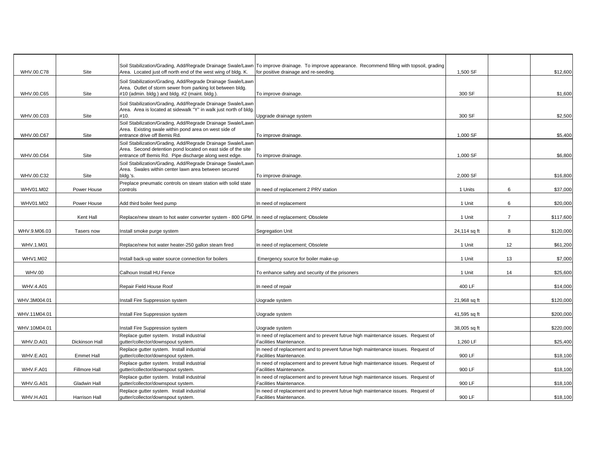| WHV.00.C78       | Site                 | Area. Located just off north end of the west wing of bldg. K.                                                                                        | Soil Stabilization/Grading, Add/Regrade Drainage Swale/Lawn To improve drainage. To improve appearance. Recommend filling with topsoil, grading<br>for positive drainage and re-seeding. | 1,500 SF     |                | \$12,600  |
|------------------|----------------------|------------------------------------------------------------------------------------------------------------------------------------------------------|------------------------------------------------------------------------------------------------------------------------------------------------------------------------------------------|--------------|----------------|-----------|
|                  |                      | Soil Stabilization/Grading, Add/Regrade Drainage Swale/Lawn<br>Area. Outlet of storm sewer from parking lot between bldg.                            |                                                                                                                                                                                          |              |                |           |
| WHV.00.C65       | Site                 | #10 (admin. bldg.) and bldg. #2 (maint. bldg.).                                                                                                      | To improve drainage.                                                                                                                                                                     | 300 SF       |                | \$1,600   |
|                  |                      | Soil Stabilization/Grading, Add/Regrade Drainage Swale/Lawn<br>Area. Area is located at sidewalk "Y" in walk just north of bldg.                     |                                                                                                                                                                                          |              |                |           |
| WHV.00.C03       | Site                 | #10.                                                                                                                                                 | Upgrade drainage system                                                                                                                                                                  | 300 SF       |                | \$2,500   |
| WHV.00.C67       | Site                 | Soil Stabilization/Grading, Add/Regrade Drainage Swale/Lawn<br>Area. Existing swale within pond area on west side of<br>entrance drive off Bemis Rd. | To improve drainage.                                                                                                                                                                     | 1,000 SF     |                | \$5,400   |
|                  |                      | Soil Stabilization/Grading, Add/Regrade Drainage Swale/Lawn                                                                                          |                                                                                                                                                                                          |              |                |           |
| WHV.00.C64       | Site                 | Area. Second detention pond located on east side of the site<br>entrance off Bemis Rd. Pipe discharge along west edge.                               | To improve drainage.                                                                                                                                                                     | 1,000 SF     |                | \$6,800   |
|                  |                      | Soil Stabilization/Grading, Add/Regrade Drainage Swale/Lawn                                                                                          |                                                                                                                                                                                          |              |                |           |
| WHV.00.C32       | Site                 | Area. Swales within center lawn area between secured<br>bldg.'s.                                                                                     | To improve drainage.                                                                                                                                                                     | 2,000 SF     |                | \$16,800  |
| WHV01.M02        | Power House          | Preplace pneumatic controls on steam station with solid state<br>controls                                                                            | In need of replacement 2 PRV station                                                                                                                                                     | 1 Units      | 6              | \$37,000  |
| WHV01.M02        | Power House          | Add third boiler feed pump                                                                                                                           | In need of replacement                                                                                                                                                                   | 1 Unit       | 6              | \$20,000  |
|                  | Kent Hall            | Replace/new steam to hot water converter system - 800 GPM. In need of replacement; Obsolete                                                          |                                                                                                                                                                                          | 1 Unit       | $\overline{7}$ | \$117,600 |
| WHV.9.M06.03     | Tasers now           | Install smoke purge system                                                                                                                           | Segregation Unit                                                                                                                                                                         | 24,114 sq ft | 8              | \$120,000 |
| WHV.1.M01        |                      | Replace/new hot water heater-250 gallon steam fired                                                                                                  | In need of replacement; Obsolete                                                                                                                                                         | 1 Unit       | 12             | \$61,200  |
| <b>WHV1.M02</b>  |                      | nstall back-up water source connection for boilers                                                                                                   | Emergency source for boiler make-up                                                                                                                                                      | 1 Unit       | 13             | \$7,000   |
| <b>WHV.00</b>    |                      | Calhoun Install HU Fence                                                                                                                             | To enhance safety and security of the prisoners                                                                                                                                          | 1 Unit       | 14             | \$25,600  |
| <b>WHV.4.A01</b> |                      | Repair Field House Roof                                                                                                                              | In need of repair                                                                                                                                                                        | 400 LF       |                | \$14,000  |
| WHV.3M004.01     |                      | nstall Fire Suppression system                                                                                                                       | Jograde system                                                                                                                                                                           | 21,968 sq ft |                | \$120,000 |
| WHV.11M04.01     |                      | nstall Fire Suppression system                                                                                                                       | Uograde system                                                                                                                                                                           | 41,595 sq ft |                | \$200,000 |
| WHV.10M04.01     |                      | Install Fire Suppression system                                                                                                                      | Uograde system                                                                                                                                                                           | 38,005 sq ft |                | \$220,000 |
| WHV.D.A01        | Dickinson Hall       | Replace qutter system. Install industrial<br>gutter/collector/downspout system.                                                                      | In need of replacement and to prevent futrue high maintenance issues. Request of<br>Facilities Maintenance.                                                                              | 1,260 LF     |                | \$25,400  |
| WHV.E.A01        | <b>Emmet Hall</b>    | Replace gutter system. Install industrial<br>gutter/collector/downspout system.                                                                      | In need of replacement and to prevent futrue high maintenance issues. Request of<br>Facilities Maintenance.                                                                              | 900 LF       |                | \$18,100  |
| WHV.F.A01        | <b>Fillmore Hall</b> | Replace gutter system. Install industrial<br>gutter/collector/downspout system.                                                                      | In need of replacement and to prevent futrue high maintenance issues. Request of<br>Facilities Maintenance.                                                                              | 900 LF       |                | \$18,100  |
| WHV.G.A01        | <b>Gladwin Hall</b>  | Replace gutter system. Install industrial<br>gutter/collector/downspout system.                                                                      | In need of replacement and to prevent futrue high maintenance issues. Request of<br>Facilities Maintenance.                                                                              | 900 LF       |                | \$18,100  |
| WHV.H.A01        | <b>Harrison Hall</b> | Replace gutter system. Install industrial<br>qutter/collector/downspout system.                                                                      | In need of replacement and to prevent futrue high maintenance issues. Request of<br>Facilities Maintenance.                                                                              | 900 LF       |                | \$18,100  |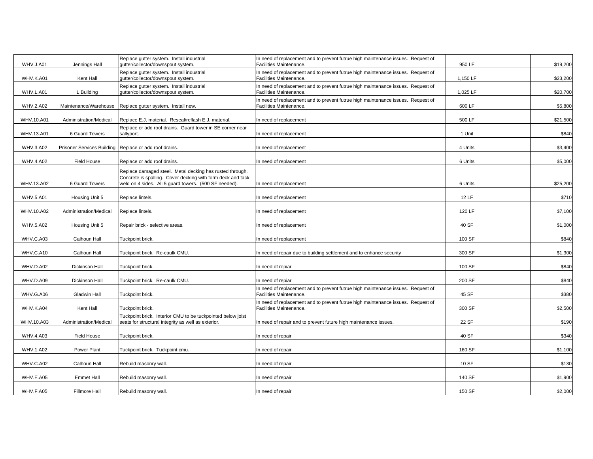|                  |                        | Replace gutter system. Install industrial                                       | In need of replacement and to prevent futrue high maintenance issues. Request of                            |          |          |
|------------------|------------------------|---------------------------------------------------------------------------------|-------------------------------------------------------------------------------------------------------------|----------|----------|
| WHV.J.A01        | Jennings Hall          | qutter/collector/downspout system.                                              | Facilities Maintenance.                                                                                     | 950 LF   | \$19,200 |
| WHV.K.A01        | Kent Hall              | Replace gutter system. Install industrial<br>gutter/collector/downspout system. | n need of replacement and to prevent futrue high maintenance issues. Request of<br>Facilities Maintenance.  | 1,150 LF | \$23,200 |
|                  |                        | Replace gutter system. Install industrial                                       | n need of replacement and to prevent futrue high maintenance issues. Request of                             |          |          |
| WHV.L.A01        | L Building             | gutter/collector/downspout system.                                              | Facilities Maintenance.                                                                                     | 1,025 LF | \$20,700 |
| WHV.2.A02        | Maintenance/Warehouse  | Replace gutter system. Install new.                                             | In need of replacement and to prevent futrue high maintenance issues. Request of<br>Facilities Maintenance. | 600 LF   | \$5,800  |
|                  |                        |                                                                                 |                                                                                                             |          |          |
| WHV.10.A01       | Administration/Medical | Replace E.J. material. Reseal/reflash E.J. material.                            | In need of replacement                                                                                      | 500 LF   | \$21,500 |
|                  |                        | Replace or add roof drains. Guard tower in SE corner near                       |                                                                                                             |          |          |
| WHV.13.A01       | 6 Guard Towers         | sallyport.                                                                      | n need of replacement                                                                                       | 1 Unit   | \$840    |
| WHV.3.A02        |                        | Prisoner Services Building Replace or add roof drains.                          | In need of replacement                                                                                      | 4 Units  | \$3,400  |
|                  |                        |                                                                                 |                                                                                                             |          |          |
| WHV.4.A02        | Field House            | Replace or add roof drains.                                                     | In need of replacement                                                                                      | 6 Units  | \$5,000  |
|                  |                        | Replace damaged steel. Metal decking has rusted through.                        |                                                                                                             |          |          |
|                  |                        | Concrete is spalling. Cover decking with form deck and tack                     |                                                                                                             |          |          |
| WHV.13.A02       | 6 Guard Towers         | weld on 4 sides. All 5 guard towers. (500 SF needed).                           | In need of replacement                                                                                      | 6 Units  | \$25,200 |
| <b>WHV.5.A01</b> | Housing Unit 5         | Replace lintels.                                                                | n need of replacement                                                                                       | 12 LF    | \$710    |
|                  |                        |                                                                                 |                                                                                                             |          |          |
| WHV.10.A02       | Administration/Medical | Replace lintels.                                                                | n need of replacement                                                                                       | 120 LF   | \$7,100  |
|                  |                        |                                                                                 |                                                                                                             |          |          |
| WHV.5.A02        | Housing Unit 5         | Repair brick - selective areas.                                                 | In need of replacement                                                                                      | 40 SF    | \$1,000  |
|                  |                        |                                                                                 |                                                                                                             |          |          |
| WHV.C.A03        | Calhoun Hall           | Tuckpoint brick.                                                                | n need of replacement                                                                                       | 100 SF   | \$840    |
| WHV.C.A10        | Calhoun Hall           | Tuckpoint brick. Re-caulk CMU.                                                  | n need of repair due to building settlement and to enhance security                                         | 300 SF   | \$1,300  |
|                  |                        |                                                                                 |                                                                                                             |          |          |
| WHV.D.A02        | Dickinson Hall         | Tuckpoint brick.                                                                | n need of repiar                                                                                            | 100 SF   | \$840    |
|                  |                        |                                                                                 |                                                                                                             |          |          |
| WHV.D.A09        | Dickinson Hall         | Tuckpoint brick. Re-caulk CMU.                                                  | n need of repiar                                                                                            | 200 SF   | \$840    |
| WHV.G.A06        | <b>Gladwin Hall</b>    | Tuckpoint brick.                                                                | In need of replacement and to prevent futrue high maintenance issues. Request of<br>Facilities Maintenance. | 45 SF    | \$380    |
|                  |                        |                                                                                 | In need of replacement and to prevent futrue high maintenance issues. Request of                            |          |          |
| WHV.K.A04        | Kent Hall              | Tuckpoint brick.                                                                | <b>Facilities Maintenance.</b>                                                                              | 300 SF   | \$2,500  |
|                  |                        | Tuckpoint brick. Interior CMU to be tuckpointed below joist                     |                                                                                                             |          |          |
| WHV.10.A03       | Administration/Medical | seats for structural integrity as well as exterior.                             | In need of repair and to prevent future high maintenance issues.                                            | 22 SF    | \$190    |
| WHV.4.A03        | Field House            | Tuckpoint brick.                                                                | In need of repair                                                                                           | 40 SF    | \$340    |
|                  |                        |                                                                                 |                                                                                                             |          |          |
| WHV.1.A02        | Power Plant            | Tuckpoint brick. Tuckpoint cmu.                                                 | n need of repair                                                                                            | 160 SF   | \$1,100  |
|                  |                        |                                                                                 |                                                                                                             |          |          |
| WHV.C.A02        | Calhoun Hall           | Rebuild masonry wall.                                                           | n need of repair                                                                                            | 10 SF    | \$130    |
| WHV.E.A05        |                        |                                                                                 |                                                                                                             | 140 SF   | \$1,900  |
|                  | <b>Emmet Hall</b>      | Rebuild masonry wall.                                                           | n need of repair                                                                                            |          |          |
| WHV.F.A05        | Fillmore Hall          | Rebuild masonry wall.                                                           | In need of repair                                                                                           | 150 SF   | \$2,000  |
|                  |                        |                                                                                 |                                                                                                             |          |          |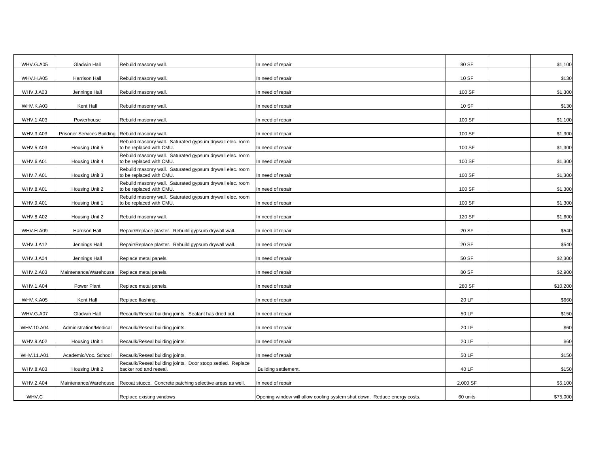| WHV.G.A05        | <b>Gladwin Hall</b>               | Rebuild masonry wall.                                                                 | In need of repair                                                        | 80 SF    | \$1,100  |
|------------------|-----------------------------------|---------------------------------------------------------------------------------------|--------------------------------------------------------------------------|----------|----------|
| WHV.H.A05        | Harrison Hall                     | Rebuild masonry wall.                                                                 | n need of repair                                                         | 10 SF    | \$130    |
| WHV.J.A03        | Jennings Hall                     | Rebuild masonry wall.                                                                 | n need of repair                                                         | 100 SF   | \$1,300  |
| WHV.K.A03        | Kent Hall                         | Rebuild masonry wall.                                                                 | n need of repair                                                         | 10 SF    | \$130    |
| WHV.1.A03        | Powerhouse                        | Rebuild masonry wall.                                                                 | n need of repair                                                         | 100 SF   | \$1,100  |
| WHV.3.A03        | <b>Prisoner Services Building</b> | Rebuild masonry wall.                                                                 | n need of repair                                                         | 100 SF   | \$1,300  |
| WHV.5.A03        | Housing Unit 5                    | Rebuild masonry wall. Saturated gypsum drywall elec. room<br>to be replaced with CMU. | n need of repair                                                         | 100 SF   | \$1,300  |
| <b>WHV.6.A01</b> | Housing Unit 4                    | Rebuild masonry wall. Saturated gypsum drywall elec. room<br>to be replaced with CMU. | In need of repair                                                        | 100 SF   | \$1,300  |
| <b>WHV.7.A01</b> | Housing Unit 3                    | Rebuild masonry wall. Saturated gypsum drywall elec. room<br>to be replaced with CMU. | n need of repair                                                         | 100 SF   | \$1,300  |
| <b>WHV.8.A01</b> | Housing Unit 2                    | Rebuild masonry wall. Saturated gypsum drywall elec. room<br>to be replaced with CMU. | n need of repair                                                         | 100 SF   | \$1,300  |
| <b>WHV.9.A01</b> | Housing Unit 1                    | Rebuild masonry wall. Saturated gypsum drywall elec. room<br>to be replaced with CMU. | n need of repair                                                         | 100 SF   | \$1,300  |
| <b>WHV.8.A02</b> | Housing Unit 2                    | Rebuild masonry wall.                                                                 | n need of repair                                                         | 120 SF   | \$1,600  |
| WHV.H.A09        | Harrison Hall                     | Repair/Replace plaster. Rebuild gypsum drywall wall.                                  | n need of repair                                                         | 20 SF    | \$540    |
| WHV.J.A12        | Jennings Hall                     | Repair/Replace plaster. Rebuild gypsum drywall wall.                                  | n need of repair                                                         | 20 SF    | \$540    |
| WHV.J.A04        | Jennings Hall                     | Replace metal panels.                                                                 | n need of repair                                                         | 50 SF    | \$2,300  |
| WHV.2.A03        | Maintenance/Warehouse             | Replace metal panels.                                                                 | In need of repair                                                        | 80 SF    | \$2,900  |
| WHV.1.A04        | Power Plant                       | Replace metal panels.                                                                 | n need of repair                                                         | 280 SF   | \$10,200 |
| WHV.K.A05        | Kent Hall                         | Replace flashing.                                                                     | In need of repair                                                        | 20 LF    | \$660    |
| WHV.G.A07        | <b>Gladwin Hall</b>               | Recaulk/Reseal building joints. Sealant has dried out.                                | In need of repair                                                        | 50 LF    | \$150    |
| WHV.10.A04       | Administration/Medical            | Recaulk/Reseal building joints.                                                       | In need of repair                                                        | 20 LF    | \$60     |
| WHV.9.A02        | Housing Unit 1                    | Recaulk/Reseal building joints.                                                       | In need of repair                                                        | 20 LF    | \$60     |
| WHV.11.A01       | Academic/Voc. School              | Recaulk/Reseal building joints.                                                       | In need of repair                                                        | 50 LF    | \$150    |
| WHV.8.A03        | Housing Unit 2                    | Recaulk/Reseal building joints. Door stoop settled. Replace<br>backer rod and reseal. | Building settlement.                                                     | 40 LF    | \$150    |
| WHV.2.A04        | Maintenance/Warehouse             | Recoat stucco. Concrete patching selective areas as well.                             | In need of repair                                                        | 2,000 SF | \$5,100  |
| WHV.C            |                                   | Replace existing windows                                                              | Opening window will allow cooling system shut down. Reduce energy costs. | 60 units | \$75,000 |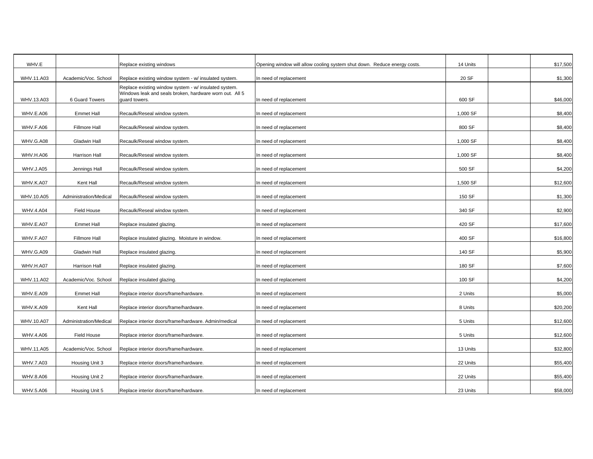| WHV.E            |                        | Replace existing windows                                                                                                          | Opening window will allow cooling system shut down. Reduce energy costs. | 14 Units | \$17,500 |
|------------------|------------------------|-----------------------------------------------------------------------------------------------------------------------------------|--------------------------------------------------------------------------|----------|----------|
| WHV.11.A03       | Academic/Voc. School   | Replace existing window system - w/ insulated system.                                                                             | In need of replacement                                                   | 20 SF    | \$1,300  |
| WHV.13.A03       | 6 Guard Towers         | Replace existing window system - w/ insulated system.<br>Windows leak and seals broken, hardware worn out. All 5<br>guard towers. | In need of replacement                                                   | 600 SF   | \$46,000 |
|                  |                        |                                                                                                                                   |                                                                          |          |          |
| WHV.E.A06        | <b>Emmet Hall</b>      | Recaulk/Reseal window system.                                                                                                     | n need of replacement                                                    | 1,000 SF | \$8,400  |
| WHV.F.A06        | Fillmore Hall          | Recaulk/Reseal window system.                                                                                                     | n need of replacement                                                    | 800 SF   | \$8,400  |
| WHV.G.A08        | Gladwin Hall           | Recaulk/Reseal window system.                                                                                                     | n need of replacement                                                    | 1,000 SF | \$8,400  |
| WHV.H.A06        | Harrison Hall          | Recaulk/Reseal window system.                                                                                                     | n need of replacement                                                    | 1,000 SF | \$8,400  |
| WHV.J.A05        | Jennings Hall          | Recaulk/Reseal window system.                                                                                                     | n need of replacement                                                    | 500 SF   | \$4,200  |
| WHV.K.A07        | Kent Hall              | Recaulk/Reseal window system.                                                                                                     | n need of replacement                                                    | 1,500 SF | \$12,600 |
| WHV.10.A05       | Administration/Medical | Recaulk/Reseal window system.                                                                                                     | n need of replacement                                                    | 150 SF   | \$1,300  |
| <b>WHV.4.A04</b> | Field House            | Recaulk/Reseal window system.                                                                                                     | n need of replacement                                                    | 340 SF   | \$2,900  |
| WHV.E.A07        | <b>Emmet Hall</b>      | Replace insulated glazing.                                                                                                        | n need of replacement                                                    | 420 SF   | \$17,600 |
| WHV.F.A07        | <b>Fillmore Hall</b>   | Replace insulated glazing. Moisture in window.                                                                                    | n need of replacement                                                    | 400 SF   | \$16,800 |
| WHV.G.A09        | Gladwin Hall           | Replace insulated glazing.                                                                                                        | In need of replacement                                                   | 140 SF   | \$5,900  |
| WHV.H.A07        | Harrison Hall          | Replace insulated glazing.                                                                                                        | n need of replacement                                                    | 180 SF   | \$7,600  |
| WHV.11.A02       | Academic/Voc. School   | Replace insulated glazing.                                                                                                        | In need of replacement                                                   | 100 SF   | \$4,200  |
| WHV.E.A09        | <b>Emmet Hall</b>      | Replace interior doors/frame/hardware.                                                                                            | n need of replacement                                                    | 2 Units  | \$5,000  |
| WHV.K.A09        | Kent Hall              | Replace interior doors/frame/hardware.                                                                                            | In need of replacement                                                   | 8 Units  | \$20,200 |
| WHV.10.A07       | Administration/Medical | Replace interior doors/frame/hardware. Admin/medical                                                                              | In need of replacement                                                   | 5 Units  | \$12,600 |
| WHV.4.A06        | Field House            | Replace interior doors/frame/hardware.                                                                                            | In need of replacement                                                   | 5 Units  | \$12,600 |
| WHV.11.A05       | Academic/Voc. School   | Replace interior doors/frame/hardware.                                                                                            | In need of replacement                                                   | 13 Units | \$32,800 |
| WHV.7.A03        | Housing Unit 3         | Replace interior doors/frame/hardware.                                                                                            | In need of replacement                                                   | 22 Units | \$55,400 |
| WHV.8.A06        | Housing Unit 2         | Replace interior doors/frame/hardware.                                                                                            | n need of replacement                                                    | 22 Units | \$55,400 |
| WHV.5.A06        | Housing Unit 5         | Replace interior doors/frame/hardware.                                                                                            | In need of replacement                                                   | 23 Units | \$58,000 |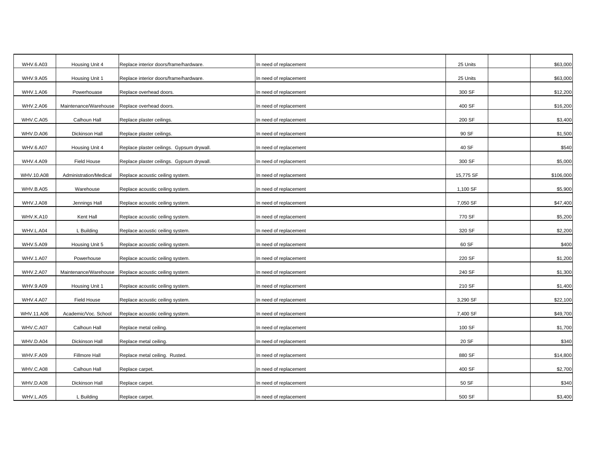| WHV.6.A03        | Housing Unit 4         | Replace interior doors/frame/hardware.    | In need of replacement | 25 Units  | \$63,000  |
|------------------|------------------------|-------------------------------------------|------------------------|-----------|-----------|
| WHV.9.A05        | Housing Unit 1         | Replace interior doors/frame/hardware.    | n need of replacement  | 25 Units  | \$63,000  |
| WHV.1.A06        | Powerhouase            | Replace overhead doors.                   | n need of replacement  | 300 SF    | \$12,200  |
| WHV.2.A06        | Maintenance/Warehouse  | Replace overhead doors.                   | n need of replacement  | 400 SF    | \$16,200  |
| WHV.C.A05        | Calhoun Hall           | Replace plaster ceilings.                 | n need of replacement  | 200 SF    | \$3,400   |
| WHV.D.A06        | Dickinson Hall         | Replace plaster ceilings.                 | n need of replacement  | 90 SF     | \$1,500   |
| <b>WHV.6.A07</b> | Housing Unit 4         | Replace plaster ceilings. Gypsum drywall. | n need of replacement  | 40 SF     | \$540     |
| WHV.4.A09        | Field House            | Replace plaster ceilings. Gypsum drywall. | n need of replacement  | 300 SF    | \$5,000   |
| WHV.10.A08       | Administration/Medical | Replace acoustic ceiling system.          | n need of replacement  | 15,775 SF | \$106,000 |
| WHV.B.A05        | Warehouse              | Replace acoustic ceiling system.          | n need of replacement  | 1,100 SF  | \$5,900   |
| WHV.J.A08        | Jennings Hall          | Replace acoustic ceiling system.          | n need of replacement  | 7,050 SF  | \$47,400  |
| WHV.K.A10        | Kent Hall              | Replace acoustic ceiling system.          | In need of replacement | 770 SF    | \$5,200   |
| WHV.L.A04        | L Building             | Replace acoustic ceiling system.          | n need of replacement  | 320 SF    | \$2,200   |
| WHV.5.A09        | Housing Unit 5         | Replace acoustic ceiling system.          | In need of replacement | 60 SF     | \$400     |
| WHV.1.A07        | Powerhouse             | Replace acoustic ceiling system.          | In need of replacement | 220 SF    | \$1,200   |
| WHV.2.A07        | Maintenance/Warehouse  | Replace acoustic ceiling system.          | n need of replacement  | 240 SF    | \$1,300   |
| WHV.9.A09        | Housing Unit 1         | Replace acoustic ceiling system.          | In need of replacement | 210 SF    | \$1,400   |
| WHV.4.A07        | Field House            | Replace acoustic ceiling system.          | In need of replacement | 3,290 SF  | \$22,100  |
| WHV.11.A06       | Academic/Voc. School   | Replace acoustic ceiling system.          | n need of replacement  | 7,400 SF  | \$49,700  |
| WHV.C.A07        | Calhoun Hall           | Replace metal ceiling.                    | In need of replacement | 100 SF    | \$1,700   |
| WHV.D.A04        | Dickinson Hall         | Replace metal ceiling.                    | In need of replacement | 20 SF     | \$340     |
| WHV.F.A09        | <b>Fillmore Hall</b>   | Replace metal ceiling. Rusted.            | n need of replacement  | 880 SF    | \$14,800  |
| WHV.C.A08        | Calhoun Hall           | Replace carpet.                           | In need of replacement | 400 SF    | \$2,700   |
| WHV.D.A08        | Dickinson Hall         | Replace carpet.                           | In need of replacement | 50 SF     | \$340     |
| WHV.L.A05        | L Building             | Replace carpet.                           | In need of replacement | 500 SF    | \$3,400   |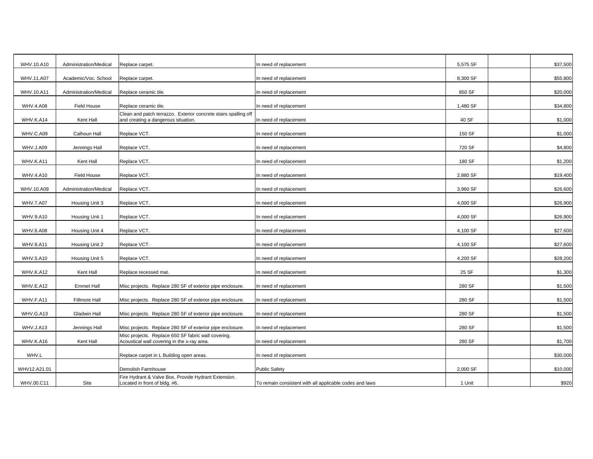| WHV.10.A10       | Administration/Medical | Replace carpet.                                                                                        | n need of replacement                                   | 5,575 SF | \$37,500 |
|------------------|------------------------|--------------------------------------------------------------------------------------------------------|---------------------------------------------------------|----------|----------|
| WHV.11.A07       | Academic/Voc. School   | Replace carpet.                                                                                        | n need of replacement                                   | 8,300 SF | \$55,800 |
| WHV.10.A11       | Administration/Medical | Replace ceramic tile.                                                                                  | n need of replacement                                   | 850 SF   | \$20,000 |
| <b>WHV.4.A08</b> | Field House            | Replace ceramic tile.                                                                                  | n need of replacement                                   | 1,480 SF | \$34,800 |
| WHV.K.A14        | Kent Hall              | Clean and patch terrazzo. Exterior concrete stairs spalling off<br>and creating a dangerous situation. | n need of replacement                                   | 40 SF    | \$1,000  |
| WHV.C.A09        | Calhoun Hall           | Replace VCT.                                                                                           | n need of replacement                                   | 150 SF   | \$1,000  |
| WHV.J.A09        | Jennings Hall          | Replace VCT.                                                                                           | n need of replacement                                   | 720 SF   | \$4,800  |
| WHV.K.A11        | Kent Hall              | Replace VCT.                                                                                           | n need of replacement                                   | 180 SF   | \$1,200  |
| WHV.4.A10        | <b>Field House</b>     | Replace VCT.                                                                                           | n need of replacement                                   | 2,880 SF | \$19,400 |
| WHV.10.A09       | Administration/Medical | Replace VCT.                                                                                           | n need of replacement                                   | 3,960 SF | \$26,600 |
| <b>WHV.7.A07</b> | Housing Unit 3         | Replace VCT.                                                                                           | n need of replacement                                   | 4,000 SF | \$26,900 |
| WHV.9.A10        | Housing Unit 1         | Replace VCT.                                                                                           | n need of replacement                                   | 4,000 SF | \$26,900 |
| WHV.6.A08        | Housing Unit 4         | Replace VCT.                                                                                           | n need of replacement                                   | 4,100 SF | \$27,600 |
| <b>WHV.8.A11</b> | Housing Unit 2         | Replace VCT.                                                                                           | n need of replacement                                   | 4,100 SF | \$27,600 |
| WHV.5.A10        | Housing Unit 5         | Replace VCT.                                                                                           | n need of replacement                                   | 4,200 SF | \$28,200 |
| WHV.K.A12        | Kent Hall              | Replace recessed mat.                                                                                  | n need of replacement                                   | 25 SF    | \$1,300  |
| WHV.E.A12        | <b>Emmet Hall</b>      | Misc projects. Replace 280 SF of exterior pipe enclosure.                                              | n need of replacement                                   | 280 SF   | \$1,500  |
| WHV.F.A11        | Fillmore Hall          | Misc projects. Replace 280 SF of exterior pipe enclosure.                                              | n need of replacement                                   | 280 SF   | \$1,500  |
| WHV.G.A13        | <b>Gladwin Hall</b>    | Misc projects. Replace 280 SF of exterior pipe enclosure.                                              | n need of replacement                                   | 280 SF   | \$1,500  |
| WHV.J.A13        | Jennings Hall          | Misc projects. Replace 280 SF of exterior pipe enclosure.                                              | n need of replacement                                   | 280 SF   | \$1,500  |
| WHV.K.A16        | Kent Hall              | Misc projects. Replace 650 SF fabric wall covering.<br>Acoustical wall covering in the x-ray area.     | n need of replacement                                   | 280 SF   | \$1,700  |
| WHV.L            |                        | Replace carpet in L Building open areas.                                                               | n need of replacement                                   |          | \$30,000 |
| WHV12.A21.01     |                        | Demolish Farmhouse                                                                                     | <b>Public Safety</b>                                    | 2,000 SF | \$10,000 |
| WHV.00.C11       | Site                   | Fire Hydrant & Valve Box, Provide Hydrant Extension.<br>Located in front of bldg. #6.                  | To remain consistent with all applicable codes and laws | 1 Unit   | \$920    |
|                  |                        |                                                                                                        |                                                         |          |          |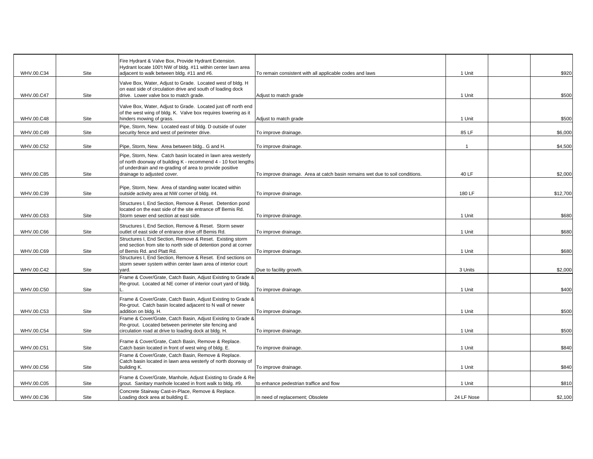|            |      | Fire Hydrant & Valve Box, Provide Hydrant Extension.<br>Hydrant locate 100't NW of bldg. #11 within center lawn area                                                                      |                                                                              |             |          |
|------------|------|-------------------------------------------------------------------------------------------------------------------------------------------------------------------------------------------|------------------------------------------------------------------------------|-------------|----------|
| WHV.00.C34 | Site | adjacent to walk between bldg. #11 and #6.<br>Valve Box, Water, Adjust to Grade. Located west of bldg. H                                                                                  | To remain consistent with all applicable codes and laws                      | 1 Unit      | \$920    |
| WHV.00.C47 | Site | on east side of circulation drive and south of loading dock<br>drive. Lower valve box to match grade.                                                                                     | Adjust to match grade                                                        | 1 Unit      | \$500    |
|            |      | Valve Box, Water, Adjust to Grade. Located just off north end                                                                                                                             |                                                                              |             |          |
|            |      | of the west wing of bldg. K. Valve box requires lowering as it                                                                                                                            |                                                                              |             |          |
| WHV.00.C48 | Site | hinders mowing of grass.<br>Pipe, Storm, New. Located east of bldg. D outside of outer                                                                                                    | Adjust to match grade                                                        | 1 Unit      | \$500    |
| WHV.00.C49 | Site | security fence and west of perimeter drive.                                                                                                                                               | To improve drainage.                                                         | 85 LF       | \$6,000  |
| WHV.00.C52 | Site | Pipe, Storm, New. Area between bldg G and H.                                                                                                                                              | To improve drainage.                                                         | $\mathbf 1$ | \$4,500  |
|            |      | Pipe, Storm, New. Catch basin located in lawn area westerly<br>of north doorway of building K - recommend 4 - 10 foot lengths<br>of underdrain and re-grading of area to provide positive |                                                                              |             |          |
| WHV.00.C85 | Site | drainage to adjusted cover.                                                                                                                                                               | To improve drainage. Area at catch basin remains wet due to soil conditions. | 40 LF       | \$2,000  |
|            |      | Pipe, Storm, New. Area of standing water located within                                                                                                                                   |                                                                              |             |          |
| WHV.00.C39 | Site | outside activity area at NW corner of bldg. #4.                                                                                                                                           | To improve drainage.                                                         | 180 LF      | \$12,700 |
|            |      | Structures I, End Section, Remove & Reset. Detention pond                                                                                                                                 |                                                                              |             |          |
| WHV.00.C63 | Site | located on the east side of the site entrance off Bemis Rd.<br>Storm sewer end section at east side.                                                                                      | To improve drainage.                                                         | 1 Unit      | \$680    |
|            |      |                                                                                                                                                                                           |                                                                              |             |          |
| WHV.00.C66 | Site | Structures I, End Section, Remove & Reset. Storm sewer<br>outlet of east side of entrance drive off Bemis Rd.                                                                             | To improve drainage.                                                         | 1 Unit      | \$680    |
|            |      | Structures I, End Section, Remove & Reset. Existing storm                                                                                                                                 |                                                                              |             |          |
| WHV.00.C69 | Site | end section from site to north side of detention pond at corner<br>of Bemis Rd. and Platt Rd.                                                                                             | To improve drainage.                                                         | 1 Unit      | \$680    |
|            |      | Structures I, End Section, Remove & Reset. End sections on                                                                                                                                |                                                                              |             |          |
| WHV.00.C42 | Site | storm sewer system within center lawn area of interior court<br>yard.                                                                                                                     | Due to facility growth.                                                      | 3 Units     | \$2,000  |
|            |      | Frame & Cover/Grate, Catch Basin, Adjust Existing to Grade &                                                                                                                              |                                                                              |             |          |
|            |      | Re-grout. Located at NE corner of interior court yard of bldg.                                                                                                                            |                                                                              |             |          |
| WHV.00.C50 | Site |                                                                                                                                                                                           | To improve drainage.                                                         | 1 Unit      | \$400    |
|            |      | Frame & Cover/Grate, Catch Basin, Adjust Existing to Grade &<br>Re-grout. Catch basin located adjacent to N wall of newer                                                                 |                                                                              |             |          |
| WHV.00.C53 | Site | addition on bldg. H.                                                                                                                                                                      | To improve drainage.                                                         | 1 Unit      | \$500    |
|            |      | Frame & Cover/Grate, Catch Basin, Adjust Existing to Grade &                                                                                                                              |                                                                              |             |          |
| WHV.00.C54 | Site | Re-grout. Located between perimeter site fencing and<br>circulation road at drive to loading dock at bldg. H.                                                                             | To improve drainage.                                                         | 1 Unit      | \$500    |
|            |      |                                                                                                                                                                                           |                                                                              |             |          |
| WHV.00.C51 | Site | Frame & Cover/Grate, Catch Basin, Remove & Replace.<br>Catch basin located in front of west wing of bldg. E.                                                                              | To improve drainage.                                                         | 1 Unit      | \$840    |
|            |      | Frame & Cover/Grate, Catch Basin, Remove & Replace.                                                                                                                                       |                                                                              |             |          |
|            |      | Catch basin located in lawn area westerly of north doorway of                                                                                                                             |                                                                              |             |          |
| WHV.00.C56 | Site | building K.                                                                                                                                                                               | To improve drainage.                                                         | 1 Unit      | \$840    |
| WHV.00.C05 | Site | Frame & Cover/Grate, Manhole, Adjust Existing to Grade & Re<br>grout. Sanitary manhole located in front walk to bldg. #9.                                                                 | to enhance pedestrian traffice and flow                                      | 1 Unit      | \$810    |
|            |      | Concrete Stairway Cast-in-Place, Remove & Replace.                                                                                                                                        |                                                                              |             |          |
| WHV.00.C36 | Site | Loading dock area at building E.                                                                                                                                                          | In need of replacement; Obsolete                                             | 24 LF Nose  | \$2,100  |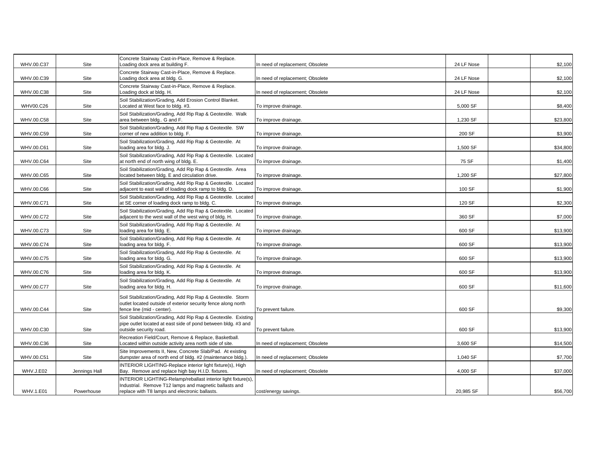| WHV.00.C37       | Site          | Concrete Stairway Cast-in-Place, Remove & Replace.<br>Loading dock area at building F.                                                                                    | In need of replacement; Obsolete | 24 LF Nose | \$2,100  |
|------------------|---------------|---------------------------------------------------------------------------------------------------------------------------------------------------------------------------|----------------------------------|------------|----------|
| WHV.00.C39       | Site          | Concrete Stairway Cast-in-Place, Remove & Replace.<br>Loading dock area at bldg. G.                                                                                       | In need of replacement; Obsolete | 24 LF Nose | \$2,100  |
| WHV.00.C38       | Site          | Concrete Stairway Cast-in-Place, Remove & Replace.<br>Loading dock at bldg. H.                                                                                            | n need of replacement; Obsolete  | 24 LF Nose | \$2,100  |
| WHV00.C26        | Site          | Soil Stabilization/Grading, Add Erosion Control Blanket.<br>Located at West face to bldg. #3.                                                                             | To improve drainage.             | 5,000 SF   | \$8,400  |
| WHV.00.C58       | Site          | Soil Stabilization/Grading, Add Rip Rap & Geotextile. Walk<br>area between bldg G and F.                                                                                  | To improve drainage.             | 1,230 SF   | \$23,800 |
| WHV.00.C59       | Site          | Soil Stabilization/Grading, Add Rip Rap & Geotextile. SW<br>corner of new addition to bldg. F.                                                                            | To improve drainage.             | 200 SF     | \$3,900  |
| WHV.00.C61       | Site          | Soil Stabilization/Grading, Add Rip Rap & Geotextile. At<br>loading area for bldg. J.                                                                                     | To improve drainage.             | 1,500 SF   | \$34,800 |
| WHV.00.C64       | Site          | Soil Stabilization/Grading, Add Rip Rap & Geotextile. Located<br>at north end of north wing of bldg. E.                                                                   | To improve drainage.             | 75 SF      | \$1,400  |
| WHV.00.C65       | Site          | Soil Stabilization/Grading, Add Rip Rap & Geotextile. Area<br>located between bldg. E and circulation drive.                                                              | To improve drainage.             | 1,200 SF   | \$27,800 |
| WHV.00.C66       | Site          | Soil Stabilization/Grading, Add Rip Rap & Geotextile. Located<br>adjacent to east wall of loading dock ramp to bldg. D.                                                   | To improve drainage.             | 100 SF     | \$1,900  |
| WHV.00.C71       | Site          | Soil Stabilization/Grading, Add Rip Rap & Geotextile. Located<br>at SE corner of loading dock ramp to bldg. C.                                                            | To improve drainage.             | 120 SF     | \$2,300  |
| WHV.00.C72       | Site          | Soil Stabilization/Grading, Add Rip Rap & Geotextile. Located<br>adjacent to the west wall of the west wing of bldg. H.                                                   | To improve drainage.             | 360 SF     | \$7,000  |
| WHV.00.C73       | Site          | Soil Stabilization/Grading, Add Rip Rap & Geotextile. At<br>loading area for bldg. E.                                                                                     | To improve drainage.             | 600 SF     | \$13,900 |
| WHV.00.C74       | Site          | Soil Stabilization/Grading, Add Rip Rap & Geotextile. At<br>loading area for bldg. F.                                                                                     | To improve drainage.             | 600 SF     | \$13,900 |
| WHV.00.C75       | Site          | Soil Stabilization/Grading, Add Rip Rap & Geotextile. At<br>loading area for bldg. G.                                                                                     | To improve drainage.             | 600 SF     | \$13,900 |
| WHV.00.C76       | Site          | Soil Stabilization/Grading, Add Rip Rap & Geotextile. At<br>loading area for bldg. K.                                                                                     | To improve drainage.             | 600 SF     | \$13,900 |
| WHV.00.C77       | Site          | Soil Stabilization/Grading, Add Rip Rap & Geotextile. At<br>loading area for bldg. H.                                                                                     | To improve drainage.             | 600 SF     | \$11,600 |
| WHV.00.C44       | Site          | Soil Stabilization/Grading, Add Rip Rap & Geotextile. Storm<br>outlet located outside of exterior security fence along north<br>fence line (mid - center).                | To prevent failure.              | 600 SF     | \$9,300  |
|                  |               | Soil Stabilization/Grading, Add Rip Rap & Geotextile. Existing<br>pipe outlet located at east side of pond between bldg. #3 and                                           |                                  |            |          |
| WHV.00.C30       | Site          | outside security road.<br>Recreation Field/Court, Remove & Replace, Basketball.                                                                                           | To prevent failure.              | 600 SF     | \$13,900 |
| WHV.00.C36       | Site          | Located within outside activity area north side of site.<br>Site Improvements II, New, Concrete Slab/Pad. At existing                                                     | In need of replacement; Obsolete | 3,600 SF   | \$14,500 |
| WHV.00.C51       | Site          | dumpster area of north end of bldg. #2 (maintenance bldg.).                                                                                                               | In need of replacement; Obsolete | 1,040 SF   | \$7,700  |
| WHV.J.E02        | Jennings Hall | INTERIOR LIGHTING-Replace interior light fixture(s), High<br>Bay. Remove and replace high bay H.I.D. fixtures.                                                            | In need of replacement; Obsolete | 4,000 SF   | \$37,000 |
| <b>WHV.1.E01</b> | Powerhouse    | INTERIOR LIGHTING-Relamp/reballast interior light fixture(s),<br>Industrial. Remove T12 lamps and magnetic ballasts and<br>replace with T8 lamps and electronic ballasts. | cost/energy savings.             | 20,985 SF  | \$56,700 |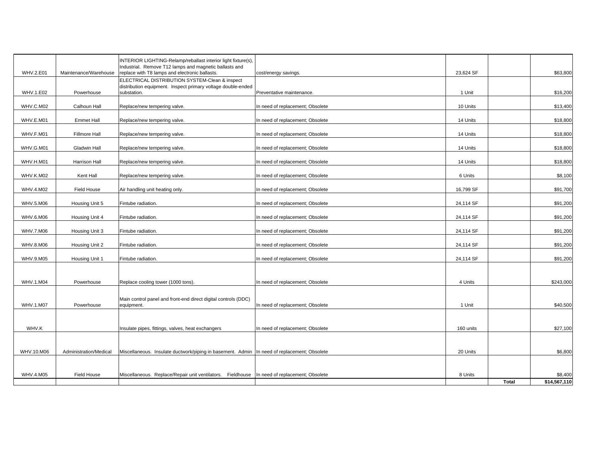| <b>WHV.2.E01</b> | Maintenance/Warehouse  | INTERIOR LIGHTING-Relamp/reballast interior light fixture(s),<br>ndustrial. Remove T12 lamps and magnetic ballasts and<br>replace with T8 lamps and electronic ballasts. | cost/energy savings.             | 23,624 SF |              | \$63,800     |
|------------------|------------------------|--------------------------------------------------------------------------------------------------------------------------------------------------------------------------|----------------------------------|-----------|--------------|--------------|
|                  |                        | ELECTRICAL DISTRIBUTION SYSTEM-Clean & inspect                                                                                                                           |                                  |           |              |              |
| WHV.1.E02        | Powerhouse             | distribution equipment. Inspect primary voltage double-ended<br>substation.                                                                                              | Preventative maintenance.        | 1 Unit    |              | \$16,200     |
| WHV.C.M02        | Calhoun Hall           | Replace/new tempering valve.                                                                                                                                             | n need of replacement; Obsolete  | 10 Units  |              | \$13,400     |
| WHV.E.M01        | <b>Emmet Hall</b>      | Replace/new tempering valve.                                                                                                                                             | n need of replacement; Obsolete  | 14 Units  |              | \$18,800     |
| WHV.F.M01        | Fillmore Hall          | Replace/new tempering valve.                                                                                                                                             | n need of replacement; Obsolete  | 14 Units  |              | \$18,800     |
| WHV.G.M01        | <b>Gladwin Hall</b>    | Replace/new tempering valve.                                                                                                                                             | n need of replacement; Obsolete  | 14 Units  |              | \$18,800     |
| WHV.H.M01        | Harrison Hall          | Replace/new tempering valve.                                                                                                                                             | n need of replacement; Obsolete  | 14 Units  |              | \$18,800     |
| WHV.K.M02        | Kent Hall              | Replace/new tempering valve.                                                                                                                                             | In need of replacement; Obsolete | 6 Units   |              | \$8,100      |
| WHV.4.M02        | Field House            | Air handling unit heating only.                                                                                                                                          | n need of replacement; Obsolete  | 16,799 SF |              | \$91,700     |
| WHV.5.M06        | Housing Unit 5         | Fintube radiation.                                                                                                                                                       | n need of replacement; Obsolete  | 24,114 SF |              | \$91,200     |
| WHV.6.M06        | Housing Unit 4         | Fintube radiation.                                                                                                                                                       | n need of replacement; Obsolete  | 24,114 SF |              | \$91,200     |
| WHV.7.M06        | Housing Unit 3         | Fintube radiation.                                                                                                                                                       | n need of replacement; Obsolete  | 24,114 SF |              | \$91,200     |
| WHV.8.M06        | Housing Unit 2         | Fintube radiation.                                                                                                                                                       | n need of replacement; Obsolete  | 24,114 SF |              | \$91,200     |
| WHV.9.M05        | Housing Unit 1         | Fintube radiation.                                                                                                                                                       | n need of replacement; Obsolete  | 24,114 SF |              | \$91,200     |
|                  |                        |                                                                                                                                                                          |                                  |           |              |              |
| WHV.1.M04        | Powerhouse             | Replace cooling tower (1000 tons).                                                                                                                                       | In need of replacement; Obsolete | 4 Units   |              | \$243,000    |
|                  |                        | Main control panel and front-end direct digital controls (DDC)                                                                                                           |                                  |           |              |              |
| WHV.1.M07        | Powerhouse             | equipment.                                                                                                                                                               | In need of replacement; Obsolete | 1 Unit    |              | \$40,500     |
|                  |                        |                                                                                                                                                                          |                                  |           |              |              |
| WHV.K            |                        | Insulate pipes, fittings, valves, heat exchangers                                                                                                                        | In need of replacement; Obsolete | 160 units |              | \$27,100     |
|                  |                        |                                                                                                                                                                          |                                  |           |              |              |
| WHV.10.M06       | Administration/Medical | Miscellaneous. Insulate ductwork/piping in basement. Admin                                                                                                               | In need of replacement; Obsolete | 20 Units  |              | \$6,800      |
|                  |                        |                                                                                                                                                                          |                                  |           |              |              |
| WHV.4.M05        | <b>Field House</b>     | Miscellaneous. Replace/Repair unit ventilators. Fieldhouse                                                                                                               | In need of replacement; Obsolete | 8 Units   |              | \$8,400      |
|                  |                        |                                                                                                                                                                          |                                  |           | <b>Total</b> | \$14,567,110 |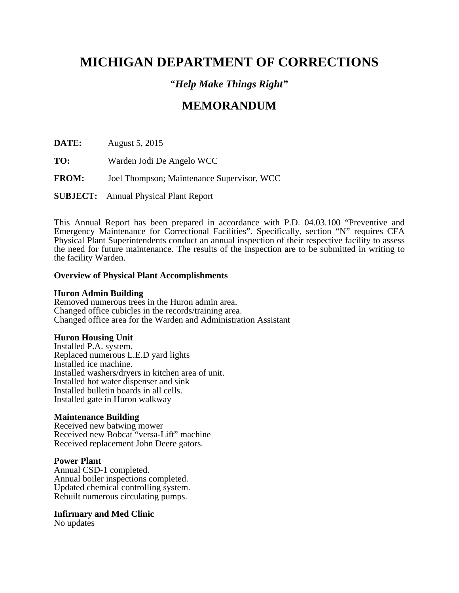# **MICHIGAN DEPARTMENT OF CORRECTIONS**

### "*Help Make Things Right"*

## **MEMORANDUM**

**DATE:** August 5, 2015

- **TO:** Warden Jodi De Angelo WCC
- **FROM:** Joel Thompson; Maintenance Supervisor, WCC

**SUBJECT:** Annual Physical Plant Report

This Annual Report has been prepared in accordance with P.D. 04.03.100 "Preventive and Emergency Maintenance for Correctional Facilities". Specifically, section "N" requires CFA Physical Plant Superintendents conduct an annual inspection of their respective facility to assess the need for future maintenance. The results of the inspection are to be submitted in writing to the facility Warden.

#### **Overview of Physical Plant Accomplishments**

#### **Huron Admin Building**

Removed numerous trees in the Huron admin area. Changed office cubicles in the records/training area. Changed office area for the Warden and Administration Assistant

#### **Huron Housing Unit**

Installed P.A. system. Replaced numerous L.E.D yard lights Installed ice machine. Installed washers/dryers in kitchen area of unit. Installed hot water dispenser and sink Installed bulletin boards in all cells. Installed gate in Huron walkway

#### **Maintenance Building**

Received new batwing mower Received new Bobcat "versa-Lift" machine Received replacement John Deere gators.

#### **Power Plant**

Annual CSD-1 completed. Annual boiler inspections completed. Updated chemical controlling system. Rebuilt numerous circulating pumps.

#### **Infirmary and Med Clinic**

No updates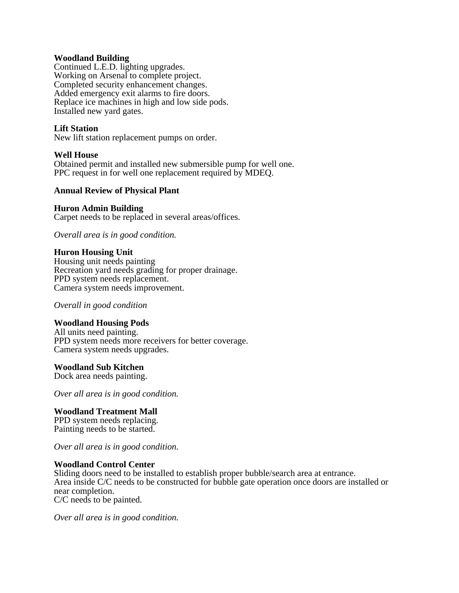#### **Woodland Building**

Continued L.E.D. lighting upgrades. Working on Arsenal to complete project. Completed security enhancement changes. Added emergency exit alarms to fire doors. Replace ice machines in high and low side pods. Installed new yard gates.

### **Lift Station**

New lift station replacement pumps on order.

#### **Well House**

Obtained permit and installed new submersible pump for well one. PPC request in for well one replacement required by MDEQ.

#### **Annual Review of Physical Plant**

#### **Huron Admin Building**

Carpet needs to be replaced in several areas/offices.

*Overall area is in good condition.* 

#### **Huron Housing Unit**

Housing unit needs painting Recreation yard needs grading for proper drainage. PPD system needs replacement. Camera system needs improvement.

*Overall in good condition* 

#### **Woodland Housing Pods**

All units need painting. PPD system needs more receivers for better coverage. Camera system needs upgrades.

#### **Woodland Sub Kitchen**

Dock area needs painting.

*Over all area is in good condition.* 

#### **Woodland Treatment Mall**

PPD system needs replacing. Painting needs to be started.

*Over all area is in good condition.*

#### **Woodland Control Center**

Sliding doors need to be installed to establish proper bubble/search area at entrance. Area inside C/C needs to be constructed for bubble gate operation once doors are installed or near completion. C/C needs to be painted.

*Over all area is in good condition.*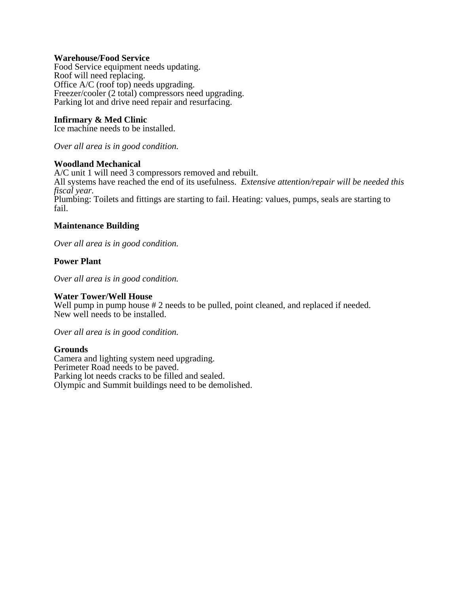#### **Warehouse/Food Service**

Food Service equipment needs updating. Roof will need replacing. Office A/C (roof top) needs upgrading. Freezer/cooler (2 total) compressors need upgrading. Parking lot and drive need repair and resurfacing.

#### **Infirmary & Med Clinic**

Ice machine needs to be installed.

*Over all area is in good condition.* 

#### **Woodland Mechanical**

A/C unit 1 will need 3 compressors removed and rebuilt. All systems have reached the end of its usefulness. *Extensive attention/repair will be needed this fiscal year.*  Plumbing: Toilets and fittings are starting to fail. Heating: values, pumps, seals are starting to fail.

#### **Maintenance Building**

*Over all area is in good condition.* 

#### **Power Plant**

*Over all area is in good condition.* 

#### **Water Tower/Well House**

Well pump in pump house  $\# 2$  needs to be pulled, point cleaned, and replaced if needed. New well needs to be installed.

*Over all area is in good condition.* 

#### **Grounds**

Camera and lighting system need upgrading. Perimeter Road needs to be paved. Parking lot needs cracks to be filled and sealed. Olympic and Summit buildings need to be demolished.